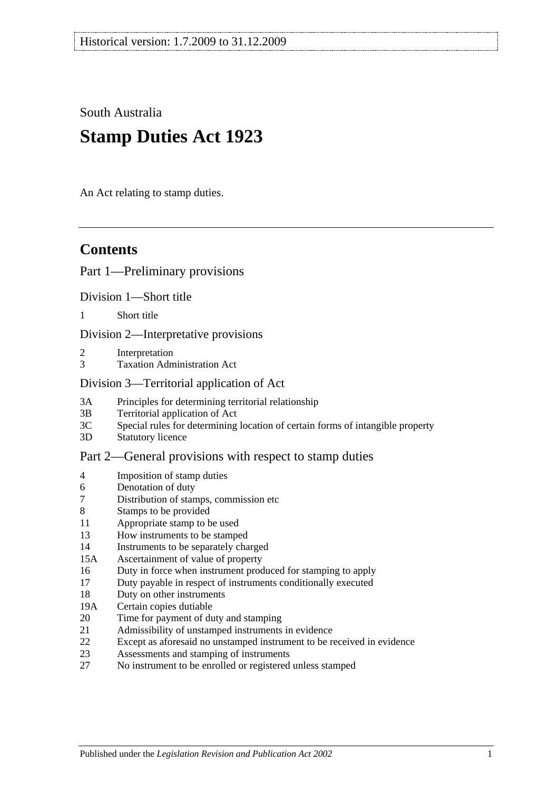South Australia

# **Stamp Duties Act 1923**

An Act relating to stamp duties.

# **Contents**

#### [Part 1—Preliminary provisions](#page-6-0)

[Division 1—Short title](#page-6-1)

1 [Short title](#page-6-2)

[Division 2—Interpretative provisions](#page-6-3)

- 2 [Interpretation](#page-6-4)
- 3 [Taxation Administration Act](#page-9-0)

#### [Division 3—Territorial application of Act](#page-9-1)

- 3A [Principles for determining territorial relationship](#page-9-2)
- 3B [Territorial application of Act](#page-9-3)
- 3C [Special rules for determining location of certain forms of intangible property](#page-10-0)
- 3D [Statutory licence](#page-11-0)

#### [Part 2—General provisions with respect to stamp duties](#page-12-0)

- 4 [Imposition of stamp duties](#page-12-1)
- 6 [Denotation of duty](#page-12-2)
- 7 [Distribution of stamps, commission etc](#page-12-3)
- 8 [Stamps to be provided](#page-12-4)
- 11 [Appropriate stamp to be used](#page-12-5)
- 13 [How instruments to be stamped](#page-12-6)
- 14 [Instruments to be separately charged](#page-13-0)
- 15A [Ascertainment of value of property](#page-13-1)
- 16 [Duty in force when instrument produced for stamping to apply](#page-13-2)
- 17 [Duty payable in respect of instruments conditionally executed](#page-13-3)
- 18 [Duty on other instruments](#page-13-4)
- 19A [Certain copies dutiable](#page-14-0)
- 20 [Time for payment of duty and stamping](#page-14-1)
- 21 [Admissibility of unstamped instruments in evidence](#page-15-0)
- 22 [Except as aforesaid no unstamped instrument to be received in evidence](#page-15-1)
- 23 [Assessments and stamping of instruments](#page-15-2)
- 27 [No instrument to be enrolled or registered unless stamped](#page-16-0)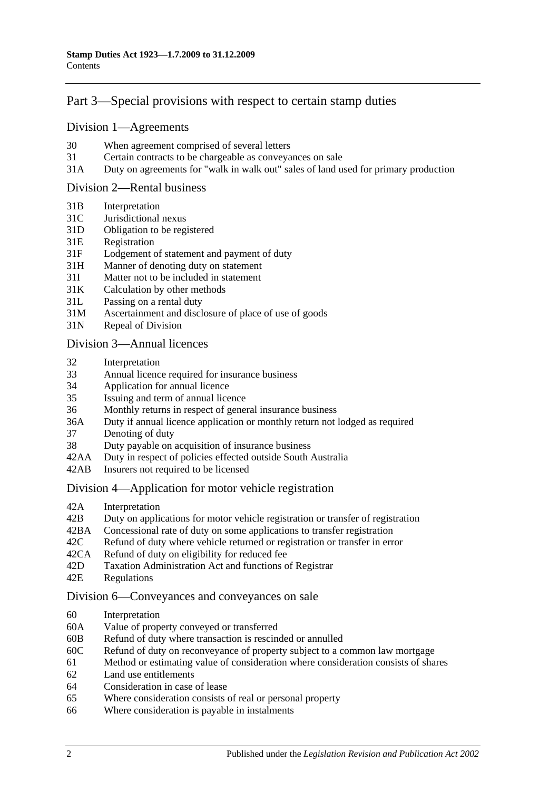## [Part 3—Special provisions with respect to certain stamp duties](#page-18-0)

#### [Division 1—Agreements](#page-18-1)

- 30 [When agreement comprised of several letters](#page-18-2)
- 31 [Certain contracts to be chargeable as conveyances on sale](#page-18-3)
- 31A [Duty on agreements for "walk in walk out" sales of land used for primary production](#page-19-0)

#### [Division 2—Rental business](#page-19-1)

- 31B [Interpretation](#page-19-2)
- 31C [Jurisdictional nexus](#page-21-0)
- 31D [Obligation to be registered](#page-21-1)
- 31E [Registration](#page-21-2)
- 31F [Lodgement of statement and payment of duty](#page-21-3)
- 31H [Manner of denoting duty on statement](#page-23-0)
- 31I [Matter not to be included in statement](#page-23-1)
- 31K [Calculation by other methods](#page-25-0)
- 31L [Passing on a rental duty](#page-25-1)
- 31M [Ascertainment and disclosure of place of use of goods](#page-26-0)
- 31N [Repeal of Division](#page-26-1)

#### [Division 3—Annual licences](#page-26-2)

- 32 [Interpretation](#page-26-3)
- 33 [Annual licence required for insurance business](#page-27-0)
- 34 [Application for annual licence](#page-27-1)
- 35 [Issuing and term of annual licence](#page-28-0)
- 36 [Monthly returns in respect of general insurance business](#page-28-1)
- 36A [Duty if annual licence application or monthly return not lodged as required](#page-28-2)
- 37 [Denoting of duty](#page-28-3)
- 38 [Duty payable on acquisition of insurance business](#page-28-4)
- 42AA [Duty in respect of policies effected outside South Australia](#page-29-0)
- 42AB [Insurers not required to be licensed](#page-29-1)

#### [Division 4—Application for motor vehicle registration](#page-30-0)

- 42A [Interpretation](#page-30-1)
- 42B [Duty on applications for motor vehicle registration or transfer of registration](#page-31-0)
- 42BA [Concessional rate of duty on some applications to transfer registration](#page-33-0)
- 42C [Refund of duty where vehicle returned or registration or transfer in error](#page-33-1)
- 42CA [Refund of duty on eligibility for reduced fee](#page-34-0)
- 42D [Taxation Administration Act and functions of Registrar](#page-34-1)
- 42E [Regulations](#page-34-2)

#### [Division 6—Conveyances and conveyances on sale](#page-34-3)

- 60 [Interpretation](#page-34-4)
- 60A [Value of property conveyed or transferred](#page-35-0)
- 60B [Refund of duty where transaction is rescinded or annulled](#page-37-0)
- 60C [Refund of duty on reconveyance of property subject to a common law mortgage](#page-37-1)
- 61 [Method or estimating value of consideration where consideration consists of shares](#page-37-2)
- 62 [Land use entitlements](#page-38-0)
- 64 [Consideration in case of lease](#page-38-1)
- 65 [Where consideration consists of real or personal property](#page-38-2)
- 66 [Where consideration is payable in instalments](#page-38-3)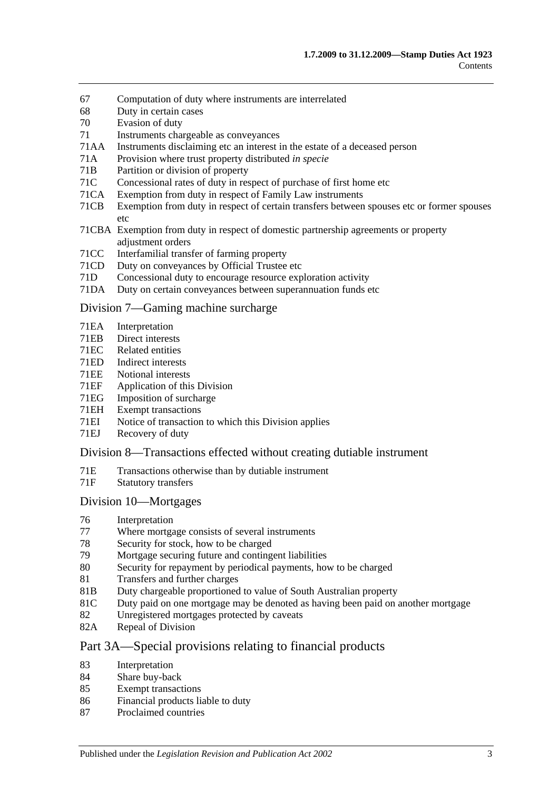- 67 [Computation of duty where instruments are interrelated](#page-39-0)
- 68 [Duty in certain cases](#page-39-1)
- 70 [Evasion of duty](#page-40-0)
- 71 [Instruments chargeable as conveyances](#page-40-1)
- 71AA [Instruments disclaiming etc an interest in the estate of a deceased person](#page-45-0)
- 71A [Provision where trust property distributed](#page-46-0) *in specie*
- 71B [Partition or division of property](#page-46-1)
- 71C [Concessional rates of duty in respect of purchase of first home etc](#page-46-2)
- 71CA [Exemption from duty in respect of Family Law instruments](#page-50-0)
- 71CB [Exemption from duty in respect of certain transfers between spouses etc or former spouses](#page-53-0)  [etc](#page-53-0)
- 71CBA [Exemption from duty in respect of domestic partnership agreements or property](#page-54-0)  [adjustment orders](#page-54-0)
- 71CC [Interfamilial transfer of farming property](#page-55-0)
- 71CD [Duty on conveyances by Official Trustee etc](#page-57-0)
- 71D [Concessional duty to encourage resource exploration activity](#page-57-1)
- 71DA [Duty on certain conveyances between superannuation funds etc](#page-59-0)

#### [Division 7—Gaming machine surcharge](#page-60-0)

- 71EA [Interpretation](#page-60-1)
- 71EB [Direct interests](#page-62-0)<br>71EC Related entities
- [Related entities](#page-62-1)
- 71ED [Indirect interests](#page-62-2)
- 71EE [Notional interests](#page-63-0)
- 71EF [Application of this Division](#page-63-1)
- 71EG [Imposition of surcharge](#page-63-2)
- 71EH [Exempt transactions](#page-64-0)
- 71EI [Notice of transaction to which this Division applies](#page-64-1)
- 71EJ [Recovery of duty](#page-65-0)

#### [Division 8—Transactions effected without creating dutiable instrument](#page-65-1)

- 71E [Transactions otherwise than by dutiable instrument](#page-65-2)
- 71F [Statutory transfers](#page-67-0)

#### [Division 10—Mortgages](#page-67-1)

- 76 [Interpretation](#page-68-0)<br>77 Where mortga
- [Where mortgage consists of several instruments](#page-68-1)
- 78 [Security for stock, how to be charged](#page-68-2)
- 79 [Mortgage securing future and contingent liabilities](#page-68-3)
- 80 [Security for repayment by periodical payments, how to be charged](#page-70-0)
- 81 [Transfers and further charges](#page-70-1)
- 81B [Duty chargeable proportioned to value of South Australian property](#page-70-2)
- 81C [Duty paid on one mortgage may be denoted as having been paid on another mortgage](#page-71-0)
- 82 [Unregistered mortgages protected by caveats](#page-72-0)
- 82A [Repeal of Division](#page-72-1)

#### [Part 3A—Special provisions relating to financial products](#page-74-0)

- 83 [Interpretation](#page-74-1)
- 84 Share [buy-back](#page-74-2)
- 85 [Exempt transactions](#page-74-3)
- 86 [Financial products liable to duty](#page-74-4)
- 87 [Proclaimed countries](#page-75-0)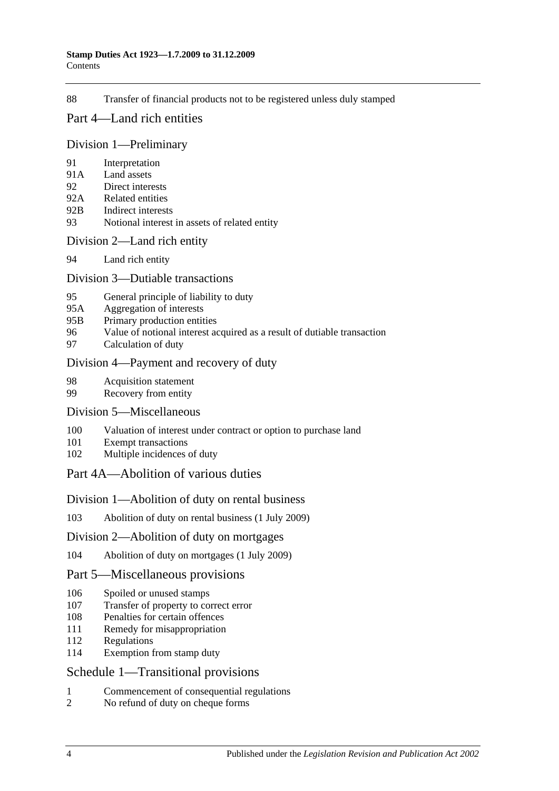88 [Transfer of financial products not to be registered unless duly stamped](#page-75-1)

### [Part 4—Land rich entities](#page-78-0)

#### [Division 1—Preliminary](#page-78-1)

- 91 [Interpretation](#page-78-2)
- 91A [Land assets](#page-80-0)
- 92 [Direct interests](#page-81-0)
- 92A [Related entities](#page-81-1)
- 92B [Indirect interests](#page-82-0)
- 93 [Notional interest in assets of related entity](#page-82-1)

#### [Division 2—Land rich entity](#page-82-2)

94 [Land rich entity](#page-82-3)

#### [Division 3—Dutiable transactions](#page-83-0)

- 95 [General principle of liability to duty](#page-83-1)
- 95A [Aggregation of interests](#page-84-0)
- 95B [Primary production entities](#page-84-1)
- 96 [Value of notional interest acquired as a result of dutiable transaction](#page-85-0)
- 97 [Calculation of duty](#page-85-1)

#### [Division 4—Payment and recovery of duty](#page-86-0)

- 98 [Acquisition statement](#page-86-1)
- 99 [Recovery from entity](#page-87-0)

#### [Division 5—Miscellaneous](#page-88-0)

- 100 [Valuation of interest under contract or option to purchase land](#page-88-1)
- 101 [Exempt transactions](#page-88-2)
- 102 [Multiple incidences of duty](#page-88-3)

## [Part 4A—Abolition of various duties](#page-90-0)

#### [Division 1—Abolition of duty on rental business](#page-90-1)

103 [Abolition of duty on rental business \(1](#page-90-2) July 2009)

#### [Division 2—Abolition of duty on mortgages](#page-90-3)

104 [Abolition of duty on mortgages \(1 July 2009\)](#page-90-4)

#### [Part 5—Miscellaneous provisions](#page-92-0)

- 106 [Spoiled or unused stamps](#page-92-1)
- 107 [Transfer of property to correct error](#page-92-2)
- 108 [Penalties for certain offences](#page-92-3)
- 111 [Remedy for misappropriation](#page-93-0)
- 112 [Regulations](#page-93-1)
- 114 [Exemption from stamp duty](#page-94-0)

## [Schedule 1—Transitional provisions](#page-96-0)

- 1 [Commencement of consequential regulations](#page-96-1)
- 2 [No refund of duty on cheque forms](#page-96-2)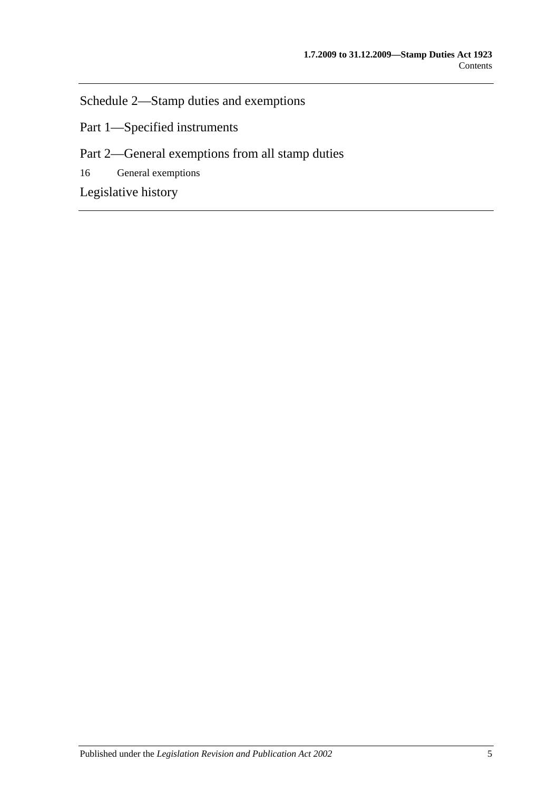[Schedule 2—Stamp duties and exemptions](#page-96-3)

Part 1—Specified instruments

Part 2—General exemptions from all stamp duties

16 [General exemptions](#page-107-0)

[Legislative history](#page-112-0)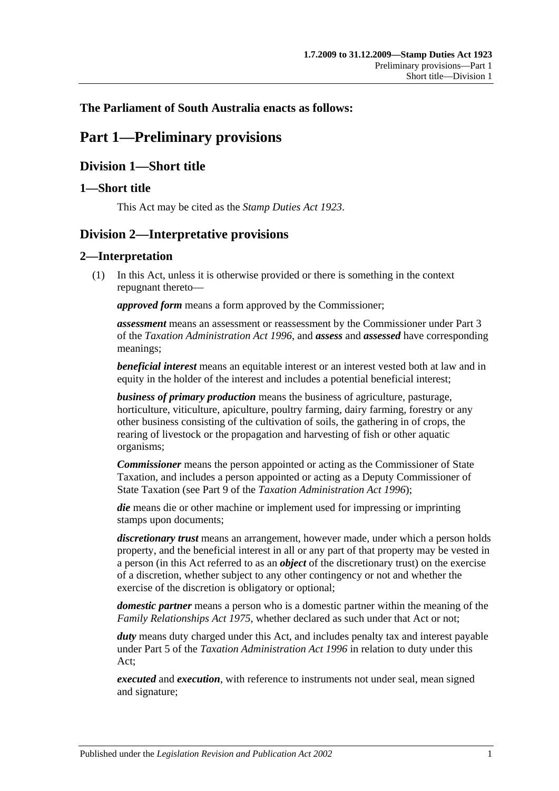## <span id="page-6-0"></span>**The Parliament of South Australia enacts as follows:**

# **Part 1—Preliminary provisions**

## <span id="page-6-1"></span>**Division 1—Short title**

## <span id="page-6-2"></span>**1—Short title**

This Act may be cited as the *Stamp Duties Act 1923*.

## <span id="page-6-3"></span>**Division 2—Interpretative provisions**

## <span id="page-6-4"></span>**2—Interpretation**

(1) In this Act, unless it is otherwise provided or there is something in the context repugnant thereto—

*approved form* means a form approved by the Commissioner;

*assessment* means an assessment or reassessment by the Commissioner under Part 3 of the *[Taxation Administration Act](http://www.legislation.sa.gov.au/index.aspx?action=legref&type=act&legtitle=Taxation%20Administration%20Act%201996) 1996*, and *assess* and *assessed* have corresponding meanings;

*beneficial interest* means an equitable interest or an interest vested both at law and in equity in the holder of the interest and includes a potential beneficial interest;

*business of primary production* means the business of agriculture, pasturage, horticulture, viticulture, apiculture, poultry farming, dairy farming, forestry or any other business consisting of the cultivation of soils, the gathering in of crops, the rearing of livestock or the propagation and harvesting of fish or other aquatic organisms;

*Commissioner* means the person appointed or acting as the Commissioner of State Taxation, and includes a person appointed or acting as a Deputy Commissioner of State Taxation (see Part 9 of the *[Taxation Administration Act](http://www.legislation.sa.gov.au/index.aspx?action=legref&type=act&legtitle=Taxation%20Administration%20Act%201996) 1996*);

*die* means die or other machine or implement used for impressing or imprinting stamps upon documents;

*discretionary trust* means an arrangement, however made, under which a person holds property, and the beneficial interest in all or any part of that property may be vested in a person (in this Act referred to as an *object* of the discretionary trust) on the exercise of a discretion, whether subject to any other contingency or not and whether the exercise of the discretion is obligatory or optional;

*domestic partner* means a person who is a domestic partner within the meaning of the *[Family Relationships Act](http://www.legislation.sa.gov.au/index.aspx?action=legref&type=act&legtitle=Family%20Relationships%20Act%201975) 1975*, whether declared as such under that Act or not;

*duty* means duty charged under this Act, and includes penalty tax and interest payable under Part 5 of the *[Taxation Administration Act](http://www.legislation.sa.gov.au/index.aspx?action=legref&type=act&legtitle=Taxation%20Administration%20Act%201996) 1996* in relation to duty under this Act;

*executed* and *execution*, with reference to instruments not under seal, mean signed and signature;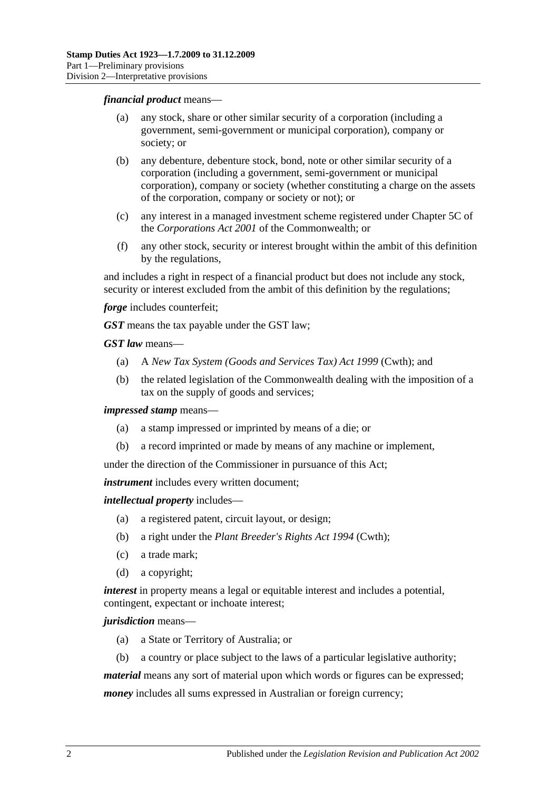#### *financial product* means—

- (a) any stock, share or other similar security of a corporation (including a government, semi-government or municipal corporation), company or society; or
- (b) any debenture, debenture stock, bond, note or other similar security of a corporation (including a government, semi-government or municipal corporation), company or society (whether constituting a charge on the assets of the corporation, company or society or not); or
- (c) any interest in a managed investment scheme registered under Chapter 5C of the *Corporations Act 2001* of the Commonwealth; or
- (f) any other stock, security or interest brought within the ambit of this definition by the regulations,

and includes a right in respect of a financial product but does not include any stock, security or interest excluded from the ambit of this definition by the regulations;

*forge* includes counterfeit;

*GST* means the tax payable under the GST law;

*GST law* means—

- (a) A *New Tax System (Goods and Services Tax) Act 1999* (Cwth); and
- (b) the related legislation of the Commonwealth dealing with the imposition of a tax on the supply of goods and services;

*impressed stamp* means—

- (a) a stamp impressed or imprinted by means of a die; or
- (b) a record imprinted or made by means of any machine or implement,

under the direction of the Commissioner in pursuance of this Act;

*instrument* includes every written document;

*intellectual property* includes—

- (a) a registered patent, circuit layout, or design;
- (b) a right under the *Plant Breeder's Rights Act 1994* (Cwth);
- (c) a trade mark;
- (d) a copyright;

*interest* in property means a legal or equitable interest and includes a potential, contingent, expectant or inchoate interest;

#### *jurisdiction* means—

- (a) a State or Territory of Australia; or
- (b) a country or place subject to the laws of a particular legislative authority;

*material* means any sort of material upon which words or figures can be expressed;

*money* includes all sums expressed in Australian or foreign currency;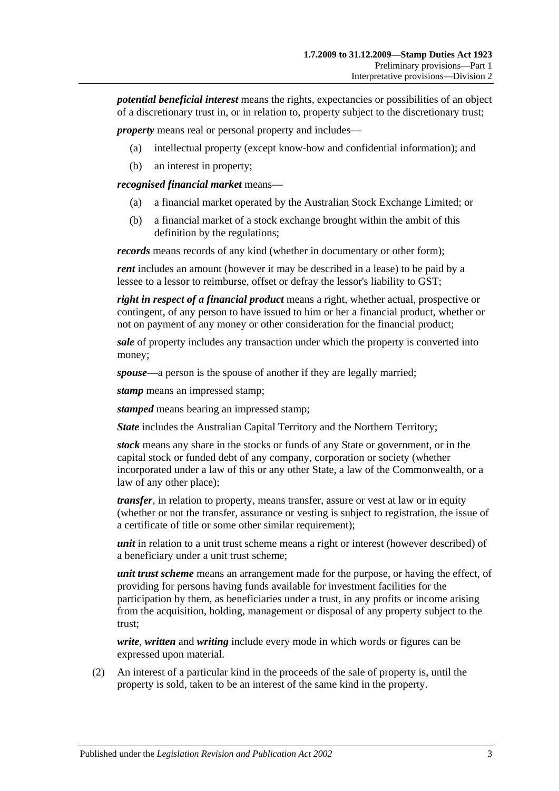*potential beneficial interest* means the rights, expectancies or possibilities of an object of a discretionary trust in, or in relation to, property subject to the discretionary trust;

*property* means real or personal property and includes—

- (a) intellectual property (except know-how and confidential information); and
- (b) an interest in property;

*recognised financial market* means—

- (a) a financial market operated by the Australian Stock Exchange Limited; or
- (b) a financial market of a stock exchange brought within the ambit of this definition by the regulations;

*records* means records of any kind (whether in documentary or other form);

*rent* includes an amount (however it may be described in a lease) to be paid by a lessee to a lessor to reimburse, offset or defray the lessor's liability to GST;

*right in respect of a financial product* means a right, whether actual, prospective or contingent, of any person to have issued to him or her a financial product, whether or not on payment of any money or other consideration for the financial product;

*sale* of property includes any transaction under which the property is converted into money;

*spouse*—a person is the spouse of another if they are legally married;

*stamp* means an impressed stamp;

*stamped* means bearing an impressed stamp;

*State* includes the Australian Capital Territory and the Northern Territory;

*stock* means any share in the stocks or funds of any State or government, or in the capital stock or funded debt of any company, corporation or society (whether incorporated under a law of this or any other State, a law of the Commonwealth, or a law of any other place);

*transfer*, in relation to property, means transfer, assure or vest at law or in equity (whether or not the transfer, assurance or vesting is subject to registration, the issue of a certificate of title or some other similar requirement);

*unit* in relation to a unit trust scheme means a right or interest (however described) of a beneficiary under a unit trust scheme;

*unit trust scheme* means an arrangement made for the purpose, or having the effect, of providing for persons having funds available for investment facilities for the participation by them, as beneficiaries under a trust, in any profits or income arising from the acquisition, holding, management or disposal of any property subject to the trust;

*write*, *written* and *writing* include every mode in which words or figures can be expressed upon material.

(2) An interest of a particular kind in the proceeds of the sale of property is, until the property is sold, taken to be an interest of the same kind in the property.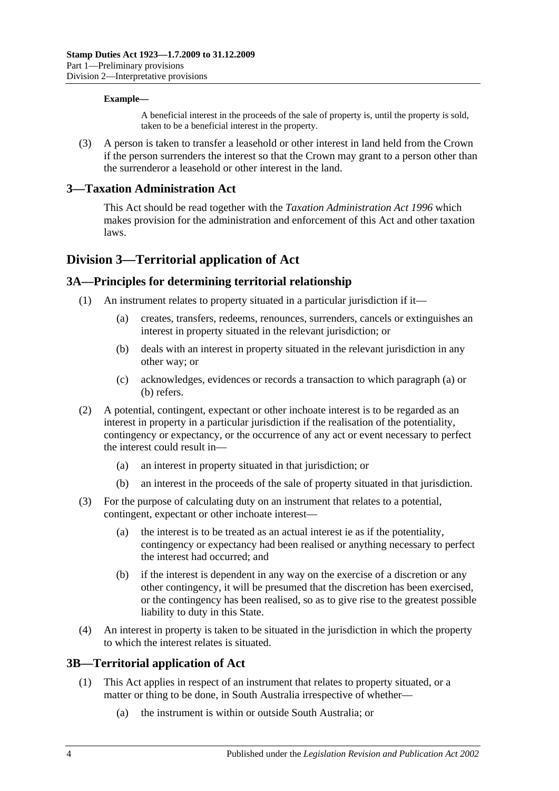#### **Example—**

A beneficial interest in the proceeds of the sale of property is, until the property is sold, taken to be a beneficial interest in the property.

(3) A person is taken to transfer a leasehold or other interest in land held from the Crown if the person surrenders the interest so that the Crown may grant to a person other than the surrenderor a leasehold or other interest in the land.

### <span id="page-9-0"></span>**3—Taxation Administration Act**

This Act should be read together with the *[Taxation Administration Act](http://www.legislation.sa.gov.au/index.aspx?action=legref&type=act&legtitle=Taxation%20Administration%20Act%201996) 1996* which makes provision for the administration and enforcement of this Act and other taxation laws.

## <span id="page-9-1"></span>**Division 3—Territorial application of Act**

## <span id="page-9-2"></span>**3A—Principles for determining territorial relationship**

- <span id="page-9-5"></span><span id="page-9-4"></span>(1) An instrument relates to property situated in a particular jurisdiction if it—
	- (a) creates, transfers, redeems, renounces, surrenders, cancels or extinguishes an interest in property situated in the relevant jurisdiction; or
	- (b) deals with an interest in property situated in the relevant jurisdiction in any other way; or
	- (c) acknowledges, evidences or records a transaction to which [paragraph](#page-9-4) (a) or [\(b\)](#page-9-5) refers.
- (2) A potential, contingent, expectant or other inchoate interest is to be regarded as an interest in property in a particular jurisdiction if the realisation of the potentiality, contingency or expectancy, or the occurrence of any act or event necessary to perfect the interest could result in—
	- (a) an interest in property situated in that jurisdiction; or
	- (b) an interest in the proceeds of the sale of property situated in that jurisdiction.
- (3) For the purpose of calculating duty on an instrument that relates to a potential, contingent, expectant or other inchoate interest-
	- (a) the interest is to be treated as an actual interest ie as if the potentiality, contingency or expectancy had been realised or anything necessary to perfect the interest had occurred; and
	- (b) if the interest is dependent in any way on the exercise of a discretion or any other contingency, it will be presumed that the discretion has been exercised, or the contingency has been realised, so as to give rise to the greatest possible liability to duty in this State.
- (4) An interest in property is taken to be situated in the jurisdiction in which the property to which the interest relates is situated.

#### <span id="page-9-3"></span>**3B—Territorial application of Act**

- (1) This Act applies in respect of an instrument that relates to property situated, or a matter or thing to be done, in South Australia irrespective of whether—
	- (a) the instrument is within or outside South Australia; or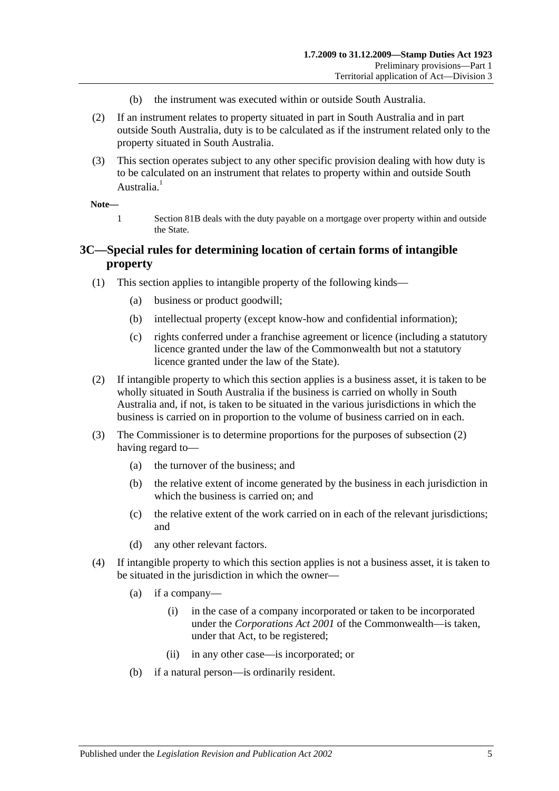- (b) the instrument was executed within or outside South Australia.
- (2) If an instrument relates to property situated in part in South Australia and in part outside South Australia, duty is to be calculated as if the instrument related only to the property situated in South Australia.
- (3) This section operates subject to any other specific provision dealing with how duty is to be calculated on an instrument that relates to property within and outside South Australia.<sup>1</sup>

#### **Note—**

1 [Section](#page-70-2) 81B deals with the duty payable on a mortgage over property within and outside the State.

## <span id="page-10-0"></span>**3C—Special rules for determining location of certain forms of intangible property**

- (1) This section applies to intangible property of the following kinds—
	- (a) business or product goodwill;
	- (b) intellectual property (except know-how and confidential information);
	- (c) rights conferred under a franchise agreement or licence (including a statutory licence granted under the law of the Commonwealth but not a statutory licence granted under the law of the State).
- <span id="page-10-1"></span>(2) If intangible property to which this section applies is a business asset, it is taken to be wholly situated in South Australia if the business is carried on wholly in South Australia and, if not, is taken to be situated in the various jurisdictions in which the business is carried on in proportion to the volume of business carried on in each.
- (3) The Commissioner is to determine proportions for the purposes of [subsection](#page-10-1) (2) having regard to—
	- (a) the turnover of the business; and
	- (b) the relative extent of income generated by the business in each jurisdiction in which the business is carried on; and
	- (c) the relative extent of the work carried on in each of the relevant jurisdictions; and
	- (d) any other relevant factors.
- (4) If intangible property to which this section applies is not a business asset, it is taken to be situated in the jurisdiction in which the owner—
	- (a) if a company—
		- (i) in the case of a company incorporated or taken to be incorporated under the *Corporations Act 2001* of the Commonwealth—is taken, under that Act, to be registered;
		- (ii) in any other case—is incorporated; or
	- (b) if a natural person—is ordinarily resident.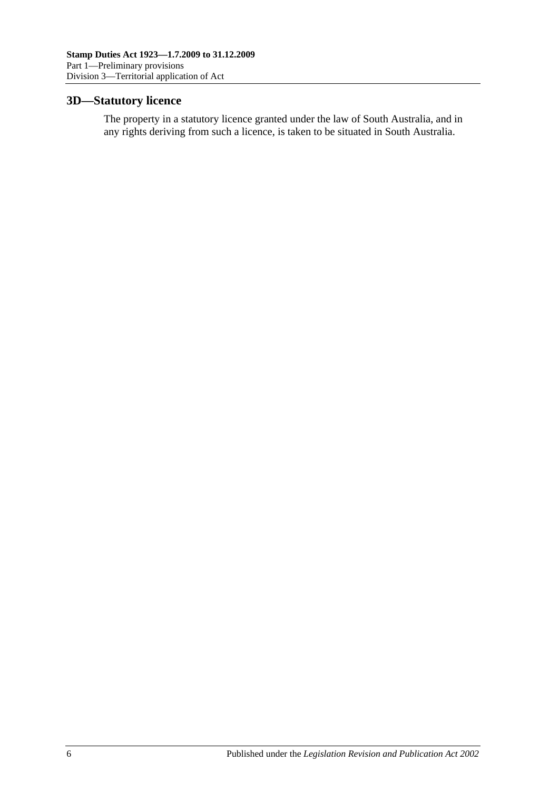## <span id="page-11-0"></span>**3D—Statutory licence**

The property in a statutory licence granted under the law of South Australia, and in any rights deriving from such a licence, is taken to be situated in South Australia.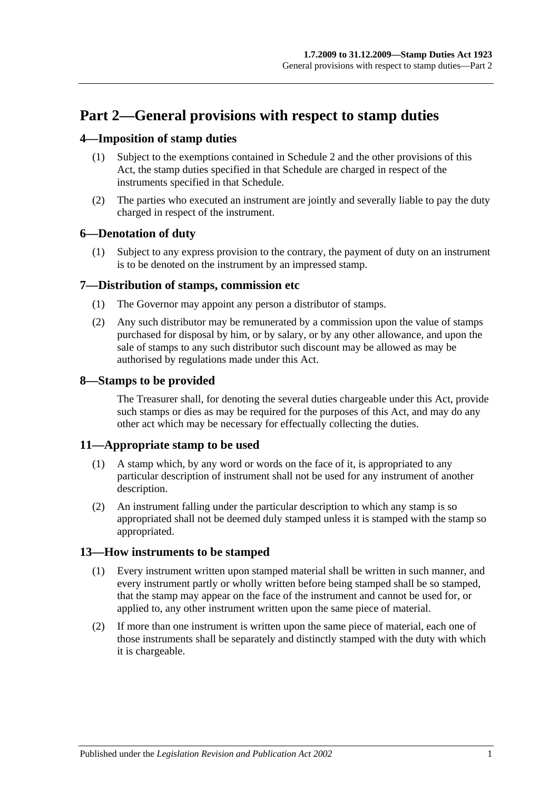# <span id="page-12-0"></span>**Part 2—General provisions with respect to stamp duties**

## <span id="page-12-1"></span>**4—Imposition of stamp duties**

- (1) Subject to the exemptions contained in [Schedule 2](#page-96-3) and the other provisions of this Act, the stamp duties specified in that Schedule are charged in respect of the instruments specified in that Schedule.
- (2) The parties who executed an instrument are jointly and severally liable to pay the duty charged in respect of the instrument.

## <span id="page-12-2"></span>**6—Denotation of duty**

(1) Subject to any express provision to the contrary, the payment of duty on an instrument is to be denoted on the instrument by an impressed stamp.

## <span id="page-12-3"></span>**7—Distribution of stamps, commission etc**

- (1) The Governor may appoint any person a distributor of stamps.
- (2) Any such distributor may be remunerated by a commission upon the value of stamps purchased for disposal by him, or by salary, or by any other allowance, and upon the sale of stamps to any such distributor such discount may be allowed as may be authorised by regulations made under this Act.

## <span id="page-12-4"></span>**8—Stamps to be provided**

The Treasurer shall, for denoting the several duties chargeable under this Act, provide such stamps or dies as may be required for the purposes of this Act, and may do any other act which may be necessary for effectually collecting the duties.

## <span id="page-12-5"></span>**11—Appropriate stamp to be used**

- (1) A stamp which, by any word or words on the face of it, is appropriated to any particular description of instrument shall not be used for any instrument of another description.
- (2) An instrument falling under the particular description to which any stamp is so appropriated shall not be deemed duly stamped unless it is stamped with the stamp so appropriated.

## <span id="page-12-6"></span>**13—How instruments to be stamped**

- (1) Every instrument written upon stamped material shall be written in such manner, and every instrument partly or wholly written before being stamped shall be so stamped, that the stamp may appear on the face of the instrument and cannot be used for, or applied to, any other instrument written upon the same piece of material.
- (2) If more than one instrument is written upon the same piece of material, each one of those instruments shall be separately and distinctly stamped with the duty with which it is chargeable.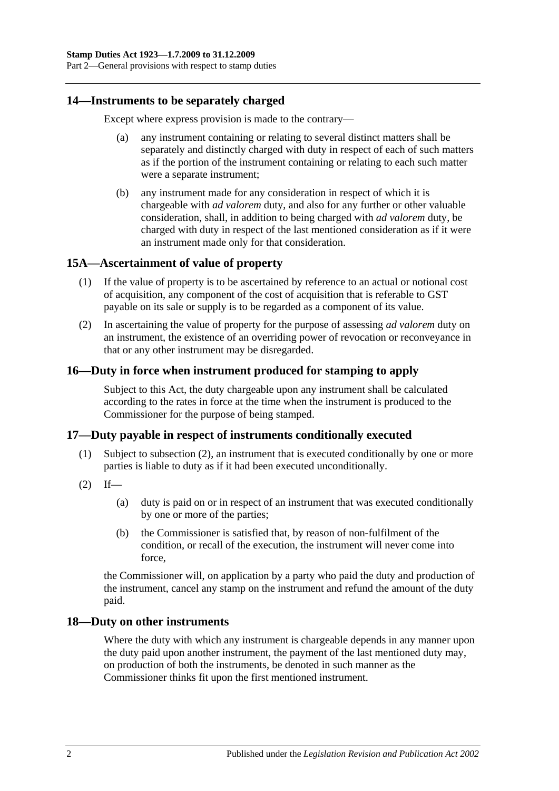## <span id="page-13-0"></span>**14—Instruments to be separately charged**

Except where express provision is made to the contrary—

- (a) any instrument containing or relating to several distinct matters shall be separately and distinctly charged with duty in respect of each of such matters as if the portion of the instrument containing or relating to each such matter were a separate instrument;
- (b) any instrument made for any consideration in respect of which it is chargeable with *ad valorem* duty, and also for any further or other valuable consideration, shall, in addition to being charged with *ad valorem* duty, be charged with duty in respect of the last mentioned consideration as if it were an instrument made only for that consideration.

## <span id="page-13-1"></span>**15A—Ascertainment of value of property**

- (1) If the value of property is to be ascertained by reference to an actual or notional cost of acquisition, any component of the cost of acquisition that is referable to GST payable on its sale or supply is to be regarded as a component of its value.
- (2) In ascertaining the value of property for the purpose of assessing *ad valorem* duty on an instrument, the existence of an overriding power of revocation or reconveyance in that or any other instrument may be disregarded.

## <span id="page-13-2"></span>**16—Duty in force when instrument produced for stamping to apply**

Subject to this Act, the duty chargeable upon any instrument shall be calculated according to the rates in force at the time when the instrument is produced to the Commissioner for the purpose of being stamped.

## <span id="page-13-3"></span>**17—Duty payable in respect of instruments conditionally executed**

- (1) Subject to [subsection](#page-13-5) (2), an instrument that is executed conditionally by one or more parties is liable to duty as if it had been executed unconditionally.
- <span id="page-13-5"></span> $(2)$  If—
	- (a) duty is paid on or in respect of an instrument that was executed conditionally by one or more of the parties;
	- (b) the Commissioner is satisfied that, by reason of non-fulfilment of the condition, or recall of the execution, the instrument will never come into force,

the Commissioner will, on application by a party who paid the duty and production of the instrument, cancel any stamp on the instrument and refund the amount of the duty paid.

#### <span id="page-13-4"></span>**18—Duty on other instruments**

Where the duty with which any instrument is chargeable depends in any manner upon the duty paid upon another instrument, the payment of the last mentioned duty may, on production of both the instruments, be denoted in such manner as the Commissioner thinks fit upon the first mentioned instrument.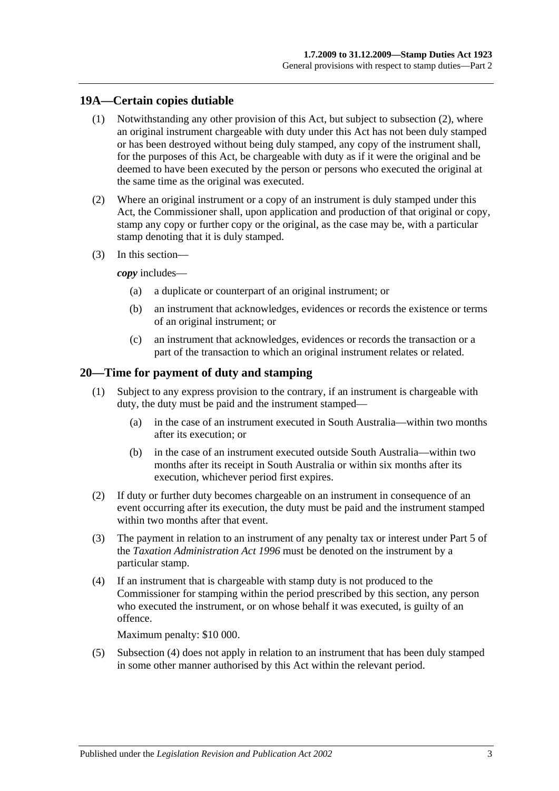## <span id="page-14-0"></span>**19A—Certain copies dutiable**

- (1) Notwithstanding any other provision of this Act, but subject to [subsection](#page-14-2) (2), where an original instrument chargeable with duty under this Act has not been duly stamped or has been destroyed without being duly stamped, any copy of the instrument shall, for the purposes of this Act, be chargeable with duty as if it were the original and be deemed to have been executed by the person or persons who executed the original at the same time as the original was executed.
- <span id="page-14-2"></span>(2) Where an original instrument or a copy of an instrument is duly stamped under this Act, the Commissioner shall, upon application and production of that original or copy, stamp any copy or further copy or the original, as the case may be, with a particular stamp denoting that it is duly stamped.
- (3) In this section—

*copy* includes—

- (a) a duplicate or counterpart of an original instrument; or
- (b) an instrument that acknowledges, evidences or records the existence or terms of an original instrument; or
- (c) an instrument that acknowledges, evidences or records the transaction or a part of the transaction to which an original instrument relates or related.

### <span id="page-14-1"></span>**20—Time for payment of duty and stamping**

- (1) Subject to any express provision to the contrary, if an instrument is chargeable with duty, the duty must be paid and the instrument stamped—
	- (a) in the case of an instrument executed in South Australia—within two months after its execution; or
	- (b) in the case of an instrument executed outside South Australia—within two months after its receipt in South Australia or within six months after its execution, whichever period first expires.
- (2) If duty or further duty becomes chargeable on an instrument in consequence of an event occurring after its execution, the duty must be paid and the instrument stamped within two months after that event.
- (3) The payment in relation to an instrument of any penalty tax or interest under Part 5 of the *[Taxation Administration Act](http://www.legislation.sa.gov.au/index.aspx?action=legref&type=act&legtitle=Taxation%20Administration%20Act%201996) 1996* must be denoted on the instrument by a particular stamp.
- <span id="page-14-3"></span>(4) If an instrument that is chargeable with stamp duty is not produced to the Commissioner for stamping within the period prescribed by this section, any person who executed the instrument, or on whose behalf it was executed, is guilty of an offence.

Maximum penalty: \$10 000.

(5) [Subsection](#page-14-3) (4) does not apply in relation to an instrument that has been duly stamped in some other manner authorised by this Act within the relevant period.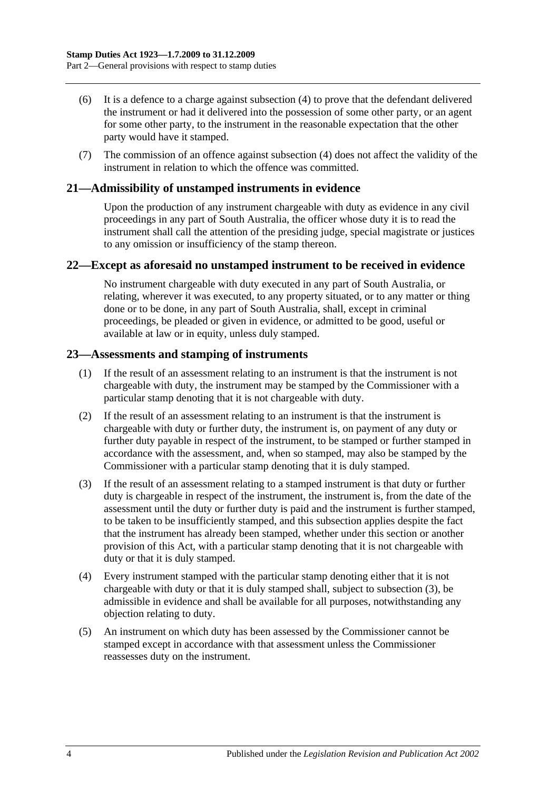- (6) It is a defence to a charge against [subsection](#page-14-3) (4) to prove that the defendant delivered the instrument or had it delivered into the possession of some other party, or an agent for some other party, to the instrument in the reasonable expectation that the other party would have it stamped.
- (7) The commission of an offence against [subsection](#page-14-3) (4) does not affect the validity of the instrument in relation to which the offence was committed.

## <span id="page-15-0"></span>**21—Admissibility of unstamped instruments in evidence**

Upon the production of any instrument chargeable with duty as evidence in any civil proceedings in any part of South Australia, the officer whose duty it is to read the instrument shall call the attention of the presiding judge, special magistrate or justices to any omission or insufficiency of the stamp thereon.

#### <span id="page-15-1"></span>**22—Except as aforesaid no unstamped instrument to be received in evidence**

No instrument chargeable with duty executed in any part of South Australia, or relating, wherever it was executed, to any property situated, or to any matter or thing done or to be done, in any part of South Australia, shall, except in criminal proceedings, be pleaded or given in evidence, or admitted to be good, useful or available at law or in equity, unless duly stamped.

### <span id="page-15-2"></span>**23—Assessments and stamping of instruments**

- (1) If the result of an assessment relating to an instrument is that the instrument is not chargeable with duty, the instrument may be stamped by the Commissioner with a particular stamp denoting that it is not chargeable with duty.
- (2) If the result of an assessment relating to an instrument is that the instrument is chargeable with duty or further duty, the instrument is, on payment of any duty or further duty payable in respect of the instrument, to be stamped or further stamped in accordance with the assessment, and, when so stamped, may also be stamped by the Commissioner with a particular stamp denoting that it is duly stamped.
- <span id="page-15-3"></span>(3) If the result of an assessment relating to a stamped instrument is that duty or further duty is chargeable in respect of the instrument, the instrument is, from the date of the assessment until the duty or further duty is paid and the instrument is further stamped, to be taken to be insufficiently stamped, and this subsection applies despite the fact that the instrument has already been stamped, whether under this section or another provision of this Act, with a particular stamp denoting that it is not chargeable with duty or that it is duly stamped.
- (4) Every instrument stamped with the particular stamp denoting either that it is not chargeable with duty or that it is duly stamped shall, subject to [subsection](#page-15-3) (3), be admissible in evidence and shall be available for all purposes, notwithstanding any objection relating to duty.
- (5) An instrument on which duty has been assessed by the Commissioner cannot be stamped except in accordance with that assessment unless the Commissioner reassesses duty on the instrument.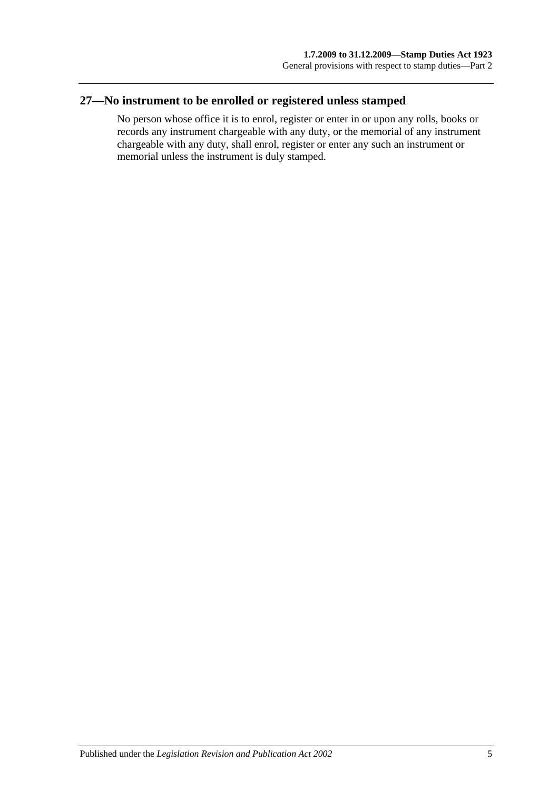## <span id="page-16-0"></span>**27—No instrument to be enrolled or registered unless stamped**

No person whose office it is to enrol, register or enter in or upon any rolls, books or records any instrument chargeable with any duty, or the memorial of any instrument chargeable with any duty, shall enrol, register or enter any such an instrument or memorial unless the instrument is duly stamped.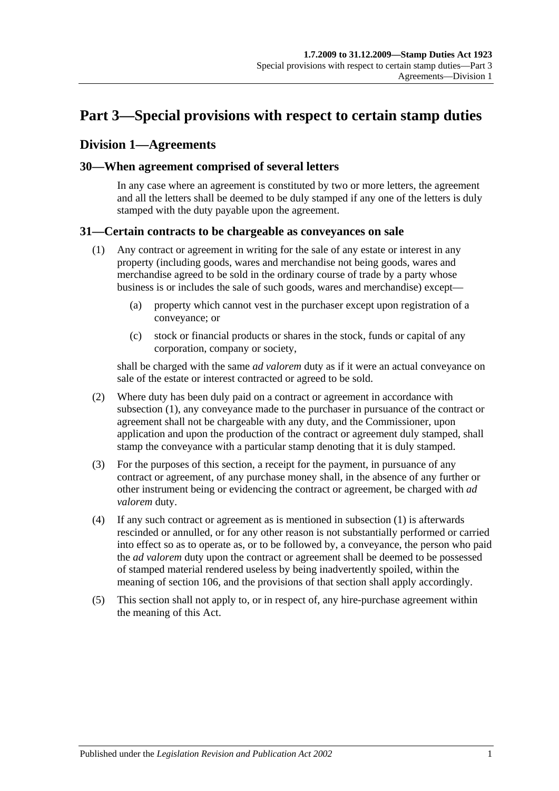# <span id="page-18-0"></span>**Part 3—Special provisions with respect to certain stamp duties**

## <span id="page-18-1"></span>**Division 1—Agreements**

## <span id="page-18-2"></span>**30—When agreement comprised of several letters**

In any case where an agreement is constituted by two or more letters, the agreement and all the letters shall be deemed to be duly stamped if any one of the letters is duly stamped with the duty payable upon the agreement.

## <span id="page-18-4"></span><span id="page-18-3"></span>**31—Certain contracts to be chargeable as conveyances on sale**

- (1) Any contract or agreement in writing for the sale of any estate or interest in any property (including goods, wares and merchandise not being goods, wares and merchandise agreed to be sold in the ordinary course of trade by a party whose business is or includes the sale of such goods, wares and merchandise) except—
	- (a) property which cannot vest in the purchaser except upon registration of a conveyance; or
	- (c) stock or financial products or shares in the stock, funds or capital of any corporation, company or society,

shall be charged with the same *ad valorem* duty as if it were an actual conveyance on sale of the estate or interest contracted or agreed to be sold.

- (2) Where duty has been duly paid on a contract or agreement in accordance with [subsection](#page-18-4) (1), any conveyance made to the purchaser in pursuance of the contract or agreement shall not be chargeable with any duty, and the Commissioner, upon application and upon the production of the contract or agreement duly stamped, shall stamp the conveyance with a particular stamp denoting that it is duly stamped.
- (3) For the purposes of this section, a receipt for the payment, in pursuance of any contract or agreement, of any purchase money shall, in the absence of any further or other instrument being or evidencing the contract or agreement, be charged with *ad valorem* duty.
- (4) If any such contract or agreement as is mentioned in [subsection](#page-18-4) (1) is afterwards rescinded or annulled, or for any other reason is not substantially performed or carried into effect so as to operate as, or to be followed by, a conveyance, the person who paid the *ad valorem* duty upon the contract or agreement shall be deemed to be possessed of stamped material rendered useless by being inadvertently spoiled, within the meaning of [section](#page-92-1) 106, and the provisions of that section shall apply accordingly.
- (5) This section shall not apply to, or in respect of, any hire-purchase agreement within the meaning of this Act.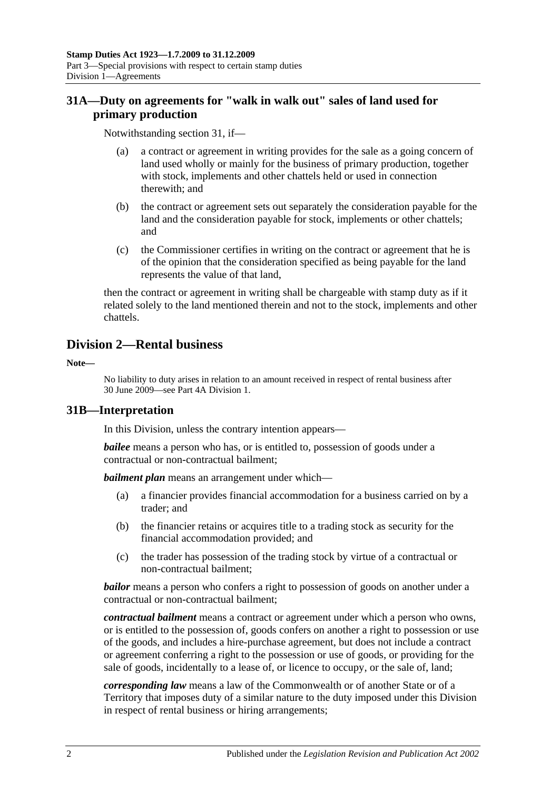## <span id="page-19-0"></span>**31A—Duty on agreements for "walk in walk out" sales of land used for primary production**

Notwithstanding [section](#page-18-3) 31, if—

- (a) a contract or agreement in writing provides for the sale as a going concern of land used wholly or mainly for the business of primary production, together with stock, implements and other chattels held or used in connection therewith; and
- (b) the contract or agreement sets out separately the consideration payable for the land and the consideration payable for stock, implements or other chattels; and
- (c) the Commissioner certifies in writing on the contract or agreement that he is of the opinion that the consideration specified as being payable for the land represents the value of that land,

then the contract or agreement in writing shall be chargeable with stamp duty as if it related solely to the land mentioned therein and not to the stock, implements and other chattels.

## <span id="page-19-1"></span>**Division 2—Rental business**

**Note—**

No liability to duty arises in relation to an amount received in respect of rental business after 30 June 2009—see [Part 4A Division 1.](#page-90-1)

## <span id="page-19-2"></span>**31B—Interpretation**

In this Division, unless the contrary intention appears—

*bailee* means a person who has, or is entitled to, possession of goods under a contractual or non-contractual bailment;

*bailment plan* means an arrangement under which—

- (a) a financier provides financial accommodation for a business carried on by a trader; and
- (b) the financier retains or acquires title to a trading stock as security for the financial accommodation provided; and
- (c) the trader has possession of the trading stock by virtue of a contractual or non-contractual bailment;

*bailor* means a person who confers a right to possession of goods on another under a contractual or non-contractual bailment;

*contractual bailment* means a contract or agreement under which a person who owns, or is entitled to the possession of, goods confers on another a right to possession or use of the goods, and includes a hire-purchase agreement, but does not include a contract or agreement conferring a right to the possession or use of goods, or providing for the sale of goods, incidentally to a lease of, or licence to occupy, or the sale of, land;

*corresponding law* means a law of the Commonwealth or of another State or of a Territory that imposes duty of a similar nature to the duty imposed under this Division in respect of rental business or hiring arrangements;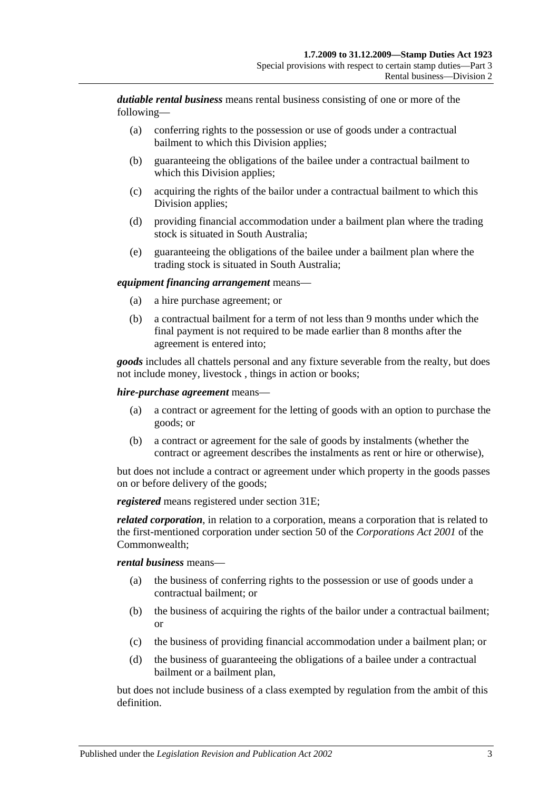*dutiable rental business* means rental business consisting of one or more of the following—

- (a) conferring rights to the possession or use of goods under a contractual bailment to which this Division applies;
- (b) guaranteeing the obligations of the bailee under a contractual bailment to which this Division applies;
- (c) acquiring the rights of the bailor under a contractual bailment to which this Division applies;
- (d) providing financial accommodation under a bailment plan where the trading stock is situated in South Australia;
- (e) guaranteeing the obligations of the bailee under a bailment plan where the trading stock is situated in South Australia;

#### *equipment financing arrangement* means—

- (a) a hire purchase agreement; or
- (b) a contractual bailment for a term of not less than 9 months under which the final payment is not required to be made earlier than 8 months after the agreement is entered into;

*goods* includes all chattels personal and any fixture severable from the realty, but does not include money, livestock , things in action or books;

#### *hire-purchase agreement* means—

- (a) a contract or agreement for the letting of goods with an option to purchase the goods; or
- (b) a contract or agreement for the sale of goods by instalments (whether the contract or agreement describes the instalments as rent or hire or otherwise),

but does not include a contract or agreement under which property in the goods passes on or before delivery of the goods;

*registered* means registered under [section](#page-21-2) 31E;

*related corporation*, in relation to a corporation, means a corporation that is related to the first-mentioned corporation under section 50 of the *Corporations Act 2001* of the Commonwealth;

#### *rental business* means—

- (a) the business of conferring rights to the possession or use of goods under a contractual bailment; or
- (b) the business of acquiring the rights of the bailor under a contractual bailment; or
- (c) the business of providing financial accommodation under a bailment plan; or
- (d) the business of guaranteeing the obligations of a bailee under a contractual bailment or a bailment plan,

but does not include business of a class exempted by regulation from the ambit of this definition.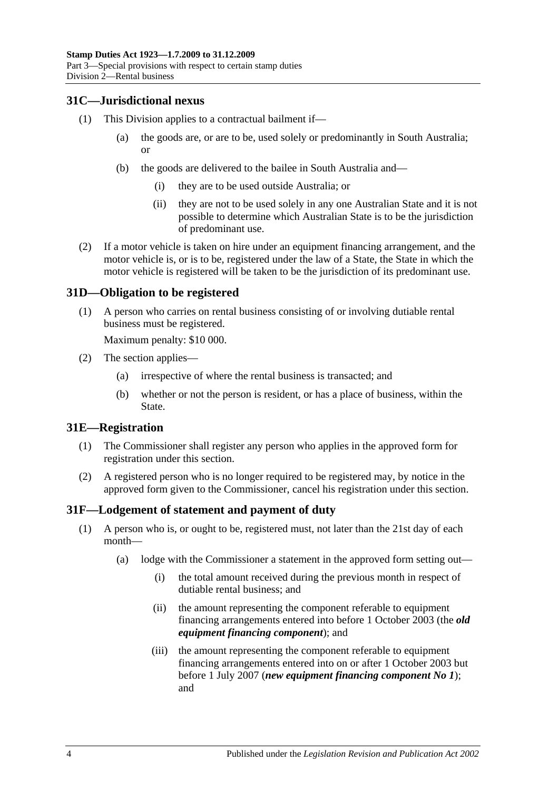## <span id="page-21-0"></span>**31C—Jurisdictional nexus**

- (1) This Division applies to a contractual bailment if—
	- (a) the goods are, or are to be, used solely or predominantly in South Australia; or
	- (b) the goods are delivered to the bailee in South Australia and—
		- (i) they are to be used outside Australia; or
		- (ii) they are not to be used solely in any one Australian State and it is not possible to determine which Australian State is to be the jurisdiction of predominant use.
- (2) If a motor vehicle is taken on hire under an equipment financing arrangement, and the motor vehicle is, or is to be, registered under the law of a State, the State in which the motor vehicle is registered will be taken to be the jurisdiction of its predominant use.

### <span id="page-21-1"></span>**31D—Obligation to be registered**

(1) A person who carries on rental business consisting of or involving dutiable rental business must be registered.

Maximum penalty: \$10 000.

- (2) The section applies—
	- (a) irrespective of where the rental business is transacted; and
	- (b) whether or not the person is resident, or has a place of business, within the State.

#### <span id="page-21-2"></span>**31E—Registration**

- (1) The Commissioner shall register any person who applies in the approved form for registration under this section.
- (2) A registered person who is no longer required to be registered may, by notice in the approved form given to the Commissioner, cancel his registration under this section.

#### <span id="page-21-4"></span><span id="page-21-3"></span>**31F—Lodgement of statement and payment of duty**

- (1) A person who is, or ought to be, registered must, not later than the 21st day of each month—
	- (a) lodge with the Commissioner a statement in the approved form setting out—
		- (i) the total amount received during the previous month in respect of dutiable rental business; and
		- (ii) the amount representing the component referable to equipment financing arrangements entered into before 1 October 2003 (the *old equipment financing component*); and
		- (iii) the amount representing the component referable to equipment financing arrangements entered into on or after 1 October 2003 but before 1 July 2007 (*new equipment financing component No 1*); and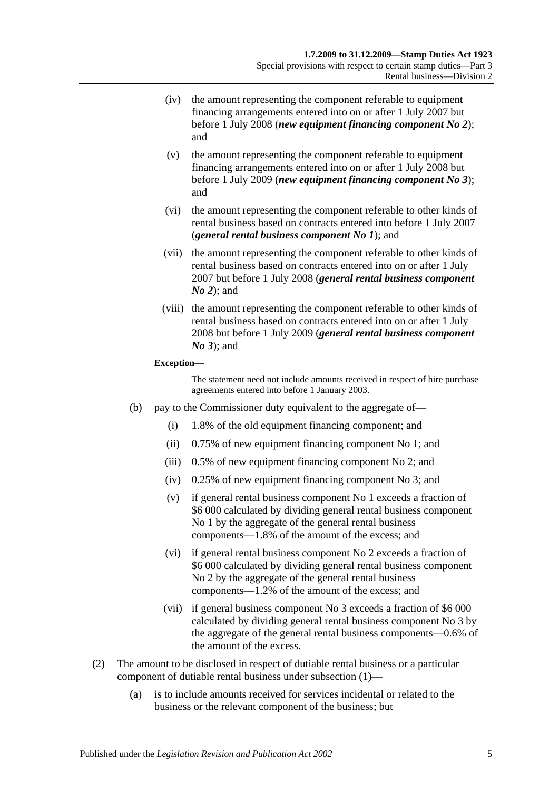- (iv) the amount representing the component referable to equipment financing arrangements entered into on or after 1 July 2007 but before 1 July 2008 (*new equipment financing component No 2*); and
- (v) the amount representing the component referable to equipment financing arrangements entered into on or after 1 July 2008 but before 1 July 2009 (*new equipment financing component No 3*); and
- (vi) the amount representing the component referable to other kinds of rental business based on contracts entered into before 1 July 2007 (*general rental business component No 1*); and
- (vii) the amount representing the component referable to other kinds of rental business based on contracts entered into on or after 1 July 2007 but before 1 July 2008 (*general rental business component No 2*); and
- (viii) the amount representing the component referable to other kinds of rental business based on contracts entered into on or after 1 July 2008 but before 1 July 2009 (*general rental business component No 3*); and

#### **Exception—**

The statement need not include amounts received in respect of hire purchase agreements entered into before 1 January 2003.

- (b) pay to the Commissioner duty equivalent to the aggregate of—
	- (i) 1.8% of the old equipment financing component; and
	- (ii) 0.75% of new equipment financing component No 1; and
	- (iii) 0.5% of new equipment financing component No 2; and
	- (iv) 0.25% of new equipment financing component No 3; and
	- (v) if general rental business component No 1 exceeds a fraction of \$6 000 calculated by dividing general rental business component No 1 by the aggregate of the general rental business components—1.8% of the amount of the excess; and
	- (vi) if general rental business component No 2 exceeds a fraction of \$6 000 calculated by dividing general rental business component No 2 by the aggregate of the general rental business components—1.2% of the amount of the excess; and
	- (vii) if general business component No 3 exceeds a fraction of \$6 000 calculated by dividing general rental business component No 3 by the aggregate of the general rental business components—0.6% of the amount of the excess.
- (2) The amount to be disclosed in respect of dutiable rental business or a particular component of dutiable rental business under [subsection](#page-21-4) (1)—
	- (a) is to include amounts received for services incidental or related to the business or the relevant component of the business; but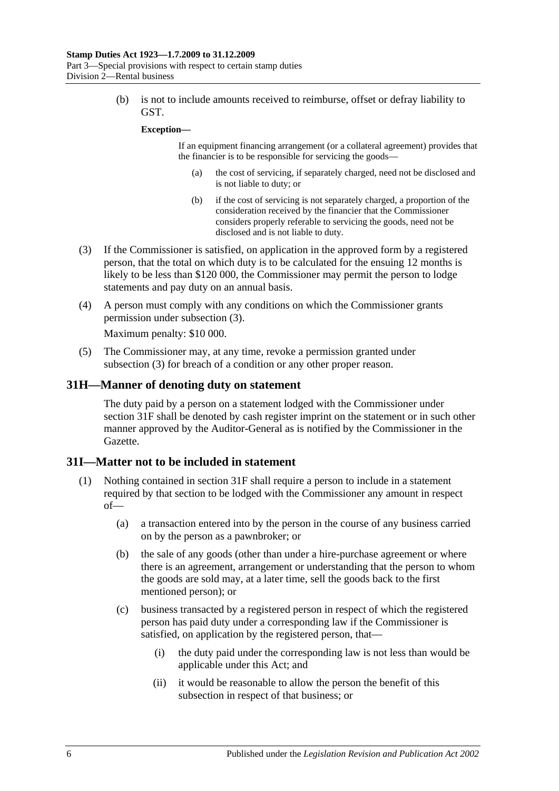(b) is not to include amounts received to reimburse, offset or defray liability to GST.

#### **Exception—**

If an equipment financing arrangement (or a collateral agreement) provides that the financier is to be responsible for servicing the goods—

- (a) the cost of servicing, if separately charged, need not be disclosed and is not liable to duty; or
- (b) if the cost of servicing is not separately charged, a proportion of the consideration received by the financier that the Commissioner considers properly referable to servicing the goods, need not be disclosed and is not liable to duty.
- <span id="page-23-2"></span>(3) If the Commissioner is satisfied, on application in the approved form by a registered person, that the total on which duty is to be calculated for the ensuing 12 months is likely to be less than \$120 000, the Commissioner may permit the person to lodge statements and pay duty on an annual basis.
- (4) A person must comply with any conditions on which the Commissioner grants permission under [subsection](#page-23-2) (3).

Maximum penalty: \$10 000.

(5) The Commissioner may, at any time, revoke a permission granted under [subsection](#page-23-2) (3) for breach of a condition or any other proper reason.

#### <span id="page-23-0"></span>**31H—Manner of denoting duty on statement**

The duty paid by a person on a statement lodged with the Commissioner under [section](#page-21-3) 31F shall be denoted by cash register imprint on the statement or in such other manner approved by the Auditor-General as is notified by the Commissioner in the Gazette.

#### <span id="page-23-1"></span>**31I—Matter not to be included in statement**

- <span id="page-23-3"></span>(1) Nothing contained in [section](#page-21-3) 31F shall require a person to include in a statement required by that section to be lodged with the Commissioner any amount in respect of—
	- (a) a transaction entered into by the person in the course of any business carried on by the person as a pawnbroker; or
	- (b) the sale of any goods (other than under a hire-purchase agreement or where there is an agreement, arrangement or understanding that the person to whom the goods are sold may, at a later time, sell the goods back to the first mentioned person); or
	- (c) business transacted by a registered person in respect of which the registered person has paid duty under a corresponding law if the Commissioner is satisfied, on application by the registered person, that—
		- (i) the duty paid under the corresponding law is not less than would be applicable under this Act; and
		- (ii) it would be reasonable to allow the person the benefit of this subsection in respect of that business; or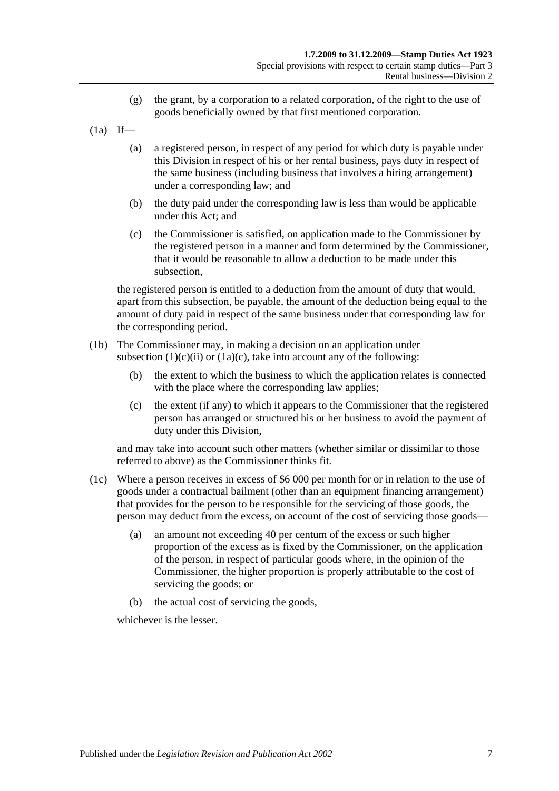- (g) the grant, by a corporation to a related corporation, of the right to the use of goods beneficially owned by that first mentioned corporation.
- $(1a)$  If—
	- (a) a registered person, in respect of any period for which duty is payable under this Division in respect of his or her rental business, pays duty in respect of the same business (including business that involves a hiring arrangement) under a corresponding law; and
	- (b) the duty paid under the corresponding law is less than would be applicable under this Act; and
	- (c) the Commissioner is satisfied, on application made to the Commissioner by the registered person in a manner and form determined by the Commissioner, that it would be reasonable to allow a deduction to be made under this subsection,

<span id="page-24-0"></span>the registered person is entitled to a deduction from the amount of duty that would, apart from this subsection, be payable, the amount of the deduction being equal to the amount of duty paid in respect of the same business under that corresponding law for the corresponding period.

- (1b) The Commissioner may, in making a decision on an application under [subsection](#page-23-3)  $(1)(c)(ii)$  or  $(1a)(c)$ , take into account any of the following:
	- (b) the extent to which the business to which the application relates is connected with the place where the corresponding law applies:
	- (c) the extent (if any) to which it appears to the Commissioner that the registered person has arranged or structured his or her business to avoid the payment of duty under this Division,

and may take into account such other matters (whether similar or dissimilar to those referred to above) as the Commissioner thinks fit.

- (1c) Where a person receives in excess of \$6 000 per month for or in relation to the use of goods under a contractual bailment (other than an equipment financing arrangement) that provides for the person to be responsible for the servicing of those goods, the person may deduct from the excess, on account of the cost of servicing those goods—
	- (a) an amount not exceeding 40 per centum of the excess or such higher proportion of the excess as is fixed by the Commissioner, on the application of the person, in respect of particular goods where, in the opinion of the Commissioner, the higher proportion is properly attributable to the cost of servicing the goods; or
	- (b) the actual cost of servicing the goods,

whichever is the lesser.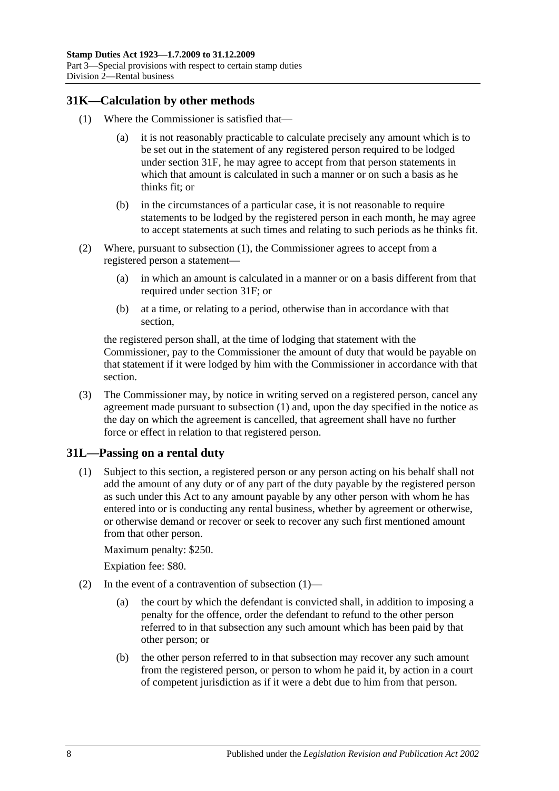## <span id="page-25-2"></span><span id="page-25-0"></span>**31K—Calculation by other methods**

- (1) Where the Commissioner is satisfied that—
	- (a) it is not reasonably practicable to calculate precisely any amount which is to be set out in the statement of any registered person required to be lodged under [section](#page-21-3) 31F, he may agree to accept from that person statements in which that amount is calculated in such a manner or on such a basis as he thinks fit; or
	- (b) in the circumstances of a particular case, it is not reasonable to require statements to be lodged by the registered person in each month, he may agree to accept statements at such times and relating to such periods as he thinks fit.
- (2) Where, pursuant to [subsection](#page-25-2) (1), the Commissioner agrees to accept from a registered person a statement—
	- (a) in which an amount is calculated in a manner or on a basis different from that required under [section](#page-21-3) 31F; or
	- (b) at a time, or relating to a period, otherwise than in accordance with that section,

the registered person shall, at the time of lodging that statement with the Commissioner, pay to the Commissioner the amount of duty that would be payable on that statement if it were lodged by him with the Commissioner in accordance with that section.

(3) The Commissioner may, by notice in writing served on a registered person, cancel any agreement made pursuant to [subsection](#page-25-2) (1) and, upon the day specified in the notice as the day on which the agreement is cancelled, that agreement shall have no further force or effect in relation to that registered person.

## <span id="page-25-3"></span><span id="page-25-1"></span>**31L—Passing on a rental duty**

(1) Subject to this section, a registered person or any person acting on his behalf shall not add the amount of any duty or of any part of the duty payable by the registered person as such under this Act to any amount payable by any other person with whom he has entered into or is conducting any rental business, whether by agreement or otherwise, or otherwise demand or recover or seek to recover any such first mentioned amount from that other person.

Maximum penalty: \$250.

Expiation fee: \$80.

- (2) In the event of a contravention of [subsection](#page-25-3)  $(1)$ 
	- (a) the court by which the defendant is convicted shall, in addition to imposing a penalty for the offence, order the defendant to refund to the other person referred to in that subsection any such amount which has been paid by that other person; or
	- (b) the other person referred to in that subsection may recover any such amount from the registered person, or person to whom he paid it, by action in a court of competent jurisdiction as if it were a debt due to him from that person.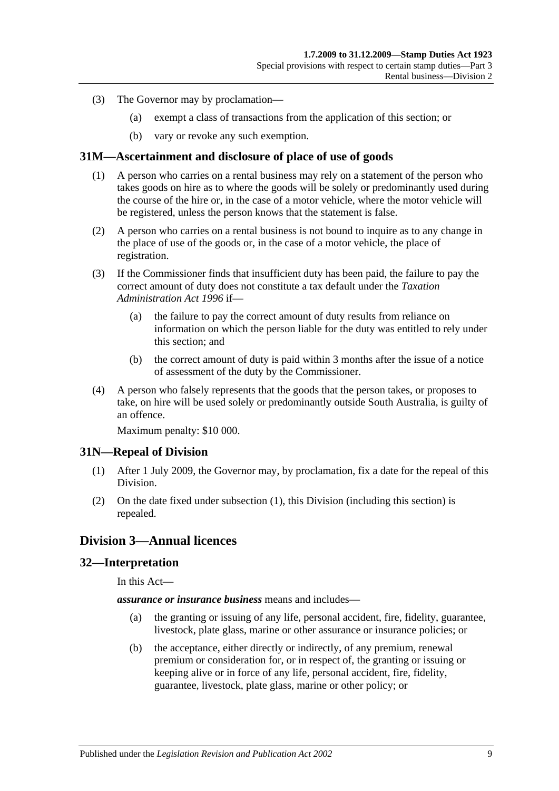- (3) The Governor may by proclamation—
	- (a) exempt a class of transactions from the application of this section; or
	- (b) vary or revoke any such exemption.

### <span id="page-26-0"></span>**31M—Ascertainment and disclosure of place of use of goods**

- (1) A person who carries on a rental business may rely on a statement of the person who takes goods on hire as to where the goods will be solely or predominantly used during the course of the hire or, in the case of a motor vehicle, where the motor vehicle will be registered, unless the person knows that the statement is false.
- (2) A person who carries on a rental business is not bound to inquire as to any change in the place of use of the goods or, in the case of a motor vehicle, the place of registration.
- (3) If the Commissioner finds that insufficient duty has been paid, the failure to pay the correct amount of duty does not constitute a tax default under the *[Taxation](http://www.legislation.sa.gov.au/index.aspx?action=legref&type=act&legtitle=Taxation%20Administration%20Act%201996)  [Administration Act](http://www.legislation.sa.gov.au/index.aspx?action=legref&type=act&legtitle=Taxation%20Administration%20Act%201996) 1996* if—
	- (a) the failure to pay the correct amount of duty results from reliance on information on which the person liable for the duty was entitled to rely under this section; and
	- (b) the correct amount of duty is paid within 3 months after the issue of a notice of assessment of the duty by the Commissioner.
- (4) A person who falsely represents that the goods that the person takes, or proposes to take, on hire will be used solely or predominantly outside South Australia, is guilty of an offence.

Maximum penalty: \$10 000.

## <span id="page-26-4"></span><span id="page-26-1"></span>**31N—Repeal of Division**

- (1) After 1 July 2009, the Governor may, by proclamation, fix a date for the repeal of this Division.
- (2) On the date fixed under [subsection](#page-26-4) (1), this Division (including this section) is repealed.

## <span id="page-26-2"></span>**Division 3—Annual licences**

### <span id="page-26-3"></span>**32—Interpretation**

In this Act—

*assurance or insurance business* means and includes—

- (a) the granting or issuing of any life, personal accident, fire, fidelity, guarantee, livestock, plate glass, marine or other assurance or insurance policies; or
- (b) the acceptance, either directly or indirectly, of any premium, renewal premium or consideration for, or in respect of, the granting or issuing or keeping alive or in force of any life, personal accident, fire, fidelity, guarantee, livestock, plate glass, marine or other policy; or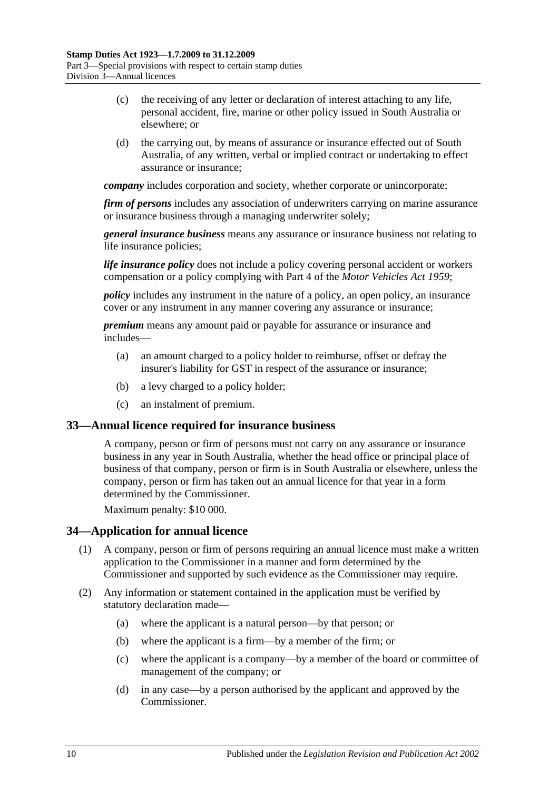- (c) the receiving of any letter or declaration of interest attaching to any life, personal accident, fire, marine or other policy issued in South Australia or elsewhere; or
- (d) the carrying out, by means of assurance or insurance effected out of South Australia, of any written, verbal or implied contract or undertaking to effect assurance or insurance;

*company* includes corporation and society, whether corporate or unincorporate;

*firm of persons* includes any association of underwriters carrying on marine assurance or insurance business through a managing underwriter solely;

*general insurance business* means any assurance or insurance business not relating to life insurance policies;

*life insurance policy* does not include a policy covering personal accident or workers compensation or a policy complying with Part 4 of the *[Motor Vehicles Act](http://www.legislation.sa.gov.au/index.aspx?action=legref&type=act&legtitle=Motor%20Vehicles%20Act%201959) 1959*;

*policy* includes any instrument in the nature of a policy, an open policy, an insurance cover or any instrument in any manner covering any assurance or insurance;

*premium* means any amount paid or payable for assurance or insurance and includes—

- (a) an amount charged to a policy holder to reimburse, offset or defray the insurer's liability for GST in respect of the assurance or insurance;
- (b) a levy charged to a policy holder;
- (c) an instalment of premium.

#### <span id="page-27-0"></span>**33—Annual licence required for insurance business**

A company, person or firm of persons must not carry on any assurance or insurance business in any year in South Australia, whether the head office or principal place of business of that company, person or firm is in South Australia or elsewhere, unless the company, person or firm has taken out an annual licence for that year in a form determined by the Commissioner.

Maximum penalty: \$10 000.

## <span id="page-27-1"></span>**34—Application for annual licence**

- (1) A company, person or firm of persons requiring an annual licence must make a written application to the Commissioner in a manner and form determined by the Commissioner and supported by such evidence as the Commissioner may require.
- (2) Any information or statement contained in the application must be verified by statutory declaration made—
	- (a) where the applicant is a natural person—by that person; or
	- (b) where the applicant is a firm—by a member of the firm; or
	- (c) where the applicant is a company—by a member of the board or committee of management of the company; or
	- (d) in any case—by a person authorised by the applicant and approved by the Commissioner.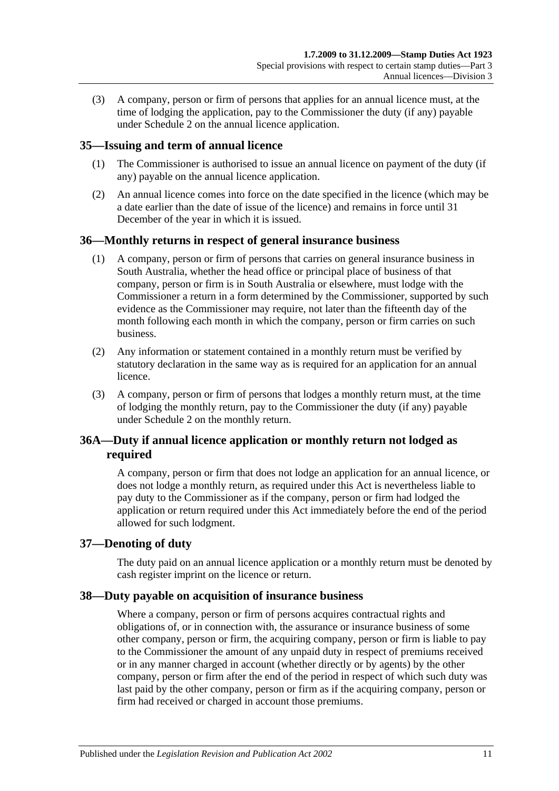(3) A company, person or firm of persons that applies for an annual licence must, at the time of lodging the application, pay to the Commissioner the duty (if any) payable under [Schedule 2](#page-96-3) on the annual licence application.

## <span id="page-28-0"></span>**35—Issuing and term of annual licence**

- (1) The Commissioner is authorised to issue an annual licence on payment of the duty (if any) payable on the annual licence application.
- (2) An annual licence comes into force on the date specified in the licence (which may be a date earlier than the date of issue of the licence) and remains in force until 31 December of the year in which it is issued.

## <span id="page-28-1"></span>**36—Monthly returns in respect of general insurance business**

- (1) A company, person or firm of persons that carries on general insurance business in South Australia, whether the head office or principal place of business of that company, person or firm is in South Australia or elsewhere, must lodge with the Commissioner a return in a form determined by the Commissioner, supported by such evidence as the Commissioner may require, not later than the fifteenth day of the month following each month in which the company, person or firm carries on such business.
- (2) Any information or statement contained in a monthly return must be verified by statutory declaration in the same way as is required for an application for an annual licence.
- (3) A company, person or firm of persons that lodges a monthly return must, at the time of lodging the monthly return, pay to the Commissioner the duty (if any) payable under [Schedule 2](#page-96-3) on the monthly return.

## <span id="page-28-2"></span>**36A—Duty if annual licence application or monthly return not lodged as required**

A company, person or firm that does not lodge an application for an annual licence, or does not lodge a monthly return, as required under this Act is nevertheless liable to pay duty to the Commissioner as if the company, person or firm had lodged the application or return required under this Act immediately before the end of the period allowed for such lodgment.

## <span id="page-28-3"></span>**37—Denoting of duty**

The duty paid on an annual licence application or a monthly return must be denoted by cash register imprint on the licence or return.

## <span id="page-28-4"></span>**38—Duty payable on acquisition of insurance business**

Where a company, person or firm of persons acquires contractual rights and obligations of, or in connection with, the assurance or insurance business of some other company, person or firm, the acquiring company, person or firm is liable to pay to the Commissioner the amount of any unpaid duty in respect of premiums received or in any manner charged in account (whether directly or by agents) by the other company, person or firm after the end of the period in respect of which such duty was last paid by the other company, person or firm as if the acquiring company, person or firm had received or charged in account those premiums.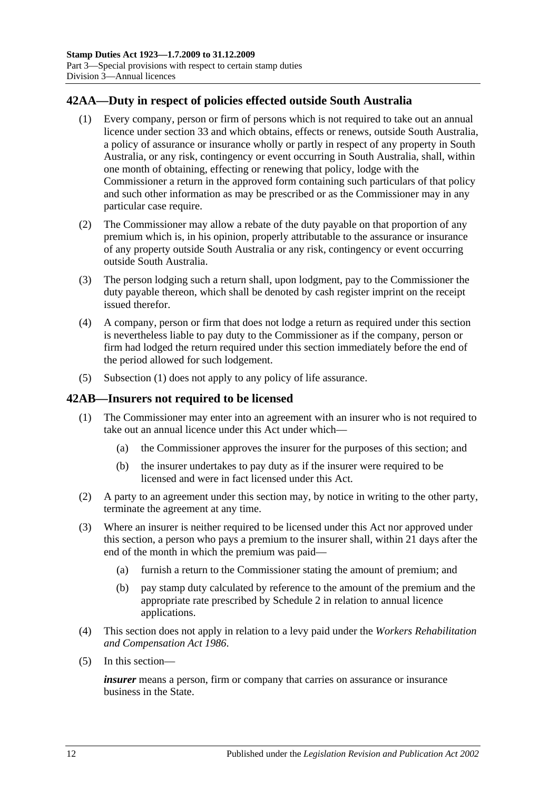## <span id="page-29-2"></span><span id="page-29-0"></span>**42AA—Duty in respect of policies effected outside South Australia**

- (1) Every company, person or firm of persons which is not required to take out an annual licence under [section](#page-27-0) 33 and which obtains, effects or renews, outside South Australia, a policy of assurance or insurance wholly or partly in respect of any property in South Australia, or any risk, contingency or event occurring in South Australia, shall, within one month of obtaining, effecting or renewing that policy, lodge with the Commissioner a return in the approved form containing such particulars of that policy and such other information as may be prescribed or as the Commissioner may in any particular case require.
- (2) The Commissioner may allow a rebate of the duty payable on that proportion of any premium which is, in his opinion, properly attributable to the assurance or insurance of any property outside South Australia or any risk, contingency or event occurring outside South Australia.
- (3) The person lodging such a return shall, upon lodgment, pay to the Commissioner the duty payable thereon, which shall be denoted by cash register imprint on the receipt issued therefor.
- (4) A company, person or firm that does not lodge a return as required under this section is nevertheless liable to pay duty to the Commissioner as if the company, person or firm had lodged the return required under this section immediately before the end of the period allowed for such lodgement.
- (5) [Subsection](#page-29-2) (1) does not apply to any policy of life assurance.

## <span id="page-29-1"></span>**42AB—Insurers not required to be licensed**

- (1) The Commissioner may enter into an agreement with an insurer who is not required to take out an annual licence under this Act under which—
	- (a) the Commissioner approves the insurer for the purposes of this section; and
	- (b) the insurer undertakes to pay duty as if the insurer were required to be licensed and were in fact licensed under this Act.
- (2) A party to an agreement under this section may, by notice in writing to the other party, terminate the agreement at any time.
- (3) Where an insurer is neither required to be licensed under this Act nor approved under this section, a person who pays a premium to the insurer shall, within 21 days after the end of the month in which the premium was paid—
	- (a) furnish a return to the Commissioner stating the amount of premium; and
	- (b) pay stamp duty calculated by reference to the amount of the premium and the appropriate rate prescribed by [Schedule 2](#page-96-3) in relation to annual licence applications.
- (4) This section does not apply in relation to a levy paid under the *[Workers Rehabilitation](http://www.legislation.sa.gov.au/index.aspx?action=legref&type=act&legtitle=Workers%20Rehabilitation%20and%20Compensation%20Act%201986)  [and Compensation Act](http://www.legislation.sa.gov.au/index.aspx?action=legref&type=act&legtitle=Workers%20Rehabilitation%20and%20Compensation%20Act%201986) 1986*.
- (5) In this section—

*insurer* means a person, firm or company that carries on assurance or insurance business in the State.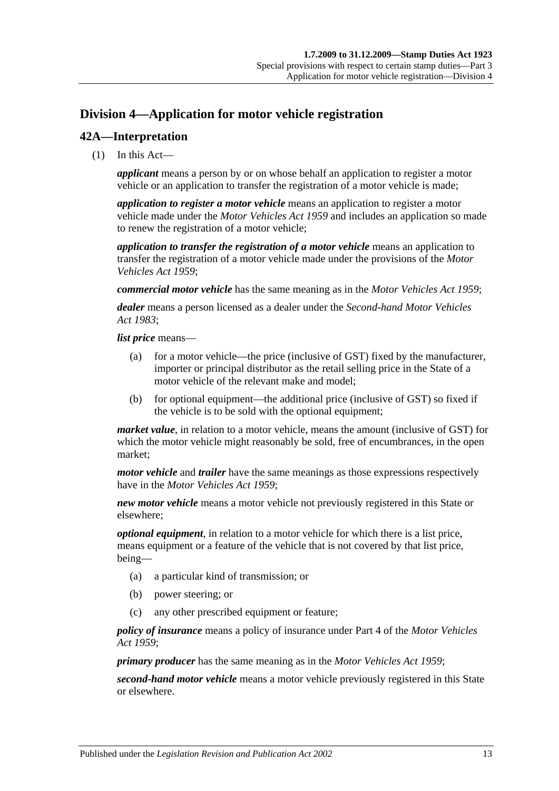# <span id="page-30-0"></span>**Division 4—Application for motor vehicle registration**

## <span id="page-30-1"></span>**42A—Interpretation**

(1) In this Act—

*applicant* means a person by or on whose behalf an application to register a motor vehicle or an application to transfer the registration of a motor vehicle is made;

*application to register a motor vehicle* means an application to register a motor vehicle made under the *[Motor Vehicles Act](http://www.legislation.sa.gov.au/index.aspx?action=legref&type=act&legtitle=Motor%20Vehicles%20Act%201959) 1959* and includes an application so made to renew the registration of a motor vehicle;

*application to transfer the registration of a motor vehicle* means an application to transfer the registration of a motor vehicle made under the provisions of the *[Motor](http://www.legislation.sa.gov.au/index.aspx?action=legref&type=act&legtitle=Motor%20Vehicles%20Act%201959)  [Vehicles Act](http://www.legislation.sa.gov.au/index.aspx?action=legref&type=act&legtitle=Motor%20Vehicles%20Act%201959) 1959*;

*commercial motor vehicle* has the same meaning as in the *[Motor Vehicles Act](http://www.legislation.sa.gov.au/index.aspx?action=legref&type=act&legtitle=Motor%20Vehicles%20Act%201959) 1959*;

*dealer* means a person licensed as a dealer under the *[Second-hand Motor Vehicles](http://www.legislation.sa.gov.au/index.aspx?action=legref&type=act&legtitle=Second-hand%20Motor%20Vehicles%20Act%201983)  Act [1983](http://www.legislation.sa.gov.au/index.aspx?action=legref&type=act&legtitle=Second-hand%20Motor%20Vehicles%20Act%201983)*;

*list price* means—

- (a) for a motor vehicle—the price (inclusive of GST) fixed by the manufacturer, importer or principal distributor as the retail selling price in the State of a motor vehicle of the relevant make and model;
- (b) for optional equipment—the additional price (inclusive of GST) so fixed if the vehicle is to be sold with the optional equipment;

*market value*, in relation to a motor vehicle, means the amount (inclusive of GST) for which the motor vehicle might reasonably be sold, free of encumbrances, in the open market;

*motor vehicle* and *trailer* have the same meanings as those expressions respectively have in the *[Motor Vehicles Act](http://www.legislation.sa.gov.au/index.aspx?action=legref&type=act&legtitle=Motor%20Vehicles%20Act%201959) 1959*;

*new motor vehicle* means a motor vehicle not previously registered in this State or elsewhere;

*optional equipment*, in relation to a motor vehicle for which there is a list price, means equipment or a feature of the vehicle that is not covered by that list price, being—

- (a) a particular kind of transmission; or
- (b) power steering; or
- (c) any other prescribed equipment or feature;

*policy of insurance* means a policy of insurance under Part 4 of the *[Motor Vehicles](http://www.legislation.sa.gov.au/index.aspx?action=legref&type=act&legtitle=Motor%20Vehicles%20Act%201959)  Act [1959](http://www.legislation.sa.gov.au/index.aspx?action=legref&type=act&legtitle=Motor%20Vehicles%20Act%201959)*;

*primary producer* has the same meaning as in the *[Motor Vehicles Act](http://www.legislation.sa.gov.au/index.aspx?action=legref&type=act&legtitle=Motor%20Vehicles%20Act%201959) 1959*;

*second-hand motor vehicle* means a motor vehicle previously registered in this State or elsewhere.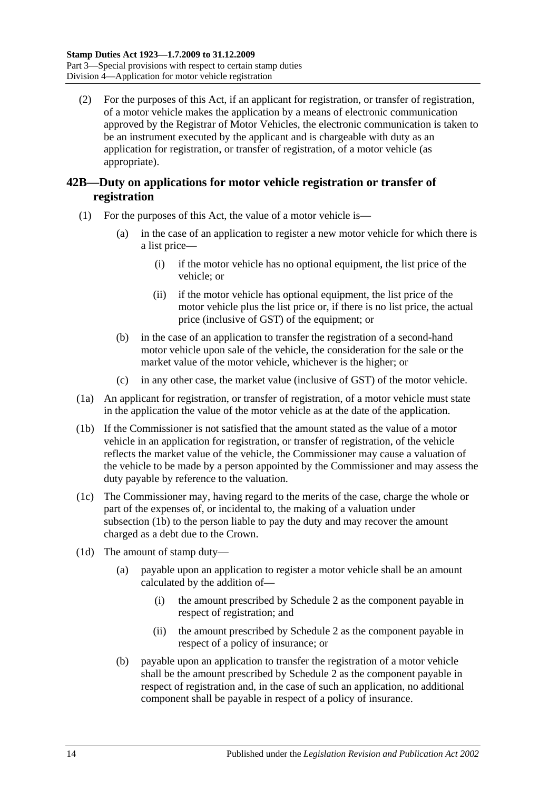(2) For the purposes of this Act, if an applicant for registration, or transfer of registration, of a motor vehicle makes the application by a means of electronic communication approved by the Registrar of Motor Vehicles, the electronic communication is taken to be an instrument executed by the applicant and is chargeable with duty as an application for registration, or transfer of registration, of a motor vehicle (as appropriate).

## <span id="page-31-0"></span>**42B—Duty on applications for motor vehicle registration or transfer of registration**

- (1) For the purposes of this Act, the value of a motor vehicle is—
	- (a) in the case of an application to register a new motor vehicle for which there is a list price—
		- (i) if the motor vehicle has no optional equipment, the list price of the vehicle; or
		- (ii) if the motor vehicle has optional equipment, the list price of the motor vehicle plus the list price or, if there is no list price, the actual price (inclusive of GST) of the equipment; or
	- (b) in the case of an application to transfer the registration of a second-hand motor vehicle upon sale of the vehicle, the consideration for the sale or the market value of the motor vehicle, whichever is the higher; or
	- (c) in any other case, the market value (inclusive of GST) of the motor vehicle.
- (1a) An applicant for registration, or transfer of registration, of a motor vehicle must state in the application the value of the motor vehicle as at the date of the application.
- <span id="page-31-1"></span>(1b) If the Commissioner is not satisfied that the amount stated as the value of a motor vehicle in an application for registration, or transfer of registration, of the vehicle reflects the market value of the vehicle, the Commissioner may cause a valuation of the vehicle to be made by a person appointed by the Commissioner and may assess the duty payable by reference to the valuation.
- (1c) The Commissioner may, having regard to the merits of the case, charge the whole or part of the expenses of, or incidental to, the making of a valuation under [subsection](#page-31-1)  $(\overline{1b})$  to the person liable to pay the duty and may recover the amount charged as a debt due to the Crown.
- <span id="page-31-2"></span>(1d) The amount of stamp duty—
	- (a) payable upon an application to register a motor vehicle shall be an amount calculated by the addition of—
		- (i) the amount prescribed by [Schedule 2](#page-96-3) as the component payable in respect of registration; and
		- (ii) the amount prescribed by [Schedule 2](#page-96-3) as the component payable in respect of a policy of insurance; or
	- (b) payable upon an application to transfer the registration of a motor vehicle shall be the amount prescribed by [Schedule 2](#page-96-3) as the component payable in respect of registration and, in the case of such an application, no additional component shall be payable in respect of a policy of insurance.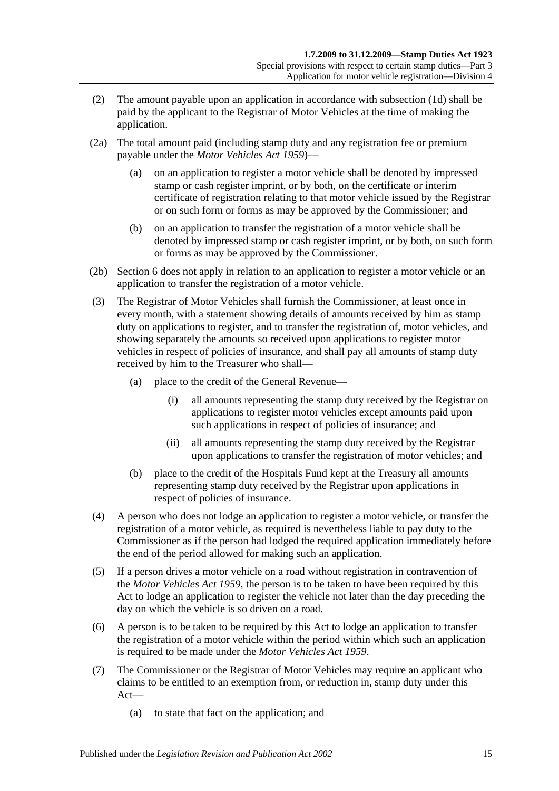- (2) The amount payable upon an application in accordance with [subsection](#page-31-2) (1d) shall be paid by the applicant to the Registrar of Motor Vehicles at the time of making the application.
- (2a) The total amount paid (including stamp duty and any registration fee or premium payable under the *[Motor Vehicles Act](http://www.legislation.sa.gov.au/index.aspx?action=legref&type=act&legtitle=Motor%20Vehicles%20Act%201959) 1959*)—
	- (a) on an application to register a motor vehicle shall be denoted by impressed stamp or cash register imprint, or by both, on the certificate or interim certificate of registration relating to that motor vehicle issued by the Registrar or on such form or forms as may be approved by the Commissioner; and
	- (b) on an application to transfer the registration of a motor vehicle shall be denoted by impressed stamp or cash register imprint, or by both, on such form or forms as may be approved by the Commissioner.
- (2b) Section 6 does not apply in relation to an application to register a motor vehicle or an application to transfer the registration of a motor vehicle.
- (3) The Registrar of Motor Vehicles shall furnish the Commissioner, at least once in every month, with a statement showing details of amounts received by him as stamp duty on applications to register, and to transfer the registration of, motor vehicles, and showing separately the amounts so received upon applications to register motor vehicles in respect of policies of insurance, and shall pay all amounts of stamp duty received by him to the Treasurer who shall—
	- (a) place to the credit of the General Revenue—
		- (i) all amounts representing the stamp duty received by the Registrar on applications to register motor vehicles except amounts paid upon such applications in respect of policies of insurance; and
		- (ii) all amounts representing the stamp duty received by the Registrar upon applications to transfer the registration of motor vehicles; and
	- (b) place to the credit of the Hospitals Fund kept at the Treasury all amounts representing stamp duty received by the Registrar upon applications in respect of policies of insurance.
- (4) A person who does not lodge an application to register a motor vehicle, or transfer the registration of a motor vehicle, as required is nevertheless liable to pay duty to the Commissioner as if the person had lodged the required application immediately before the end of the period allowed for making such an application.
- (5) If a person drives a motor vehicle on a road without registration in contravention of the *[Motor Vehicles Act](http://www.legislation.sa.gov.au/index.aspx?action=legref&type=act&legtitle=Motor%20Vehicles%20Act%201959) 1959*, the person is to be taken to have been required by this Act to lodge an application to register the vehicle not later than the day preceding the day on which the vehicle is so driven on a road.
- (6) A person is to be taken to be required by this Act to lodge an application to transfer the registration of a motor vehicle within the period within which such an application is required to be made under the *[Motor Vehicles Act](http://www.legislation.sa.gov.au/index.aspx?action=legref&type=act&legtitle=Motor%20Vehicles%20Act%201959) 1959*.
- (7) The Commissioner or the Registrar of Motor Vehicles may require an applicant who claims to be entitled to an exemption from, or reduction in, stamp duty under this Act—
	- (a) to state that fact on the application; and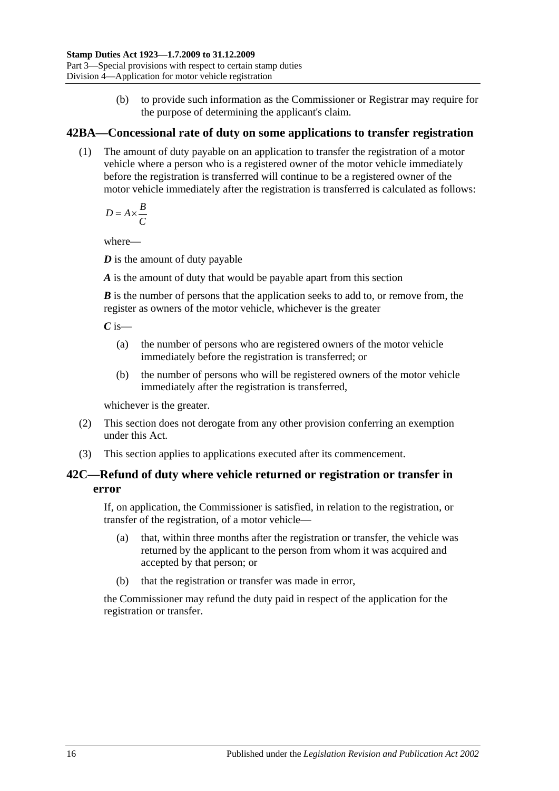(b) to provide such information as the Commissioner or Registrar may require for the purpose of determining the applicant's claim.

## <span id="page-33-0"></span>**42BA—Concessional rate of duty on some applications to transfer registration**

(1) The amount of duty payable on an application to transfer the registration of a motor vehicle where a person who is a registered owner of the motor vehicle immediately before the registration is transferred will continue to be a registered owner of the motor vehicle immediately after the registration is transferred is calculated as follows:

 $D = A \times \frac{B}{a}$ *C*  $= A \times$ 

where—

*D* is the amount of duty payable

*A* is the amount of duty that would be payable apart from this section

*B* is the number of persons that the application seeks to add to, or remove from, the register as owners of the motor vehicle, whichever is the greater

 $C$  is—

- (a) the number of persons who are registered owners of the motor vehicle immediately before the registration is transferred; or
- (b) the number of persons who will be registered owners of the motor vehicle immediately after the registration is transferred,

whichever is the greater.

- (2) This section does not derogate from any other provision conferring an exemption under this Act.
- (3) This section applies to applications executed after its commencement.

## <span id="page-33-1"></span>**42C—Refund of duty where vehicle returned or registration or transfer in error**

If, on application, the Commissioner is satisfied, in relation to the registration, or transfer of the registration, of a motor vehicle—

- (a) that, within three months after the registration or transfer, the vehicle was returned by the applicant to the person from whom it was acquired and accepted by that person; or
- (b) that the registration or transfer was made in error,

the Commissioner may refund the duty paid in respect of the application for the registration or transfer.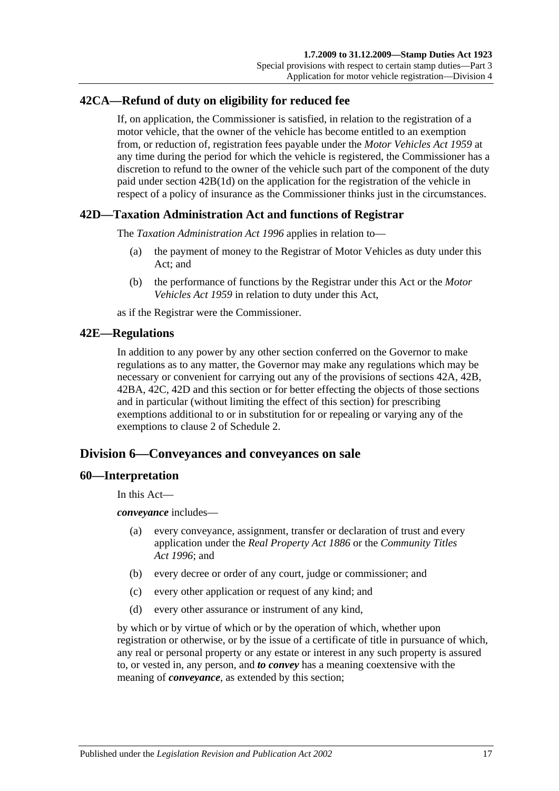## <span id="page-34-0"></span>**42CA—Refund of duty on eligibility for reduced fee**

If, on application, the Commissioner is satisfied, in relation to the registration of a motor vehicle, that the owner of the vehicle has become entitled to an exemption from, or reduction of, registration fees payable under the *[Motor Vehicles Act](http://www.legislation.sa.gov.au/index.aspx?action=legref&type=act&legtitle=Motor%20Vehicles%20Act%201959) 1959* at any time during the period for which the vehicle is registered, the Commissioner has a discretion to refund to the owner of the vehicle such part of the component of the duty paid under section [42B\(1d\)](#page-31-2) on the application for the registration of the vehicle in respect of a policy of insurance as the Commissioner thinks just in the circumstances.

## <span id="page-34-1"></span>**42D—Taxation Administration Act and functions of Registrar**

The *[Taxation Administration Act](http://www.legislation.sa.gov.au/index.aspx?action=legref&type=act&legtitle=Taxation%20Administration%20Act%201996) 1996* applies in relation to—

- (a) the payment of money to the Registrar of Motor Vehicles as duty under this Act; and
- (b) the performance of functions by the Registrar under this Act or the *[Motor](http://www.legislation.sa.gov.au/index.aspx?action=legref&type=act&legtitle=Motor%20Vehicles%20Act%201959)  [Vehicles Act](http://www.legislation.sa.gov.au/index.aspx?action=legref&type=act&legtitle=Motor%20Vehicles%20Act%201959) 1959* in relation to duty under this Act,

as if the Registrar were the Commissioner.

### <span id="page-34-2"></span>**42E—Regulations**

In addition to any power by any other section conferred on the Governor to make regulations as to any matter, the Governor may make any regulations which may be necessary or convenient for carrying out any of the provisions of [sections](#page-30-1) 42A, [42B,](#page-31-0) [42BA,](#page-33-0) [42C,](#page-33-1) [42D](#page-34-1) and this section or for better effecting the objects of those sections and in particular (without limiting the effect of this section) for prescribing exemptions additional to or in substitution for or repealing or varying any of the exemptions to clause 2 of [Schedule 2.](#page-96-3)

## <span id="page-34-3"></span>**Division 6—Conveyances and conveyances on sale**

#### <span id="page-34-4"></span>**60—Interpretation**

In this Act—

*conveyance* includes—

- (a) every conveyance, assignment, transfer or declaration of trust and every application under the *[Real Property Act](http://www.legislation.sa.gov.au/index.aspx?action=legref&type=act&legtitle=Real%20Property%20Act%201886) 1886* or the *[Community Titles](http://www.legislation.sa.gov.au/index.aspx?action=legref&type=act&legtitle=Community%20Titles%20Act%201996)  Act [1996](http://www.legislation.sa.gov.au/index.aspx?action=legref&type=act&legtitle=Community%20Titles%20Act%201996)*; and
- (b) every decree or order of any court, judge or commissioner; and
- (c) every other application or request of any kind; and
- (d) every other assurance or instrument of any kind,

by which or by virtue of which or by the operation of which, whether upon registration or otherwise, or by the issue of a certificate of title in pursuance of which, any real or personal property or any estate or interest in any such property is assured to, or vested in, any person, and *to convey* has a meaning coextensive with the meaning of *conveyance*, as extended by this section;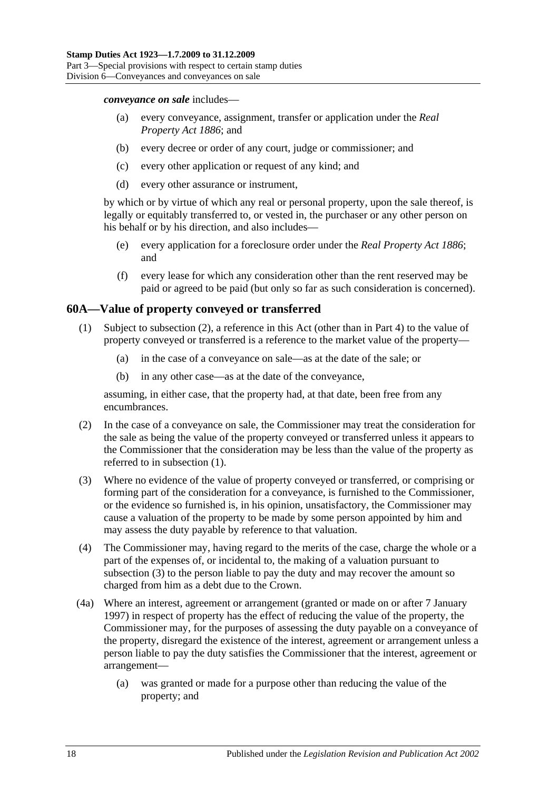*conveyance on sale* includes—

- (a) every conveyance, assignment, transfer or application under the *[Real](http://www.legislation.sa.gov.au/index.aspx?action=legref&type=act&legtitle=Real%20Property%20Act%201886)  [Property Act](http://www.legislation.sa.gov.au/index.aspx?action=legref&type=act&legtitle=Real%20Property%20Act%201886) 1886*; and
- (b) every decree or order of any court, judge or commissioner; and
- (c) every other application or request of any kind; and
- (d) every other assurance or instrument,

by which or by virtue of which any real or personal property, upon the sale thereof, is legally or equitably transferred to, or vested in, the purchaser or any other person on his behalf or by his direction, and also includes—

- (e) every application for a foreclosure order under the *[Real Property Act](http://www.legislation.sa.gov.au/index.aspx?action=legref&type=act&legtitle=Real%20Property%20Act%201886) 1886*; and
- (f) every lease for which any consideration other than the rent reserved may be paid or agreed to be paid (but only so far as such consideration is concerned).

## <span id="page-35-2"></span><span id="page-35-0"></span>**60A—Value of property conveyed or transferred**

- (1) Subject to [subsection](#page-35-1) (2), a reference in this Act (other than in [Part 4\)](#page-78-0) to the value of property conveyed or transferred is a reference to the market value of the property—
	- (a) in the case of a conveyance on sale—as at the date of the sale; or
	- (b) in any other case—as at the date of the conveyance,

assuming, in either case, that the property had, at that date, been free from any encumbrances.

- <span id="page-35-1"></span>(2) In the case of a conveyance on sale, the Commissioner may treat the consideration for the sale as being the value of the property conveyed or transferred unless it appears to the Commissioner that the consideration may be less than the value of the property as referred to in [subsection](#page-35-2) (1).
- <span id="page-35-3"></span>(3) Where no evidence of the value of property conveyed or transferred, or comprising or forming part of the consideration for a conveyance, is furnished to the Commissioner, or the evidence so furnished is, in his opinion, unsatisfactory, the Commissioner may cause a valuation of the property to be made by some person appointed by him and may assess the duty payable by reference to that valuation.
- (4) The Commissioner may, having regard to the merits of the case, charge the whole or a part of the expenses of, or incidental to, the making of a valuation pursuant to [subsection](#page-35-3) (3) to the person liable to pay the duty and may recover the amount so charged from him as a debt due to the Crown.
- (4a) Where an interest, agreement or arrangement (granted or made on or after 7 January 1997) in respect of property has the effect of reducing the value of the property, the Commissioner may, for the purposes of assessing the duty payable on a conveyance of the property, disregard the existence of the interest, agreement or arrangement unless a person liable to pay the duty satisfies the Commissioner that the interest, agreement or arrangement—
	- (a) was granted or made for a purpose other than reducing the value of the property; and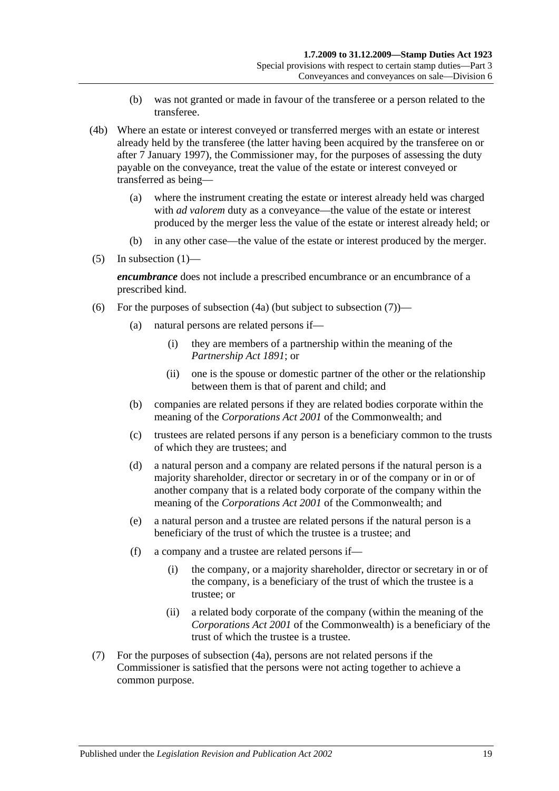- (b) was not granted or made in favour of the transferee or a person related to the transferee.
- (4b) Where an estate or interest conveyed or transferred merges with an estate or interest already held by the transferee (the latter having been acquired by the transferee on or after 7 January 1997), the Commissioner may, for the purposes of assessing the duty payable on the conveyance, treat the value of the estate or interest conveyed or transferred as being—
	- (a) where the instrument creating the estate or interest already held was charged with *ad valorem* duty as a conveyance—the value of the estate or interest produced by the merger less the value of the estate or interest already held; or
	- (b) in any other case—the value of the estate or interest produced by the merger.
- (5) In [subsection](#page-35-0)  $(1)$ —

*encumbrance* does not include a prescribed encumbrance or an encumbrance of a prescribed kind.

- <span id="page-36-1"></span>(6) For the purposes of [subsection](#page-36-0)  $(4a)$  (but subject to subsection  $(7)$ )—
	- (a) natural persons are related persons if—
		- (i) they are members of a partnership within the meaning of the *[Partnership Act](http://www.legislation.sa.gov.au/index.aspx?action=legref&type=act&legtitle=Partnership%20Act%201891) 1891*; or
		- (ii) one is the spouse or domestic partner of the other or the relationship between them is that of parent and child; and
	- (b) companies are related persons if they are related bodies corporate within the meaning of the *Corporations Act 2001* of the Commonwealth; and
	- (c) trustees are related persons if any person is a beneficiary common to the trusts of which they are trustees; and
	- (d) a natural person and a company are related persons if the natural person is a majority shareholder, director or secretary in or of the company or in or of another company that is a related body corporate of the company within the meaning of the *Corporations Act 2001* of the Commonwealth; and
	- (e) a natural person and a trustee are related persons if the natural person is a beneficiary of the trust of which the trustee is a trustee; and
	- (f) a company and a trustee are related persons if—
		- (i) the company, or a majority shareholder, director or secretary in or of the company, is a beneficiary of the trust of which the trustee is a trustee; or
		- (ii) a related body corporate of the company (within the meaning of the *Corporations Act 2001* of the Commonwealth) is a beneficiary of the trust of which the trustee is a trustee.
- <span id="page-36-0"></span>(7) For the purposes of [subsection](#page-35-1) (4a), persons are not related persons if the Commissioner is satisfied that the persons were not acting together to achieve a common purpose.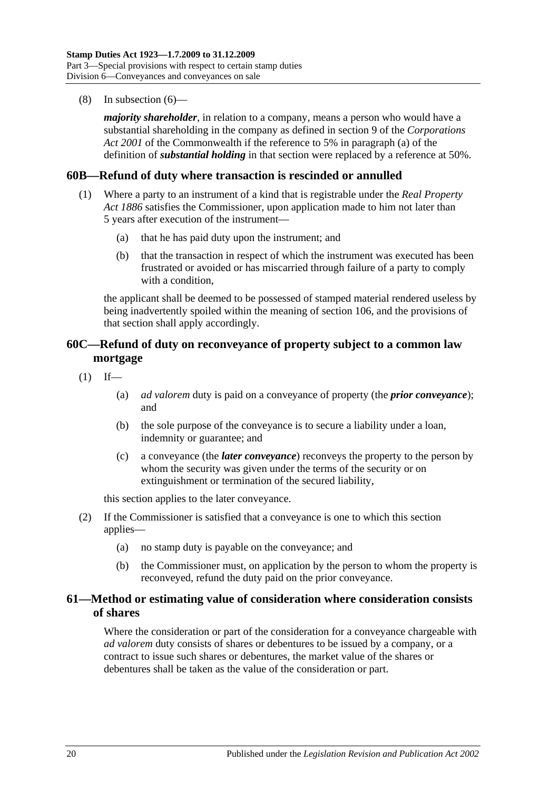(8) In [subsection](#page-36-1) (6)—

*majority shareholder*, in relation to a company, means a person who would have a substantial shareholding in the company as defined in section 9 of the *Corporations Act 2001* of the Commonwealth if the reference to 5% in paragraph (a) of the definition of *substantial holding* in that section were replaced by a reference at 50%.

### **60B—Refund of duty where transaction is rescinded or annulled**

- (1) Where a party to an instrument of a kind that is registrable under the *[Real Property](http://www.legislation.sa.gov.au/index.aspx?action=legref&type=act&legtitle=Real%20Property%20Act%201886)  Act [1886](http://www.legislation.sa.gov.au/index.aspx?action=legref&type=act&legtitle=Real%20Property%20Act%201886)* satisfies the Commissioner, upon application made to him not later than 5 years after execution of the instrument—
	- (a) that he has paid duty upon the instrument; and
	- (b) that the transaction in respect of which the instrument was executed has been frustrated or avoided or has miscarried through failure of a party to comply with a condition.

the applicant shall be deemed to be possessed of stamped material rendered useless by being inadvertently spoiled within the meaning of [section](#page-92-0) 106, and the provisions of that section shall apply accordingly.

# **60C—Refund of duty on reconveyance of property subject to a common law mortgage**

- $(1)$  If—
	- (a) *ad valorem* duty is paid on a conveyance of property (the *prior conveyance*); and
	- (b) the sole purpose of the conveyance is to secure a liability under a loan, indemnity or guarantee; and
	- (c) a conveyance (the *later conveyance*) reconveys the property to the person by whom the security was given under the terms of the security or on extinguishment or termination of the secured liability,

this section applies to the later conveyance.

- (2) If the Commissioner is satisfied that a conveyance is one to which this section applies—
	- (a) no stamp duty is payable on the conveyance; and
	- (b) the Commissioner must, on application by the person to whom the property is reconveyed, refund the duty paid on the prior conveyance.

## **61—Method or estimating value of consideration where consideration consists of shares**

Where the consideration or part of the consideration for a conveyance chargeable with *ad valorem* duty consists of shares or debentures to be issued by a company, or a contract to issue such shares or debentures, the market value of the shares or debentures shall be taken as the value of the consideration or part.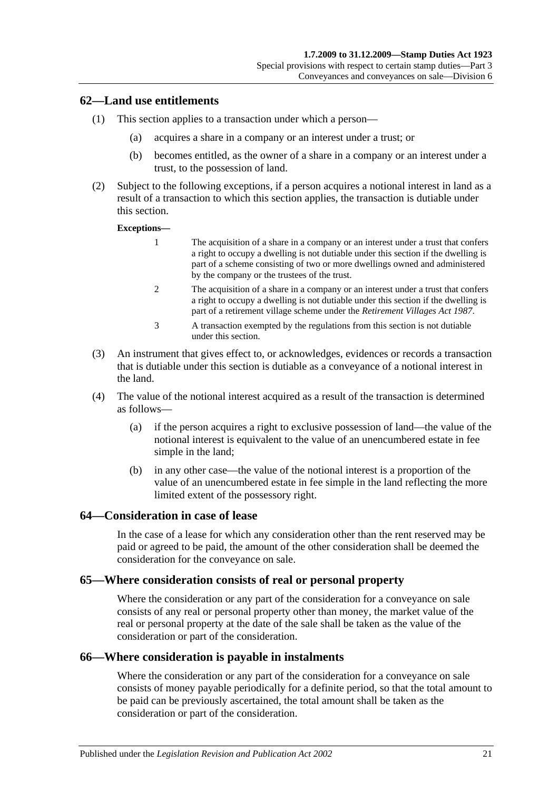### **62—Land use entitlements**

- (1) This section applies to a transaction under which a person—
	- (a) acquires a share in a company or an interest under a trust; or
	- (b) becomes entitled, as the owner of a share in a company or an interest under a trust, to the possession of land.
- (2) Subject to the following exceptions, if a person acquires a notional interest in land as a result of a transaction to which this section applies, the transaction is dutiable under this section.

#### **Exceptions—**

- 1 The acquisition of a share in a company or an interest under a trust that confers a right to occupy a dwelling is not dutiable under this section if the dwelling is part of a scheme consisting of two or more dwellings owned and administered by the company or the trustees of the trust.
- 2 The acquisition of a share in a company or an interest under a trust that confers a right to occupy a dwelling is not dutiable under this section if the dwelling is part of a retirement village scheme under the *[Retirement Villages Act](http://www.legislation.sa.gov.au/index.aspx?action=legref&type=act&legtitle=Retirement%20Villages%20Act%201987) 1987*.
- 3 A transaction exempted by the regulations from this section is not dutiable under this section.
- (3) An instrument that gives effect to, or acknowledges, evidences or records a transaction that is dutiable under this section is dutiable as a conveyance of a notional interest in the land.
- (4) The value of the notional interest acquired as a result of the transaction is determined as follows—
	- (a) if the person acquires a right to exclusive possession of land—the value of the notional interest is equivalent to the value of an unencumbered estate in fee simple in the land;
	- (b) in any other case—the value of the notional interest is a proportion of the value of an unencumbered estate in fee simple in the land reflecting the more limited extent of the possessory right.

### **64—Consideration in case of lease**

In the case of a lease for which any consideration other than the rent reserved may be paid or agreed to be paid, the amount of the other consideration shall be deemed the consideration for the conveyance on sale.

### **65—Where consideration consists of real or personal property**

Where the consideration or any part of the consideration for a conveyance on sale consists of any real or personal property other than money, the market value of the real or personal property at the date of the sale shall be taken as the value of the consideration or part of the consideration.

### **66—Where consideration is payable in instalments**

Where the consideration or any part of the consideration for a conveyance on sale consists of money payable periodically for a definite period, so that the total amount to be paid can be previously ascertained, the total amount shall be taken as the consideration or part of the consideration.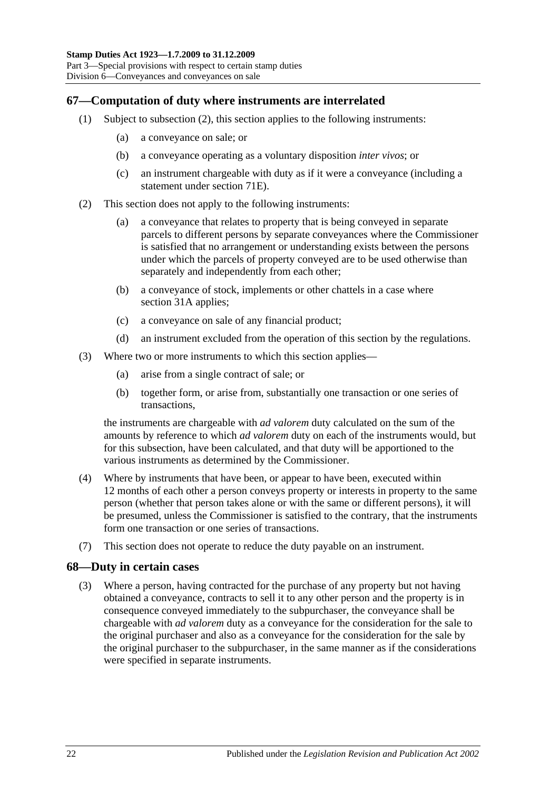# **67—Computation of duty where instruments are interrelated**

- (1) Subject to [subsection](#page-39-0) (2), this section applies to the following instruments:
	- (a) a conveyance on sale; or
	- (b) a conveyance operating as a voluntary disposition *inter vivos*; or
	- (c) an instrument chargeable with duty as if it were a conveyance (including a statement under [section](#page-65-0) 71E).
- <span id="page-39-0"></span>(2) This section does not apply to the following instruments:
	- (a) a conveyance that relates to property that is being conveyed in separate parcels to different persons by separate conveyances where the Commissioner is satisfied that no arrangement or understanding exists between the persons under which the parcels of property conveyed are to be used otherwise than separately and independently from each other;
	- (b) a conveyance of stock, implements or other chattels in a case where [section](#page-19-0) 31A applies;
	- (c) a conveyance on sale of any financial product;
	- (d) an instrument excluded from the operation of this section by the regulations.
- (3) Where two or more instruments to which this section applies—
	- (a) arise from a single contract of sale; or
	- (b) together form, or arise from, substantially one transaction or one series of transactions,

the instruments are chargeable with *ad valorem* duty calculated on the sum of the amounts by reference to which *ad valorem* duty on each of the instruments would, but for this subsection, have been calculated, and that duty will be apportioned to the various instruments as determined by the Commissioner.

- (4) Where by instruments that have been, or appear to have been, executed within 12 months of each other a person conveys property or interests in property to the same person (whether that person takes alone or with the same or different persons), it will be presumed, unless the Commissioner is satisfied to the contrary, that the instruments form one transaction or one series of transactions.
- (7) This section does not operate to reduce the duty payable on an instrument.

## **68—Duty in certain cases**

(3) Where a person, having contracted for the purchase of any property but not having obtained a conveyance, contracts to sell it to any other person and the property is in consequence conveyed immediately to the subpurchaser, the conveyance shall be chargeable with *ad valorem* duty as a conveyance for the consideration for the sale to the original purchaser and also as a conveyance for the consideration for the sale by the original purchaser to the subpurchaser, in the same manner as if the considerations were specified in separate instruments.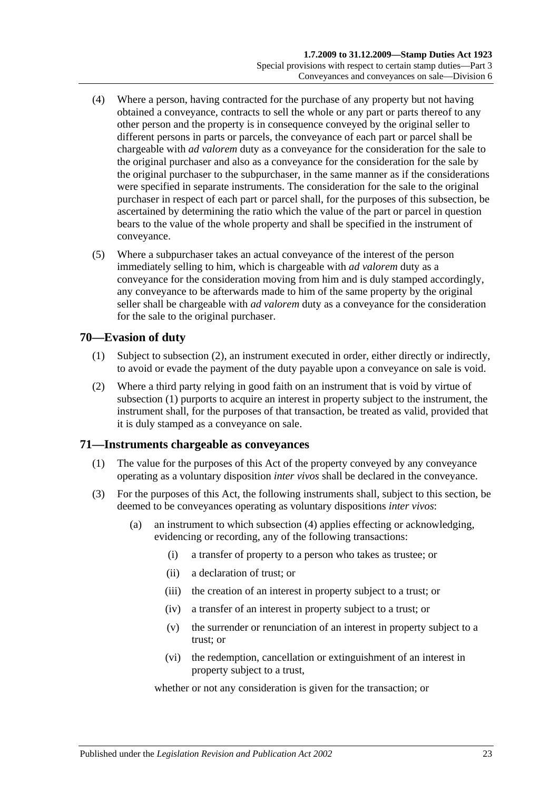- (4) Where a person, having contracted for the purchase of any property but not having obtained a conveyance, contracts to sell the whole or any part or parts thereof to any other person and the property is in consequence conveyed by the original seller to different persons in parts or parcels, the conveyance of each part or parcel shall be chargeable with *ad valorem* duty as a conveyance for the consideration for the sale to the original purchaser and also as a conveyance for the consideration for the sale by the original purchaser to the subpurchaser, in the same manner as if the considerations were specified in separate instruments. The consideration for the sale to the original purchaser in respect of each part or parcel shall, for the purposes of this subsection, be ascertained by determining the ratio which the value of the part or parcel in question bears to the value of the whole property and shall be specified in the instrument of conveyance.
- (5) Where a subpurchaser takes an actual conveyance of the interest of the person immediately selling to him, which is chargeable with *ad valorem* duty as a conveyance for the consideration moving from him and is duly stamped accordingly, any conveyance to be afterwards made to him of the same property by the original seller shall be chargeable with *ad valorem* duty as a conveyance for the consideration for the sale to the original purchaser.

# <span id="page-40-1"></span>**70—Evasion of duty**

- (1) Subject to [subsection](#page-40-0) (2), an instrument executed in order, either directly or indirectly, to avoid or evade the payment of the duty payable upon a conveyance on sale is void.
- <span id="page-40-0"></span>(2) Where a third party relying in good faith on an instrument that is void by virtue of [subsection](#page-40-1) (1) purports to acquire an interest in property subject to the instrument, the instrument shall, for the purposes of that transaction, be treated as valid, provided that it is duly stamped as a conveyance on sale.

## **71—Instruments chargeable as conveyances**

- (1) The value for the purposes of this Act of the property conveyed by any conveyance operating as a voluntary disposition *inter vivos* shall be declared in the conveyance.
- <span id="page-40-2"></span>(3) For the purposes of this Act, the following instruments shall, subject to this section, be deemed to be conveyances operating as voluntary dispositions *inter vivos*:
	- (a) an instrument to which [subsection](#page-41-0) (4) applies effecting or acknowledging, evidencing or recording, any of the following transactions:
		- (i) a transfer of property to a person who takes as trustee; or
		- (ii) a declaration of trust; or
		- (iii) the creation of an interest in property subject to a trust; or
		- (iv) a transfer of an interest in property subject to a trust; or
		- (v) the surrender or renunciation of an interest in property subject to a trust; or
		- (vi) the redemption, cancellation or extinguishment of an interest in property subject to a trust,

whether or not any consideration is given for the transaction; or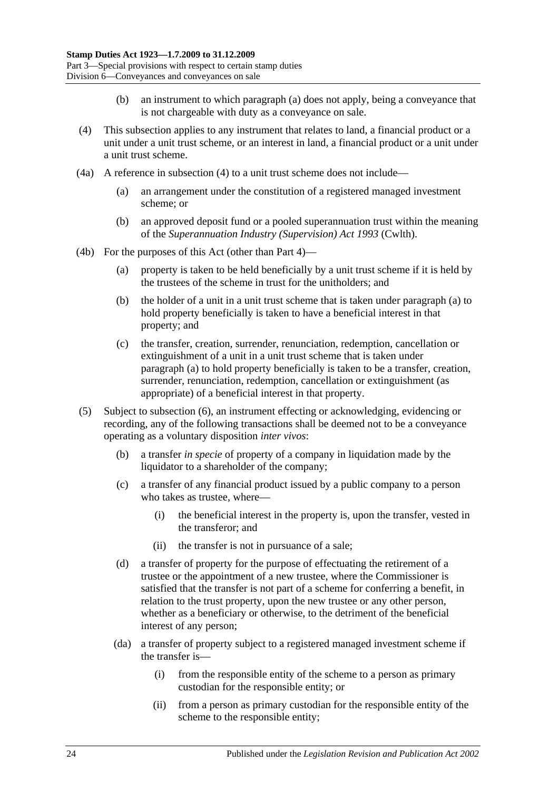- (b) an instrument to which [paragraph](#page-40-2) (a) does not apply, being a conveyance that is not chargeable with duty as a conveyance on sale.
- <span id="page-41-0"></span>(4) This subsection applies to any instrument that relates to land, a financial product or a unit under a unit trust scheme, or an interest in land, a financial product or a unit under a unit trust scheme.
- (4a) A reference in [subsection](#page-41-0) (4) to a unit trust scheme does not include—
	- (a) an arrangement under the constitution of a registered managed investment scheme; or
	- (b) an approved deposit fund or a pooled superannuation trust within the meaning of the *Superannuation Industry (Supervision) Act 1993* (Cwlth).
- <span id="page-41-1"></span>(4b) For the purposes of this Act (other than [Part 4\)](#page-78-0)—
	- (a) property is taken to be held beneficially by a unit trust scheme if it is held by the trustees of the scheme in trust for the unitholders; and
	- (b) the holder of a unit in a unit trust scheme that is taken under [paragraph](#page-41-1) (a) to hold property beneficially is taken to have a beneficial interest in that property; and
	- (c) the transfer, creation, surrender, renunciation, redemption, cancellation or extinguishment of a unit in a unit trust scheme that is taken under [paragraph](#page-41-1) (a) to hold property beneficially is taken to be a transfer, creation, surrender, renunciation, redemption, cancellation or extinguishment (as appropriate) of a beneficial interest in that property.
- <span id="page-41-2"></span>(5) Subject to [subsection](#page-43-0) (6), an instrument effecting or acknowledging, evidencing or recording, any of the following transactions shall be deemed not to be a conveyance operating as a voluntary disposition *inter vivos*:
	- (b) a transfer *in specie* of property of a company in liquidation made by the liquidator to a shareholder of the company;
	- (c) a transfer of any financial product issued by a public company to a person who takes as trustee, where—
		- (i) the beneficial interest in the property is, upon the transfer, vested in the transferor; and
		- (ii) the transfer is not in pursuance of a sale;
	- (d) a transfer of property for the purpose of effectuating the retirement of a trustee or the appointment of a new trustee, where the Commissioner is satisfied that the transfer is not part of a scheme for conferring a benefit, in relation to the trust property, upon the new trustee or any other person, whether as a beneficiary or otherwise, to the detriment of the beneficial interest of any person;
	- (da) a transfer of property subject to a registered managed investment scheme if the transfer is—
		- (i) from the responsible entity of the scheme to a person as primary custodian for the responsible entity; or
		- (ii) from a person as primary custodian for the responsible entity of the scheme to the responsible entity;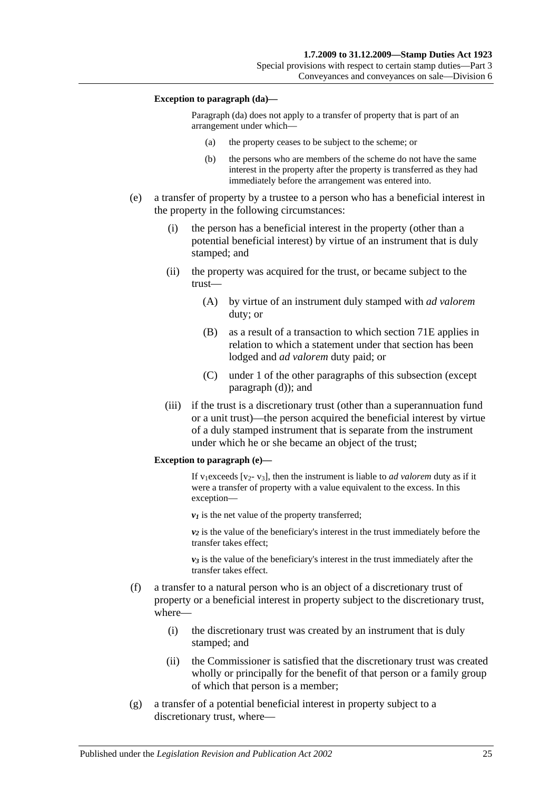#### **Exception to paragraph (da)—**

Paragraph (da) does not apply to a transfer of property that is part of an arrangement under which—

- (a) the property ceases to be subject to the scheme; or
- (b) the persons who are members of the scheme do not have the same interest in the property after the property is transferred as they had immediately before the arrangement was entered into.
- <span id="page-42-0"></span>(e) a transfer of property by a trustee to a person who has a beneficial interest in the property in the following circumstances:
	- (i) the person has a beneficial interest in the property (other than a potential beneficial interest) by virtue of an instrument that is duly stamped; and
	- (ii) the property was acquired for the trust, or became subject to the trust—
		- (A) by virtue of an instrument duly stamped with *ad valorem* duty; or
		- (B) as a result of a transaction to which section 71E applies in relation to which a statement under that section has been lodged and *ad valorem* duty paid; or
		- (C) under 1 of the other paragraphs of this subsection (except paragraph (d)); and
	- (iii) if the trust is a discretionary trust (other than a superannuation fund or a unit trust)—the person acquired the beneficial interest by virtue of a duly stamped instrument that is separate from the instrument under which he or she became an object of the trust;

#### **Exception to paragraph (e)—**

If v<sub>1</sub>exceeds [v<sub>2</sub>- v<sub>3</sub>], then the instrument is liable to *ad valorem* duty as if it were a transfer of property with a value equivalent to the excess. In this exception—

 $v_1$  is the net value of the property transferred;

 $v_2$  is the value of the beneficiary's interest in the trust immediately before the transfer takes effect;

 $v_3$  is the value of the beneficiary's interest in the trust immediately after the transfer takes effect.

- (f) a transfer to a natural person who is an object of a discretionary trust of property or a beneficial interest in property subject to the discretionary trust, where—
	- (i) the discretionary trust was created by an instrument that is duly stamped; and
	- (ii) the Commissioner is satisfied that the discretionary trust was created wholly or principally for the benefit of that person or a family group of which that person is a member;
- (g) a transfer of a potential beneficial interest in property subject to a discretionary trust, where—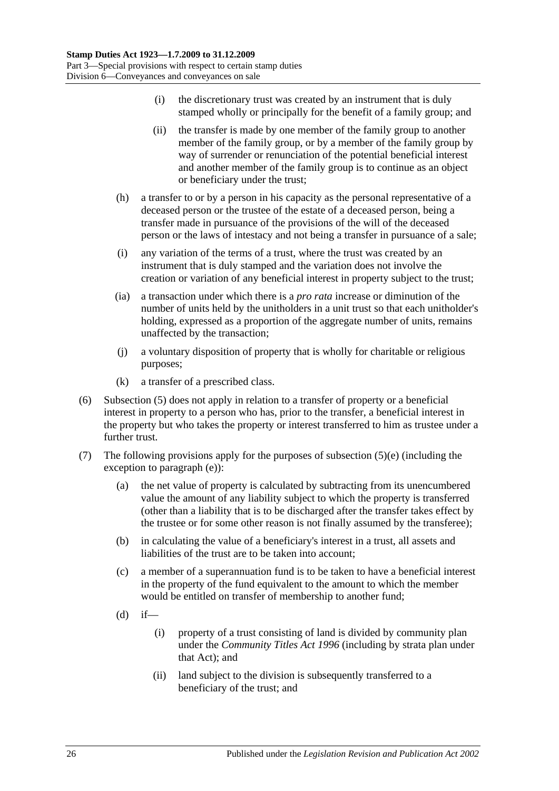- (i) the discretionary trust was created by an instrument that is duly stamped wholly or principally for the benefit of a family group; and
- (ii) the transfer is made by one member of the family group to another member of the family group, or by a member of the family group by way of surrender or renunciation of the potential beneficial interest and another member of the family group is to continue as an object or beneficiary under the trust;
- (h) a transfer to or by a person in his capacity as the personal representative of a deceased person or the trustee of the estate of a deceased person, being a transfer made in pursuance of the provisions of the will of the deceased person or the laws of intestacy and not being a transfer in pursuance of a sale;
- (i) any variation of the terms of a trust, where the trust was created by an instrument that is duly stamped and the variation does not involve the creation or variation of any beneficial interest in property subject to the trust;
- (ia) a transaction under which there is a *pro rata* increase or diminution of the number of units held by the unitholders in a unit trust so that each unitholder's holding, expressed as a proportion of the aggregate number of units, remains unaffected by the transaction;
- (j) a voluntary disposition of property that is wholly for charitable or religious purposes;
- (k) a transfer of a prescribed class.
- <span id="page-43-0"></span>(6) [Subsection](#page-41-2) (5) does not apply in relation to a transfer of property or a beneficial interest in property to a person who has, prior to the transfer, a beneficial interest in the property but who takes the property or interest transferred to him as trustee under a further trust.
- (7) The following provisions apply for the purposes of [subsection](#page-42-0)  $(5)(e)$  (including the exception to [paragraph](#page-42-0) (e)):
	- (a) the net value of property is calculated by subtracting from its unencumbered value the amount of any liability subject to which the property is transferred (other than a liability that is to be discharged after the transfer takes effect by the trustee or for some other reason is not finally assumed by the transferee);
	- (b) in calculating the value of a beneficiary's interest in a trust, all assets and liabilities of the trust are to be taken into account;
	- (c) a member of a superannuation fund is to be taken to have a beneficial interest in the property of the fund equivalent to the amount to which the member would be entitled on transfer of membership to another fund;
	- $(d)$  if—
		- (i) property of a trust consisting of land is divided by community plan under the *[Community Titles Act](http://www.legislation.sa.gov.au/index.aspx?action=legref&type=act&legtitle=Community%20Titles%20Act%201996) 1996* (including by strata plan under that Act); and
		- (ii) land subject to the division is subsequently transferred to a beneficiary of the trust; and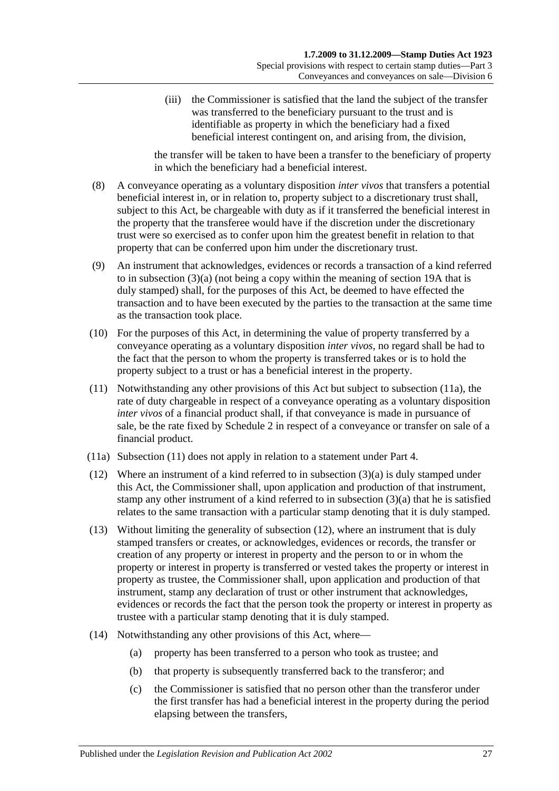(iii) the Commissioner is satisfied that the land the subject of the transfer was transferred to the beneficiary pursuant to the trust and is identifiable as property in which the beneficiary had a fixed beneficial interest contingent on, and arising from, the division,

the transfer will be taken to have been a transfer to the beneficiary of property in which the beneficiary had a beneficial interest.

- (8) A conveyance operating as a voluntary disposition *inter vivos* that transfers a potential beneficial interest in, or in relation to, property subject to a discretionary trust shall, subject to this Act, be chargeable with duty as if it transferred the beneficial interest in the property that the transferee would have if the discretion under the discretionary trust were so exercised as to confer upon him the greatest benefit in relation to that property that can be conferred upon him under the discretionary trust.
- (9) An instrument that acknowledges, evidences or records a transaction of a kind referred to in [subsection](#page-40-2) (3)(a) (not being a copy within the meaning of [section](#page-14-0) 19A that is duly stamped) shall, for the purposes of this Act, be deemed to have effected the transaction and to have been executed by the parties to the transaction at the same time as the transaction took place.
- (10) For the purposes of this Act, in determining the value of property transferred by a conveyance operating as a voluntary disposition *inter vivos*, no regard shall be had to the fact that the person to whom the property is transferred takes or is to hold the property subject to a trust or has a beneficial interest in the property.
- <span id="page-44-1"></span>(11) Notwithstanding any other provisions of this Act but subject to [subsection](#page-44-0) (11a), the rate of duty chargeable in respect of a conveyance operating as a voluntary disposition *inter vivos* of a financial product shall, if that conveyance is made in pursuance of sale, be the rate fixed by [Schedule 2](#page-96-0) in respect of a conveyance or transfer on sale of a financial product.
- <span id="page-44-0"></span>(11a) [Subsection](#page-44-1) (11) does not apply in relation to a statement under [Part 4.](#page-78-0)
- <span id="page-44-2"></span>(12) Where an instrument of a kind referred to in [subsection](#page-40-2) (3)(a) is duly stamped under this Act, the Commissioner shall, upon application and production of that instrument, stamp any other instrument of a kind referred to in [subsection](#page-40-2) (3)(a) that he is satisfied relates to the same transaction with a particular stamp denoting that it is duly stamped.
- (13) Without limiting the generality of [subsection](#page-44-2) (12), where an instrument that is duly stamped transfers or creates, or acknowledges, evidences or records, the transfer or creation of any property or interest in property and the person to or in whom the property or interest in property is transferred or vested takes the property or interest in property as trustee, the Commissioner shall, upon application and production of that instrument, stamp any declaration of trust or other instrument that acknowledges, evidences or records the fact that the person took the property or interest in property as trustee with a particular stamp denoting that it is duly stamped.
- (14) Notwithstanding any other provisions of this Act, where—
	- (a) property has been transferred to a person who took as trustee; and
	- (b) that property is subsequently transferred back to the transferor; and
	- (c) the Commissioner is satisfied that no person other than the transferor under the first transfer has had a beneficial interest in the property during the period elapsing between the transfers,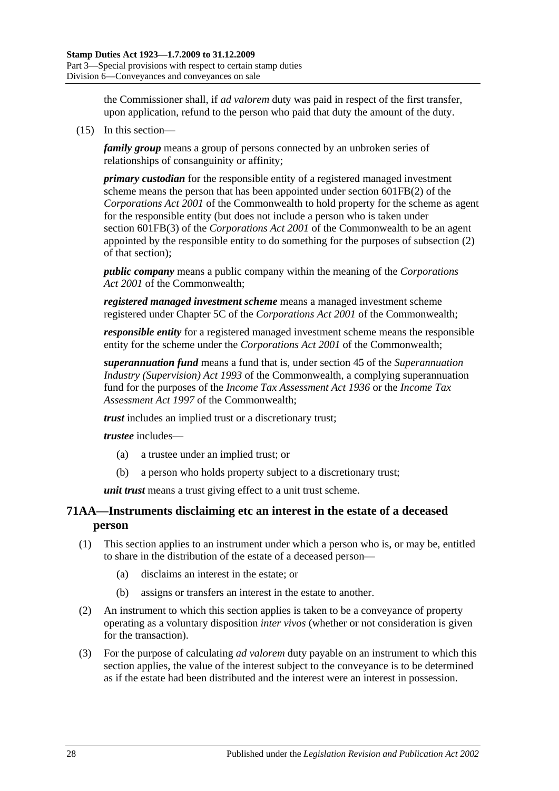the Commissioner shall, if *ad valorem* duty was paid in respect of the first transfer, upon application, refund to the person who paid that duty the amount of the duty.

<span id="page-45-0"></span>(15) In this section—

*family group* means a group of persons connected by an unbroken series of relationships of consanguinity or affinity;

*primary custodian* for the responsible entity of a registered managed investment scheme means the person that has been appointed under section 601FB(2) of the *Corporations Act 2001* of the Commonwealth to hold property for the scheme as agent for the responsible entity (but does not include a person who is taken under section 601FB(3) of the *Corporations Act 2001* of the Commonwealth to be an agent appointed by the responsible entity to do something for the purposes of subsection (2) of that section);

*public company* means a public company within the meaning of the *Corporations Act 2001* of the Commonwealth;

*registered managed investment scheme* means a managed investment scheme registered under Chapter 5C of the *Corporations Act 2001* of the Commonwealth;

*responsible entity* for a registered managed investment scheme means the responsible entity for the scheme under the *Corporations Act 2001* of the Commonwealth;

*superannuation fund* means a fund that is, under section 45 of the *Superannuation Industry (Supervision) Act 1993* of the Commonwealth, a complying superannuation fund for the purposes of the *Income Tax Assessment Act 1936* or the *Income Tax Assessment Act 1997* of the Commonwealth;

*trust* includes an implied trust or a discretionary trust;

*trustee* includes—

- (a) a trustee under an implied trust; or
- (b) a person who holds property subject to a discretionary trust;

*unit trust* means a trust giving effect to a unit trust scheme.

# **71AA—Instruments disclaiming etc an interest in the estate of a deceased person**

- (1) This section applies to an instrument under which a person who is, or may be, entitled to share in the distribution of the estate of a deceased person—
	- (a) disclaims an interest in the estate; or
	- (b) assigns or transfers an interest in the estate to another.
- (2) An instrument to which this section applies is taken to be a conveyance of property operating as a voluntary disposition *inter vivos* (whether or not consideration is given for the transaction).
- (3) For the purpose of calculating *ad valorem* duty payable on an instrument to which this section applies, the value of the interest subject to the conveyance is to be determined as if the estate had been distributed and the interest were an interest in possession.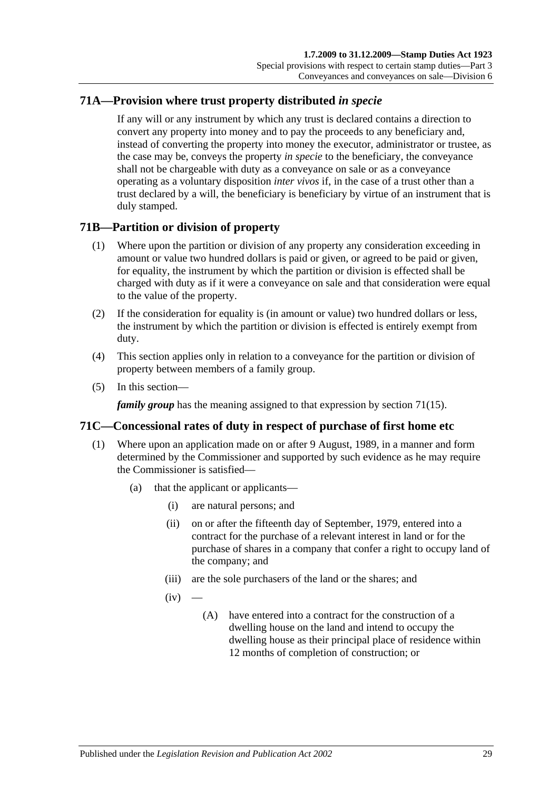# **71A—Provision where trust property distributed** *in specie*

If any will or any instrument by which any trust is declared contains a direction to convert any property into money and to pay the proceeds to any beneficiary and, instead of converting the property into money the executor, administrator or trustee, as the case may be, conveys the property *in specie* to the beneficiary, the conveyance shall not be chargeable with duty as a conveyance on sale or as a conveyance operating as a voluntary disposition *inter vivos* if, in the case of a trust other than a trust declared by a will, the beneficiary is beneficiary by virtue of an instrument that is duly stamped.

## **71B—Partition or division of property**

- (1) Where upon the partition or division of any property any consideration exceeding in amount or value two hundred dollars is paid or given, or agreed to be paid or given, for equality, the instrument by which the partition or division is effected shall be charged with duty as if it were a conveyance on sale and that consideration were equal to the value of the property.
- (2) If the consideration for equality is (in amount or value) two hundred dollars or less, the instrument by which the partition or division is effected is entirely exempt from duty.
- (4) This section applies only in relation to a conveyance for the partition or division of property between members of a family group.
- (5) In this section—

*family group* has the meaning assigned to that expression by [section](#page-45-0) 71(15).

## **71C—Concessional rates of duty in respect of purchase of first home etc**

- <span id="page-46-2"></span><span id="page-46-1"></span><span id="page-46-0"></span>(1) Where upon an application made on or after 9 August, 1989, in a manner and form determined by the Commissioner and supported by such evidence as he may require the Commissioner is satisfied—
	- (a) that the applicant or applicants—
		- (i) are natural persons; and
		- (ii) on or after the fifteenth day of September, 1979, entered into a contract for the purchase of a relevant interest in land or for the purchase of shares in a company that confer a right to occupy land of the company; and
		- (iii) are the sole purchasers of the land or the shares; and
		- $(iv)$ 
			- (A) have entered into a contract for the construction of a dwelling house on the land and intend to occupy the dwelling house as their principal place of residence within 12 months of completion of construction; or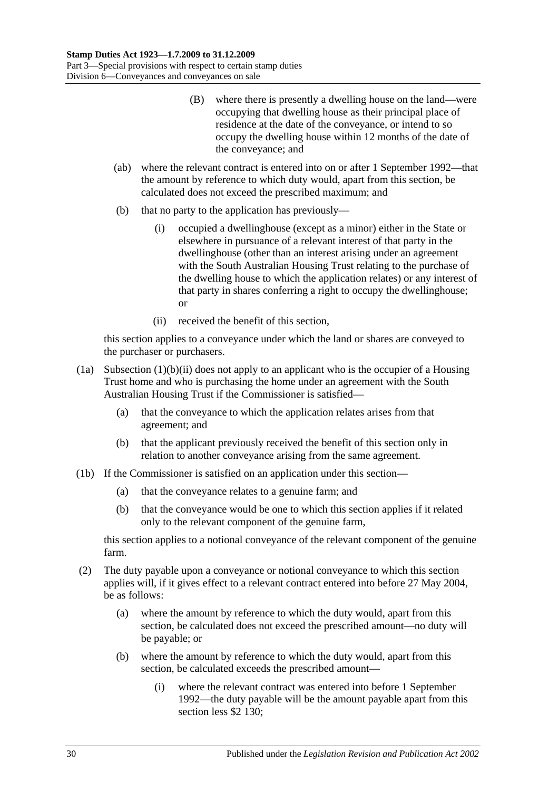- (B) where there is presently a dwelling house on the land—were occupying that dwelling house as their principal place of residence at the date of the conveyance, or intend to so occupy the dwelling house within 12 months of the date of the conveyance; and
- (ab) where the relevant contract is entered into on or after 1 September 1992—that the amount by reference to which duty would, apart from this section, be calculated does not exceed the prescribed maximum; and
- (b) that no party to the application has previously—
	- (i) occupied a dwellinghouse (except as a minor) either in the State or elsewhere in pursuance of a relevant interest of that party in the dwellinghouse (other than an interest arising under an agreement with the South Australian Housing Trust relating to the purchase of the dwelling house to which the application relates) or any interest of that party in shares conferring a right to occupy the dwellinghouse; or
	- (ii) received the benefit of this section,

<span id="page-47-0"></span>this section applies to a conveyance under which the land or shares are conveyed to the purchaser or purchasers.

- (1a) [Subsection](#page-47-0) (1)(b)(ii) does not apply to an applicant who is the occupier of a Housing Trust home and who is purchasing the home under an agreement with the South Australian Housing Trust if the Commissioner is satisfied—
	- (a) that the conveyance to which the application relates arises from that agreement; and
	- (b) that the applicant previously received the benefit of this section only in relation to another conveyance arising from the same agreement.
- (1b) If the Commissioner is satisfied on an application under this section—
	- (a) that the conveyance relates to a genuine farm; and
	- (b) that the conveyance would be one to which this section applies if it related only to the relevant component of the genuine farm,

this section applies to a notional conveyance of the relevant component of the genuine farm.

- (2) The duty payable upon a conveyance or notional conveyance to which this section applies will, if it gives effect to a relevant contract entered into before 27 May 2004, be as follows:
	- (a) where the amount by reference to which the duty would, apart from this section, be calculated does not exceed the prescribed amount—no duty will be payable; or
	- (b) where the amount by reference to which the duty would, apart from this section, be calculated exceeds the prescribed amount—
		- (i) where the relevant contract was entered into before 1 September 1992—the duty payable will be the amount payable apart from this section less \$2 130;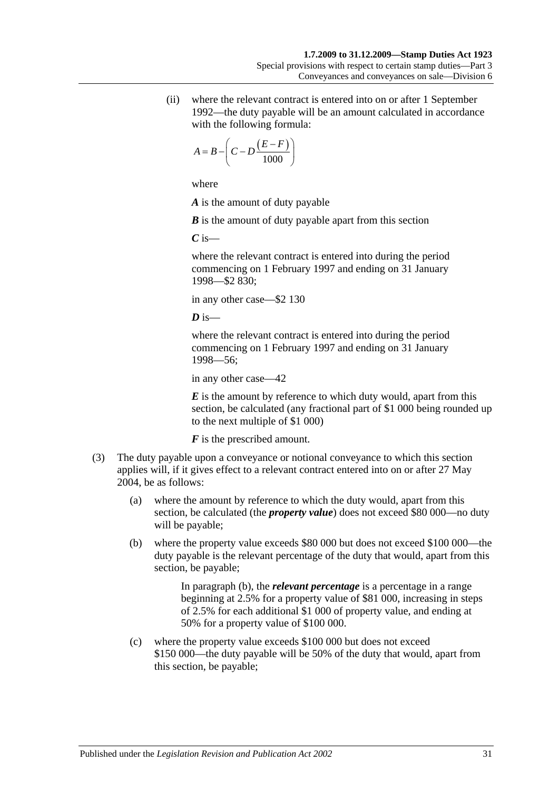(ii) where the relevant contract is entered into on or after 1 September 1992—the duty payable will be an amount calculated in accordance with the following formula:

$$
A = B - \left(C - D \frac{(E - F)}{1000}\right)
$$

where

*A* is the amount of duty payable

*B* is the amount of duty payable apart from this section

*C* is—

where the relevant contract is entered into during the period commencing on 1 February 1997 and ending on 31 January 1998—\$2 830;

in any other case—\$2 130

 $\overline{D}$  is—

where the relevant contract is entered into during the period commencing on 1 February 1997 and ending on 31 January 1998—56;

in any other case—42

*E* is the amount by reference to which duty would, apart from this section, be calculated (any fractional part of \$1 000 being rounded up to the next multiple of \$1 000)

*F* is the prescribed amount.

- <span id="page-48-1"></span><span id="page-48-0"></span>(3) The duty payable upon a conveyance or notional conveyance to which this section applies will, if it gives effect to a relevant contract entered into on or after 27 May 2004, be as follows:
	- (a) where the amount by reference to which the duty would, apart from this section, be calculated (the *property value*) does not exceed \$80 000—no duty will be payable;
	- (b) where the property value exceeds \$80 000 but does not exceed \$100 000—the duty payable is the relevant percentage of the duty that would, apart from this section, be payable;

In [paragraph](#page-48-0) (b), the *relevant percentage* is a percentage in a range beginning at 2.5% for a property value of \$81 000, increasing in steps of 2.5% for each additional \$1 000 of property value, and ending at 50% for a property value of \$100 000.

(c) where the property value exceeds \$100 000 but does not exceed \$150 000—the duty payable will be 50% of the duty that would, apart from this section, be payable;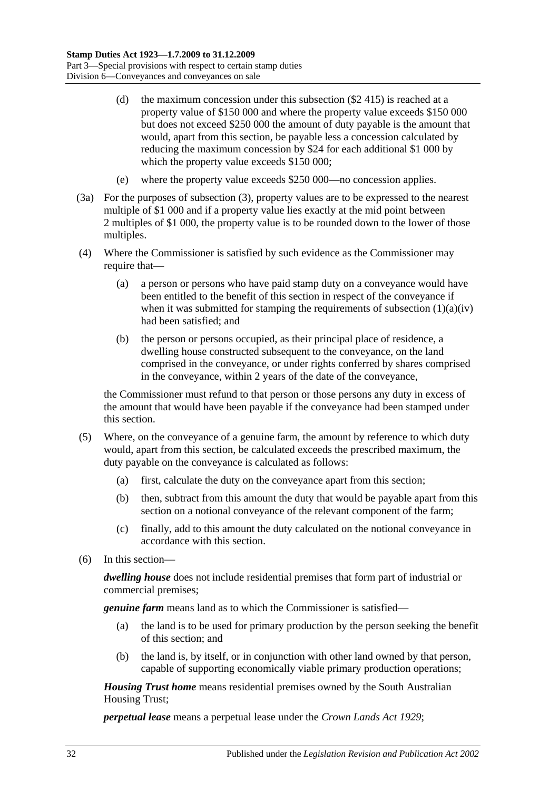- (d) the maximum concession under this subsection (\$2 415) is reached at a property value of \$150 000 and where the property value exceeds \$150 000 but does not exceed \$250 000 the amount of duty payable is the amount that would, apart from this section, be payable less a concession calculated by reducing the maximum concession by \$24 for each additional \$1 000 by which the property value exceeds \$150 000;
- (e) where the property value exceeds \$250 000—no concession applies.
- (3a) For the purposes of [subsection](#page-48-1) (3), property values are to be expressed to the nearest multiple of \$1 000 and if a property value lies exactly at the mid point between 2 multiples of \$1 000, the property value is to be rounded down to the lower of those multiples.
- (4) Where the Commissioner is satisfied by such evidence as the Commissioner may require that—
	- (a) a person or persons who have paid stamp duty on a conveyance would have been entitled to the benefit of this section in respect of the conveyance if when it was submitted for stamping the requirements of [subsection](#page-46-0)  $(1)(a)(iv)$ had been satisfied; and
	- (b) the person or persons occupied, as their principal place of residence, a dwelling house constructed subsequent to the conveyance, on the land comprised in the conveyance, or under rights conferred by shares comprised in the conveyance, within 2 years of the date of the conveyance,

the Commissioner must refund to that person or those persons any duty in excess of the amount that would have been payable if the conveyance had been stamped under this section.

- (5) Where, on the conveyance of a genuine farm, the amount by reference to which duty would, apart from this section, be calculated exceeds the prescribed maximum, the duty payable on the conveyance is calculated as follows:
	- (a) first, calculate the duty on the conveyance apart from this section;
	- (b) then, subtract from this amount the duty that would be payable apart from this section on a notional conveyance of the relevant component of the farm;
	- (c) finally, add to this amount the duty calculated on the notional conveyance in accordance with this section.
- (6) In this section—

*dwelling house* does not include residential premises that form part of industrial or commercial premises;

*genuine farm* means land as to which the Commissioner is satisfied—

- (a) the land is to be used for primary production by the person seeking the benefit of this section; and
- (b) the land is, by itself, or in conjunction with other land owned by that person, capable of supporting economically viable primary production operations;

*Housing Trust home* means residential premises owned by the South Australian Housing Trust;

*perpetual lease* means a perpetual lease under the *[Crown Lands Act](http://www.legislation.sa.gov.au/index.aspx?action=legref&type=act&legtitle=Crown%20Lands%20Act%201929) 1929*;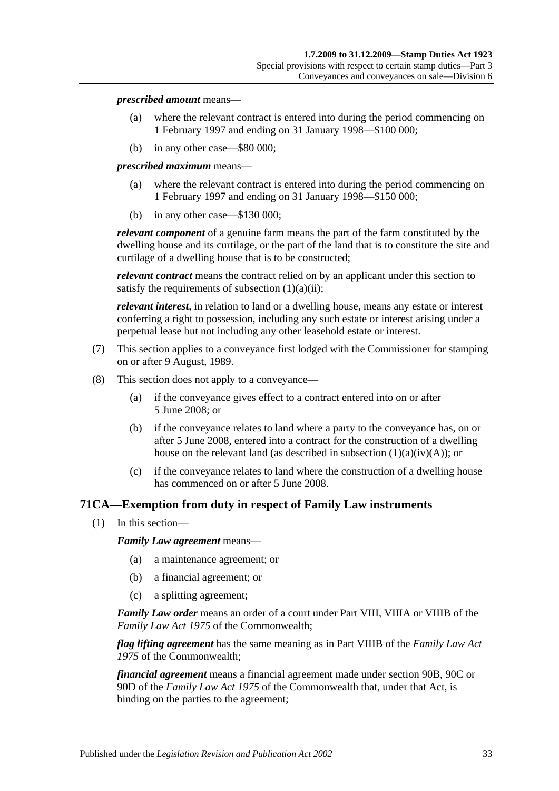#### *prescribed amount* means—

- (a) where the relevant contract is entered into during the period commencing on 1 February 1997 and ending on 31 January 1998—\$100 000;
- (b) in any other case—\$80 000;

*prescribed maximum* means—

- (a) where the relevant contract is entered into during the period commencing on 1 February 1997 and ending on 31 January 1998—\$150 000;
- (b) in any other case—\$130 000;

*relevant component* of a genuine farm means the part of the farm constituted by the dwelling house and its curtilage, or the part of the land that is to constitute the site and curtilage of a dwelling house that is to be constructed;

*relevant contract* means the contract relied on by an applicant under this section to satisfy the requirements of [subsection](#page-46-1)  $(1)(a)(ii)$ ;

*relevant interest*, in relation to land or a dwelling house, means any estate or interest conferring a right to possession, including any such estate or interest arising under a perpetual lease but not including any other leasehold estate or interest.

- (7) This section applies to a conveyance first lodged with the Commissioner for stamping on or after 9 August, 1989.
- (8) This section does not apply to a conveyance—
	- (a) if the conveyance gives effect to a contract entered into on or after 5 June 2008; or
	- (b) if the conveyance relates to land where a party to the conveyance has, on or after 5 June 2008, entered into a contract for the construction of a dwelling house on the relevant land (as described in subsection  $(1)(a)(iv)(A)$ ); or
	- (c) if the conveyance relates to land where the construction of a dwelling house has commenced on or after 5 June 2008.

## **71CA—Exemption from duty in respect of Family Law instruments**

(1) In this section—

*Family Law agreement* means—

- (a) a maintenance agreement; or
- (b) a financial agreement; or
- (c) a splitting agreement;

*Family Law order* means an order of a court under Part VIII, VIIIA or VIIIB of the *Family Law Act 1975* of the Commonwealth;

*flag lifting agreement* has the same meaning as in Part VIIIB of the *Family Law Act 1975* of the Commonwealth;

*financial agreement* means a financial agreement made under section 90B, 90C or 90D of the *Family Law Act 1975* of the Commonwealth that, under that Act, is binding on the parties to the agreement;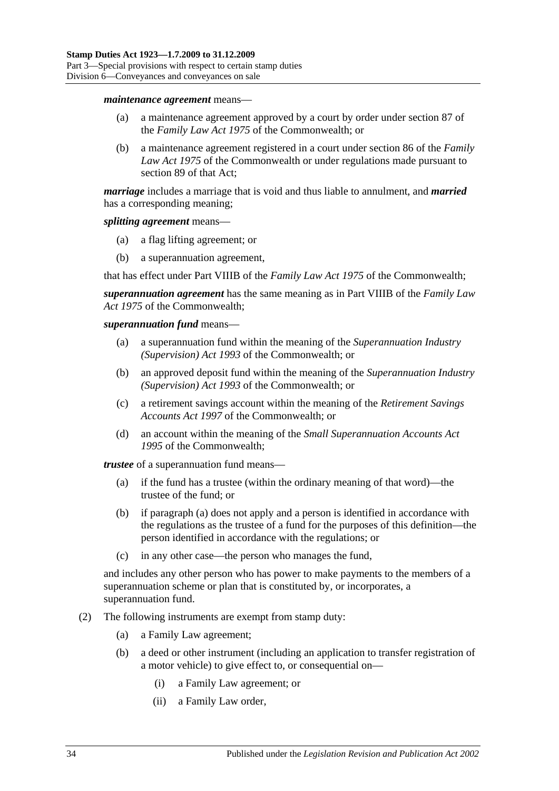#### *maintenance agreement* means—

- (a) a maintenance agreement approved by a court by order under section 87 of the *Family Law Act 1975* of the Commonwealth; or
- (b) a maintenance agreement registered in a court under section 86 of the *Family Law Act 1975* of the Commonwealth or under regulations made pursuant to section 89 of that Act;

*marriage* includes a marriage that is void and thus liable to annulment, and *married* has a corresponding meaning;

#### *splitting agreement* means—

- (a) a flag lifting agreement; or
- (b) a superannuation agreement,

that has effect under Part VIIIB of the *Family Law Act 1975* of the Commonwealth;

*superannuation agreement* has the same meaning as in Part VIIIB of the *Family Law Act 1975* of the Commonwealth;

#### *superannuation fund* means—

- (a) a superannuation fund within the meaning of the *Superannuation Industry (Supervision) Act 1993* of the Commonwealth; or
- (b) an approved deposit fund within the meaning of the *Superannuation Industry (Supervision) Act 1993* of the Commonwealth; or
- (c) a retirement savings account within the meaning of the *Retirement Savings Accounts Act 1997* of the Commonwealth; or
- (d) an account within the meaning of the *Small Superannuation Accounts Act 1995* of the Commonwealth;

<span id="page-51-0"></span>*trustee* of a superannuation fund means—

- (a) if the fund has a trustee (within the ordinary meaning of that word)—the trustee of the fund; or
- (b) if [paragraph](#page-51-0) (a) does not apply and a person is identified in accordance with the regulations as the trustee of a fund for the purposes of this definition—the person identified in accordance with the regulations; or
- (c) in any other case—the person who manages the fund,

and includes any other person who has power to make payments to the members of a superannuation scheme or plan that is constituted by, or incorporates, a superannuation fund.

- (2) The following instruments are exempt from stamp duty:
	- (a) a Family Law agreement;
	- (b) a deed or other instrument (including an application to transfer registration of a motor vehicle) to give effect to, or consequential on—
		- (i) a Family Law agreement; or
		- (ii) a Family Law order,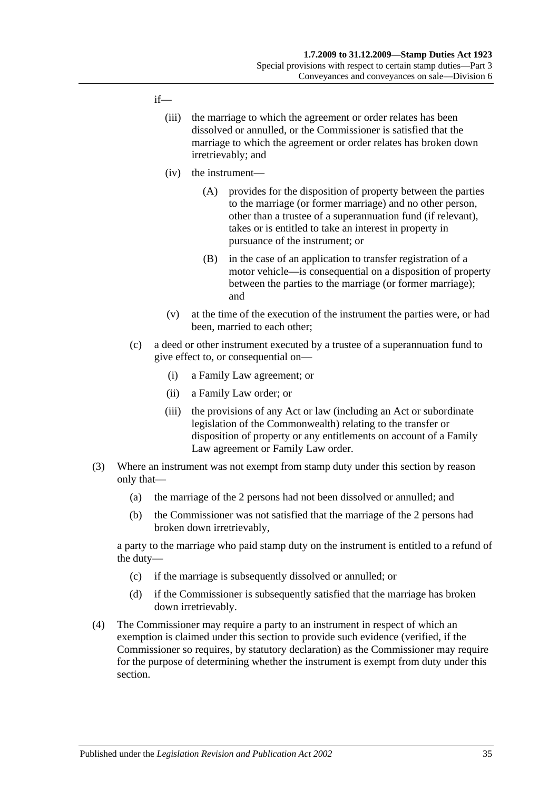### if—

- (iii) the marriage to which the agreement or order relates has been dissolved or annulled, or the Commissioner is satisfied that the marriage to which the agreement or order relates has broken down irretrievably; and
- (iv) the instrument—
	- (A) provides for the disposition of property between the parties to the marriage (or former marriage) and no other person, other than a trustee of a superannuation fund (if relevant), takes or is entitled to take an interest in property in pursuance of the instrument; or
	- (B) in the case of an application to transfer registration of a motor vehicle—is consequential on a disposition of property between the parties to the marriage (or former marriage); and
- (v) at the time of the execution of the instrument the parties were, or had been, married to each other;
- (c) a deed or other instrument executed by a trustee of a superannuation fund to give effect to, or consequential on—
	- (i) a Family Law agreement; or
	- (ii) a Family Law order; or
	- (iii) the provisions of any Act or law (including an Act or subordinate legislation of the Commonwealth) relating to the transfer or disposition of property or any entitlements on account of a Family Law agreement or Family Law order.
- (3) Where an instrument was not exempt from stamp duty under this section by reason only that—
	- (a) the marriage of the 2 persons had not been dissolved or annulled; and
	- (b) the Commissioner was not satisfied that the marriage of the 2 persons had broken down irretrievably,

a party to the marriage who paid stamp duty on the instrument is entitled to a refund of the duty—

- (c) if the marriage is subsequently dissolved or annulled; or
- (d) if the Commissioner is subsequently satisfied that the marriage has broken down irretrievably.
- (4) The Commissioner may require a party to an instrument in respect of which an exemption is claimed under this section to provide such evidence (verified, if the Commissioner so requires, by statutory declaration) as the Commissioner may require for the purpose of determining whether the instrument is exempt from duty under this section.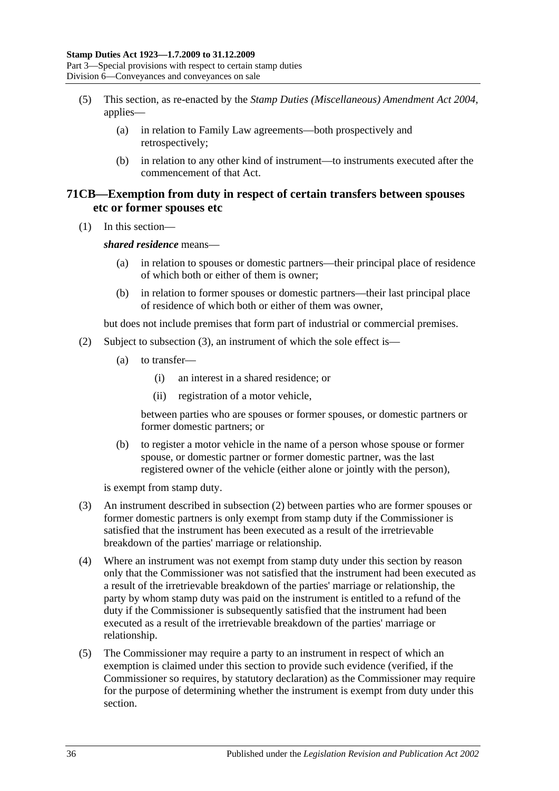- (5) This section, as re-enacted by the *[Stamp Duties \(Miscellaneous\) Amendment Act 2004](http://www.legislation.sa.gov.au/index.aspx?action=legref&type=act&legtitle=Stamp%20Duties%20(Miscellaneous)%20Amendment%20Act%202004)*, applies—
	- (a) in relation to Family Law agreements—both prospectively and retrospectively;
	- (b) in relation to any other kind of instrument—to instruments executed after the commencement of that Act.

## **71CB—Exemption from duty in respect of certain transfers between spouses etc or former spouses etc**

(1) In this section—

*shared residence* means—

- (a) in relation to spouses or domestic partners—their principal place of residence of which both or either of them is owner;
- (b) in relation to former spouses or domestic partners—their last principal place of residence of which both or either of them was owner,

but does not include premises that form part of industrial or commercial premises.

- (2) Subject to [subsection](#page-53-0) (3), an instrument of which the sole effect is—
	- (a) to transfer—
		- (i) an interest in a shared residence; or
		- (ii) registration of a motor vehicle,

between parties who are spouses or former spouses, or domestic partners or former domestic partners; or

(b) to register a motor vehicle in the name of a person whose spouse or former spouse, or domestic partner or former domestic partner, was the last registered owner of the vehicle (either alone or jointly with the person),

is exempt from stamp duty.

- <span id="page-53-0"></span>(3) An instrument described in subsection (2) between parties who are former spouses or former domestic partners is only exempt from stamp duty if the Commissioner is satisfied that the instrument has been executed as a result of the irretrievable breakdown of the parties' marriage or relationship.
- (4) Where an instrument was not exempt from stamp duty under this section by reason only that the Commissioner was not satisfied that the instrument had been executed as a result of the irretrievable breakdown of the parties' marriage or relationship, the party by whom stamp duty was paid on the instrument is entitled to a refund of the duty if the Commissioner is subsequently satisfied that the instrument had been executed as a result of the irretrievable breakdown of the parties' marriage or relationship.
- (5) The Commissioner may require a party to an instrument in respect of which an exemption is claimed under this section to provide such evidence (verified, if the Commissioner so requires, by statutory declaration) as the Commissioner may require for the purpose of determining whether the instrument is exempt from duty under this section.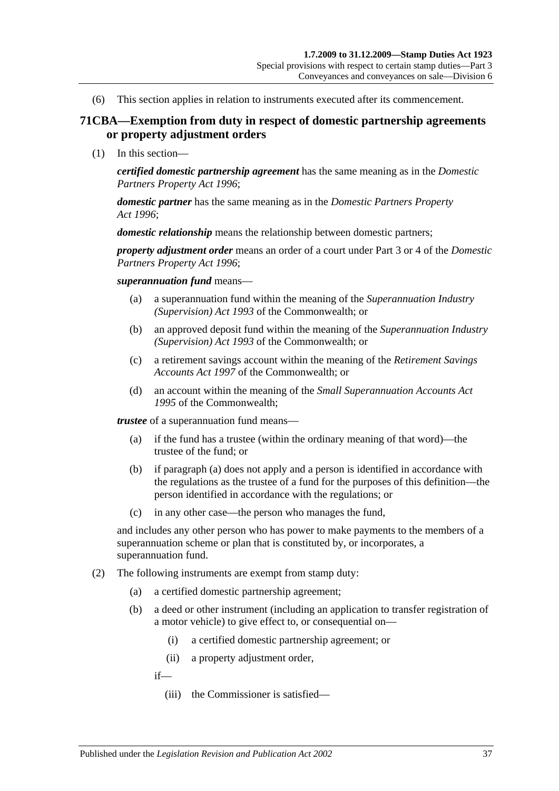(6) This section applies in relation to instruments executed after its commencement.

## **71CBA—Exemption from duty in respect of domestic partnership agreements or property adjustment orders**

(1) In this section—

*certified domestic partnership agreement* has the same meaning as in the *[Domestic](http://www.legislation.sa.gov.au/index.aspx?action=legref&type=act&legtitle=Domestic%20Partners%20Property%20Act%201996)  [Partners Property Act](http://www.legislation.sa.gov.au/index.aspx?action=legref&type=act&legtitle=Domestic%20Partners%20Property%20Act%201996) 1996*;

*domestic partner* has the same meaning as in the *[Domestic Partners Property](http://www.legislation.sa.gov.au/index.aspx?action=legref&type=act&legtitle=Domestic%20Partners%20Property%20Act%201996)  Act [1996](http://www.legislation.sa.gov.au/index.aspx?action=legref&type=act&legtitle=Domestic%20Partners%20Property%20Act%201996)*;

*domestic relationship* means the relationship between domestic partners;

*property adjustment order* means an order of a court under Part 3 or 4 of the *[Domestic](http://www.legislation.sa.gov.au/index.aspx?action=legref&type=act&legtitle=Domestic%20Partners%20Property%20Act%201996)  [Partners Property Act](http://www.legislation.sa.gov.au/index.aspx?action=legref&type=act&legtitle=Domestic%20Partners%20Property%20Act%201996) 1996*;

*superannuation fund* means—

- (a) a superannuation fund within the meaning of the *Superannuation Industry (Supervision) Act 1993* of the Commonwealth; or
- (b) an approved deposit fund within the meaning of the *Superannuation Industry (Supervision) Act 1993* of the Commonwealth; or
- (c) a retirement savings account within the meaning of the *Retirement Savings Accounts Act 1997* of the Commonwealth; or
- (d) an account within the meaning of the *Small Superannuation Accounts Act 1995* of the Commonwealth;

<span id="page-54-0"></span>*trustee* of a superannuation fund means—

- (a) if the fund has a trustee (within the ordinary meaning of that word)—the trustee of the fund; or
- (b) if [paragraph](#page-54-0) (a) does not apply and a person is identified in accordance with the regulations as the trustee of a fund for the purposes of this definition—the person identified in accordance with the regulations; or
- (c) in any other case—the person who manages the fund,

and includes any other person who has power to make payments to the members of a superannuation scheme or plan that is constituted by, or incorporates, a superannuation fund.

- (2) The following instruments are exempt from stamp duty:
	- (a) a certified domestic partnership agreement;
	- (b) a deed or other instrument (including an application to transfer registration of a motor vehicle) to give effect to, or consequential on—
		- (i) a certified domestic partnership agreement; or
		- (ii) a property adjustment order,

if—

(iii) the Commissioner is satisfied—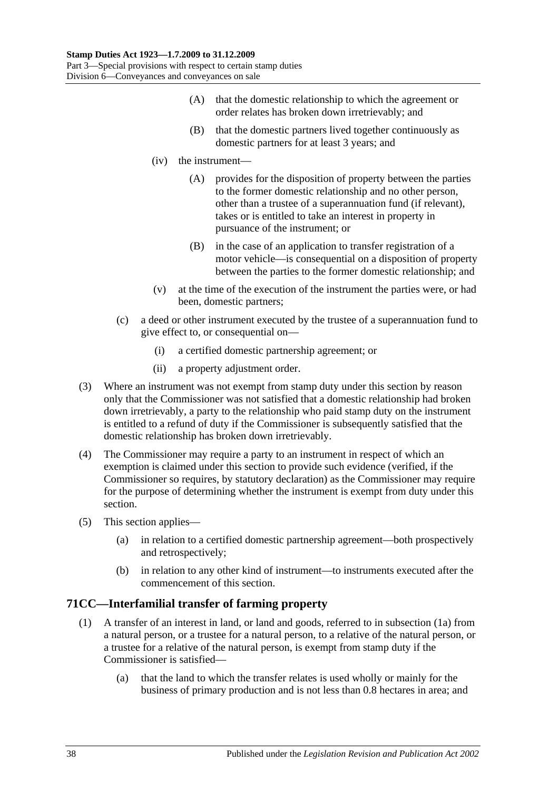- (A) that the domestic relationship to which the agreement or order relates has broken down irretrievably; and
- (B) that the domestic partners lived together continuously as domestic partners for at least 3 years; and
- (iv) the instrument—
	- (A) provides for the disposition of property between the parties to the former domestic relationship and no other person, other than a trustee of a superannuation fund (if relevant), takes or is entitled to take an interest in property in pursuance of the instrument; or
	- (B) in the case of an application to transfer registration of a motor vehicle—is consequential on a disposition of property between the parties to the former domestic relationship; and
- (v) at the time of the execution of the instrument the parties were, or had been, domestic partners;
- (c) a deed or other instrument executed by the trustee of a superannuation fund to give effect to, or consequential on—
	- (i) a certified domestic partnership agreement; or
	- (ii) a property adjustment order.
- (3) Where an instrument was not exempt from stamp duty under this section by reason only that the Commissioner was not satisfied that a domestic relationship had broken down irretrievably, a party to the relationship who paid stamp duty on the instrument is entitled to a refund of duty if the Commissioner is subsequently satisfied that the domestic relationship has broken down irretrievably.
- (4) The Commissioner may require a party to an instrument in respect of which an exemption is claimed under this section to provide such evidence (verified, if the Commissioner so requires, by statutory declaration) as the Commissioner may require for the purpose of determining whether the instrument is exempt from duty under this section.
- (5) This section applies—
	- (a) in relation to a certified domestic partnership agreement—both prospectively and retrospectively;
	- (b) in relation to any other kind of instrument—to instruments executed after the commencement of this section.

## <span id="page-55-0"></span>**71CC—Interfamilial transfer of farming property**

- (1) A transfer of an interest in land, or land and goods, referred to in [subsection](#page-56-0) (1a) from a natural person, or a trustee for a natural person, to a relative of the natural person, or a trustee for a relative of the natural person, is exempt from stamp duty if the Commissioner is satisfied—
	- (a) that the land to which the transfer relates is used wholly or mainly for the business of primary production and is not less than 0.8 hectares in area; and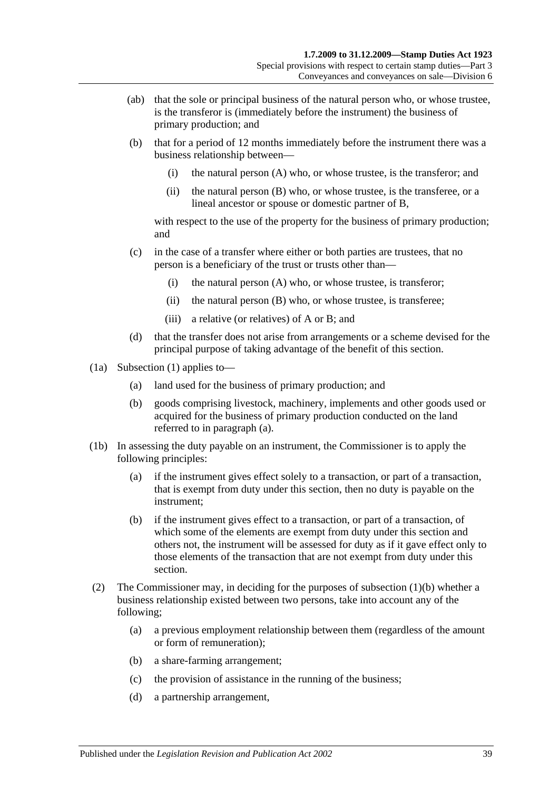- (ab) that the sole or principal business of the natural person who, or whose trustee, is the transferor is (immediately before the instrument) the business of primary production; and
- <span id="page-56-2"></span>(b) that for a period of 12 months immediately before the instrument there was a business relationship between—
	- (i) the natural person (A) who, or whose trustee, is the transferor; and
	- (ii) the natural person (B) who, or whose trustee, is the transferee, or a lineal ancestor or spouse or domestic partner of B,

with respect to the use of the property for the business of primary production; and

- (c) in the case of a transfer where either or both parties are trustees, that no person is a beneficiary of the trust or trusts other than—
	- (i) the natural person (A) who, or whose trustee, is transferor;
	- (ii) the natural person (B) who, or whose trustee, is transferee;
	- (iii) a relative (or relatives) of A or B; and
- (d) that the transfer does not arise from arrangements or a scheme devised for the principal purpose of taking advantage of the benefit of this section.
- <span id="page-56-1"></span><span id="page-56-0"></span>(1a) [Subsection](#page-55-0) (1) applies to—
	- (a) land used for the business of primary production; and
	- (b) goods comprising livestock, machinery, implements and other goods used or acquired for the business of primary production conducted on the land referred to in [paragraph](#page-56-1) (a).
- (1b) In assessing the duty payable on an instrument, the Commissioner is to apply the following principles:
	- (a) if the instrument gives effect solely to a transaction, or part of a transaction, that is exempt from duty under this section, then no duty is payable on the instrument;
	- (b) if the instrument gives effect to a transaction, or part of a transaction, of which some of the elements are exempt from duty under this section and others not, the instrument will be assessed for duty as if it gave effect only to those elements of the transaction that are not exempt from duty under this section.
- (2) The Commissioner may, in deciding for the purposes of [subsection](#page-56-2) (1)(b) whether a business relationship existed between two persons, take into account any of the following;
	- (a) a previous employment relationship between them (regardless of the amount or form of remuneration);
	- (b) a share-farming arrangement;
	- (c) the provision of assistance in the running of the business;
	- (d) a partnership arrangement,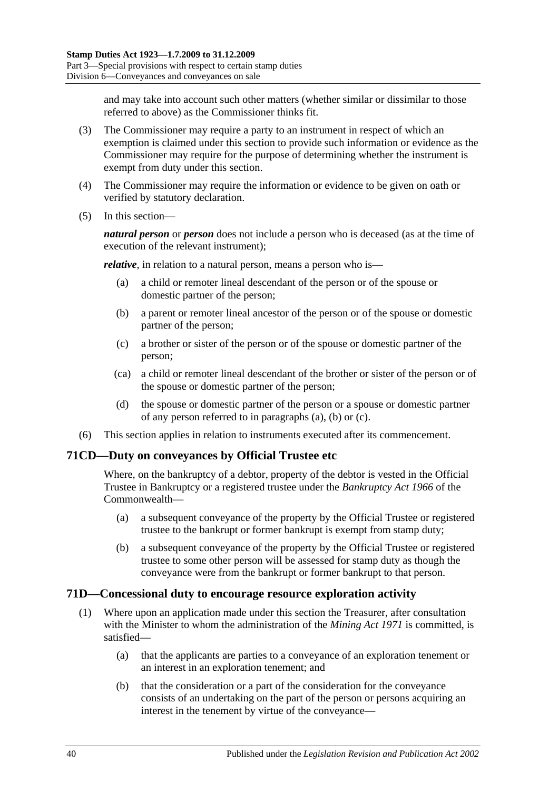and may take into account such other matters (whether similar or dissimilar to those referred to above) as the Commissioner thinks fit.

- (3) The Commissioner may require a party to an instrument in respect of which an exemption is claimed under this section to provide such information or evidence as the Commissioner may require for the purpose of determining whether the instrument is exempt from duty under this section.
- (4) The Commissioner may require the information or evidence to be given on oath or verified by statutory declaration.
- (5) In this section—

*natural person* or *person* does not include a person who is deceased (as at the time of execution of the relevant instrument);

<span id="page-57-0"></span>*relative*, in relation to a natural person, means a person who is—

- (a) a child or remoter lineal descendant of the person or of the spouse or domestic partner of the person;
- <span id="page-57-1"></span>(b) a parent or remoter lineal ancestor of the person or of the spouse or domestic partner of the person;
- <span id="page-57-2"></span>(c) a brother or sister of the person or of the spouse or domestic partner of the person;
- (ca) a child or remoter lineal descendant of the brother or sister of the person or of the spouse or domestic partner of the person;
- (d) the spouse or domestic partner of the person or a spouse or domestic partner of any person referred to in [paragraphs](#page-57-0) (a), [\(b\)](#page-57-1) or [\(c\).](#page-57-2)
- (6) This section applies in relation to instruments executed after its commencement.

## **71CD—Duty on conveyances by Official Trustee etc**

Where, on the bankruptcy of a debtor, property of the debtor is vested in the Official Trustee in Bankruptcy or a registered trustee under the *Bankruptcy Act 1966* of the Commonwealth—

- (a) a subsequent conveyance of the property by the Official Trustee or registered trustee to the bankrupt or former bankrupt is exempt from stamp duty;
- (b) a subsequent conveyance of the property by the Official Trustee or registered trustee to some other person will be assessed for stamp duty as though the conveyance were from the bankrupt or former bankrupt to that person.

### **71D—Concessional duty to encourage resource exploration activity**

- <span id="page-57-3"></span>(1) Where upon an application made under this section the Treasurer, after consultation with the Minister to whom the administration of the *[Mining Act](http://www.legislation.sa.gov.au/index.aspx?action=legref&type=act&legtitle=Mining%20Act%201971) 1971* is committed, is satisfied—
	- (a) that the applicants are parties to a conveyance of an exploration tenement or an interest in an exploration tenement; and
	- (b) that the consideration or a part of the consideration for the conveyance consists of an undertaking on the part of the person or persons acquiring an interest in the tenement by virtue of the conveyance—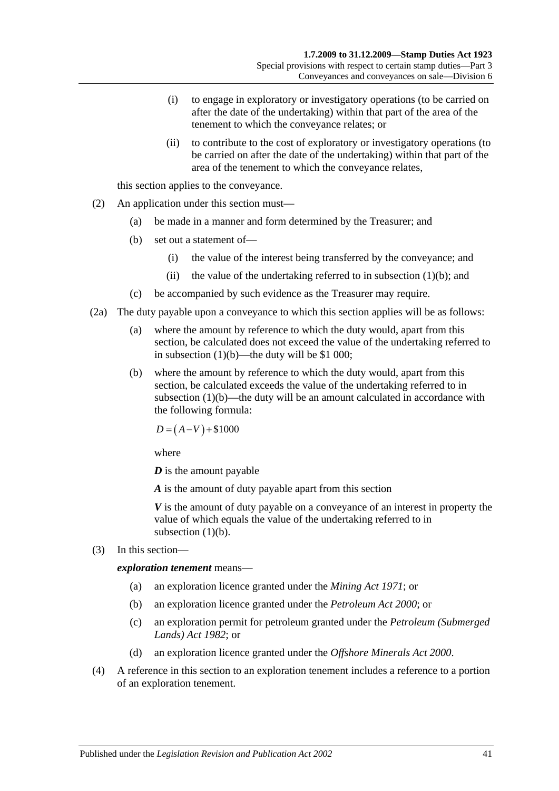- (i) to engage in exploratory or investigatory operations (to be carried on after the date of the undertaking) within that part of the area of the tenement to which the conveyance relates; or
- (ii) to contribute to the cost of exploratory or investigatory operations (to be carried on after the date of the undertaking) within that part of the area of the tenement to which the conveyance relates,

this section applies to the conveyance.

- (2) An application under this section must—
	- (a) be made in a manner and form determined by the Treasurer; and
	- (b) set out a statement of—
		- (i) the value of the interest being transferred by the conveyance; and
		- (ii) the value of the undertaking referred to in [subsection](#page-57-3)  $(1)(b)$ ; and
	- (c) be accompanied by such evidence as the Treasurer may require.
- (2a) The duty payable upon a conveyance to which this section applies will be as follows:
	- (a) where the amount by reference to which the duty would, apart from this section, be calculated does not exceed the value of the undertaking referred to in [subsection](#page-57-3)  $(1)(b)$ —the duty will be \$1 000;
	- (b) where the amount by reference to which the duty would, apart from this section, be calculated exceeds the value of the undertaking referred to in [subsection](#page-57-3) (1)(b)—the duty will be an amount calculated in accordance with the following formula:

 $D = (A-V) + $1000$ 

where

*D* is the amount payable

*A* is the amount of duty payable apart from this section

*V* is the amount of duty payable on a conveyance of an interest in property the value of which equals the value of the undertaking referred to in [subsection](#page-57-3)  $(1)(b)$ .

(3) In this section—

*exploration tenement* means—

- (a) an exploration licence granted under the *[Mining Act](http://www.legislation.sa.gov.au/index.aspx?action=legref&type=act&legtitle=Mining%20Act%201971) 1971*; or
- (b) an exploration licence granted under the *[Petroleum Act](http://www.legislation.sa.gov.au/index.aspx?action=legref&type=act&legtitle=Petroleum%20Act%202000) 2000*; or
- (c) an exploration permit for petroleum granted under the *[Petroleum \(Submerged](http://www.legislation.sa.gov.au/index.aspx?action=legref&type=act&legtitle=Petroleum%20(Submerged%20Lands)%20Act%201982)  [Lands\) Act](http://www.legislation.sa.gov.au/index.aspx?action=legref&type=act&legtitle=Petroleum%20(Submerged%20Lands)%20Act%201982) 1982*; or
- (d) an exploration licence granted under the *[Offshore Minerals Act](http://www.legislation.sa.gov.au/index.aspx?action=legref&type=act&legtitle=Offshore%20Minerals%20Act%202000) 2000*.
- (4) A reference in this section to an exploration tenement includes a reference to a portion of an exploration tenement.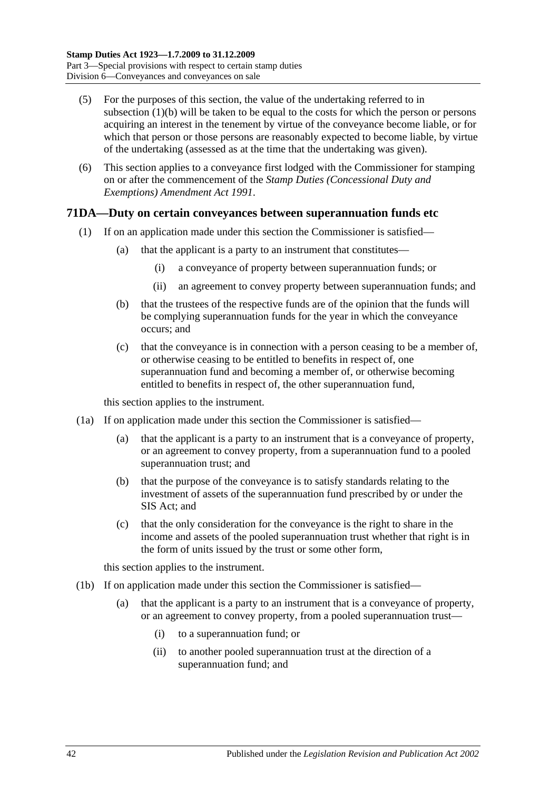- (5) For the purposes of this section, the value of the undertaking referred to in [subsection](#page-57-3) (1)(b) will be taken to be equal to the costs for which the person or persons acquiring an interest in the tenement by virtue of the conveyance become liable, or for which that person or those persons are reasonably expected to become liable, by virtue of the undertaking (assessed as at the time that the undertaking was given).
- (6) This section applies to a conveyance first lodged with the Commissioner for stamping on or after the commencement of the *[Stamp Duties \(Concessional Duty and](http://www.legislation.sa.gov.au/index.aspx?action=legref&type=act&legtitle=Stamp%20Duties%20(Concessional%20Duty%20and%20Exemptions)%20Amendment%20Act%201991)  [Exemptions\) Amendment Act](http://www.legislation.sa.gov.au/index.aspx?action=legref&type=act&legtitle=Stamp%20Duties%20(Concessional%20Duty%20and%20Exemptions)%20Amendment%20Act%201991) 1991*.

## <span id="page-59-0"></span>**71DA—Duty on certain conveyances between superannuation funds etc**

- (1) If on an application made under this section the Commissioner is satisfied—
	- (a) that the applicant is a party to an instrument that constitutes—
		- (i) a conveyance of property between superannuation funds; or
		- (ii) an agreement to convey property between superannuation funds; and
	- (b) that the trustees of the respective funds are of the opinion that the funds will be complying superannuation funds for the year in which the conveyance occurs; and
	- (c) that the conveyance is in connection with a person ceasing to be a member of, or otherwise ceasing to be entitled to benefits in respect of, one superannuation fund and becoming a member of, or otherwise becoming entitled to benefits in respect of, the other superannuation fund,

this section applies to the instrument.

- <span id="page-59-1"></span>(1a) If on application made under this section the Commissioner is satisfied—
	- (a) that the applicant is a party to an instrument that is a conveyance of property, or an agreement to convey property, from a superannuation fund to a pooled superannuation trust; and
	- (b) that the purpose of the conveyance is to satisfy standards relating to the investment of assets of the superannuation fund prescribed by or under the SIS Act; and
	- (c) that the only consideration for the conveyance is the right to share in the income and assets of the pooled superannuation trust whether that right is in the form of units issued by the trust or some other form,

this section applies to the instrument.

- <span id="page-59-2"></span>(1b) If on application made under this section the Commissioner is satisfied
	- that the applicant is a party to an instrument that is a conveyance of property, or an agreement to convey property, from a pooled superannuation trust—
		- (i) to a superannuation fund; or
		- (ii) to another pooled superannuation trust at the direction of a superannuation fund; and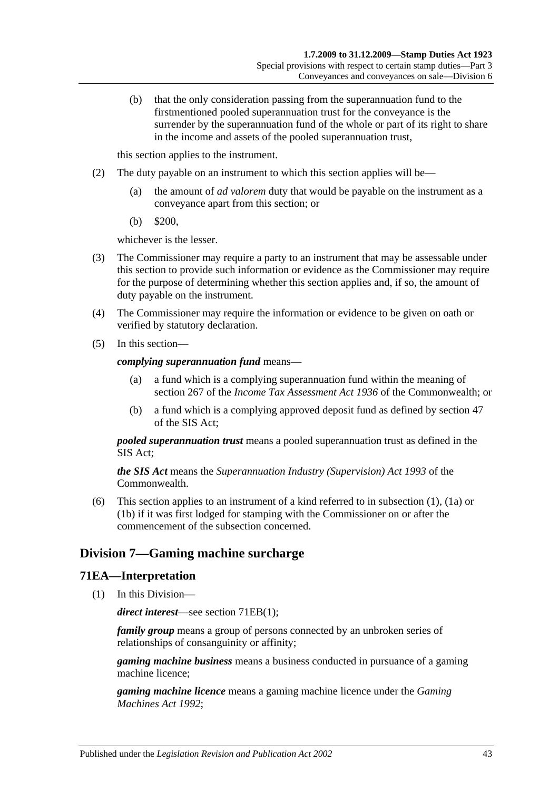(b) that the only consideration passing from the superannuation fund to the firstmentioned pooled superannuation trust for the conveyance is the surrender by the superannuation fund of the whole or part of its right to share in the income and assets of the pooled superannuation trust,

this section applies to the instrument.

- (2) The duty payable on an instrument to which this section applies will be—
	- (a) the amount of *ad valorem* duty that would be payable on the instrument as a conveyance apart from this section; or
	- (b) \$200,

whichever is the lesser.

- (3) The Commissioner may require a party to an instrument that may be assessable under this section to provide such information or evidence as the Commissioner may require for the purpose of determining whether this section applies and, if so, the amount of duty payable on the instrument.
- (4) The Commissioner may require the information or evidence to be given on oath or verified by statutory declaration.
- (5) In this section—

#### *complying superannuation fund* means—

- (a) a fund which is a complying superannuation fund within the meaning of section 267 of the *Income Tax Assessment Act 1936* of the Commonwealth; or
- (b) a fund which is a complying approved deposit fund as defined by section 47 of the SIS Act;

*pooled superannuation trust* means a pooled superannuation trust as defined in the SIS Act;

*the SIS Act* means the *Superannuation Industry (Supervision) Act 1993* of the **Commonwealth** 

(6) This section applies to an instrument of a kind referred to in [subsection](#page-59-0) (1), [\(1a\)](#page-59-1) or [\(1b\)](#page-59-2) if it was first lodged for stamping with the Commissioner on or after the commencement of the subsection concerned.

# **Division 7—Gaming machine surcharge**

### **71EA—Interpretation**

(1) In this Division—

*direct interest*—see section [71EB\(1\);](#page-62-0)

*family group* means a group of persons connected by an unbroken series of relationships of consanguinity or affinity;

*gaming machine business* means a business conducted in pursuance of a gaming machine licence;

*gaming machine licence* means a gaming machine licence under the *[Gaming](http://www.legislation.sa.gov.au/index.aspx?action=legref&type=act&legtitle=Gaming%20Machines%20Act%201992)  [Machines Act](http://www.legislation.sa.gov.au/index.aspx?action=legref&type=act&legtitle=Gaming%20Machines%20Act%201992) 1992*;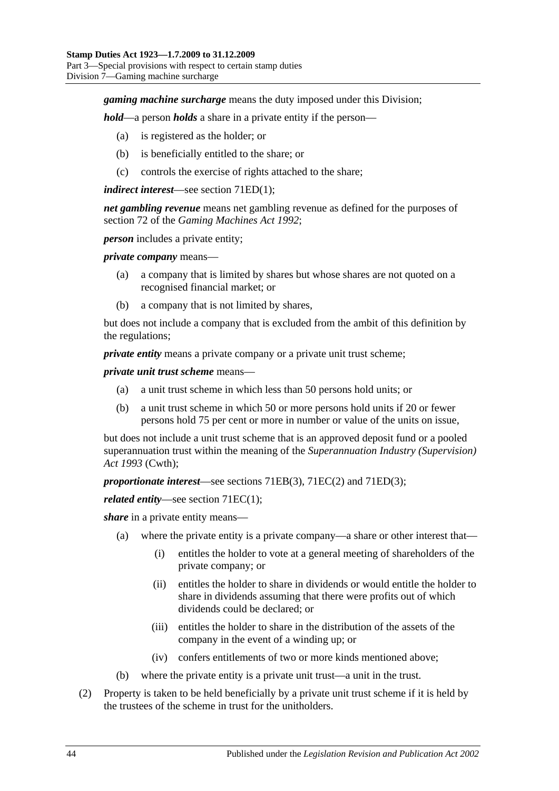### *gaming machine surcharge* means the duty imposed under this Division;

*hold*—a person *holds* a share in a private entity if the person—

- (a) is registered as the holder; or
- (b) is beneficially entitled to the share; or
- (c) controls the exercise of rights attached to the share;

#### *indirect interest*—see section [71ED\(1\);](#page-62-1)

*net gambling revenue* means net gambling revenue as defined for the purposes of section 72 of the *[Gaming Machines Act](http://www.legislation.sa.gov.au/index.aspx?action=legref&type=act&legtitle=Gaming%20Machines%20Act%201992) 1992*;

*person* includes a private entity;

*private company* means—

- (a) a company that is limited by shares but whose shares are not quoted on a recognised financial market; or
- (b) a company that is not limited by shares,

but does not include a company that is excluded from the ambit of this definition by the regulations;

*private entity* means a private company or a private unit trust scheme;

*private unit trust scheme* means—

- (a) a unit trust scheme in which less than 50 persons hold units; or
- (b) a unit trust scheme in which 50 or more persons hold units if 20 or fewer persons hold 75 per cent or more in number or value of the units on issue,

but does not include a unit trust scheme that is an approved deposit fund or a pooled superannuation trust within the meaning of the *Superannuation Industry (Supervision) Act 1993* (Cwth);

*proportionate interest*—see sections [71EB\(3\),](#page-62-2) [71EC\(2\)](#page-62-3) and [71ED\(3\);](#page-62-4)

*related entity*—see section [71EC\(1\);](#page-62-5)

*share* in a private entity means—

- (a) where the private entity is a private company—a share or other interest that—
	- (i) entitles the holder to vote at a general meeting of shareholders of the private company; or
	- (ii) entitles the holder to share in dividends or would entitle the holder to share in dividends assuming that there were profits out of which dividends could be declared; or
	- (iii) entitles the holder to share in the distribution of the assets of the company in the event of a winding up; or
	- (iv) confers entitlements of two or more kinds mentioned above;
- (b) where the private entity is a private unit trust—a unit in the trust.
- (2) Property is taken to be held beneficially by a private unit trust scheme if it is held by the trustees of the scheme in trust for the unitholders.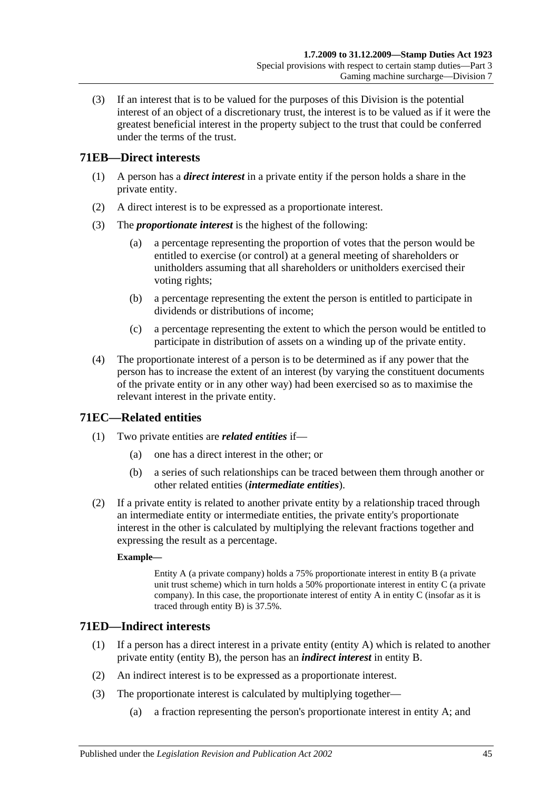(3) If an interest that is to be valued for the purposes of this Division is the potential interest of an object of a discretionary trust, the interest is to be valued as if it were the greatest beneficial interest in the property subject to the trust that could be conferred under the terms of the trust.

# <span id="page-62-0"></span>**71EB—Direct interests**

- (1) A person has a *direct interest* in a private entity if the person holds a share in the private entity.
- (2) A direct interest is to be expressed as a proportionate interest.
- <span id="page-62-2"></span>(3) The *proportionate interest* is the highest of the following:
	- (a) a percentage representing the proportion of votes that the person would be entitled to exercise (or control) at a general meeting of shareholders or unitholders assuming that all shareholders or unitholders exercised their voting rights;
	- (b) a percentage representing the extent the person is entitled to participate in dividends or distributions of income;
	- (c) a percentage representing the extent to which the person would be entitled to participate in distribution of assets on a winding up of the private entity.
- (4) The proportionate interest of a person is to be determined as if any power that the person has to increase the extent of an interest (by varying the constituent documents of the private entity or in any other way) had been exercised so as to maximise the relevant interest in the private entity.

# <span id="page-62-5"></span>**71EC—Related entities**

- (1) Two private entities are *related entities* if—
	- (a) one has a direct interest in the other; or
	- (b) a series of such relationships can be traced between them through another or other related entities (*intermediate entities*).
- <span id="page-62-3"></span>(2) If a private entity is related to another private entity by a relationship traced through an intermediate entity or intermediate entities, the private entity's proportionate interest in the other is calculated by multiplying the relevant fractions together and expressing the result as a percentage.

### **Example—**

Entity A (a private company) holds a 75% proportionate interest in entity B (a private unit trust scheme) which in turn holds a  $50\%$  proportionate interest in entity C (a private company). In this case, the proportionate interest of entity A in entity C (insofar as it is traced through entity B) is 37.5%.

## <span id="page-62-1"></span>**71ED—Indirect interests**

- (1) If a person has a direct interest in a private entity (entity A) which is related to another private entity (entity B), the person has an *indirect interest* in entity B.
- (2) An indirect interest is to be expressed as a proportionate interest.
- <span id="page-62-4"></span>(3) The proportionate interest is calculated by multiplying together—
	- (a) a fraction representing the person's proportionate interest in entity A; and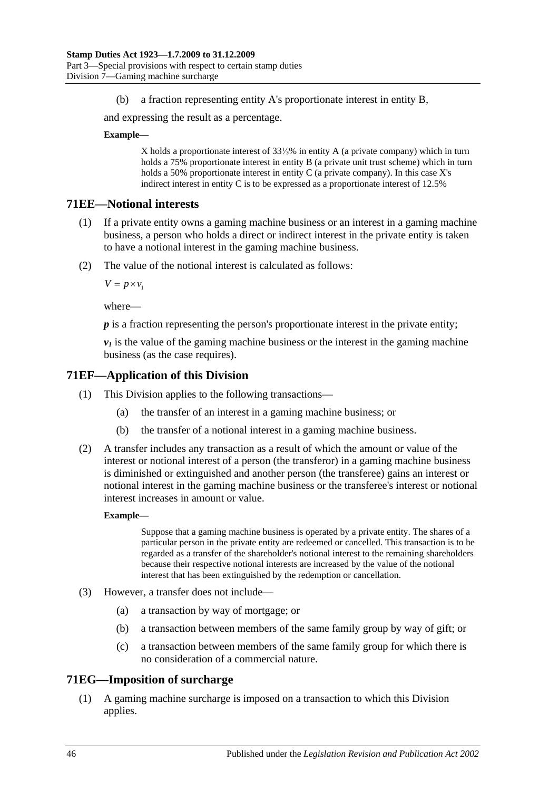(b) a fraction representing entity A's proportionate interest in entity B,

and expressing the result as a percentage.

#### **Example—**

X holds a proportionate interest of 33⅓% in entity A (a private company) which in turn holds a 75% proportionate interest in entity B (a private unit trust scheme) which in turn holds a 50% proportionate interest in entity C (a private company). In this case X's indirect interest in entity C is to be expressed as a proportionate interest of 12.5%

### **71EE—Notional interests**

- (1) If a private entity owns a gaming machine business or an interest in a gaming machine business, a person who holds a direct or indirect interest in the private entity is taken to have a notional interest in the gaming machine business.
- (2) The value of the notional interest is calculated as follows:

 $V = p \times v_1$ 

where—

*p* is a fraction representing the person's proportionate interest in the private entity;

 $v_1$  is the value of the gaming machine business or the interest in the gaming machine business (as the case requires).

### **71EF—Application of this Division**

- (1) This Division applies to the following transactions—
	- (a) the transfer of an interest in a gaming machine business; or
	- (b) the transfer of a notional interest in a gaming machine business.
- (2) A transfer includes any transaction as a result of which the amount or value of the interest or notional interest of a person (the transferor) in a gaming machine business is diminished or extinguished and another person (the transferee) gains an interest or notional interest in the gaming machine business or the transferee's interest or notional interest increases in amount or value.

#### **Example—**

Suppose that a gaming machine business is operated by a private entity. The shares of a particular person in the private entity are redeemed or cancelled. This transaction is to be regarded as a transfer of the shareholder's notional interest to the remaining shareholders because their respective notional interests are increased by the value of the notional interest that has been extinguished by the redemption or cancellation.

- (3) However, a transfer does not include—
	- (a) a transaction by way of mortgage; or
	- (b) a transaction between members of the same family group by way of gift; or
	- (c) a transaction between members of the same family group for which there is no consideration of a commercial nature.

### **71EG—Imposition of surcharge**

(1) A gaming machine surcharge is imposed on a transaction to which this Division applies.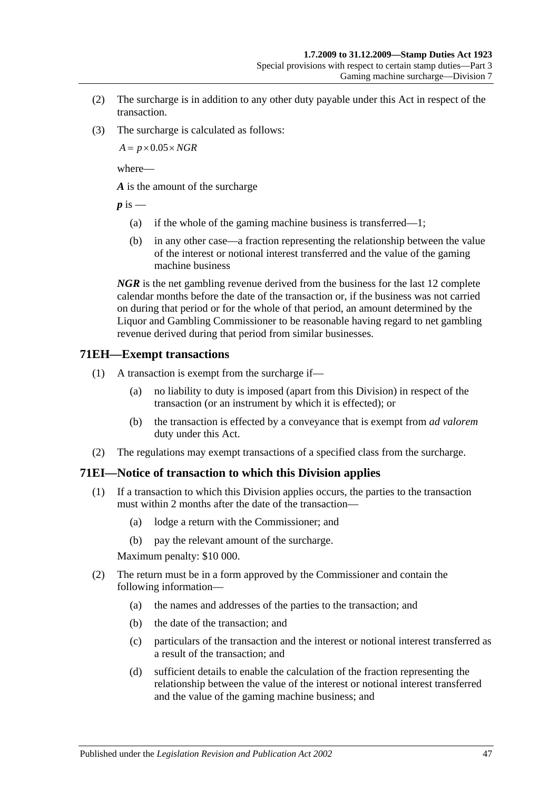- (2) The surcharge is in addition to any other duty payable under this Act in respect of the transaction.
- (3) The surcharge is calculated as follows:

 $A = p \times 0.05 \times NGR$ 

where—

*A* is the amount of the surcharge

 $p$  is  $-$ 

- (a) if the whole of the gaming machine business is transferred—1;
- (b) in any other case—a fraction representing the relationship between the value of the interest or notional interest transferred and the value of the gaming machine business

*NGR* is the net gambling revenue derived from the business for the last 12 complete calendar months before the date of the transaction or, if the business was not carried on during that period or for the whole of that period, an amount determined by the Liquor and Gambling Commissioner to be reasonable having regard to net gambling revenue derived during that period from similar businesses.

### **71EH—Exempt transactions**

- (1) A transaction is exempt from the surcharge if—
	- (a) no liability to duty is imposed (apart from this Division) in respect of the transaction (or an instrument by which it is effected); or
	- (b) the transaction is effected by a conveyance that is exempt from *ad valorem* duty under this Act.
- (2) The regulations may exempt transactions of a specified class from the surcharge.

## **71EI—Notice of transaction to which this Division applies**

- (1) If a transaction to which this Division applies occurs, the parties to the transaction must within 2 months after the date of the transaction—
	- (a) lodge a return with the Commissioner; and
	- (b) pay the relevant amount of the surcharge.

Maximum penalty: \$10 000.

- (2) The return must be in a form approved by the Commissioner and contain the following information—
	- (a) the names and addresses of the parties to the transaction; and
	- (b) the date of the transaction; and
	- (c) particulars of the transaction and the interest or notional interest transferred as a result of the transaction; and
	- (d) sufficient details to enable the calculation of the fraction representing the relationship between the value of the interest or notional interest transferred and the value of the gaming machine business; and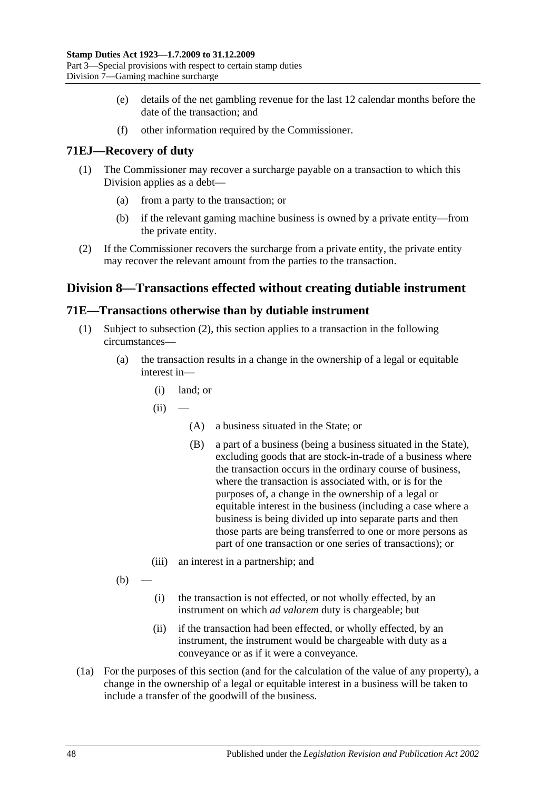- (e) details of the net gambling revenue for the last 12 calendar months before the date of the transaction; and
- (f) other information required by the Commissioner.

# **71EJ—Recovery of duty**

- (1) The Commissioner may recover a surcharge payable on a transaction to which this Division applies as a debt—
	- (a) from a party to the transaction; or
	- (b) if the relevant gaming machine business is owned by a private entity—from the private entity.
- (2) If the Commissioner recovers the surcharge from a private entity, the private entity may recover the relevant amount from the parties to the transaction.

# **Division 8—Transactions effected without creating dutiable instrument**

## <span id="page-65-0"></span>**71E—Transactions otherwise than by dutiable instrument**

- (1) Subject to [subsection](#page-66-0) (2), this section applies to a transaction in the following circumstances—
	- (a) the transaction results in a change in the ownership of a legal or equitable interest in—
		- (i) land; or
		- $(ii)$ 
			- (A) a business situated in the State; or
			- (B) a part of a business (being a business situated in the State), excluding goods that are stock-in-trade of a business where the transaction occurs in the ordinary course of business, where the transaction is associated with, or is for the purposes of, a change in the ownership of a legal or equitable interest in the business (including a case where a business is being divided up into separate parts and then those parts are being transferred to one or more persons as part of one transaction or one series of transactions); or
		- (iii) an interest in a partnership; and
	- $(b)$
- (i) the transaction is not effected, or not wholly effected, by an instrument on which *ad valorem* duty is chargeable; but
- (ii) if the transaction had been effected, or wholly effected, by an instrument, the instrument would be chargeable with duty as a conveyance or as if it were a conveyance.
- (1a) For the purposes of this section (and for the calculation of the value of any property), a change in the ownership of a legal or equitable interest in a business will be taken to include a transfer of the goodwill of the business.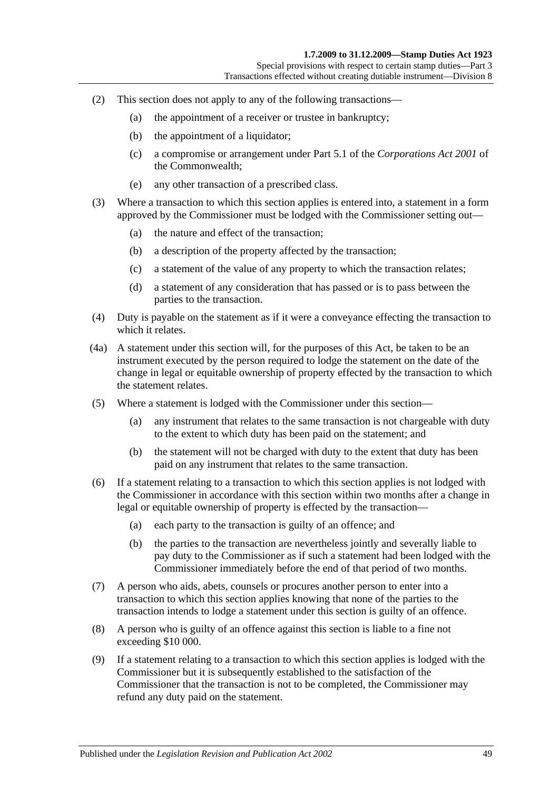- <span id="page-66-0"></span>(2) This section does not apply to any of the following transactions—
	- (a) the appointment of a receiver or trustee in bankruptcy;
	- (b) the appointment of a liquidator;
	- (c) a compromise or arrangement under Part 5.1 of the *Corporations Act 2001* of the Commonwealth;
	- (e) any other transaction of a prescribed class.
- (3) Where a transaction to which this section applies is entered into, a statement in a form approved by the Commissioner must be lodged with the Commissioner setting out—
	- (a) the nature and effect of the transaction;
	- (b) a description of the property affected by the transaction;
	- (c) a statement of the value of any property to which the transaction relates;
	- (d) a statement of any consideration that has passed or is to pass between the parties to the transaction.
- (4) Duty is payable on the statement as if it were a conveyance effecting the transaction to which it relates.
- (4a) A statement under this section will, for the purposes of this Act, be taken to be an instrument executed by the person required to lodge the statement on the date of the change in legal or equitable ownership of property effected by the transaction to which the statement relates.
- (5) Where a statement is lodged with the Commissioner under this section—
	- (a) any instrument that relates to the same transaction is not chargeable with duty to the extent to which duty has been paid on the statement; and
	- (b) the statement will not be charged with duty to the extent that duty has been paid on any instrument that relates to the same transaction.
- (6) If a statement relating to a transaction to which this section applies is not lodged with the Commissioner in accordance with this section within two months after a change in legal or equitable ownership of property is effected by the transaction—
	- (a) each party to the transaction is guilty of an offence; and
	- (b) the parties to the transaction are nevertheless jointly and severally liable to pay duty to the Commissioner as if such a statement had been lodged with the Commissioner immediately before the end of that period of two months.
- (7) A person who aids, abets, counsels or procures another person to enter into a transaction to which this section applies knowing that none of the parties to the transaction intends to lodge a statement under this section is guilty of an offence.
- (8) A person who is guilty of an offence against this section is liable to a fine not exceeding \$10 000.
- (9) If a statement relating to a transaction to which this section applies is lodged with the Commissioner but it is subsequently established to the satisfaction of the Commissioner that the transaction is not to be completed, the Commissioner may refund any duty paid on the statement.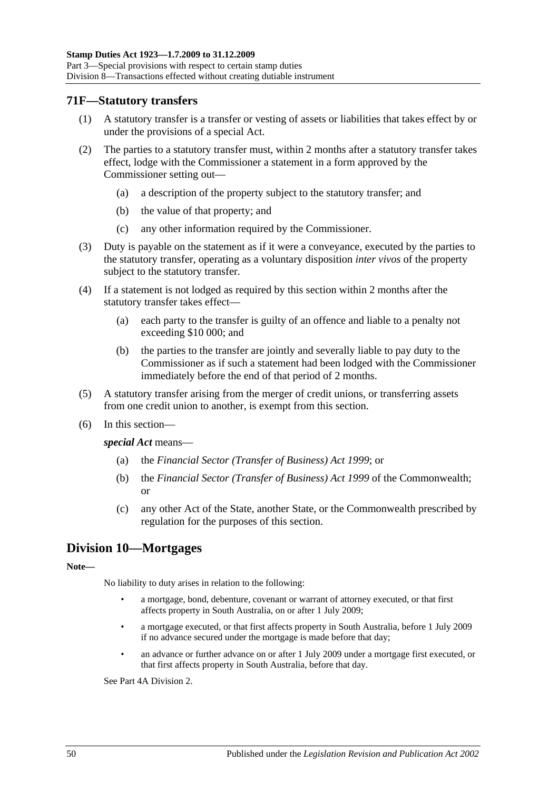### **71F—Statutory transfers**

- (1) A statutory transfer is a transfer or vesting of assets or liabilities that takes effect by or under the provisions of a special Act.
- (2) The parties to a statutory transfer must, within 2 months after a statutory transfer takes effect, lodge with the Commissioner a statement in a form approved by the Commissioner setting out—
	- (a) a description of the property subject to the statutory transfer; and
	- (b) the value of that property; and
	- (c) any other information required by the Commissioner.
- (3) Duty is payable on the statement as if it were a conveyance, executed by the parties to the statutory transfer, operating as a voluntary disposition *inter vivos* of the property subject to the statutory transfer.
- (4) If a statement is not lodged as required by this section within 2 months after the statutory transfer takes effect—
	- (a) each party to the transfer is guilty of an offence and liable to a penalty not exceeding \$10 000; and
	- (b) the parties to the transfer are jointly and severally liable to pay duty to the Commissioner as if such a statement had been lodged with the Commissioner immediately before the end of that period of 2 months.
- (5) A statutory transfer arising from the merger of credit unions, or transferring assets from one credit union to another, is exempt from this section.
- (6) In this section—

*special Act* means—

- (a) the *[Financial Sector \(Transfer of Business\) Act](http://www.legislation.sa.gov.au/index.aspx?action=legref&type=act&legtitle=Financial%20Sector%20(Transfer%20of%20Business)%20Act%201999) 1999*; or
- (b) the *Financial Sector (Transfer of Business) Act 1999* of the Commonwealth; or
- (c) any other Act of the State, another State, or the Commonwealth prescribed by regulation for the purposes of this section.

# **Division 10—Mortgages**

#### **Note—**

No liability to duty arises in relation to the following:

- a mortgage, bond, debenture, covenant or warrant of attorney executed, or that first affects property in South Australia, on or after 1 July 2009;
- a mortgage executed, or that first affects property in South Australia, before 1 July 2009 if no advance secured under the mortgage is made before that day;
- an advance or further advance on or after 1 July 2009 under a mortgage first executed, or that first affects property in South Australia, before that day.

Se[e Part 4A Division 2.](#page-90-0)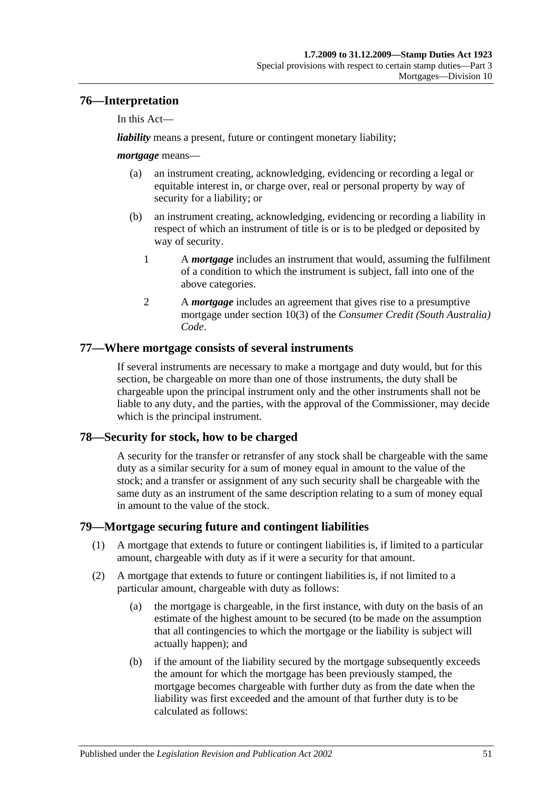# **76—Interpretation**

In this Act—

*liability* means a present, future or contingent monetary liability;

### *mortgage* means—

- (a) an instrument creating, acknowledging, evidencing or recording a legal or equitable interest in, or charge over, real or personal property by way of security for a liability; or
- (b) an instrument creating, acknowledging, evidencing or recording a liability in respect of which an instrument of title is or is to be pledged or deposited by way of security.
	- 1 A *mortgage* includes an instrument that would, assuming the fulfilment of a condition to which the instrument is subject, fall into one of the above categories.
	- 2 A *mortgage* includes an agreement that gives rise to a presumptive mortgage under section 10(3) of the *Consumer Credit (South Australia) Code*.

# **77—Where mortgage consists of several instruments**

If several instruments are necessary to make a mortgage and duty would, but for this section, be chargeable on more than one of those instruments, the duty shall be chargeable upon the principal instrument only and the other instruments shall not be liable to any duty, and the parties, with the approval of the Commissioner, may decide which is the principal instrument.

## **78—Security for stock, how to be charged**

A security for the transfer or retransfer of any stock shall be chargeable with the same duty as a similar security for a sum of money equal in amount to the value of the stock; and a transfer or assignment of any such security shall be chargeable with the same duty as an instrument of the same description relating to a sum of money equal in amount to the value of the stock.

## **79—Mortgage securing future and contingent liabilities**

- (1) A mortgage that extends to future or contingent liabilities is, if limited to a particular amount, chargeable with duty as if it were a security for that amount.
- <span id="page-68-1"></span><span id="page-68-0"></span>(2) A mortgage that extends to future or contingent liabilities is, if not limited to a particular amount, chargeable with duty as follows:
	- (a) the mortgage is chargeable, in the first instance, with duty on the basis of an estimate of the highest amount to be secured (to be made on the assumption that all contingencies to which the mortgage or the liability is subject will actually happen); and
	- (b) if the amount of the liability secured by the mortgage subsequently exceeds the amount for which the mortgage has been previously stamped, the mortgage becomes chargeable with further duty as from the date when the liability was first exceeded and the amount of that further duty is to be calculated as follows: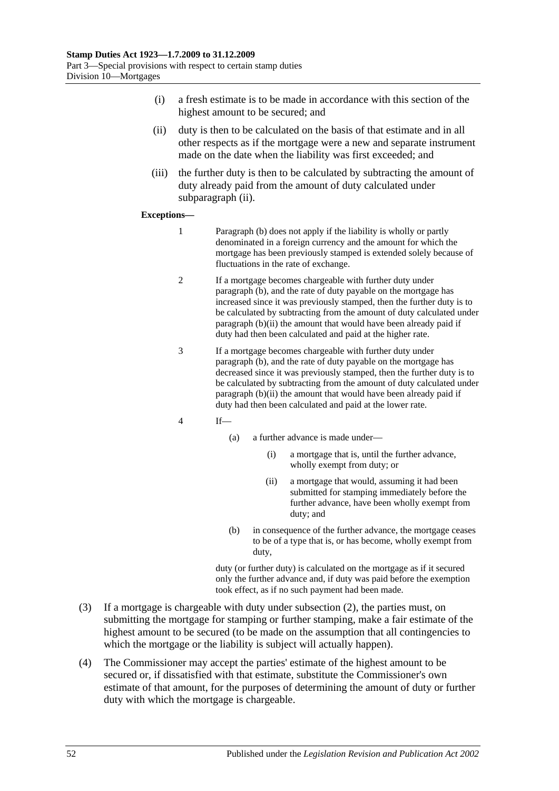- (i) a fresh estimate is to be made in accordance with this section of the highest amount to be secured; and
- <span id="page-69-0"></span>(ii) duty is then to be calculated on the basis of that estimate and in all other respects as if the mortgage were a new and separate instrument made on the date when the liability was first exceeded; and
- (iii) the further duty is then to be calculated by subtracting the amount of duty already paid from the amount of duty calculated under [subparagraph](#page-69-0) (ii).

#### **Exceptions—**

- 1 [Paragraph](#page-68-0) (b) does not apply if the liability is wholly or partly denominated in a foreign currency and the amount for which the mortgage has been previously stamped is extended solely because of fluctuations in the rate of exchange.
- 2 If a mortgage becomes chargeable with further duty under [paragraph](#page-68-0) (b), and the rate of duty payable on the mortgage has increased since it was previously stamped, then the further duty is to be calculated by subtracting from the amount of duty calculated under [paragraph](#page-69-0) (b)(ii) the amount that would have been already paid if duty had then been calculated and paid at the higher rate.
- 3 If a mortgage becomes chargeable with further duty under [paragraph](#page-68-0) (b), and the rate of duty payable on the mortgage has decreased since it was previously stamped, then the further duty is to be calculated by subtracting from the amount of duty calculated under [paragraph](#page-69-0) (b)(ii) the amount that would have been already paid if duty had then been calculated and paid at the lower rate.
- 4 If—
	- (a) a further advance is made under—
		- (i) a mortgage that is, until the further advance, wholly exempt from duty; or
		- (ii) a mortgage that would, assuming it had been submitted for stamping immediately before the further advance, have been wholly exempt from duty; and
	- (b) in consequence of the further advance, the mortgage ceases to be of a type that is, or has become, wholly exempt from duty,

duty (or further duty) is calculated on the mortgage as if it secured only the further advance and, if duty was paid before the exemption took effect, as if no such payment had been made.

- (3) If a mortgage is chargeable with duty under [subsection](#page-68-1) (2), the parties must, on submitting the mortgage for stamping or further stamping, make a fair estimate of the highest amount to be secured (to be made on the assumption that all contingencies to which the mortgage or the liability is subject will actually happen).
- (4) The Commissioner may accept the parties' estimate of the highest amount to be secured or, if dissatisfied with that estimate, substitute the Commissioner's own estimate of that amount, for the purposes of determining the amount of duty or further duty with which the mortgage is chargeable.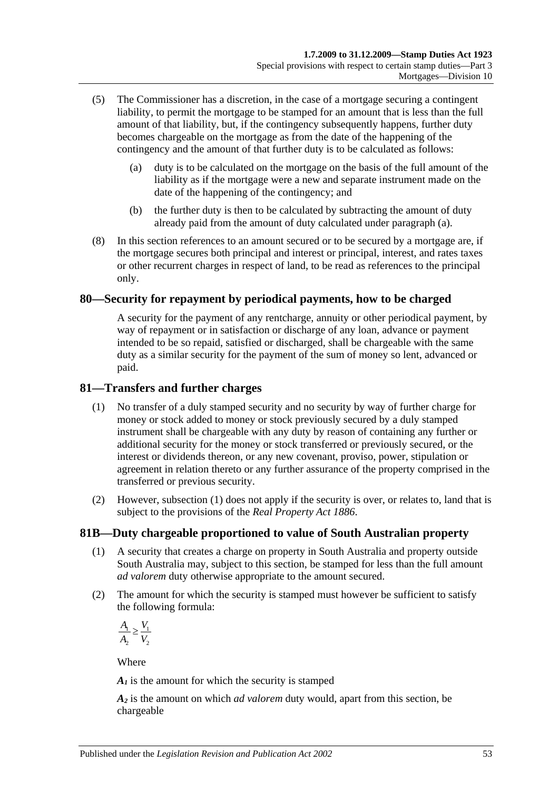- <span id="page-70-0"></span>(5) The Commissioner has a discretion, in the case of a mortgage securing a contingent liability, to permit the mortgage to be stamped for an amount that is less than the full amount of that liability, but, if the contingency subsequently happens, further duty becomes chargeable on the mortgage as from the date of the happening of the contingency and the amount of that further duty is to be calculated as follows:
	- (a) duty is to be calculated on the mortgage on the basis of the full amount of the liability as if the mortgage were a new and separate instrument made on the date of the happening of the contingency; and
	- (b) the further duty is then to be calculated by subtracting the amount of duty already paid from the amount of duty calculated under [paragraph](#page-70-0) (a).
- (8) In this section references to an amount secured or to be secured by a mortgage are, if the mortgage secures both principal and interest or principal, interest, and rates taxes or other recurrent charges in respect of land, to be read as references to the principal only.

## **80—Security for repayment by periodical payments, how to be charged**

A security for the payment of any rentcharge, annuity or other periodical payment, by way of repayment or in satisfaction or discharge of any loan, advance or payment intended to be so repaid, satisfied or discharged, shall be chargeable with the same duty as a similar security for the payment of the sum of money so lent, advanced or paid.

## <span id="page-70-1"></span>**81—Transfers and further charges**

- (1) No transfer of a duly stamped security and no security by way of further charge for money or stock added to money or stock previously secured by a duly stamped instrument shall be chargeable with any duty by reason of containing any further or additional security for the money or stock transferred or previously secured, or the interest or dividends thereon, or any new covenant, proviso, power, stipulation or agreement in relation thereto or any further assurance of the property comprised in the transferred or previous security.
- (2) However, [subsection](#page-70-1) (1) does not apply if the security is over, or relates to, land that is subject to the provisions of the *[Real Property Act](http://www.legislation.sa.gov.au/index.aspx?action=legref&type=act&legtitle=Real%20Property%20Act%201886) 1886*.

# **81B—Duty chargeable proportioned to value of South Australian property**

- (1) A security that creates a charge on property in South Australia and property outside South Australia may, subject to this section, be stamped for less than the full amount *ad valorem* duty otherwise appropriate to the amount secured.
- (2) The amount for which the security is stamped must however be sufficient to satisfy the following formula:

 $\frac{1}{1} > \frac{1}{1}$ 2 2  $A_{\!\scriptscriptstyle 1} \supset V_{\!\scriptscriptstyle 2}$  $A_2$  V ≥

Where

 $A<sub>I</sub>$  is the amount for which the security is stamped

*A2* is the amount on which *ad valorem* duty would, apart from this section, be chargeable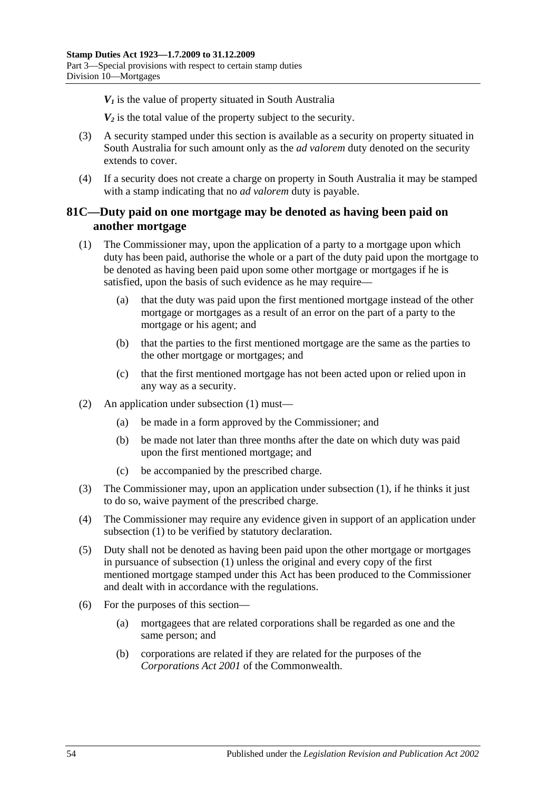$V_1$  is the value of property situated in South Australia

*V2* is the total value of the property subject to the security.

- (3) A security stamped under this section is available as a security on property situated in South Australia for such amount only as the *ad valorem* duty denoted on the security extends to cover.
- (4) If a security does not create a charge on property in South Australia it may be stamped with a stamp indicating that no *ad valorem* duty is payable.

# **81C—Duty paid on one mortgage may be denoted as having been paid on another mortgage**

- <span id="page-71-0"></span>(1) The Commissioner may, upon the application of a party to a mortgage upon which duty has been paid, authorise the whole or a part of the duty paid upon the mortgage to be denoted as having been paid upon some other mortgage or mortgages if he is satisfied, upon the basis of such evidence as he may require—
	- (a) that the duty was paid upon the first mentioned mortgage instead of the other mortgage or mortgages as a result of an error on the part of a party to the mortgage or his agent; and
	- (b) that the parties to the first mentioned mortgage are the same as the parties to the other mortgage or mortgages; and
	- (c) that the first mentioned mortgage has not been acted upon or relied upon in any way as a security.
- (2) An application under [subsection](#page-71-0) (1) must—
	- (a) be made in a form approved by the Commissioner; and
	- (b) be made not later than three months after the date on which duty was paid upon the first mentioned mortgage; and
	- (c) be accompanied by the prescribed charge.
- (3) The Commissioner may, upon an application under [subsection](#page-71-0) (1), if he thinks it just to do so, waive payment of the prescribed charge.
- (4) The Commissioner may require any evidence given in support of an application under [subsection](#page-71-0) (1) to be verified by statutory declaration.
- (5) Duty shall not be denoted as having been paid upon the other mortgage or mortgages in pursuance of [subsection](#page-71-0) (1) unless the original and every copy of the first mentioned mortgage stamped under this Act has been produced to the Commissioner and dealt with in accordance with the regulations.
- (6) For the purposes of this section—
	- (a) mortgagees that are related corporations shall be regarded as one and the same person; and
	- (b) corporations are related if they are related for the purposes of the *Corporations Act 2001* of the Commonwealth.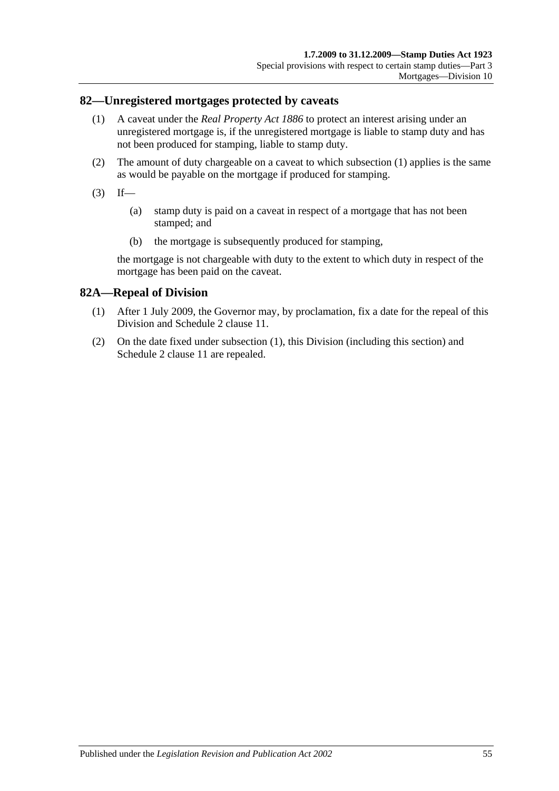### <span id="page-72-0"></span>**82—Unregistered mortgages protected by caveats**

- (1) A caveat under the *[Real Property Act](http://www.legislation.sa.gov.au/index.aspx?action=legref&type=act&legtitle=Real%20Property%20Act%201886) 1886* to protect an interest arising under an unregistered mortgage is, if the unregistered mortgage is liable to stamp duty and has not been produced for stamping, liable to stamp duty.
- (2) The amount of duty chargeable on a caveat to which [subsection](#page-72-0) (1) applies is the same as would be payable on the mortgage if produced for stamping.
- $(3)$  If—
	- (a) stamp duty is paid on a caveat in respect of a mortgage that has not been stamped; and
	- (b) the mortgage is subsequently produced for stamping,

the mortgage is not chargeable with duty to the extent to which duty in respect of the mortgage has been paid on the caveat.

## <span id="page-72-1"></span>**82A—Repeal of Division**

- (1) After 1 July 2009, the Governor may, by proclamation, fix a date for the repeal of this Division and Schedule 2 clause 11.
- (2) On the date fixed under [subsection](#page-72-1) (1), this Division (including this section) and Schedule 2 clause 11 are repealed.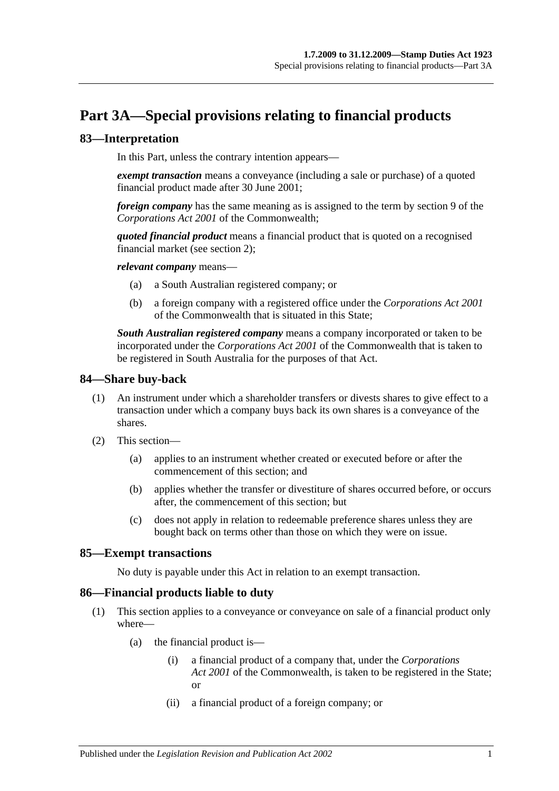# **Part 3A—Special provisions relating to financial products**

## **83—Interpretation**

In this Part, unless the contrary intention appears—

*exempt transaction* means a conveyance (including a sale or purchase) of a quoted financial product made after 30 June 2001;

*foreign company* has the same meaning as is assigned to the term by section 9 of the *Corporations Act 2001* of the Commonwealth;

*quoted financial product* means a financial product that is quoted on a recognised financial market (see [section](#page-6-0) 2);

*relevant company* means—

- (a) a South Australian registered company; or
- (b) a foreign company with a registered office under the *Corporations Act 2001* of the Commonwealth that is situated in this State;

*South Australian registered company* means a company incorporated or taken to be incorporated under the *Corporations Act 2001* of the Commonwealth that is taken to be registered in South Australia for the purposes of that Act.

### **84—Share buy-back**

- (1) An instrument under which a shareholder transfers or divests shares to give effect to a transaction under which a company buys back its own shares is a conveyance of the shares.
- (2) This section—
	- (a) applies to an instrument whether created or executed before or after the commencement of this section; and
	- (b) applies whether the transfer or divestiture of shares occurred before, or occurs after, the commencement of this section; but
	- (c) does not apply in relation to redeemable preference shares unless they are bought back on terms other than those on which they were on issue.

### **85—Exempt transactions**

No duty is payable under this Act in relation to an exempt transaction.

### <span id="page-74-0"></span>**86—Financial products liable to duty**

- (1) This section applies to a conveyance or conveyance on sale of a financial product only where—
	- (a) the financial product is—
		- (i) a financial product of a company that, under the *Corporations Act 2001* of the Commonwealth, is taken to be registered in the State; or
		- (ii) a financial product of a foreign company; or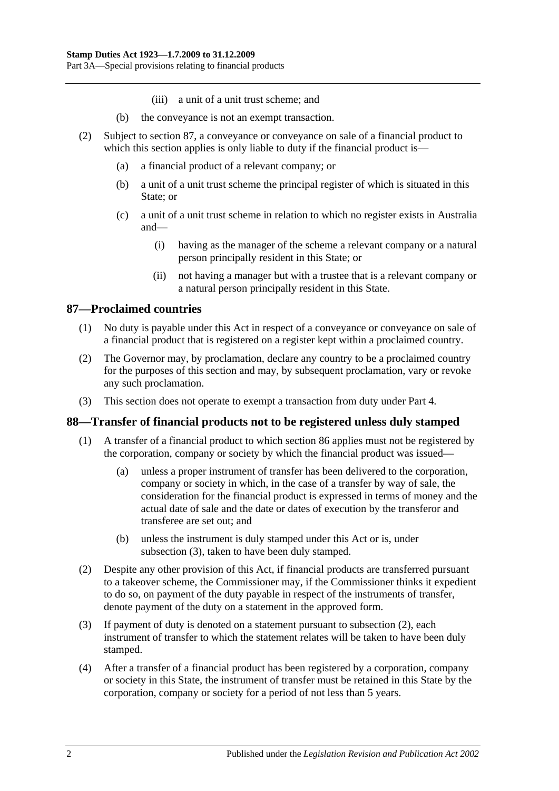- (iii) a unit of a unit trust scheme; and
- (b) the conveyance is not an exempt transaction.
- (2) Subject to [section](#page-75-0) 87, a conveyance or conveyance on sale of a financial product to which this section applies is only liable to duty if the financial product is—
	- (a) a financial product of a relevant company; or
	- (b) a unit of a unit trust scheme the principal register of which is situated in this State; or
	- (c) a unit of a unit trust scheme in relation to which no register exists in Australia and—
		- (i) having as the manager of the scheme a relevant company or a natural person principally resident in this State; or
		- (ii) not having a manager but with a trustee that is a relevant company or a natural person principally resident in this State.

## <span id="page-75-0"></span>**87—Proclaimed countries**

- (1) No duty is payable under this Act in respect of a conveyance or conveyance on sale of a financial product that is registered on a register kept within a proclaimed country.
- (2) The Governor may, by proclamation, declare any country to be a proclaimed country for the purposes of this section and may, by subsequent proclamation, vary or revoke any such proclamation.
- (3) This section does not operate to exempt a transaction from duty under [Part 4.](#page-78-0)

### **88—Transfer of financial products not to be registered unless duly stamped**

- (1) A transfer of a financial product to which [section](#page-74-0) 86 applies must not be registered by the corporation, company or society by which the financial product was issued—
	- (a) unless a proper instrument of transfer has been delivered to the corporation, company or society in which, in the case of a transfer by way of sale, the consideration for the financial product is expressed in terms of money and the actual date of sale and the date or dates of execution by the transferor and transferee are set out; and
	- (b) unless the instrument is duly stamped under this Act or is, under [subsection](#page-75-1) (3), taken to have been duly stamped.
- <span id="page-75-2"></span>(2) Despite any other provision of this Act, if financial products are transferred pursuant to a takeover scheme, the Commissioner may, if the Commissioner thinks it expedient to do so, on payment of the duty payable in respect of the instruments of transfer, denote payment of the duty on a statement in the approved form.
- <span id="page-75-1"></span>(3) If payment of duty is denoted on a statement pursuant to [subsection](#page-75-2) (2), each instrument of transfer to which the statement relates will be taken to have been duly stamped.
- (4) After a transfer of a financial product has been registered by a corporation, company or society in this State, the instrument of transfer must be retained in this State by the corporation, company or society for a period of not less than 5 years.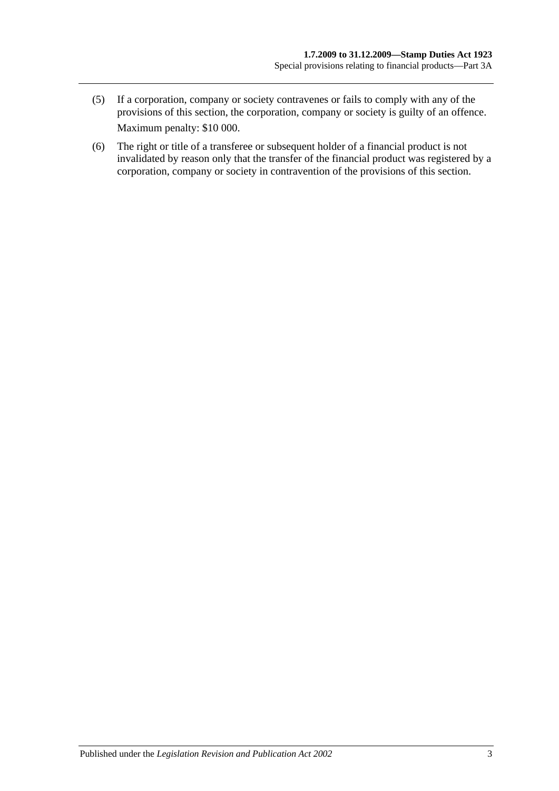- (5) If a corporation, company or society contravenes or fails to comply with any of the provisions of this section, the corporation, company or society is guilty of an offence. Maximum penalty: \$10 000.
- (6) The right or title of a transferee or subsequent holder of a financial product is not invalidated by reason only that the transfer of the financial product was registered by a corporation, company or society in contravention of the provisions of this section.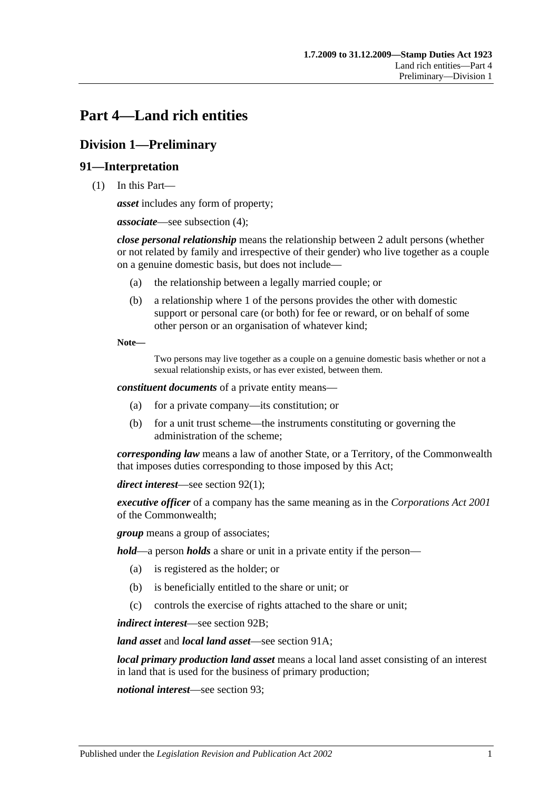# <span id="page-78-0"></span>**Part 4—Land rich entities**

# **Division 1—Preliminary**

## **91—Interpretation**

(1) In this Part—

*asset* includes any form of property;

*associate*—see [subsection](#page-80-0) (4);

*close personal relationship* means the relationship between 2 adult persons (whether or not related by family and irrespective of their gender) who live together as a couple on a genuine domestic basis, but does not include—

- (a) the relationship between a legally married couple; or
- (b) a relationship where 1 of the persons provides the other with domestic support or personal care (or both) for fee or reward, or on behalf of some other person or an organisation of whatever kind;

**Note—**

Two persons may live together as a couple on a genuine domestic basis whether or not a sexual relationship exists, or has ever existed, between them.

*constituent documents* of a private entity means—

- (a) for a private company—its constitution; or
- (b) for a unit trust scheme—the instruments constituting or governing the administration of the scheme;

*corresponding law* means a law of another State, or a Territory, of the Commonwealth that imposes duties corresponding to those imposed by this Act;

*direct interest*—see [section](#page-81-0) 92(1);

*executive officer* of a company has the same meaning as in the *Corporations Act 2001* of the Commonwealth;

*group* means a group of associates;

*hold*—a person *holds* a share or unit in a private entity if the person—

- (a) is registered as the holder; or
- (b) is beneficially entitled to the share or unit; or
- (c) controls the exercise of rights attached to the share or unit;

*indirect interest*—see [section](#page-82-0) 92B;

*land asset* and *local land asset*—see [section](#page-80-1) 91A;

*local primary production land asset* means a local land asset consisting of an interest in land that is used for the business of primary production;

*notional interest*—see [section](#page-82-1) 93;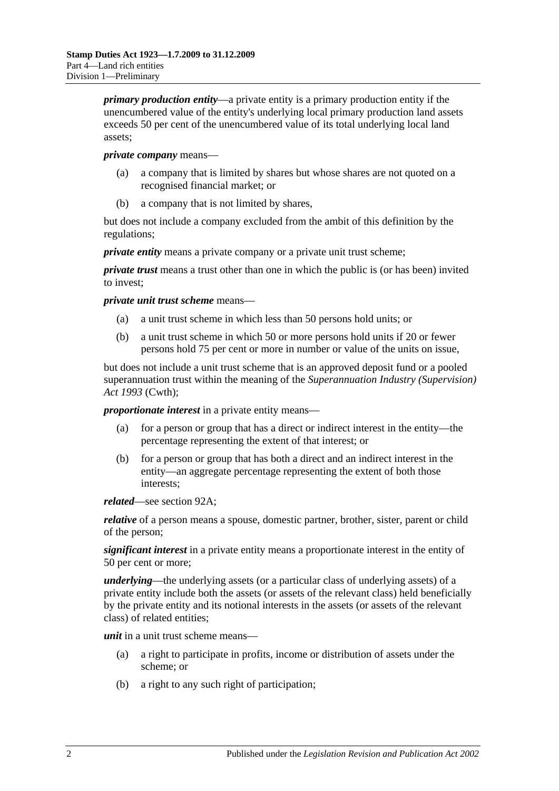*primary production entity*—a private entity is a primary production entity if the unencumbered value of the entity's underlying local primary production land assets exceeds 50 per cent of the unencumbered value of its total underlying local land assets;

#### *private company* means—

- (a) a company that is limited by shares but whose shares are not quoted on a recognised financial market; or
- (b) a company that is not limited by shares,

but does not include a company excluded from the ambit of this definition by the regulations;

*private entity* means a private company or a private unit trust scheme;

*private trust* means a trust other than one in which the public is (or has been) invited to invest;

*private unit trust scheme* means—

- (a) a unit trust scheme in which less than 50 persons hold units; or
- (b) a unit trust scheme in which 50 or more persons hold units if 20 or fewer persons hold 75 per cent or more in number or value of the units on issue,

but does not include a unit trust scheme that is an approved deposit fund or a pooled superannuation trust within the meaning of the *Superannuation Industry (Supervision) Act 1993* (Cwth);

*proportionate interest* in a private entity means—

- (a) for a person or group that has a direct or indirect interest in the entity—the percentage representing the extent of that interest; or
- (b) for a person or group that has both a direct and an indirect interest in the entity—an aggregate percentage representing the extent of both those interests;

*related*—see [section](#page-81-1) 92A;

*relative* of a person means a spouse, domestic partner, brother, sister, parent or child of the person;

*significant interest* in a private entity means a proportionate interest in the entity of 50 per cent or more;

*underlying*—the underlying assets (or a particular class of underlying assets) of a private entity include both the assets (or assets of the relevant class) held beneficially by the private entity and its notional interests in the assets (or assets of the relevant class) of related entities;

*unit* in a unit trust scheme means—

- (a) a right to participate in profits, income or distribution of assets under the scheme; or
- (b) a right to any such right of participation;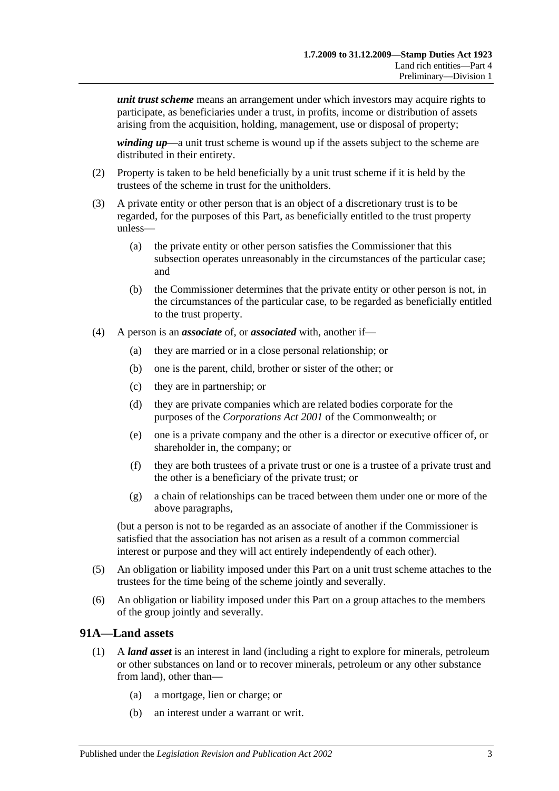*unit trust scheme* means an arrangement under which investors may acquire rights to participate, as beneficiaries under a trust, in profits, income or distribution of assets arising from the acquisition, holding, management, use or disposal of property;

*winding up*—a unit trust scheme is wound up if the assets subject to the scheme are distributed in their entirety.

- (2) Property is taken to be held beneficially by a unit trust scheme if it is held by the trustees of the scheme in trust for the unitholders.
- (3) A private entity or other person that is an object of a discretionary trust is to be regarded, for the purposes of this Part, as beneficially entitled to the trust property unless—
	- (a) the private entity or other person satisfies the Commissioner that this subsection operates unreasonably in the circumstances of the particular case; and
	- (b) the Commissioner determines that the private entity or other person is not, in the circumstances of the particular case, to be regarded as beneficially entitled to the trust property.
- <span id="page-80-0"></span>(4) A person is an *associate* of, or *associated* with, another if—
	- (a) they are married or in a close personal relationship; or
	- (b) one is the parent, child, brother or sister of the other; or
	- (c) they are in partnership; or
	- (d) they are private companies which are related bodies corporate for the purposes of the *Corporations Act 2001* of the Commonwealth; or
	- (e) one is a private company and the other is a director or executive officer of, or shareholder in, the company; or
	- (f) they are both trustees of a private trust or one is a trustee of a private trust and the other is a beneficiary of the private trust; or
	- (g) a chain of relationships can be traced between them under one or more of the above paragraphs,

(but a person is not to be regarded as an associate of another if the Commissioner is satisfied that the association has not arisen as a result of a common commercial interest or purpose and they will act entirely independently of each other).

- (5) An obligation or liability imposed under this Part on a unit trust scheme attaches to the trustees for the time being of the scheme jointly and severally.
- (6) An obligation or liability imposed under this Part on a group attaches to the members of the group jointly and severally.

### <span id="page-80-1"></span>**91A—Land assets**

- (1) A *land asset* is an interest in land (including a right to explore for minerals, petroleum or other substances on land or to recover minerals, petroleum or any other substance from land), other than—
	- (a) a mortgage, lien or charge; or
	- (b) an interest under a warrant or writ.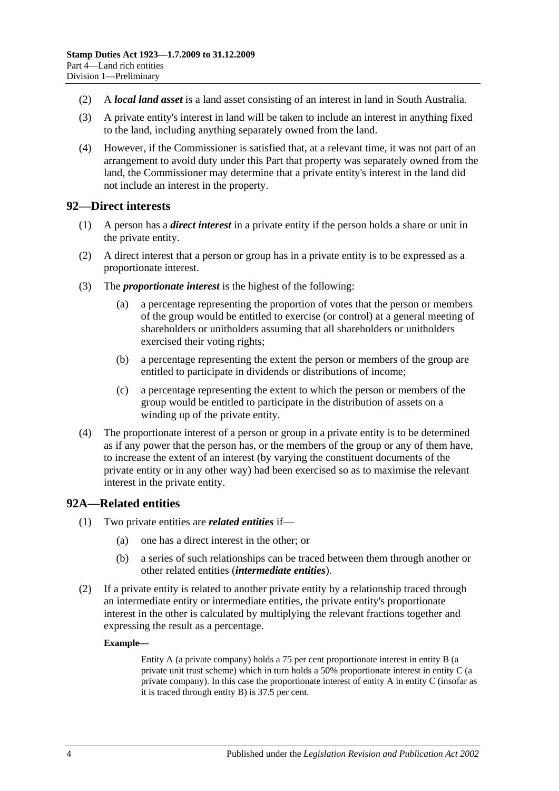- (2) A *local land asset* is a land asset consisting of an interest in land in South Australia.
- (3) A private entity's interest in land will be taken to include an interest in anything fixed to the land, including anything separately owned from the land.
- (4) However, if the Commissioner is satisfied that, at a relevant time, it was not part of an arrangement to avoid duty under this Part that property was separately owned from the land, the Commissioner may determine that a private entity's interest in the land did not include an interest in the property.

### <span id="page-81-0"></span>**92—Direct interests**

- (1) A person has a *direct interest* in a private entity if the person holds a share or unit in the private entity.
- (2) A direct interest that a person or group has in a private entity is to be expressed as a proportionate interest.
- (3) The *proportionate interest* is the highest of the following:
	- (a) a percentage representing the proportion of votes that the person or members of the group would be entitled to exercise (or control) at a general meeting of shareholders or unitholders assuming that all shareholders or unitholders exercised their voting rights;
	- (b) a percentage representing the extent the person or members of the group are entitled to participate in dividends or distributions of income;
	- (c) a percentage representing the extent to which the person or members of the group would be entitled to participate in the distribution of assets on a winding up of the private entity.
- (4) The proportionate interest of a person or group in a private entity is to be determined as if any power that the person has, or the members of the group or any of them have, to increase the extent of an interest (by varying the constituent documents of the private entity or in any other way) had been exercised so as to maximise the relevant interest in the private entity.

### <span id="page-81-1"></span>**92A—Related entities**

- (1) Two private entities are *related entities* if—
	- (a) one has a direct interest in the other; or
	- (b) a series of such relationships can be traced between them through another or other related entities (*intermediate entities*).
- (2) If a private entity is related to another private entity by a relationship traced through an intermediate entity or intermediate entities, the private entity's proportionate interest in the other is calculated by multiplying the relevant fractions together and expressing the result as a percentage.

#### **Example—**

Entity A (a private company) holds a 75 per cent proportionate interest in entity B (a private unit trust scheme) which in turn holds a 50% proportionate interest in entity C (a private company). In this case the proportionate interest of entity A in entity C (insofar as it is traced through entity B) is 37.5 per cent.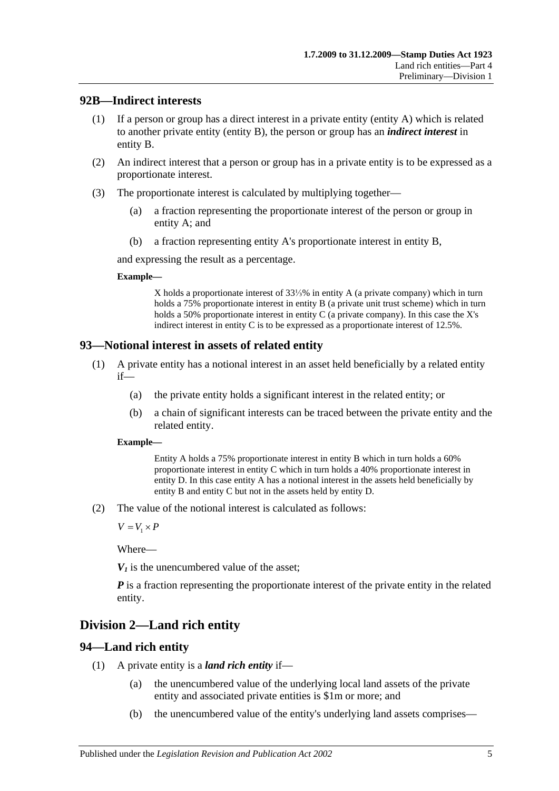### <span id="page-82-0"></span>**92B—Indirect interests**

- (1) If a person or group has a direct interest in a private entity (entity A) which is related to another private entity (entity B), the person or group has an *indirect interest* in entity B.
- (2) An indirect interest that a person or group has in a private entity is to be expressed as a proportionate interest.
- (3) The proportionate interest is calculated by multiplying together—
	- (a) a fraction representing the proportionate interest of the person or group in entity A; and
	- (b) a fraction representing entity A's proportionate interest in entity B,

and expressing the result as a percentage.

### **Example—**

X holds a proportionate interest of 33⅓% in entity A (a private company) which in turn holds a 75% proportionate interest in entity B (a private unit trust scheme) which in turn holds a 50% proportionate interest in entity C (a private company). In this case the X's indirect interest in entity C is to be expressed as a proportionate interest of 12.5%.

## <span id="page-82-1"></span>**93—Notional interest in assets of related entity**

- (1) A private entity has a notional interest in an asset held beneficially by a related entity if—
	- (a) the private entity holds a significant interest in the related entity; or
	- (b) a chain of significant interests can be traced between the private entity and the related entity.

### **Example—**

Entity A holds a 75% proportionate interest in entity B which in turn holds a 60% proportionate interest in entity C which in turn holds a 40% proportionate interest in entity D. In this case entity A has a notional interest in the assets held beneficially by entity B and entity C but not in the assets held by entity D.

(2) The value of the notional interest is calculated as follows:

 $V = V_1 \times P$ 

Where—

 $V_1$  is the unencumbered value of the asset:

*P* is a fraction representing the proportionate interest of the private entity in the related entity.

# **Division 2—Land rich entity**

# <span id="page-82-2"></span>**94—Land rich entity**

- (1) A private entity is a *land rich entity* if—
	- (a) the unencumbered value of the underlying local land assets of the private entity and associated private entities is \$1m or more; and
	- (b) the unencumbered value of the entity's underlying land assets comprises—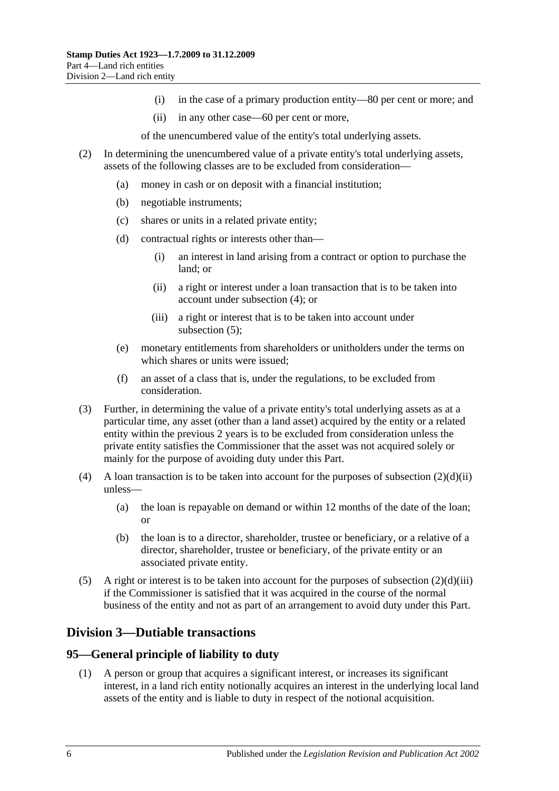- (i) in the case of a primary production entity—80 per cent or more; and
- (ii) in any other case—60 per cent or more,

of the unencumbered value of the entity's total underlying assets.

- <span id="page-83-2"></span>(2) In determining the unencumbered value of a private entity's total underlying assets, assets of the following classes are to be excluded from consideration—
	- (a) money in cash or on deposit with a financial institution;
	- (b) negotiable instruments;
	- (c) shares or units in a related private entity;
	- (d) contractual rights or interests other than—
		- (i) an interest in land arising from a contract or option to purchase the land; or
		- (ii) a right or interest under a loan transaction that is to be taken into account under [subsection](#page-83-0) (4); or
		- (iii) a right or interest that is to be taken into account under [subsection](#page-83-1) (5);
	- (e) monetary entitlements from shareholders or unitholders under the terms on which shares or units were issued;
	- (f) an asset of a class that is, under the regulations, to be excluded from consideration.
- <span id="page-83-3"></span>(3) Further, in determining the value of a private entity's total underlying assets as at a particular time, any asset (other than a land asset) acquired by the entity or a related entity within the previous 2 years is to be excluded from consideration unless the private entity satisfies the Commissioner that the asset was not acquired solely or mainly for the purpose of avoiding duty under this Part.
- <span id="page-83-0"></span>(4) A loan transaction is to be taken into account for the purposes of [subsection](#page-83-2)  $(2)(d)(ii)$ unless—
	- (a) the loan is repayable on demand or within 12 months of the date of the loan; or
	- (b) the loan is to a director, shareholder, trustee or beneficiary, or a relative of a director, shareholder, trustee or beneficiary, of the private entity or an associated private entity.
- <span id="page-83-1"></span>(5) A right or interest is to be taken into account for the purposes of [subsection](#page-83-3)  $(2)(d)(iii)$ if the Commissioner is satisfied that it was acquired in the course of the normal business of the entity and not as part of an arrangement to avoid duty under this Part.

# **Division 3—Dutiable transactions**

### **95—General principle of liability to duty**

(1) A person or group that acquires a significant interest, or increases its significant interest, in a land rich entity notionally acquires an interest in the underlying local land assets of the entity and is liable to duty in respect of the notional acquisition.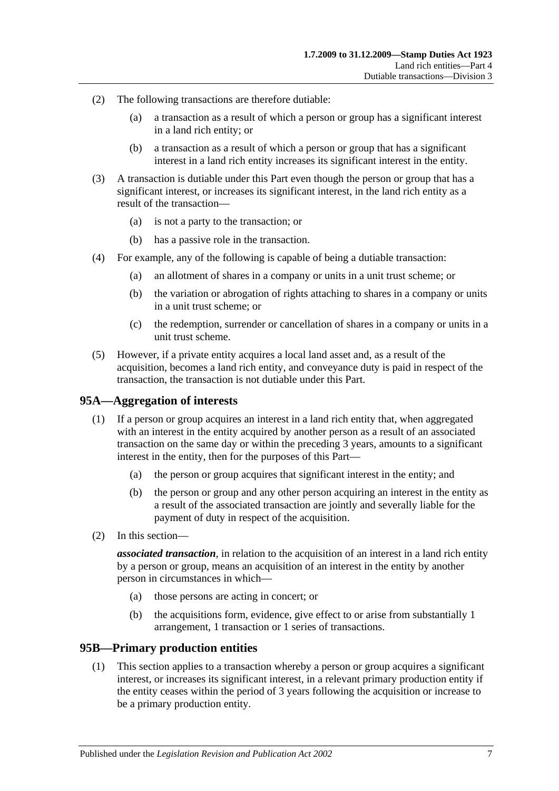- (2) The following transactions are therefore dutiable:
	- (a) a transaction as a result of which a person or group has a significant interest in a land rich entity; or
	- (b) a transaction as a result of which a person or group that has a significant interest in a land rich entity increases its significant interest in the entity.
- (3) A transaction is dutiable under this Part even though the person or group that has a significant interest, or increases its significant interest, in the land rich entity as a result of the transaction—
	- (a) is not a party to the transaction; or
	- (b) has a passive role in the transaction.
- (4) For example, any of the following is capable of being a dutiable transaction:
	- (a) an allotment of shares in a company or units in a unit trust scheme; or
	- (b) the variation or abrogation of rights attaching to shares in a company or units in a unit trust scheme; or
	- (c) the redemption, surrender or cancellation of shares in a company or units in a unit trust scheme.
- (5) However, if a private entity acquires a local land asset and, as a result of the acquisition, becomes a land rich entity, and conveyance duty is paid in respect of the transaction, the transaction is not dutiable under this Part.

### **95A—Aggregation of interests**

- (1) If a person or group acquires an interest in a land rich entity that, when aggregated with an interest in the entity acquired by another person as a result of an associated transaction on the same day or within the preceding 3 years, amounts to a significant interest in the entity, then for the purposes of this Part—
	- (a) the person or group acquires that significant interest in the entity; and
	- (b) the person or group and any other person acquiring an interest in the entity as a result of the associated transaction are jointly and severally liable for the payment of duty in respect of the acquisition.
- (2) In this section—

*associated transaction*, in relation to the acquisition of an interest in a land rich entity by a person or group, means an acquisition of an interest in the entity by another person in circumstances in which—

- (a) those persons are acting in concert; or
- (b) the acquisitions form, evidence, give effect to or arise from substantially 1 arrangement, 1 transaction or 1 series of transactions.

### <span id="page-84-0"></span>**95B—Primary production entities**

(1) This section applies to a transaction whereby a person or group acquires a significant interest, or increases its significant interest, in a relevant primary production entity if the entity ceases within the period of 3 years following the acquisition or increase to be a primary production entity.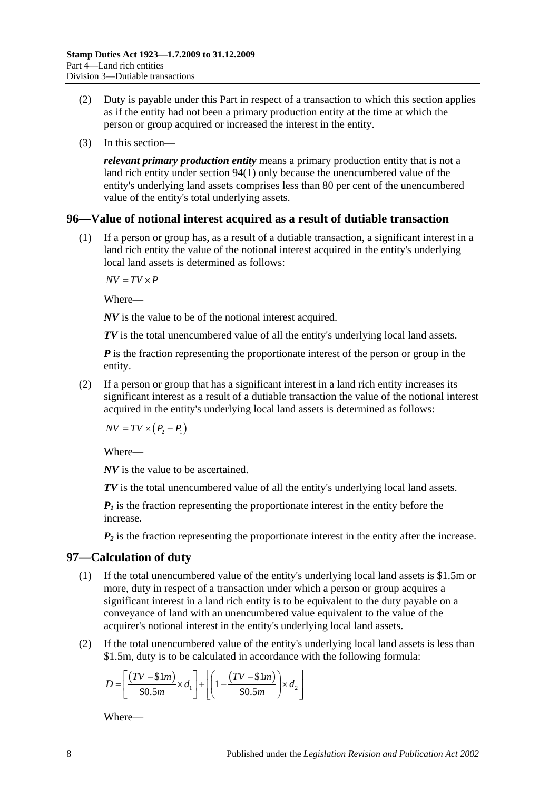- (2) Duty is payable under this Part in respect of a transaction to which this section applies as if the entity had not been a primary production entity at the time at which the person or group acquired or increased the interest in the entity.
- (3) In this section—

*relevant primary production entity* means a primary production entity that is not a land rich entity under [section](#page-82-2) 94(1) only because the unencumbered value of the entity's underlying land assets comprises less than 80 per cent of the unencumbered value of the entity's total underlying assets.

### **96—Value of notional interest acquired as a result of dutiable transaction**

(1) If a person or group has, as a result of a dutiable transaction, a significant interest in a land rich entity the value of the notional interest acquired in the entity's underlying local land assets is determined as follows:

 $\overline{AV} = \overline{TV} \times \overline{P}$ 

Where—

*NV* is the value to be of the notional interest acquired.

*TV* is the total unencumbered value of all the entity's underlying local land assets.

*P* is the fraction representing the proportionate interest of the person or group in the entity.

(2) If a person or group that has a significant interest in a land rich entity increases its significant interest as a result of a dutiable transaction the value of the notional interest acquired in the entity's underlying local land assets is determined as follows:

 $\overline{NV} = \overline{TV} \times (P_2 - P_1)$ 

Where—

*NV* is the value to be ascertained.

*TV* is the total unencumbered value of all the entity's underlying local land assets.

 $P_1$  is the fraction representing the proportionate interest in the entity before the increase.

 $P_2$  is the fraction representing the proportionate interest in the entity after the increase.

### <span id="page-85-0"></span>**97—Calculation of duty**

- (1) If the total unencumbered value of the entity's underlying local land assets is \$1.5m or more, duty in respect of a transaction under which a person or group acquires a significant interest in a land rich entity is to be equivalent to the duty payable on a conveyance of land with an unencumbered value equivalent to the value of the acquirer's notional interest in the entity's underlying local land assets.
- (2) If the total unencumbered value of the entity's underlying local land assets is less than \$1.5m, duty is to be calculated in accordance with the following formula:

$$
D = \left[ \frac{(TV - $1m)}{$30.5m} \times d_1 \right] + \left[ \left( 1 - \frac{(TV - $1m)}{$30.5m} \right) \times d_2 \right]
$$

Where—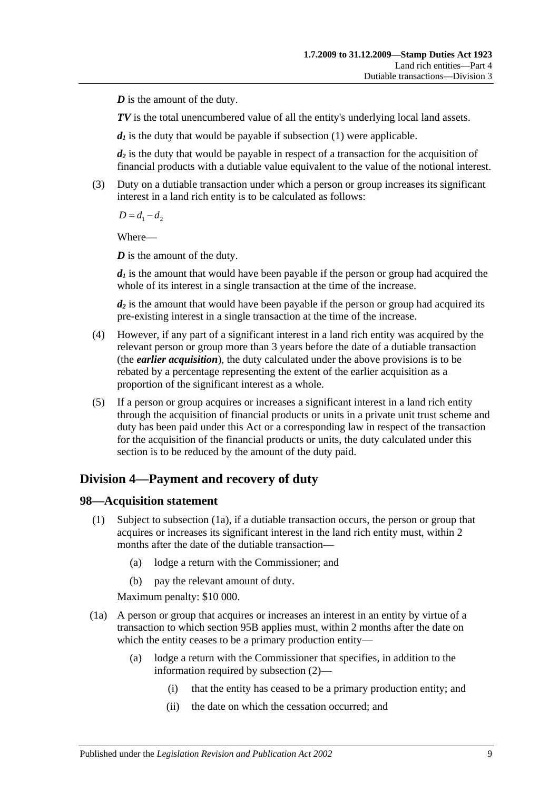*D* is the amount of the duty.

*TV* is the total unencumbered value of all the entity's underlying local land assets.

 $d_1$  is the duty that would be payable if [subsection](#page-85-0) (1) were applicable.

*d2* is the duty that would be payable in respect of a transaction for the acquisition of financial products with a dutiable value equivalent to the value of the notional interest.

(3) Duty on a dutiable transaction under which a person or group increases its significant interest in a land rich entity is to be calculated as follows:

 $D = d_1 - d_2$ 

Where—

*D* is the amount of the duty.

 $d_1$  is the amount that would have been payable if the person or group had acquired the whole of its interest in a single transaction at the time of the increase.

*d2* is the amount that would have been payable if the person or group had acquired its pre-existing interest in a single transaction at the time of the increase.

- (4) However, if any part of a significant interest in a land rich entity was acquired by the relevant person or group more than 3 years before the date of a dutiable transaction (the *earlier acquisition*), the duty calculated under the above provisions is to be rebated by a percentage representing the extent of the earlier acquisition as a proportion of the significant interest as a whole.
- (5) If a person or group acquires or increases a significant interest in a land rich entity through the acquisition of financial products or units in a private unit trust scheme and duty has been paid under this Act or a corresponding law in respect of the transaction for the acquisition of the financial products or units, the duty calculated under this section is to be reduced by the amount of the duty paid.

# **Division 4—Payment and recovery of duty**

### **98—Acquisition statement**

- (1) Subject to [subsection](#page-86-0) (1a), if a dutiable transaction occurs, the person or group that acquires or increases its significant interest in the land rich entity must, within 2 months after the date of the dutiable transaction—
	- (a) lodge a return with the Commissioner; and
	- (b) pay the relevant amount of duty.

Maximum penalty: \$10 000.

- <span id="page-86-0"></span>(1a) A person or group that acquires or increases an interest in an entity by virtue of a transaction to which [section](#page-84-0) 95B applies must, within 2 months after the date on which the entity ceases to be a primary production entity—
	- (a) lodge a return with the Commissioner that specifies, in addition to the information required by [subsection](#page-87-0) (2)—
		- (i) that the entity has ceased to be a primary production entity; and
		- (ii) the date on which the cessation occurred; and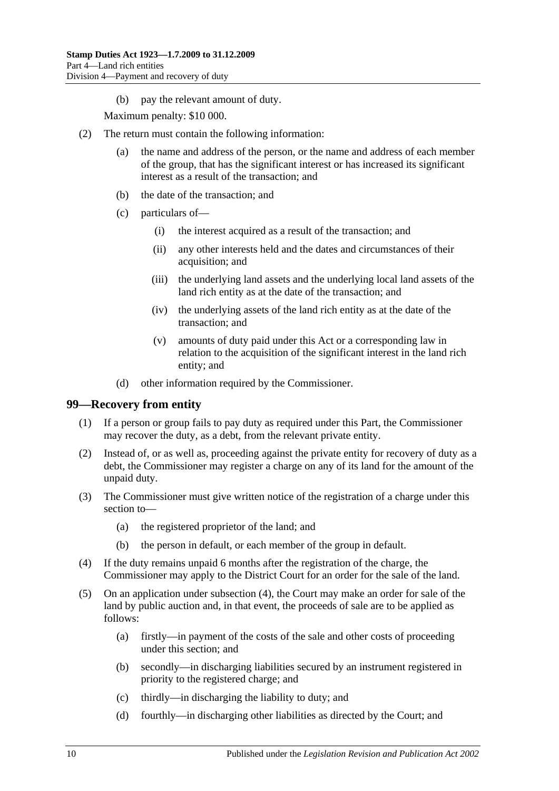(b) pay the relevant amount of duty.

Maximum penalty: \$10 000.

- <span id="page-87-0"></span>(2) The return must contain the following information:
	- (a) the name and address of the person, or the name and address of each member of the group, that has the significant interest or has increased its significant interest as a result of the transaction; and
	- (b) the date of the transaction; and
	- (c) particulars of—
		- (i) the interest acquired as a result of the transaction; and
		- (ii) any other interests held and the dates and circumstances of their acquisition; and
		- (iii) the underlying land assets and the underlying local land assets of the land rich entity as at the date of the transaction; and
		- (iv) the underlying assets of the land rich entity as at the date of the transaction; and
		- (v) amounts of duty paid under this Act or a corresponding law in relation to the acquisition of the significant interest in the land rich entity; and
	- (d) other information required by the Commissioner.

### **99—Recovery from entity**

- (1) If a person or group fails to pay duty as required under this Part, the Commissioner may recover the duty, as a debt, from the relevant private entity.
- (2) Instead of, or as well as, proceeding against the private entity for recovery of duty as a debt, the Commissioner may register a charge on any of its land for the amount of the unpaid duty.
- (3) The Commissioner must give written notice of the registration of a charge under this section to—
	- (a) the registered proprietor of the land; and
	- (b) the person in default, or each member of the group in default.
- <span id="page-87-1"></span>(4) If the duty remains unpaid 6 months after the registration of the charge, the Commissioner may apply to the District Court for an order for the sale of the land.
- (5) On an application under [subsection](#page-87-1) (4), the Court may make an order for sale of the land by public auction and, in that event, the proceeds of sale are to be applied as follows:
	- (a) firstly—in payment of the costs of the sale and other costs of proceeding under this section; and
	- (b) secondly—in discharging liabilities secured by an instrument registered in priority to the registered charge; and
	- (c) thirdly—in discharging the liability to duty; and
	- (d) fourthly—in discharging other liabilities as directed by the Court; and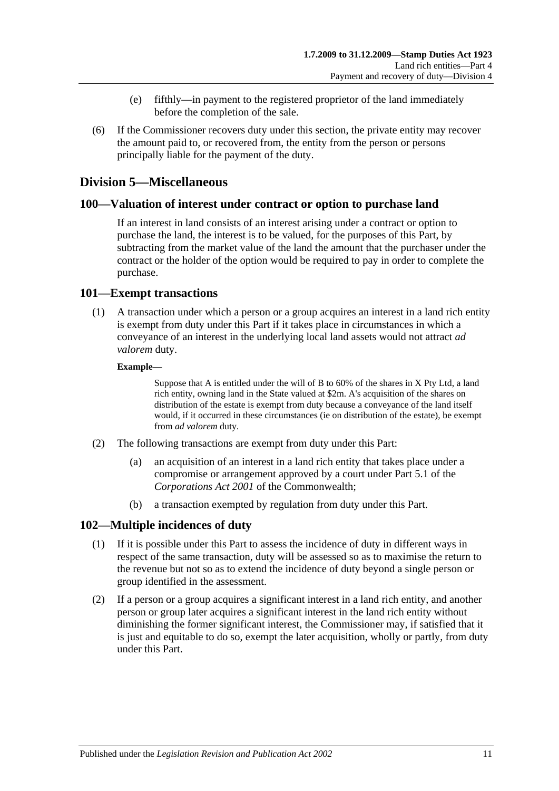- (e) fifthly—in payment to the registered proprietor of the land immediately before the completion of the sale.
- (6) If the Commissioner recovers duty under this section, the private entity may recover the amount paid to, or recovered from, the entity from the person or persons principally liable for the payment of the duty.

## **Division 5—Miscellaneous**

### **100—Valuation of interest under contract or option to purchase land**

If an interest in land consists of an interest arising under a contract or option to purchase the land, the interest is to be valued, for the purposes of this Part, by subtracting from the market value of the land the amount that the purchaser under the contract or the holder of the option would be required to pay in order to complete the purchase.

### **101—Exempt transactions**

(1) A transaction under which a person or a group acquires an interest in a land rich entity is exempt from duty under this Part if it takes place in circumstances in which a conveyance of an interest in the underlying local land assets would not attract *ad valorem* duty.

#### **Example—**

Suppose that A is entitled under the will of B to 60% of the shares in X Pty Ltd, a land rich entity, owning land in the State valued at \$2m. A's acquisition of the shares on distribution of the estate is exempt from duty because a conveyance of the land itself would, if it occurred in these circumstances (ie on distribution of the estate), be exempt from *ad valorem* duty.

- (2) The following transactions are exempt from duty under this Part:
	- (a) an acquisition of an interest in a land rich entity that takes place under a compromise or arrangement approved by a court under Part 5.1 of the *Corporations Act 2001* of the Commonwealth;
	- (b) a transaction exempted by regulation from duty under this Part.

### **102—Multiple incidences of duty**

- (1) If it is possible under this Part to assess the incidence of duty in different ways in respect of the same transaction, duty will be assessed so as to maximise the return to the revenue but not so as to extend the incidence of duty beyond a single person or group identified in the assessment.
- (2) If a person or a group acquires a significant interest in a land rich entity, and another person or group later acquires a significant interest in the land rich entity without diminishing the former significant interest, the Commissioner may, if satisfied that it is just and equitable to do so, exempt the later acquisition, wholly or partly, from duty under this Part.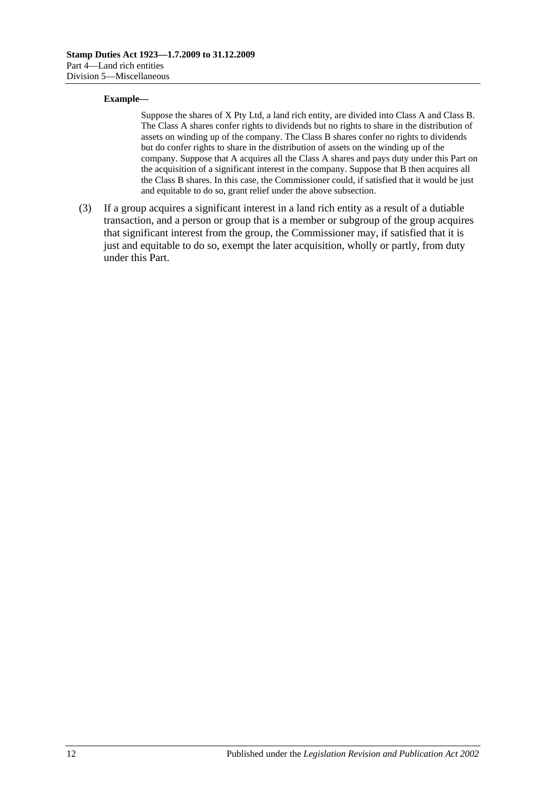#### **Example—**

Suppose the shares of X Pty Ltd, a land rich entity, are divided into Class A and Class B. The Class A shares confer rights to dividends but no rights to share in the distribution of assets on winding up of the company. The Class B shares confer no rights to dividends but do confer rights to share in the distribution of assets on the winding up of the company. Suppose that A acquires all the Class A shares and pays duty under this Part on the acquisition of a significant interest in the company. Suppose that B then acquires all the Class B shares. In this case, the Commissioner could, if satisfied that it would be just and equitable to do so, grant relief under the above subsection.

(3) If a group acquires a significant interest in a land rich entity as a result of a dutiable transaction, and a person or group that is a member or subgroup of the group acquires that significant interest from the group, the Commissioner may, if satisfied that it is just and equitable to do so, exempt the later acquisition, wholly or partly, from duty under this Part.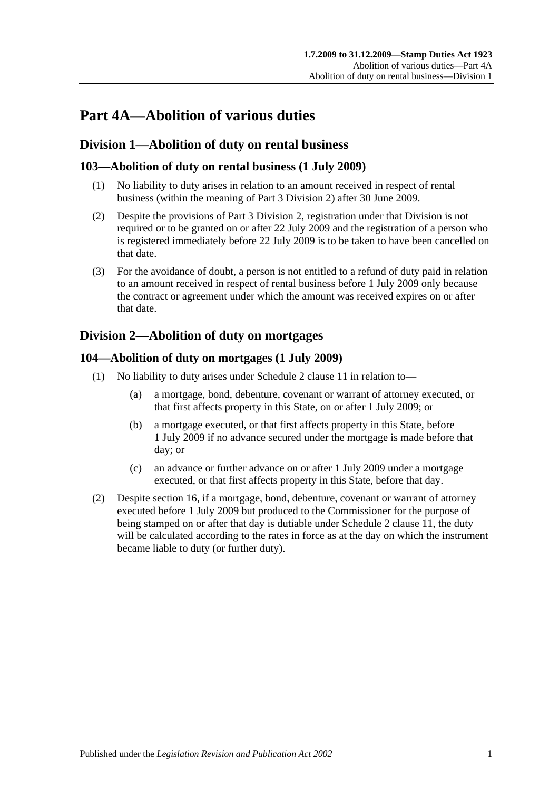# **Part 4A—Abolition of various duties**

# **Division 1—Abolition of duty on rental business**

## **103—Abolition of duty on rental business (1 July 2009)**

- (1) No liability to duty arises in relation to an amount received in respect of rental business (within the meaning of [Part 3 Division 2\)](#page-19-0) after 30 June 2009.
- (2) Despite the provisions of [Part 3 Division 2,](#page-19-0) registration under that Division is not required or to be granted on or after 22 July 2009 and the registration of a person who is registered immediately before 22 July 2009 is to be taken to have been cancelled on that date.
- (3) For the avoidance of doubt, a person is not entitled to a refund of duty paid in relation to an amount received in respect of rental business before 1 July 2009 only because the contract or agreement under which the amount was received expires on or after that date.

# <span id="page-90-0"></span>**Division 2—Abolition of duty on mortgages**

### **104—Abolition of duty on mortgages (1 July 2009)**

- (1) No liability to duty arises under Schedule 2 clause 11 in relation to—
	- (a) a mortgage, bond, debenture, covenant or warrant of attorney executed, or that first affects property in this State, on or after 1 July 2009; or
	- (b) a mortgage executed, or that first affects property in this State, before 1 July 2009 if no advance secured under the mortgage is made before that day; or
	- (c) an advance or further advance on or after 1 July 2009 under a mortgage executed, or that first affects property in this State, before that day.
- (2) Despite [section](#page-13-0) 16, if a mortgage, bond, debenture, covenant or warrant of attorney executed before 1 July 2009 but produced to the Commissioner for the purpose of being stamped on or after that day is dutiable under Schedule 2 clause 11, the duty will be calculated according to the rates in force as at the day on which the instrument became liable to duty (or further duty).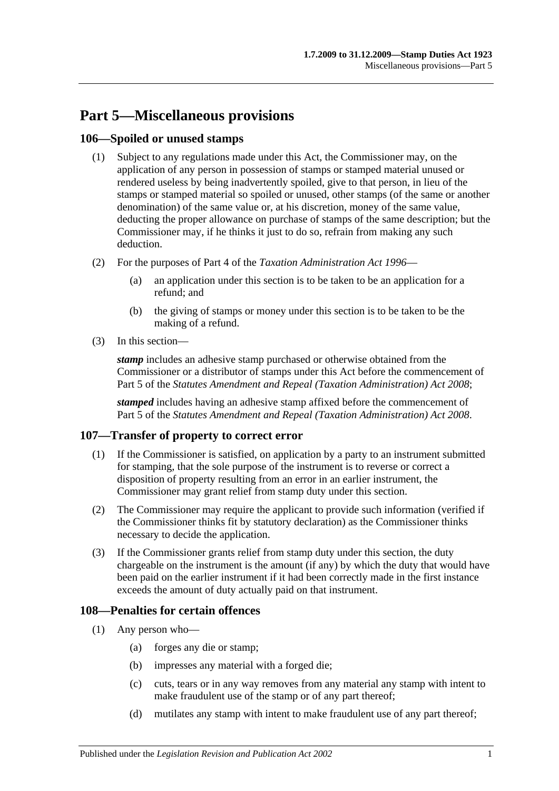# **Part 5—Miscellaneous provisions**

### **106—Spoiled or unused stamps**

- (1) Subject to any regulations made under this Act, the Commissioner may, on the application of any person in possession of stamps or stamped material unused or rendered useless by being inadvertently spoiled, give to that person, in lieu of the stamps or stamped material so spoiled or unused, other stamps (of the same or another denomination) of the same value or, at his discretion, money of the same value, deducting the proper allowance on purchase of stamps of the same description; but the Commissioner may, if he thinks it just to do so, refrain from making any such deduction.
- (2) For the purposes of Part 4 of the *[Taxation Administration Act](http://www.legislation.sa.gov.au/index.aspx?action=legref&type=act&legtitle=Taxation%20Administration%20Act%201996) 1996*
	- (a) an application under this section is to be taken to be an application for a refund; and
	- (b) the giving of stamps or money under this section is to be taken to be the making of a refund.
- (3) In this section—

*stamp* includes an adhesive stamp purchased or otherwise obtained from the Commissioner or a distributor of stamps under this Act before the commencement of Part 5 of the *[Statutes Amendment and Repeal \(Taxation Administration\) Act 2008](http://www.legislation.sa.gov.au/index.aspx?action=legref&type=act&legtitle=Statutes%20Amendment%20and%20Repeal%20(Taxation%20Administration)%20Act%202008)*;

*stamped* includes having an adhesive stamp affixed before the commencement of Part 5 of the *[Statutes Amendment and Repeal \(Taxation Administration\) Act 2008](http://www.legislation.sa.gov.au/index.aspx?action=legref&type=act&legtitle=Statutes%20Amendment%20and%20Repeal%20(Taxation%20Administration)%20Act%202008)*.

# **107—Transfer of property to correct error**

- (1) If the Commissioner is satisfied, on application by a party to an instrument submitted for stamping, that the sole purpose of the instrument is to reverse or correct a disposition of property resulting from an error in an earlier instrument, the Commissioner may grant relief from stamp duty under this section.
- (2) The Commissioner may require the applicant to provide such information (verified if the Commissioner thinks fit by statutory declaration) as the Commissioner thinks necessary to decide the application.
- (3) If the Commissioner grants relief from stamp duty under this section, the duty chargeable on the instrument is the amount (if any) by which the duty that would have been paid on the earlier instrument if it had been correctly made in the first instance exceeds the amount of duty actually paid on that instrument.

### **108—Penalties for certain offences**

- <span id="page-92-0"></span>(1) Any person who—
	- (a) forges any die or stamp;
	- (b) impresses any material with a forged die;
	- (c) cuts, tears or in any way removes from any material any stamp with intent to make fraudulent use of the stamp or of any part thereof;
	- (d) mutilates any stamp with intent to make fraudulent use of any part thereof;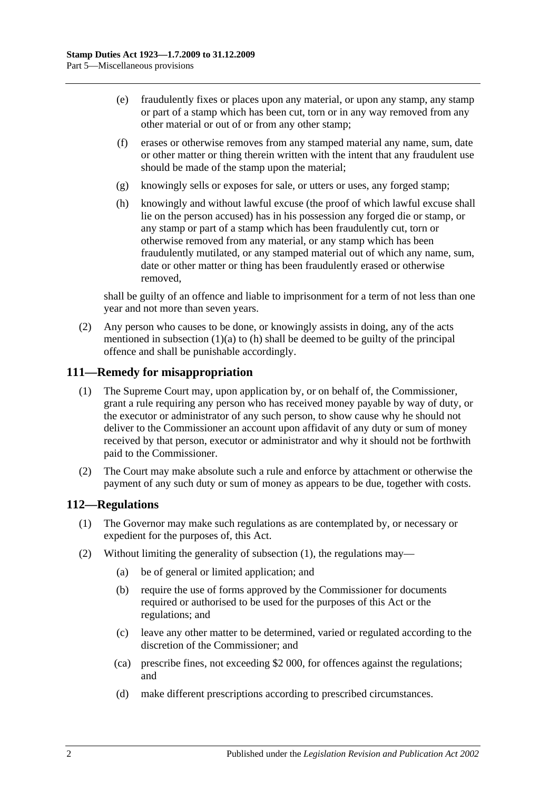- (e) fraudulently fixes or places upon any material, or upon any stamp, any stamp or part of a stamp which has been cut, torn or in any way removed from any other material or out of or from any other stamp;
- (f) erases or otherwise removes from any stamped material any name, sum, date or other matter or thing therein written with the intent that any fraudulent use should be made of the stamp upon the material;
- (g) knowingly sells or exposes for sale, or utters or uses, any forged stamp;
- <span id="page-93-0"></span>(h) knowingly and without lawful excuse (the proof of which lawful excuse shall lie on the person accused) has in his possession any forged die or stamp, or any stamp or part of a stamp which has been fraudulently cut, torn or otherwise removed from any material, or any stamp which has been fraudulently mutilated, or any stamped material out of which any name, sum, date or other matter or thing has been fraudulently erased or otherwise removed,

shall be guilty of an offence and liable to imprisonment for a term of not less than one year and not more than seven years.

(2) Any person who causes to be done, or knowingly assists in doing, any of the acts mentioned in [subsection](#page-92-0)  $(1)(a)$  to  $(h)$  shall be deemed to be guilty of the principal offence and shall be punishable accordingly.

### **111—Remedy for misappropriation**

- (1) The Supreme Court may, upon application by, or on behalf of, the Commissioner, grant a rule requiring any person who has received money payable by way of duty, or the executor or administrator of any such person, to show cause why he should not deliver to the Commissioner an account upon affidavit of any duty or sum of money received by that person, executor or administrator and why it should not be forthwith paid to the Commissioner.
- (2) The Court may make absolute such a rule and enforce by attachment or otherwise the payment of any such duty or sum of money as appears to be due, together with costs.

### <span id="page-93-1"></span>**112—Regulations**

- (1) The Governor may make such regulations as are contemplated by, or necessary or expedient for the purposes of, this Act.
- (2) Without limiting the generality of [subsection](#page-93-1) (1), the regulations may—
	- (a) be of general or limited application; and
	- (b) require the use of forms approved by the Commissioner for documents required or authorised to be used for the purposes of this Act or the regulations; and
	- (c) leave any other matter to be determined, varied or regulated according to the discretion of the Commissioner; and
	- (ca) prescribe fines, not exceeding \$2 000, for offences against the regulations; and
	- (d) make different prescriptions according to prescribed circumstances.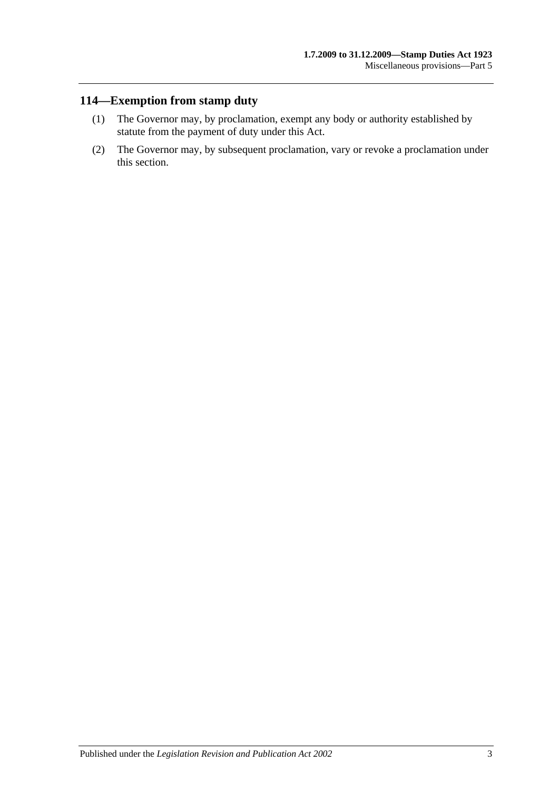# **114—Exemption from stamp duty**

- (1) The Governor may, by proclamation, exempt any body or authority established by statute from the payment of duty under this Act.
- (2) The Governor may, by subsequent proclamation, vary or revoke a proclamation under this section.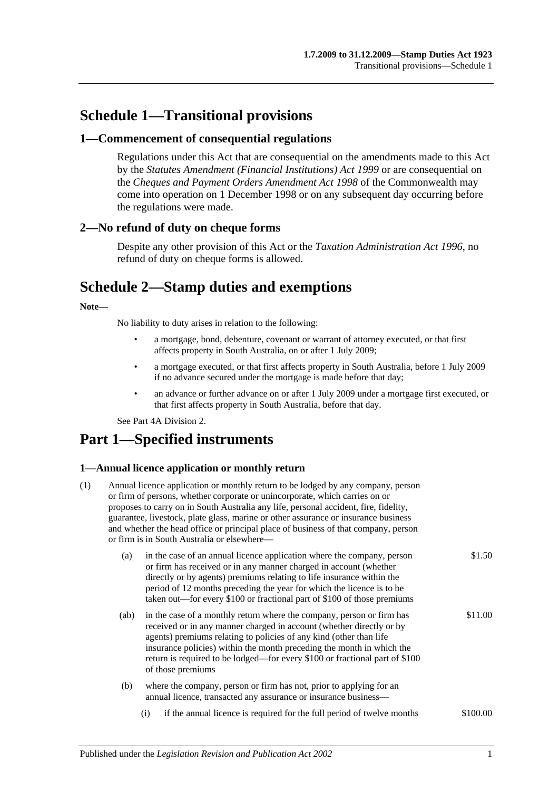# **Schedule 1—Transitional provisions**

### **1—Commencement of consequential regulations**

Regulations under this Act that are consequential on the amendments made to this Act by the *[Statutes Amendment \(Financial Institutions\) Act](http://www.legislation.sa.gov.au/index.aspx?action=legref&type=act&legtitle=Statutes%20Amendment%20(Financial%20Institutions)%20Act%201999) 1999* or are consequential on the *Cheques and Payment Orders Amendment Act 1998* of the Commonwealth may come into operation on 1 December 1998 or on any subsequent day occurring before the regulations were made.

### **2—No refund of duty on cheque forms**

Despite any other provision of this Act or the *[Taxation Administration Act](http://www.legislation.sa.gov.au/index.aspx?action=legref&type=act&legtitle=Taxation%20Administration%20Act%201996) 1996*, no refund of duty on cheque forms is allowed.

# **Schedule 2—Stamp duties and exemptions**

#### **Note—**

No liability to duty arises in relation to the following:

- a mortgage, bond, debenture, covenant or warrant of attorney executed, or that first affects property in South Australia, on or after 1 July 2009;
- a mortgage executed, or that first affects property in South Australia, before 1 July 2009 if no advance secured under the mortgage is made before that day;
- an advance or further advance on or after 1 July 2009 under a mortgage first executed, or that first affects property in South Australia, before that day.

Se[e Part 4A Division 2.](#page-90-0)

# **Part 1—Specified instruments**

### **1—Annual licence application or monthly return**

| (1) |      | Annual licence application or monthly return to be lodged by any company, person<br>or firm of persons, whether corporate or unincorporate, which carries on or<br>proposes to carry on in South Australia any life, personal accident, fire, fidelity,<br>guarantee, livestock, plate glass, marine or other assurance or insurance business<br>and whether the head office or principal place of business of that company, person<br>or firm is in South Australia or elsewhere— |          |  |  |
|-----|------|------------------------------------------------------------------------------------------------------------------------------------------------------------------------------------------------------------------------------------------------------------------------------------------------------------------------------------------------------------------------------------------------------------------------------------------------------------------------------------|----------|--|--|
|     | (a)  | in the case of an annual licence application where the company, person<br>or firm has received or in any manner charged in account (whether<br>directly or by agents) premiums relating to life insurance within the<br>period of 12 months preceding the year for which the licence is to be<br>taken out—for every \$100 or fractional part of \$100 of those premiums                                                                                                           | \$1.50   |  |  |
|     | (ab) | in the case of a monthly return where the company, person or firm has<br>received or in any manner charged in account (whether directly or by<br>agents) premiums relating to policies of any kind (other than life<br>insurance policies) within the month preceding the month in which the<br>return is required to be lodged—for every \$100 or fractional part of \$100<br>of those premiums                                                                                   | \$11.00  |  |  |
|     | (b)  | where the company, person or firm has not, prior to applying for an<br>annual licence, transacted any assurance or insurance business-                                                                                                                                                                                                                                                                                                                                             |          |  |  |
|     |      | if the annual licence is required for the full period of twelve months<br>(i)                                                                                                                                                                                                                                                                                                                                                                                                      | \$100.00 |  |  |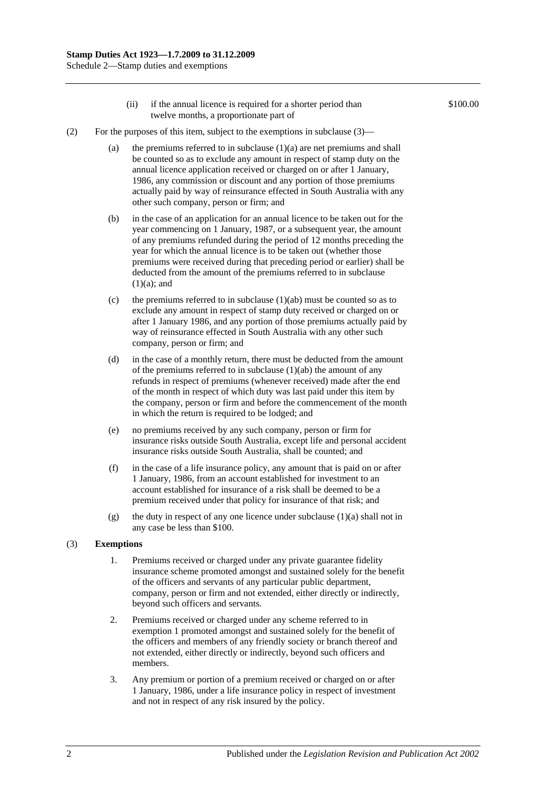- (ii) if the annual licence is required for a shorter period than twelve months, a proportionate part of
- (2) For the purposes of this item, subject to the exemptions in subclause  $(3)$ 
	- (a) the premiums referred to in subclause  $(1)(a)$  are net premiums and shall be counted so as to exclude any amount in respect of stamp duty on the annual licence application received or charged on or after 1 January, 1986, any commission or discount and any portion of those premiums actually paid by way of reinsurance effected in South Australia with any other such company, person or firm; and
	- (b) in the case of an application for an annual licence to be taken out for the year commencing on 1 January, 1987, or a subsequent year, the amount of any premiums refunded during the period of 12 months preceding the year for which the annual licence is to be taken out (whether those premiums were received during that preceding period or earlier) shall be deducted from the amount of the premiums referred to in subclause  $(1)(a)$ ; and
	- (c) the premiums referred to in subclause  $(1)(ab)$  must be counted so as to exclude any amount in respect of stamp duty received or charged on or after 1 January 1986, and any portion of those premiums actually paid by way of reinsurance effected in South Australia with any other such company, person or firm; and
	- (d) in the case of a monthly return, there must be deducted from the amount of the premiums referred to in subclause (1)(ab) the amount of any refunds in respect of premiums (whenever received) made after the end of the month in respect of which duty was last paid under this item by the company, person or firm and before the commencement of the month in which the return is required to be lodged; and
	- (e) no premiums received by any such company, person or firm for insurance risks outside South Australia, except life and personal accident insurance risks outside South Australia, shall be counted; and
	- (f) in the case of a life insurance policy, any amount that is paid on or after 1 January, 1986, from an account established for investment to an account established for insurance of a risk shall be deemed to be a premium received under that policy for insurance of that risk; and
	- (g) the duty in respect of any one licence under subclause (1)(a) shall not in any case be less than \$100.

#### (3) **Exemptions**

- 1. Premiums received or charged under any private guarantee fidelity insurance scheme promoted amongst and sustained solely for the benefit of the officers and servants of any particular public department, company, person or firm and not extended, either directly or indirectly, beyond such officers and servants.
- 2. Premiums received or charged under any scheme referred to in exemption 1 promoted amongst and sustained solely for the benefit of the officers and members of any friendly society or branch thereof and not extended, either directly or indirectly, beyond such officers and members.
- 3. Any premium or portion of a premium received or charged on or after 1 January, 1986, under a life insurance policy in respect of investment and not in respect of any risk insured by the policy.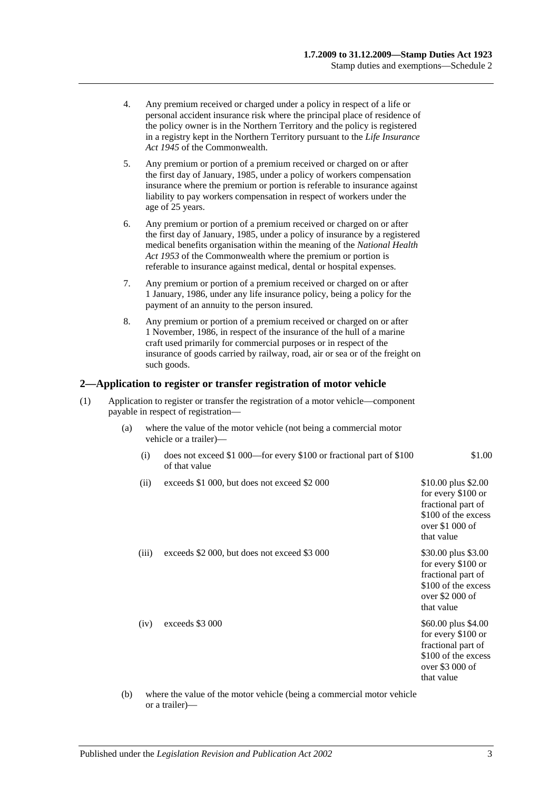- 4. Any premium received or charged under a policy in respect of a life or personal accident insurance risk where the principal place of residence of the policy owner is in the Northern Territory and the policy is registered in a registry kept in the Northern Territory pursuant to the *Life Insurance Act 1945* of the Commonwealth.
- 5. Any premium or portion of a premium received or charged on or after the first day of January, 1985, under a policy of workers compensation insurance where the premium or portion is referable to insurance against liability to pay workers compensation in respect of workers under the age of 25 years.
- 6. Any premium or portion of a premium received or charged on or after the first day of January, 1985, under a policy of insurance by a registered medical benefits organisation within the meaning of the *National Health Act 1953* of the Commonwealth where the premium or portion is referable to insurance against medical, dental or hospital expenses.
- 7. Any premium or portion of a premium received or charged on or after 1 January, 1986, under any life insurance policy, being a policy for the payment of an annuity to the person insured.
- 8. Any premium or portion of a premium received or charged on or after 1 November, 1986, in respect of the insurance of the hull of a marine craft used primarily for commercial purposes or in respect of the insurance of goods carried by railway, road, air or sea or of the freight on such goods.

#### **2—Application to register or transfer registration of motor vehicle**

- (1) Application to register or transfer the registration of a motor vehicle—component payable in respect of registration—
	- (a) where the value of the motor vehicle (not being a commercial motor vehicle or a trailer)—
		- (i) does not exceed \$1 000—for every \$100 or fractional part of \$100 of that value
		- (ii) exceeds \$1 000, but does not exceed \$2 000  $$10.00$  plus \$2.00
		- (iii) exceeds  $$2\,000$ , but does not exceed  $$3\,000$   $$30.00$  plus  $$3.00$

(iv) exceeds \$3 000  $$60.00 \text{ plus } $4.00$ 

fractional part of \$100 of the excess over \$1 000 of that value for every \$100 or fractional part of

for every \$100 or

\$1.00

\$100 of the excess over \$2 000 of that value for every \$100 or fractional part of \$100 of the excess

over \$3 000 of that value

(b) where the value of the motor vehicle (being a commercial motor vehicle or a trailer)—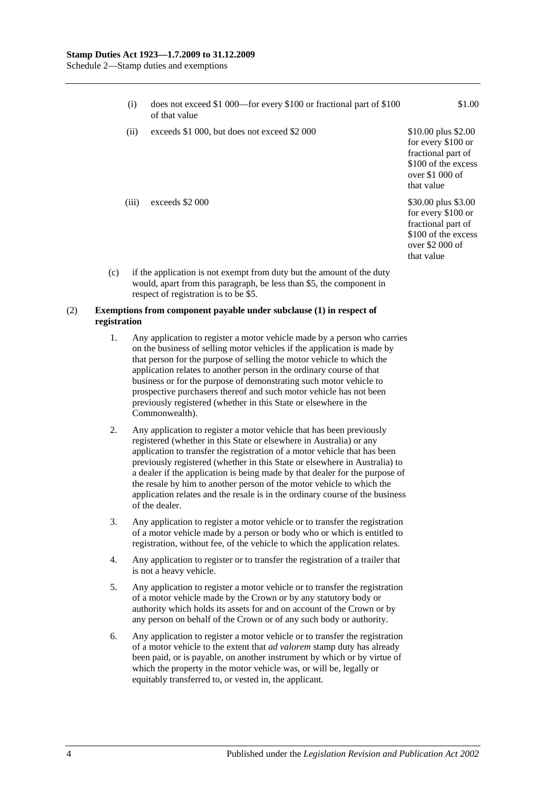| (i)   | does not exceed \$1 000—for every \$100 or fractional part of \$100<br>of that value | \$1.00                                                                                                                   |
|-------|--------------------------------------------------------------------------------------|--------------------------------------------------------------------------------------------------------------------------|
| (ii)  | exceeds \$1 000, but does not exceed \$2 000                                         | \$10.00 plus \$2.00<br>for every \$100 or<br>fractional part of<br>\$100 of the excess<br>over $$1,000$ of<br>that value |
| (iii) | exceeds \$2 000                                                                      | \$30.00 plus \$3.00<br>for every \$100 or<br>fractional part of<br>\$100 of the excess<br>over $$2000$ of<br>that value  |

(c) if the application is not exempt from duty but the amount of the duty would, apart from this paragraph, be less than \$5, the component in respect of registration is to be \$5.

#### (2) **Exemptions from component payable under subclause (1) in respect of registration**

- 1. Any application to register a motor vehicle made by a person who carries on the business of selling motor vehicles if the application is made by that person for the purpose of selling the motor vehicle to which the application relates to another person in the ordinary course of that business or for the purpose of demonstrating such motor vehicle to prospective purchasers thereof and such motor vehicle has not been previously registered (whether in this State or elsewhere in the Commonwealth).
- 2. Any application to register a motor vehicle that has been previously registered (whether in this State or elsewhere in Australia) or any application to transfer the registration of a motor vehicle that has been previously registered (whether in this State or elsewhere in Australia) to a dealer if the application is being made by that dealer for the purpose of the resale by him to another person of the motor vehicle to which the application relates and the resale is in the ordinary course of the business of the dealer.
- 3. Any application to register a motor vehicle or to transfer the registration of a motor vehicle made by a person or body who or which is entitled to registration, without fee, of the vehicle to which the application relates.
- 4. Any application to register or to transfer the registration of a trailer that is not a heavy vehicle.
- 5. Any application to register a motor vehicle or to transfer the registration of a motor vehicle made by the Crown or by any statutory body or authority which holds its assets for and on account of the Crown or by any person on behalf of the Crown or of any such body or authority.
- 6. Any application to register a motor vehicle or to transfer the registration of a motor vehicle to the extent that *ad valorem* stamp duty has already been paid, or is payable, on another instrument by which or by virtue of which the property in the motor vehicle was, or will be, legally or equitably transferred to, or vested in, the applicant.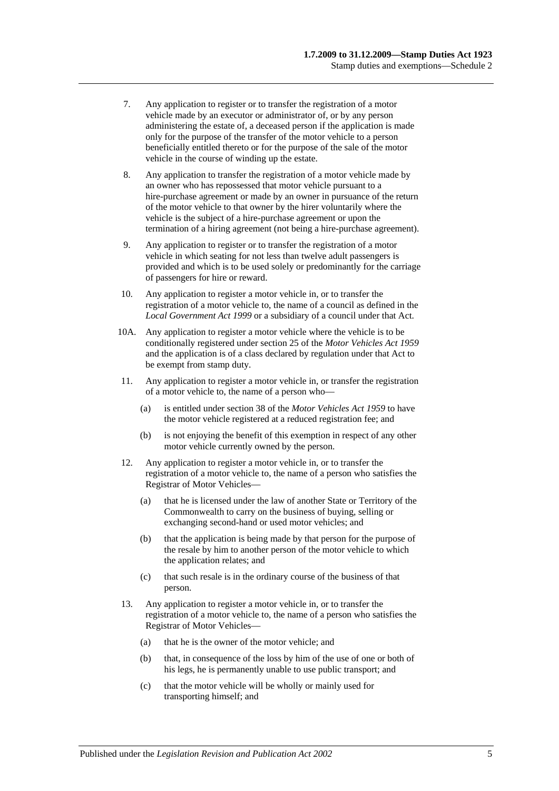- 7. Any application to register or to transfer the registration of a motor vehicle made by an executor or administrator of, or by any person administering the estate of, a deceased person if the application is made only for the purpose of the transfer of the motor vehicle to a person beneficially entitled thereto or for the purpose of the sale of the motor vehicle in the course of winding up the estate.
- 8. Any application to transfer the registration of a motor vehicle made by an owner who has repossessed that motor vehicle pursuant to a hire-purchase agreement or made by an owner in pursuance of the return of the motor vehicle to that owner by the hirer voluntarily where the vehicle is the subject of a hire-purchase agreement or upon the termination of a hiring agreement (not being a hire-purchase agreement).
- 9. Any application to register or to transfer the registration of a motor vehicle in which seating for not less than twelve adult passengers is provided and which is to be used solely or predominantly for the carriage of passengers for hire or reward.
- 10. Any application to register a motor vehicle in, or to transfer the registration of a motor vehicle to, the name of a council as defined in the *[Local Government Act](http://www.legislation.sa.gov.au/index.aspx?action=legref&type=act&legtitle=Local%20Government%20Act%201999) 1999* or a subsidiary of a council under that Act.
- 10A. Any application to register a motor vehicle where the vehicle is to be conditionally registered under section 25 of the *[Motor Vehicles Act](http://www.legislation.sa.gov.au/index.aspx?action=legref&type=act&legtitle=Motor%20Vehicles%20Act%201959) 1959* and the application is of a class declared by regulation under that Act to be exempt from stamp duty.
- 11. Any application to register a motor vehicle in, or transfer the registration of a motor vehicle to, the name of a person who—
	- (a) is entitled under section 38 of the *[Motor Vehicles Act](http://www.legislation.sa.gov.au/index.aspx?action=legref&type=act&legtitle=Motor%20Vehicles%20Act%201959) 1959* to have the motor vehicle registered at a reduced registration fee; and
	- (b) is not enjoying the benefit of this exemption in respect of any other motor vehicle currently owned by the person.
- 12. Any application to register a motor vehicle in, or to transfer the registration of a motor vehicle to, the name of a person who satisfies the Registrar of Motor Vehicles—
	- (a) that he is licensed under the law of another State or Territory of the Commonwealth to carry on the business of buying, selling or exchanging second-hand or used motor vehicles; and
	- (b) that the application is being made by that person for the purpose of the resale by him to another person of the motor vehicle to which the application relates; and
	- (c) that such resale is in the ordinary course of the business of that person.
- 13. Any application to register a motor vehicle in, or to transfer the registration of a motor vehicle to, the name of a person who satisfies the Registrar of Motor Vehicles—
	- (a) that he is the owner of the motor vehicle; and
	- (b) that, in consequence of the loss by him of the use of one or both of his legs, he is permanently unable to use public transport; and
	- (c) that the motor vehicle will be wholly or mainly used for transporting himself; and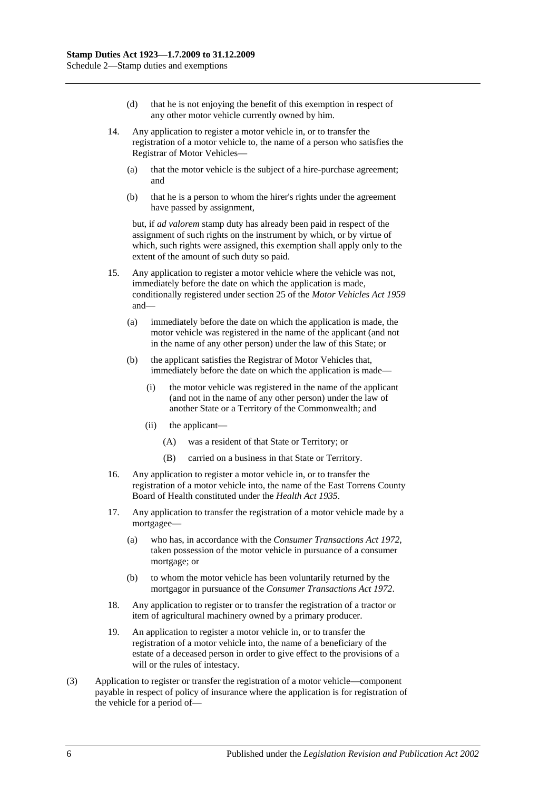- (d) that he is not enjoying the benefit of this exemption in respect of any other motor vehicle currently owned by him.
- 14. Any application to register a motor vehicle in, or to transfer the registration of a motor vehicle to, the name of a person who satisfies the Registrar of Motor Vehicles—
	- (a) that the motor vehicle is the subject of a hire-purchase agreement; and
	- (b) that he is a person to whom the hirer's rights under the agreement have passed by assignment,

but, if *ad valorem* stamp duty has already been paid in respect of the assignment of such rights on the instrument by which, or by virtue of which, such rights were assigned, this exemption shall apply only to the extent of the amount of such duty so paid.

- 15. Any application to register a motor vehicle where the vehicle was not, immediately before the date on which the application is made, conditionally registered under section 25 of the *[Motor Vehicles Act](http://www.legislation.sa.gov.au/index.aspx?action=legref&type=act&legtitle=Motor%20Vehicles%20Act%201959) 1959* and—
	- (a) immediately before the date on which the application is made, the motor vehicle was registered in the name of the applicant (and not in the name of any other person) under the law of this State; or
	- (b) the applicant satisfies the Registrar of Motor Vehicles that, immediately before the date on which the application is made—
		- (i) the motor vehicle was registered in the name of the applicant (and not in the name of any other person) under the law of another State or a Territory of the Commonwealth; and
		- (ii) the applicant—
			- (A) was a resident of that State or Territory; or
			- (B) carried on a business in that State or Territory.
- 16. Any application to register a motor vehicle in, or to transfer the registration of a motor vehicle into, the name of the East Torrens County Board of Health constituted under the *[Health Act](http://www.legislation.sa.gov.au/index.aspx?action=legref&type=act&legtitle=Health%20Act%201935) 1935*.
- 17. Any application to transfer the registration of a motor vehicle made by a mortgagee—
	- (a) who has, in accordance with the *[Consumer Transactions Act](http://www.legislation.sa.gov.au/index.aspx?action=legref&type=act&legtitle=Consumer%20Transactions%20Act%201972) 1972*, taken possession of the motor vehicle in pursuance of a consumer mortgage; or
	- (b) to whom the motor vehicle has been voluntarily returned by the mortgagor in pursuance of the *[Consumer Transactions Act](http://www.legislation.sa.gov.au/index.aspx?action=legref&type=act&legtitle=Consumer%20Transactions%20Act%201972) 1972*.
- 18. Any application to register or to transfer the registration of a tractor or item of agricultural machinery owned by a primary producer.
- 19. An application to register a motor vehicle in, or to transfer the registration of a motor vehicle into, the name of a beneficiary of the estate of a deceased person in order to give effect to the provisions of a will or the rules of intestacy.
- (3) Application to register or transfer the registration of a motor vehicle—component payable in respect of policy of insurance where the application is for registration of the vehicle for a period of—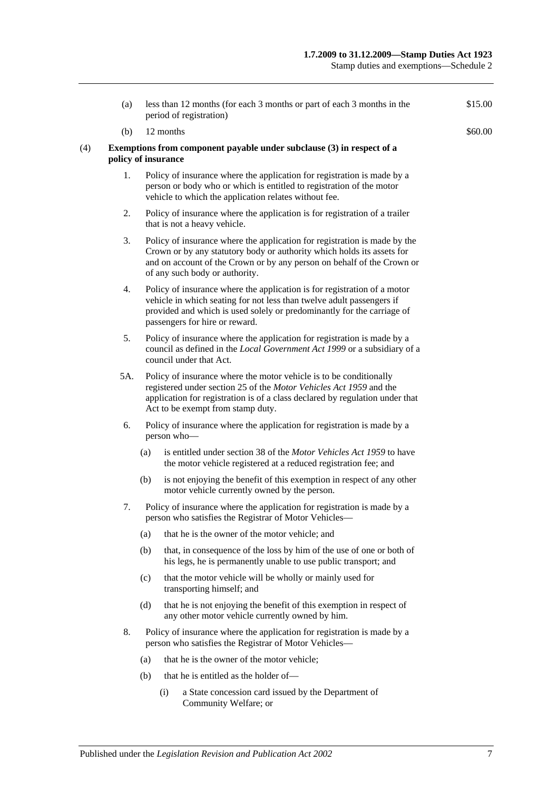| (a)                 |     | less than 12 months (for each 3 months or part of each 3 months in the<br>period of registration)                                                                                                                                                               | \$15.00 |
|---------------------|-----|-----------------------------------------------------------------------------------------------------------------------------------------------------------------------------------------------------------------------------------------------------------------|---------|
| (b)                 |     | 12 months                                                                                                                                                                                                                                                       | \$60.00 |
| policy of insurance |     | Exemptions from component payable under subclause (3) in respect of a                                                                                                                                                                                           |         |
| 1.                  |     | Policy of insurance where the application for registration is made by a<br>person or body who or which is entitled to registration of the motor<br>vehicle to which the application relates without fee.                                                        |         |
| 2.                  |     | Policy of insurance where the application is for registration of a trailer<br>that is not a heavy vehicle.                                                                                                                                                      |         |
| 3.                  |     | Policy of insurance where the application for registration is made by the<br>Crown or by any statutory body or authority which holds its assets for<br>and on account of the Crown or by any person on behalf of the Crown or<br>of any such body or authority. |         |
| 4.                  |     | Policy of insurance where the application is for registration of a motor<br>vehicle in which seating for not less than twelve adult passengers if<br>provided and which is used solely or predominantly for the carriage of<br>passengers for hire or reward.   |         |
| 5.                  |     | Policy of insurance where the application for registration is made by a<br>council as defined in the Local Government Act 1999 or a subsidiary of a<br>council under that Act.                                                                                  |         |
| 5A.                 |     | Policy of insurance where the motor vehicle is to be conditionally<br>registered under section 25 of the Motor Vehicles Act 1959 and the<br>application for registration is of a class declared by regulation under that<br>Act to be exempt from stamp duty.   |         |
| 6.                  |     | Policy of insurance where the application for registration is made by a<br>person who-                                                                                                                                                                          |         |
|                     | (a) | is entitled under section 38 of the Motor Vehicles Act 1959 to have<br>the motor vehicle registered at a reduced registration fee; and                                                                                                                          |         |
|                     | (b) | is not enjoying the benefit of this exemption in respect of any other<br>motor vehicle currently owned by the person.                                                                                                                                           |         |
| 7.                  |     | Policy of insurance where the application for registration is made by a<br>person who satisfies the Registrar of Motor Vehicles-                                                                                                                                |         |
|                     | (a) | that he is the owner of the motor vehicle; and                                                                                                                                                                                                                  |         |
|                     | (b) | that, in consequence of the loss by him of the use of one or both of<br>his legs, he is permanently unable to use public transport; and                                                                                                                         |         |
|                     | (c) | that the motor vehicle will be wholly or mainly used for<br>transporting himself; and                                                                                                                                                                           |         |
|                     | (d) | that he is not enjoying the benefit of this exemption in respect of<br>any other motor vehicle currently owned by him.                                                                                                                                          |         |
| 8.                  |     | Policy of insurance where the application for registration is made by a<br>person who satisfies the Registrar of Motor Vehicles-                                                                                                                                |         |
|                     | (a) | that he is the owner of the motor vehicle;                                                                                                                                                                                                                      |         |
|                     | (b) | that he is entitled as the holder of-                                                                                                                                                                                                                           |         |
|                     |     | a State concession card issued by the Department of<br>(i)<br>Community Welfare; or                                                                                                                                                                             |         |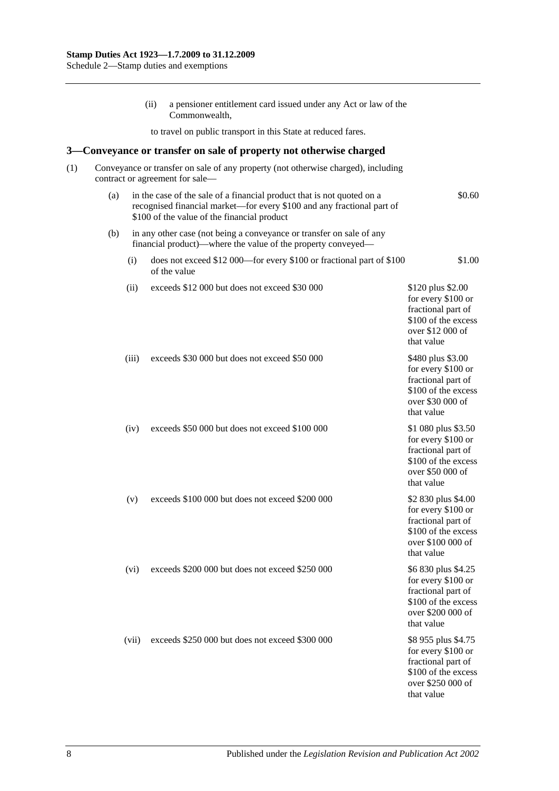(ii) a pensioner entitlement card issued under any Act or law of the Commonwealth, to travel on public transport in this State at reduced fares. **3—Conveyance or transfer on sale of property not otherwise charged** (1) Conveyance or transfer on sale of any property (not otherwise charged), including contract or agreement for sale— (a) in the case of the sale of a financial product that is not quoted on a recognised financial market—for every \$100 and any fractional part of \$100 of the value of the financial product \$0.60 (b) in any other case (not being a conveyance or transfer on sale of any financial product)—where the value of the property conveyed— (i) does not exceed \$12 000—for every \$100 or fractional part of \$100 of the value \$1.00 (ii) exceeds \$12 000 but does not exceed \$30 000 \$120 plus \$2.00 for every \$100 or fractional part of \$100 of the excess over \$12 000 of that value (iii) exceeds \$30 000 but does not exceed \$50 000 \$480 plus \$3.00 for every \$100 or fractional part of \$100 of the excess over \$30 000 of that value (iv) exceeds \$50 000 but does not exceed \$100 000 \$1 080 plus \$3.50 for every \$100 or fractional part of \$100 of the excess over \$50 000 of that value (v) exceeds \$100 000 but does not exceed \$200 000 \$2 830 plus \$4.00 for every \$100 or fractional part of \$100 of the excess over \$100 000 of that value (vi) exceeds \$200 000 but does not exceed \$250 000 \$6 830 plus \$4.25 for every \$100 or fractional part of \$100 of the excess over \$200 000 of that value (vii) exceeds \$250 000 but does not exceed \$300 000 \$8 955 plus \$4.75 for every \$100 or fractional part of \$100 of the excess over \$250 000 of that value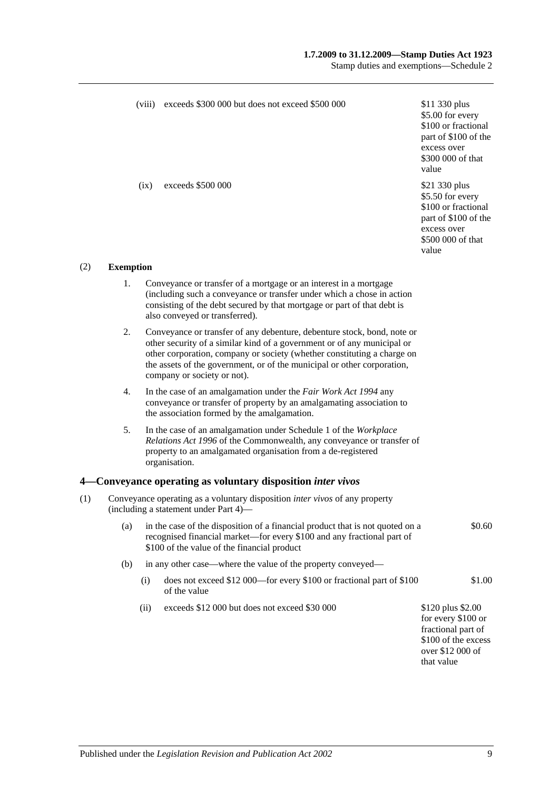#### **1.7.2009 to 31.12.2009—Stamp Duties Act 1923**

Stamp duties and exemptions—Schedule 2

|                         |                                                                                                                             | (viii) | exceeds \$300 000 but does not exceed \$500 000                                                                                                                                                                                                                                                                                         | \$11 330 plus<br>\$5.00 for every<br>\$100 or fractional<br>part of \$100 of the<br>excess over<br>\$300 000 of that<br>value |  |  |
|-------------------------|-----------------------------------------------------------------------------------------------------------------------------|--------|-----------------------------------------------------------------------------------------------------------------------------------------------------------------------------------------------------------------------------------------------------------------------------------------------------------------------------------------|-------------------------------------------------------------------------------------------------------------------------------|--|--|
|                         |                                                                                                                             | (ix)   | exceeds \$500 000                                                                                                                                                                                                                                                                                                                       | \$21 330 plus<br>\$5.50 for every<br>\$100 or fractional<br>part of \$100 of the<br>excess over<br>\$500 000 of that<br>value |  |  |
| (2)<br><b>Exemption</b> |                                                                                                                             |        |                                                                                                                                                                                                                                                                                                                                         |                                                                                                                               |  |  |
|                         | 1.                                                                                                                          |        | Conveyance or transfer of a mortgage or an interest in a mortgage<br>(including such a conveyance or transfer under which a chose in action<br>consisting of the debt secured by that mortgage or part of that debt is<br>also conveyed or transferred).                                                                                |                                                                                                                               |  |  |
|                         | 2.                                                                                                                          |        | Conveyance or transfer of any debenture, debenture stock, bond, note or<br>other security of a similar kind of a government or of any municipal or<br>other corporation, company or society (whether constituting a charge on<br>the assets of the government, or of the municipal or other corporation,<br>company or society or not). |                                                                                                                               |  |  |
|                         | 4.                                                                                                                          |        | In the case of an amalgamation under the Fair Work Act 1994 any<br>conveyance or transfer of property by an amalgamating association to<br>the association formed by the amalgamation.                                                                                                                                                  |                                                                                                                               |  |  |
|                         | 5.                                                                                                                          |        | In the case of an amalgamation under Schedule 1 of the Workplace<br>Relations Act 1996 of the Commonwealth, any conveyance or transfer of<br>property to an amalgamated organisation from a de-registered<br>organisation.                                                                                                              |                                                                                                                               |  |  |
|                         |                                                                                                                             |        | 4 Conveyance operating as voluntary disposition inter vivos                                                                                                                                                                                                                                                                             |                                                                                                                               |  |  |
| (1)                     | Conveyance operating as a voluntary disposition <i>inter vivos</i> of any property<br>(including a statement under Part 4)— |        |                                                                                                                                                                                                                                                                                                                                         |                                                                                                                               |  |  |
|                         | (a)                                                                                                                         |        | in the case of the disposition of a financial product that is not quoted on a<br>recognised financial market—for every \$100 and any fractional part of<br>\$100 of the value of the financial product                                                                                                                                  | \$0.60                                                                                                                        |  |  |
|                         | (b)                                                                                                                         |        | in any other case—where the value of the property conveyed—                                                                                                                                                                                                                                                                             |                                                                                                                               |  |  |
|                         |                                                                                                                             | (i)    | does not exceed \$12 000—for every \$100 or fractional part of \$100<br>of the value                                                                                                                                                                                                                                                    | \$1.00                                                                                                                        |  |  |
|                         |                                                                                                                             | (ii)   | exceeds \$12 000 but does not exceed \$30 000                                                                                                                                                                                                                                                                                           | \$120 plus \$2.00<br>for every \$100 or<br>fractional part of<br>\$100 of the excess<br>over \$12 000 of<br>that value        |  |  |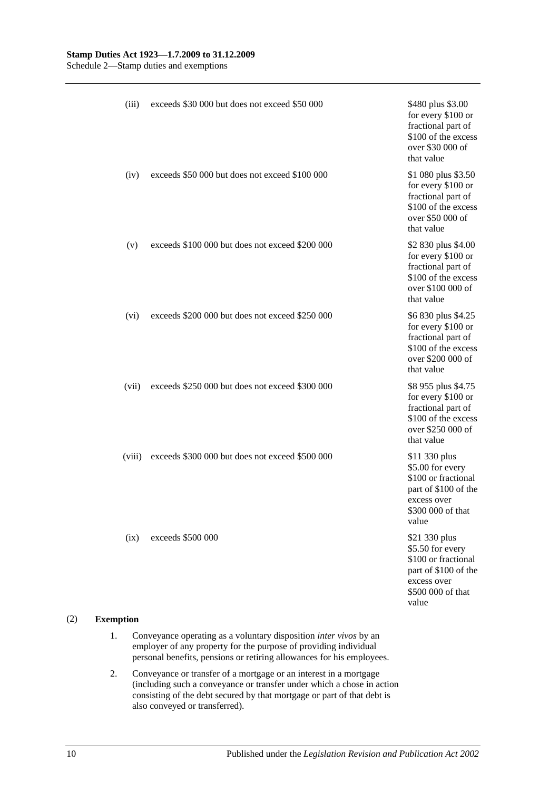| (iii)  | exceeds \$30 000 but does not exceed \$50 000   | \$480 plus \$3.00<br>for every \$100 or<br>fractional part of<br>\$100 of the excess<br>over \$30 000 of<br>that value        |
|--------|-------------------------------------------------|-------------------------------------------------------------------------------------------------------------------------------|
| (iv)   | exceeds \$50 000 but does not exceed \$100 000  | \$1 080 plus \$3.50<br>for every \$100 or<br>fractional part of<br>\$100 of the excess<br>over \$50 000 of<br>that value      |
| (v)    | exceeds \$100 000 but does not exceed \$200 000 | \$2 830 plus \$4.00<br>for every \$100 or<br>fractional part of<br>\$100 of the excess<br>over \$100 000 of<br>that value     |
| (vi)   | exceeds \$200 000 but does not exceed \$250 000 | \$6 830 plus \$4.25<br>for every \$100 or<br>fractional part of<br>\$100 of the excess<br>over \$200 000 of<br>that value     |
| (vii)  | exceeds \$250 000 but does not exceed \$300 000 | \$8 955 plus \$4.75<br>for every \$100 or<br>fractional part of<br>\$100 of the excess<br>over \$250 000 of<br>that value     |
| (viii) | exceeds \$300 000 but does not exceed \$500 000 | \$11 330 plus<br>\$5.00 for every<br>\$100 or fractional<br>part of \$100 of the<br>excess over<br>\$300 000 of that<br>value |
| (ix)   | exceeds \$500 000                               | \$21 330 plus<br>\$5.50 for every<br>\$100 or fractional<br>part of \$100 of the<br>excess over<br>\$500 000 of that<br>value |

#### (2) **Exemption**

- 1. Conveyance operating as a voluntary disposition *inter vivos* by an employer of any property for the purpose of providing individual personal benefits, pensions or retiring allowances for his employees.
- 2. Conveyance or transfer of a mortgage or an interest in a mortgage (including such a conveyance or transfer under which a chose in action consisting of the debt secured by that mortgage or part of that debt is also conveyed or transferred).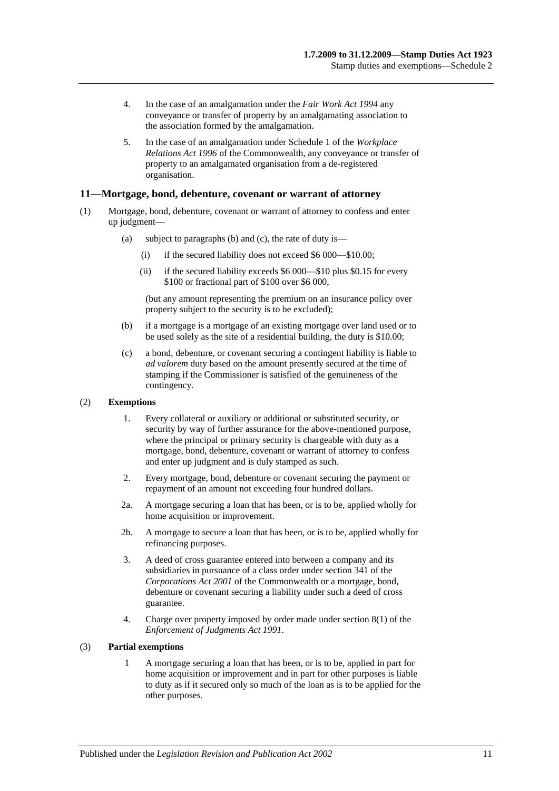- 4. In the case of an amalgamation under the *[Fair Work Act](http://www.legislation.sa.gov.au/index.aspx?action=legref&type=act&legtitle=Fair%20Work%20Act%201994) 1994* any conveyance or transfer of property by an amalgamating association to the association formed by the amalgamation.
- 5. In the case of an amalgamation under Schedule 1 of the *Workplace Relations Act 1996* of the Commonwealth, any conveyance or transfer of property to an amalgamated organisation from a de-registered organisation.

#### **11—Mortgage, bond, debenture, covenant or warrant of attorney**

- (1) Mortgage, bond, debenture, covenant or warrant of attorney to confess and enter up judgment—
	- (a) subject to paragraphs (b) and (c), the rate of duty is—
		- (i) if the secured liability does not exceed \$6 000—\$10.00;
		- (ii) if the secured liability exceeds \$6 000—\$10 plus \$0.15 for every \$100 or fractional part of \$100 over \$6 000,

(but any amount representing the premium on an insurance policy over property subject to the security is to be excluded);

- (b) if a mortgage is a mortgage of an existing mortgage over land used or to be used solely as the site of a residential building, the duty is \$10.00;
- (c) a bond, debenture, or covenant securing a contingent liability is liable to *ad valorem* duty based on the amount presently secured at the time of stamping if the Commissioner is satisfied of the genuineness of the contingency.

#### (2) **Exemptions**

- 1. Every collateral or auxiliary or additional or substituted security, or security by way of further assurance for the above-mentioned purpose, where the principal or primary security is chargeable with duty as a mortgage, bond, debenture, covenant or warrant of attorney to confess and enter up judgment and is duly stamped as such.
- 2. Every mortgage, bond, debenture or covenant securing the payment or repayment of an amount not exceeding four hundred dollars.
- 2a. A mortgage securing a loan that has been, or is to be, applied wholly for home acquisition or improvement.
- 2b. A mortgage to secure a loan that has been, or is to be, applied wholly for refinancing purposes.
- 3. A deed of cross guarantee entered into between a company and its subsidiaries in pursuance of a class order under section 341 of the *Corporations Act 2001* of the Commonwealth or a mortgage, bond, debenture or covenant securing a liability under such a deed of cross guarantee.
- 4. Charge over property imposed by order made under section 8(1) of the *[Enforcement of Judgments Act](http://www.legislation.sa.gov.au/index.aspx?action=legref&type=act&legtitle=Enforcement%20of%20Judgments%20Act%201991) 1991*.

#### (3) **Partial exemptions**

1 A mortgage securing a loan that has been, or is to be, applied in part for home acquisition or improvement and in part for other purposes is liable to duty as if it secured only so much of the loan as is to be applied for the other purposes.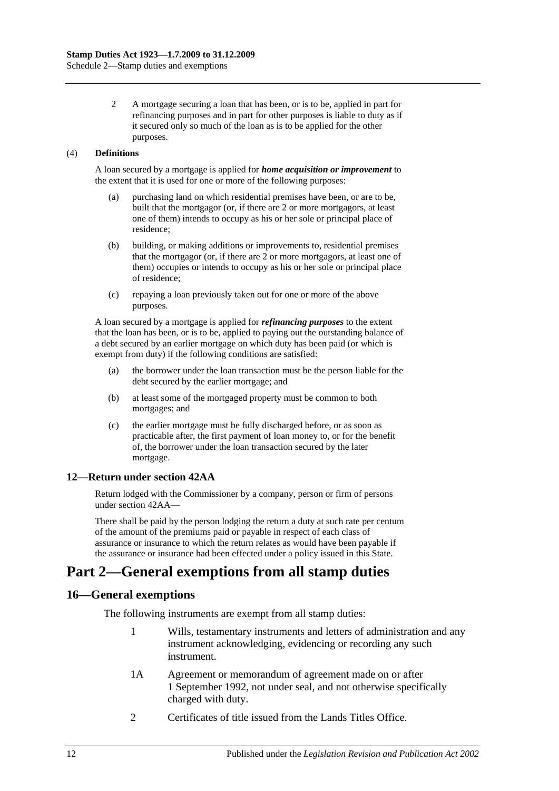2 A mortgage securing a loan that has been, or is to be, applied in part for refinancing purposes and in part for other purposes is liable to duty as if it secured only so much of the loan as is to be applied for the other purposes.

#### (4) **Definitions**

A loan secured by a mortgage is applied for *home acquisition or improvement* to the extent that it is used for one or more of the following purposes:

- (a) purchasing land on which residential premises have been, or are to be, built that the mortgagor (or, if there are 2 or more mortgagors, at least one of them) intends to occupy as his or her sole or principal place of residence;
- (b) building, or making additions or improvements to, residential premises that the mortgagor (or, if there are 2 or more mortgagors, at least one of them) occupies or intends to occupy as his or her sole or principal place of residence;
- (c) repaying a loan previously taken out for one or more of the above purposes.

A loan secured by a mortgage is applied for *refinancing purposes* to the extent that the loan has been, or is to be, applied to paying out the outstanding balance of a debt secured by an earlier mortgage on which duty has been paid (or which is exempt from duty) if the following conditions are satisfied:

- (a) the borrower under the loan transaction must be the person liable for the debt secured by the earlier mortgage; and
- (b) at least some of the mortgaged property must be common to both mortgages; and
- (c) the earlier mortgage must be fully discharged before, or as soon as practicable after, the first payment of loan money to, or for the benefit of, the borrower under the loan transaction secured by the later mortgage.

#### **12—Return under section 42AA**

Return lodged with the Commissioner by a company, person or firm of persons under [section](#page-29-0) 42AA—

There shall be paid by the person lodging the return a duty at such rate per centum of the amount of the premiums paid or payable in respect of each class of assurance or insurance to which the return relates as would have been payable if the assurance or insurance had been effected under a policy issued in this State.

# **Part 2—General exemptions from all stamp duties**

### **16—General exemptions**

The following instruments are exempt from all stamp duties:

- 1 Wills, testamentary instruments and letters of administration and any instrument acknowledging, evidencing or recording any such instrument.
- 1A Agreement or memorandum of agreement made on or after 1 September 1992, not under seal, and not otherwise specifically charged with duty.
- 2 Certificates of title issued from the Lands Titles Office.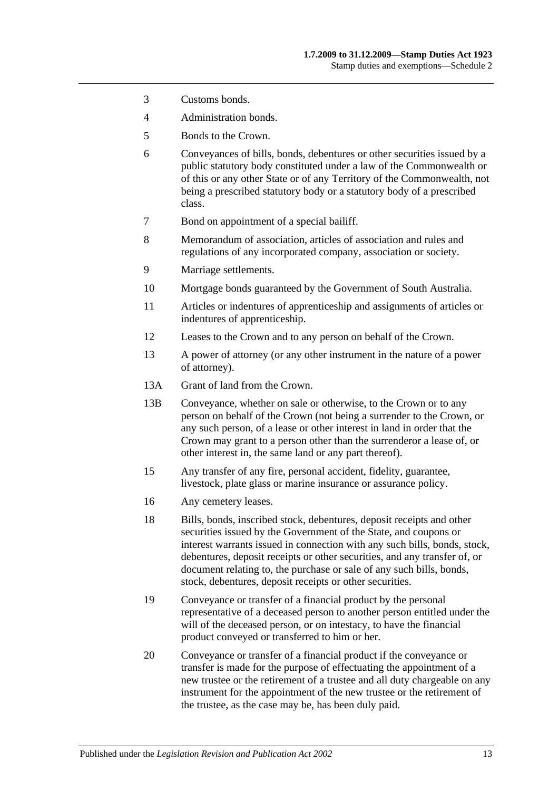- 3 Customs bonds.
- 4 Administration bonds.
- 5 Bonds to the Crown.
- 6 Conveyances of bills, bonds, debentures or other securities issued by a public statutory body constituted under a law of the Commonwealth or of this or any other State or of any Territory of the Commonwealth, not being a prescribed statutory body or a statutory body of a prescribed class.
- 7 Bond on appointment of a special bailiff.
- 8 Memorandum of association, articles of association and rules and regulations of any incorporated company, association or society.
- 9 Marriage settlements.
- 10 Mortgage bonds guaranteed by the Government of South Australia.
- 11 Articles or indentures of apprenticeship and assignments of articles or indentures of apprenticeship.
- 12 Leases to the Crown and to any person on behalf of the Crown.
- 13 A power of attorney (or any other instrument in the nature of a power of attorney).
- 13A Grant of land from the Crown.
- 13B Conveyance, whether on sale or otherwise, to the Crown or to any person on behalf of the Crown (not being a surrender to the Crown, or any such person, of a lease or other interest in land in order that the Crown may grant to a person other than the surrenderor a lease of, or other interest in, the same land or any part thereof).
- 15 Any transfer of any fire, personal accident, fidelity, guarantee, livestock, plate glass or marine insurance or assurance policy.
- 16 Any cemetery leases.
- 18 Bills, bonds, inscribed stock, debentures, deposit receipts and other securities issued by the Government of the State, and coupons or interest warrants issued in connection with any such bills, bonds, stock, debentures, deposit receipts or other securities, and any transfer of, or document relating to, the purchase or sale of any such bills, bonds, stock, debentures, deposit receipts or other securities.
- 19 Conveyance or transfer of a financial product by the personal representative of a deceased person to another person entitled under the will of the deceased person, or on intestacy, to have the financial product conveyed or transferred to him or her.
- 20 Conveyance or transfer of a financial product if the conveyance or transfer is made for the purpose of effectuating the appointment of a new trustee or the retirement of a trustee and all duty chargeable on any instrument for the appointment of the new trustee or the retirement of the trustee, as the case may be, has been duly paid.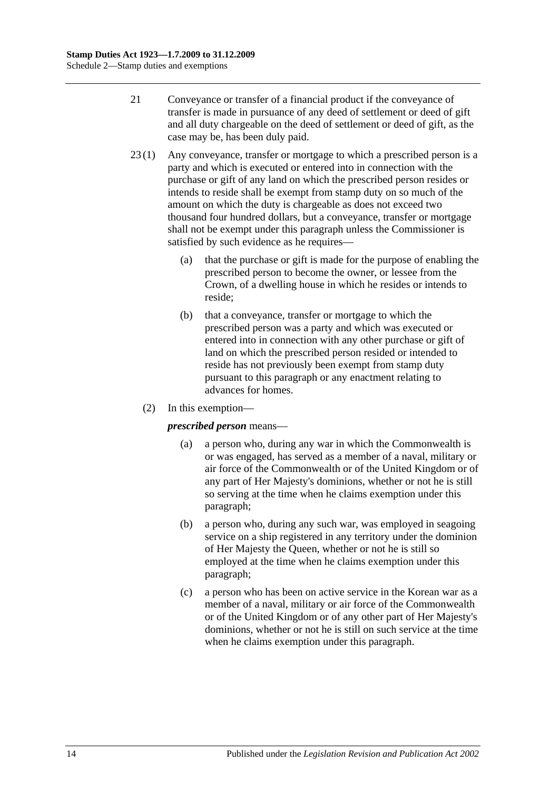- 21 Conveyance or transfer of a financial product if the conveyance of transfer is made in pursuance of any deed of settlement or deed of gift and all duty chargeable on the deed of settlement or deed of gift, as the case may be, has been duly paid.
- 23 (1) Any conveyance, transfer or mortgage to which a prescribed person is a party and which is executed or entered into in connection with the purchase or gift of any land on which the prescribed person resides or intends to reside shall be exempt from stamp duty on so much of the amount on which the duty is chargeable as does not exceed two thousand four hundred dollars, but a conveyance, transfer or mortgage shall not be exempt under this paragraph unless the Commissioner is satisfied by such evidence as he requires—
	- (a) that the purchase or gift is made for the purpose of enabling the prescribed person to become the owner, or lessee from the Crown, of a dwelling house in which he resides or intends to reside;
	- (b) that a conveyance, transfer or mortgage to which the prescribed person was a party and which was executed or entered into in connection with any other purchase or gift of land on which the prescribed person resided or intended to reside has not previously been exempt from stamp duty pursuant to this paragraph or any enactment relating to advances for homes.
	- (2) In this exemption—

### <span id="page-109-0"></span>*prescribed person* means—

- (a) a person who, during any war in which the Commonwealth is or was engaged, has served as a member of a naval, military or air force of the Commonwealth or of the United Kingdom or of any part of Her Majesty's dominions, whether or not he is still so serving at the time when he claims exemption under this paragraph;
- <span id="page-109-1"></span>(b) a person who, during any such war, was employed in seagoing service on a ship registered in any territory under the dominion of Her Majesty the Queen, whether or not he is still so employed at the time when he claims exemption under this paragraph;
- <span id="page-109-2"></span>(c) a person who has been on active service in the Korean war as a member of a naval, military or air force of the Commonwealth or of the United Kingdom or of any other part of Her Majesty's dominions, whether or not he is still on such service at the time when he claims exemption under this paragraph.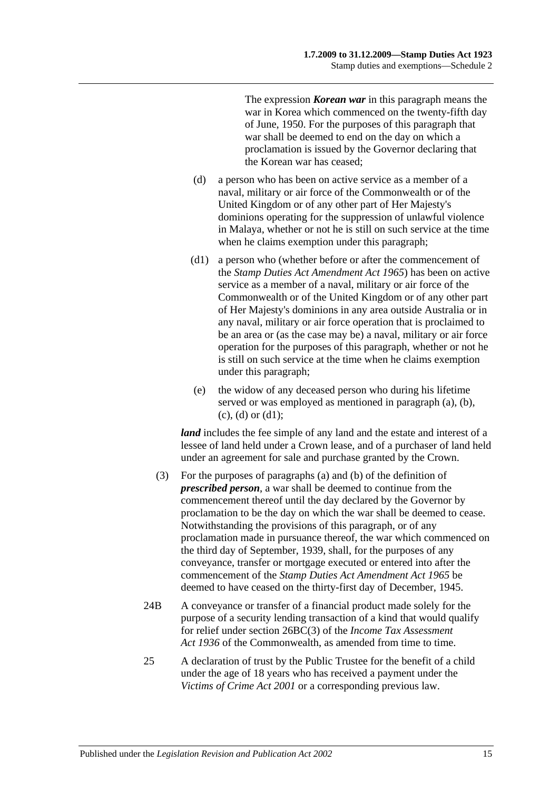The expression *Korean war* in this paragraph means the war in Korea which commenced on the twenty-fifth day of June, 1950. For the purposes of this paragraph that war shall be deemed to end on the day on which a proclamation is issued by the Governor declaring that the Korean war has ceased;

- <span id="page-110-0"></span>(d) a person who has been on active service as a member of a naval, military or air force of the Commonwealth or of the United Kingdom or of any other part of Her Majesty's dominions operating for the suppression of unlawful violence in Malaya, whether or not he is still on such service at the time when he claims exemption under this paragraph;
- <span id="page-110-1"></span>(d1) a person who (whether before or after the commencement of the *[Stamp Duties Act Amendment Act](http://www.legislation.sa.gov.au/index.aspx?action=legref&type=act&legtitle=Stamp%20Duties%20Act%20Amendment%20Act%201965) 1965*) has been on active service as a member of a naval, military or air force of the Commonwealth or of the United Kingdom or of any other part of Her Majesty's dominions in any area outside Australia or in any naval, military or air force operation that is proclaimed to be an area or (as the case may be) a naval, military or air force operation for the purposes of this paragraph, whether or not he is still on such service at the time when he claims exemption under this paragraph;
- (e) the widow of any deceased person who during his lifetime served or was employed as mentioned in [paragraph](#page-109-0) (a), [\(b\),](#page-109-1)  $(c)$ ,  $(d)$  or  $(d1)$ ;

*land* includes the fee simple of any land and the estate and interest of a lessee of land held under a Crown lease, and of a purchaser of land held under an agreement for sale and purchase granted by the Crown.

- (3) For the purposes of [paragraphs](#page-109-0) (a) and [\(b\)](#page-109-1) of the definition of *prescribed person*, a war shall be deemed to continue from the commencement thereof until the day declared by the Governor by proclamation to be the day on which the war shall be deemed to cease. Notwithstanding the provisions of this paragraph, or of any proclamation made in pursuance thereof, the war which commenced on the third day of September, 1939, shall, for the purposes of any conveyance, transfer or mortgage executed or entered into after the commencement of the *[Stamp Duties Act Amendment Act](http://www.legislation.sa.gov.au/index.aspx?action=legref&type=act&legtitle=Stamp%20Duties%20Act%20Amendment%20Act%201965) 1965* be deemed to have ceased on the thirty-first day of December, 1945.
- 24B A conveyance or transfer of a financial product made solely for the purpose of a security lending transaction of a kind that would qualify for relief under section 26BC(3) of the *Income Tax Assessment*  Act 1936 of the Commonwealth, as amended from time to time.
- 25 A declaration of trust by the Public Trustee for the benefit of a child under the age of 18 years who has received a payment under the *[Victims of Crime Act](http://www.legislation.sa.gov.au/index.aspx?action=legref&type=act&legtitle=Victims%20of%20Crime%20Act%202001) 2001* or a corresponding previous law.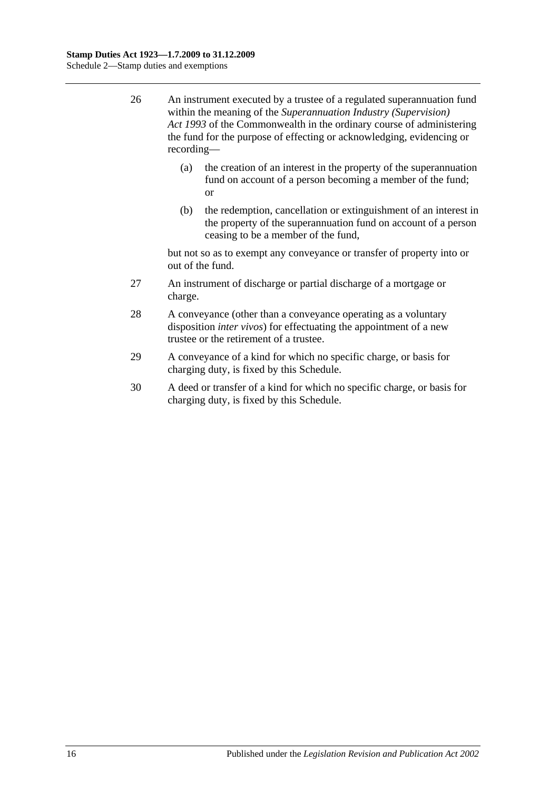- 26 An instrument executed by a trustee of a regulated superannuation fund within the meaning of the *Superannuation Industry (Supervision) Act 1993* of the Commonwealth in the ordinary course of administering the fund for the purpose of effecting or acknowledging, evidencing or recording—
	- (a) the creation of an interest in the property of the superannuation fund on account of a person becoming a member of the fund; or
	- (b) the redemption, cancellation or extinguishment of an interest in the property of the superannuation fund on account of a person ceasing to be a member of the fund,

but not so as to exempt any conveyance or transfer of property into or out of the fund.

- 27 An instrument of discharge or partial discharge of a mortgage or charge.
- 28 A conveyance (other than a conveyance operating as a voluntary disposition *inter vivos*) for effectuating the appointment of a new trustee or the retirement of a trustee.
- 29 A conveyance of a kind for which no specific charge, or basis for charging duty, is fixed by this Schedule.
- 30 A deed or transfer of a kind for which no specific charge, or basis for charging duty, is fixed by this Schedule.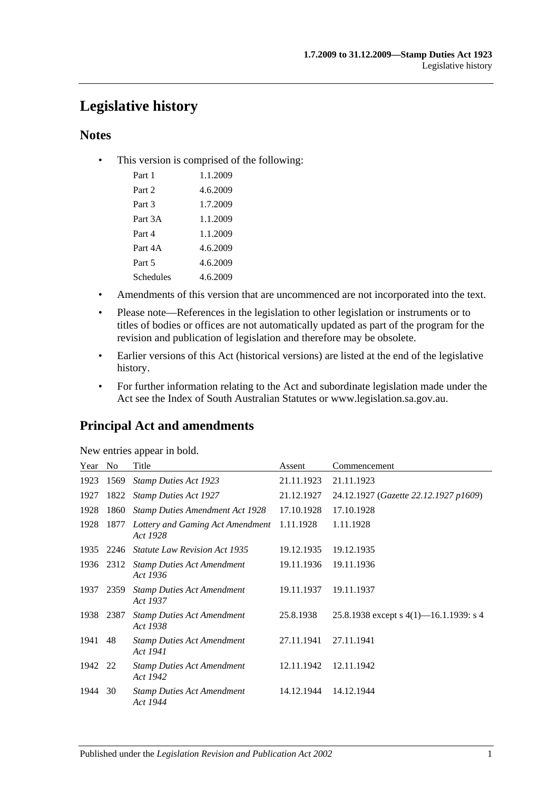# **Legislative history**

### **Notes**

• This version is comprised of the following:

| Part 1    | 1.1.2009 |
|-----------|----------|
| Part 2    | 4.6.2009 |
| Part 3    | 1.7.2009 |
| Part 3A   | 1.1.2009 |
| Part 4    | 1.1.2009 |
| Part 4A   | 4.6.2009 |
| Part 5    | 4.6.2009 |
| Schedules | 4.6.2009 |

- Amendments of this version that are uncommenced are not incorporated into the text.
- Please note—References in the legislation to other legislation or instruments or to titles of bodies or offices are not automatically updated as part of the program for the revision and publication of legislation and therefore may be obsolete.
- Earlier versions of this Act (historical versions) are listed at the end of the legislative history.
- For further information relating to the Act and subordinate legislation made under the Act see the Index of South Australian Statutes or www.legislation.sa.gov.au.

### **Principal Act and amendments**

| New entries appear in bold. |  |  |
|-----------------------------|--|--|

| Year | No.       | Title                                         | Assent     | Commencement                              |
|------|-----------|-----------------------------------------------|------------|-------------------------------------------|
| 1923 | 1569      | <b>Stamp Duties Act 1923</b>                  | 21.11.1923 | 21.11.1923                                |
| 1927 | 1822      | <b>Stamp Duties Act 1927</b>                  | 21.12.1927 | 24.12.1927 (Gazette 22.12.1927 p1609)     |
| 1928 | 1860      | <b>Stamp Duties Amendment Act 1928</b>        | 17.10.1928 | 17.10.1928                                |
| 1928 | 1877      | Lottery and Gaming Act Amendment<br>Act 1928  | 1.11.1928  | 1.11.1928                                 |
| 1935 | 2246      | <b>Statute Law Revision Act 1935</b>          | 19.12.1935 | 19.12.1935                                |
|      | 1936 2312 | <b>Stamp Duties Act Amendment</b><br>Act 1936 | 19.11.1936 | 19.11.1936                                |
| 1937 | 2359      | <b>Stamp Duties Act Amendment</b><br>Act 1937 | 19.11.1937 | 19.11.1937                                |
| 1938 | 2387      | <b>Stamp Duties Act Amendment</b><br>Act 1938 | 25.8.1938  | 25.8.1938 except s $4(1)$ —16.1.1939: s 4 |
| 1941 | 48        | <b>Stamp Duties Act Amendment</b><br>Act 1941 | 27.11.1941 | 27.11.1941                                |
| 1942 | 22        | <b>Stamp Duties Act Amendment</b><br>Act 1942 | 12.11.1942 | 12.11.1942                                |
| 1944 | 30        | <b>Stamp Duties Act Amendment</b><br>Act 1944 | 14.12.1944 | 14.12.1944                                |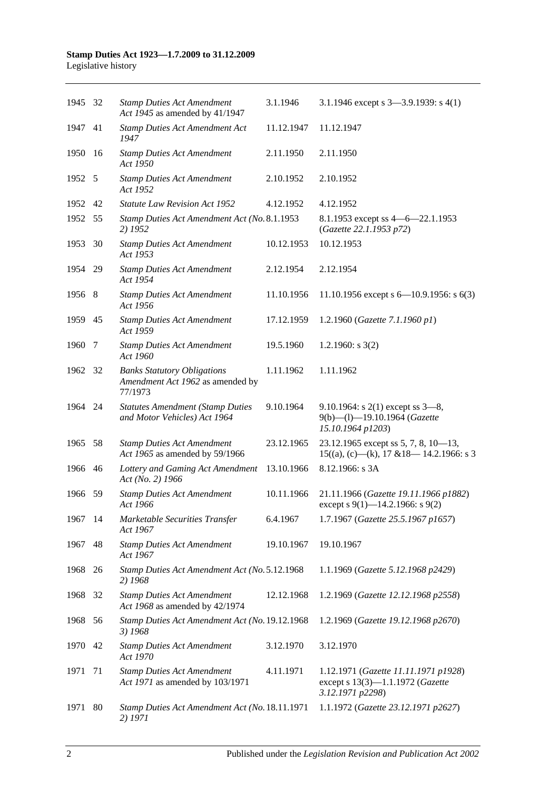| 1945 32 |      | <b>Stamp Duties Act Amendment</b><br>Act 1945 as amended by 41/1947               | 3.1.1946   | 3.1.1946 except s $3-3.9.1939$ : s $4(1)$                                                    |
|---------|------|-----------------------------------------------------------------------------------|------------|----------------------------------------------------------------------------------------------|
| 1947    | 41   | <b>Stamp Duties Act Amendment Act</b><br>1947                                     | 11.12.1947 | 11.12.1947                                                                                   |
| 1950    | 16   | <b>Stamp Duties Act Amendment</b><br>Act 1950                                     | 2.11.1950  | 2.11.1950                                                                                    |
| 1952 5  |      | <b>Stamp Duties Act Amendment</b><br>Act 1952                                     | 2.10.1952  | 2.10.1952                                                                                    |
| 1952    | 42   | <b>Statute Law Revision Act 1952</b>                                              | 4.12.1952  | 4.12.1952                                                                                    |
| 1952    | 55   | Stamp Duties Act Amendment Act (No. 8.1.1953<br>2) 1952                           |            | 8.1.1953 except ss $4 - 6 - 22.1.1953$<br>(Gazette 22.1.1953 p72)                            |
| 1953    | 30   | <b>Stamp Duties Act Amendment</b><br>Act 1953                                     | 10.12.1953 | 10.12.1953                                                                                   |
| 1954 29 |      | <b>Stamp Duties Act Amendment</b><br>Act 1954                                     | 2.12.1954  | 2.12.1954                                                                                    |
| 1956 8  |      | <b>Stamp Duties Act Amendment</b><br>Act 1956                                     | 11.10.1956 | 11.10.1956 except s $6-10.9.1956$ : s $6(3)$                                                 |
| 1959    | 45   | <b>Stamp Duties Act Amendment</b><br>Act 1959                                     | 17.12.1959 | 1.2.1960 (Gazette 7.1.1960 p1)                                                               |
| 1960    | -7   | <b>Stamp Duties Act Amendment</b><br>Act 1960                                     | 19.5.1960  | 1.2.1960: s $3(2)$                                                                           |
| 1962    | -32  | <b>Banks Statutory Obligations</b><br>Amendment Act 1962 as amended by<br>77/1973 | 1.11.1962  | 1.11.1962                                                                                    |
| 1964 24 |      | <b>Statutes Amendment (Stamp Duties</b><br>and Motor Vehicles) Act 1964           | 9.10.1964  | 9.10.1964: s $2(1)$ except ss $3-8$ ,<br>9(b)-(l)-19.10.1964 (Gazette<br>15.10.1964 p1203)   |
| 1965    | 58   | <b>Stamp Duties Act Amendment</b><br>Act 1965 as amended by 59/1966               | 23.12.1965 | 23.12.1965 except ss 5, 7, 8, 10-13,<br>$15((a), (c)$ —(k), 17 & 18—14.2.1966: s 3           |
| 1966 46 |      | Lottery and Gaming Act Amendment<br>Act (No. 2) 1966                              | 13.10.1966 | 8.12.1966: s 3A                                                                              |
| 1966    | - 59 | <b>Stamp Duties Act Amendment</b><br>Act 1966                                     | 10.11.1966 | 21.11.1966 (Gazette 19.11.1966 p1882)<br>except s 9(1)–14.2.1966: s 9(2)                     |
| 1967 14 |      | Marketable Securities Transfer<br>Act 1967                                        | 6.4.1967   | 1.7.1967 (Gazette 25.5.1967 p1657)                                                           |
| 1967    | 48   | <b>Stamp Duties Act Amendment</b><br>Act 1967                                     | 19.10.1967 | 19.10.1967                                                                                   |
| 1968 26 |      | Stamp Duties Act Amendment Act (No. 5.12.1968<br>2) 1968                          |            | 1.1.1969 (Gazette 5.12.1968 p2429)                                                           |
| 1968    | 32   | <b>Stamp Duties Act Amendment</b><br>Act 1968 as amended by 42/1974               | 12.12.1968 | 1.2.1969 (Gazette 12.12.1968 p2558)                                                          |
| 1968 56 |      | Stamp Duties Act Amendment Act (No. 19.12.1968<br>3) 1968                         |            | 1.2.1969 (Gazette 19.12.1968 p2670)                                                          |
| 1970    | 42   | <b>Stamp Duties Act Amendment</b><br>Act 1970                                     | 3.12.1970  | 3.12.1970                                                                                    |
| 1971    | 71   | <b>Stamp Duties Act Amendment</b><br>Act 1971 as amended by 103/1971              | 4.11.1971  | 1.12.1971 (Gazette 11.11.1971 p1928)<br>except s 13(3)-1.1.1972 (Gazette<br>3.12.1971 p2298) |
| 1971    | 80   | Stamp Duties Act Amendment Act (No. 18.11.1971<br>2) 1971                         |            | 1.1.1972 (Gazette 23.12.1971 p2627)                                                          |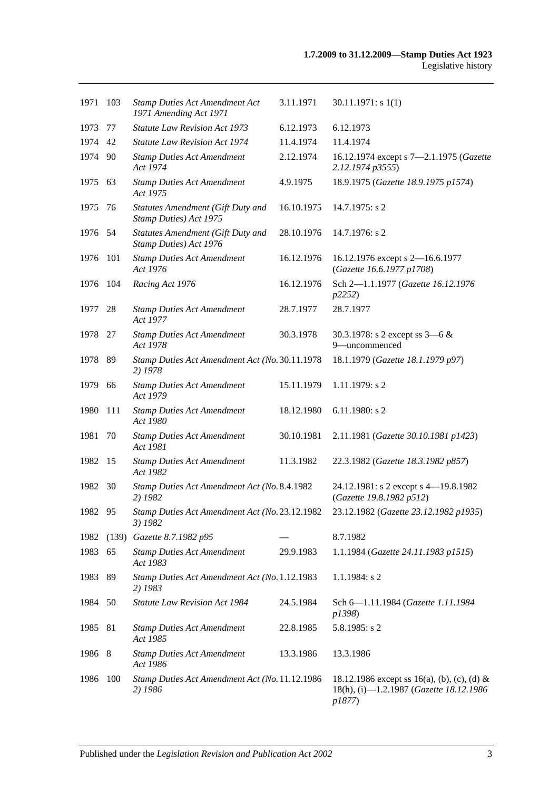| 1971    | 103   | <b>Stamp Duties Act Amendment Act</b><br>1971 Amending Act 1971    | 3.11.1971  | 30.11.1971: s1(1)                                                                                |
|---------|-------|--------------------------------------------------------------------|------------|--------------------------------------------------------------------------------------------------|
| 1973    | 77    | <b>Statute Law Revision Act 1973</b>                               | 6.12.1973  | 6.12.1973                                                                                        |
| 1974    | 42    | <b>Statute Law Revision Act 1974</b>                               | 11.4.1974  | 11.4.1974                                                                                        |
| 1974    | -90   | <b>Stamp Duties Act Amendment</b><br>Act 1974                      | 2.12.1974  | 16.12.1974 except s 7-2.1.1975 (Gazette<br>2.12.1974 p3555)                                      |
| 1975    | 63    | <b>Stamp Duties Act Amendment</b><br>Act 1975                      | 4.9.1975   | 18.9.1975 (Gazette 18.9.1975 p1574)                                                              |
| 1975    | 76    | Statutes Amendment (Gift Duty and<br>Stamp Duties) Act 1975        | 16.10.1975 | 14.7.1975: s 2                                                                                   |
| 1976    | -54   | <b>Statutes Amendment (Gift Duty and</b><br>Stamp Duties) Act 1976 | 28.10.1976 | 14.7.1976: s 2                                                                                   |
| 1976    | 101   | <b>Stamp Duties Act Amendment</b><br>Act 1976                      | 16.12.1976 | 16.12.1976 except s 2-16.6.1977<br>(Gazette 16.6.1977 p1708)                                     |
| 1976    | 104   | Racing Act 1976                                                    | 16.12.1976 | Sch 2-1.1.1977 (Gazette 16.12.1976<br>p2252)                                                     |
| 1977    | 28    | <b>Stamp Duties Act Amendment</b><br>Act 1977                      | 28.7.1977  | 28.7.1977                                                                                        |
| 1978    | 27    | <b>Stamp Duties Act Amendment</b><br>Act 1978                      | 30.3.1978  | 30.3.1978: s 2 except ss $3-6 &$<br>9-uncommenced                                                |
| 1978    | -89   | Stamp Duties Act Amendment Act (No. 30.11.1978<br>2) 1978          |            | 18.1.1979 (Gazette 18.1.1979 p97)                                                                |
| 1979    | 66    | <b>Stamp Duties Act Amendment</b><br>Act 1979                      | 15.11.1979 | 1.11.1979: s 2                                                                                   |
| 1980    | 111   | <b>Stamp Duties Act Amendment</b><br>Act 1980                      | 18.12.1980 | $6.11.1980$ : s 2                                                                                |
| 1981    | 70    | <b>Stamp Duties Act Amendment</b><br>Act 1981                      | 30.10.1981 | 2.11.1981 (Gazette 30.10.1981 p1423)                                                             |
| 1982    | 15    | <b>Stamp Duties Act Amendment</b><br>Act 1982                      | 11.3.1982  | 22.3.1982 (Gazette 18.3.1982 p857)                                                               |
| 1982    | 30    | Stamp Duties Act Amendment Act (No. 8.4.1982<br>2) 1982            |            | 24.12.1981: s 2 except s 4-19.8.1982<br>(Gazette 19.8.1982 p512)                                 |
| 1982    | 95    | Stamp Duties Act Amendment Act (No. 23.12.1982<br>3) 1982          |            | 23.12.1982 (Gazette 23.12.1982 p1935)                                                            |
| 1982    | (139) | Gazette 8.7.1982 p95                                               |            | 8.7.1982                                                                                         |
| 1983    | 65    | <b>Stamp Duties Act Amendment</b><br>Act 1983                      | 29.9.1983  | 1.1.1984 (Gazette 24.11.1983 p1515)                                                              |
| 1983    | 89    | Stamp Duties Act Amendment Act (No. 1.12.1983<br>2) 1983           |            | $1.1.1984$ : s 2                                                                                 |
| 1984 50 |       | <b>Statute Law Revision Act 1984</b>                               | 24.5.1984  | Sch 6-1.11.1984 (Gazette 1.11.1984)<br>p1398)                                                    |
| 1985    | -81   | <b>Stamp Duties Act Amendment</b><br>Act 1985                      | 22.8.1985  | $5.8.1985$ : s 2                                                                                 |
| 1986 8  |       | <b>Stamp Duties Act Amendment</b><br>Act 1986                      | 13.3.1986  | 13.3.1986                                                                                        |
| 1986    | 100   | Stamp Duties Act Amendment Act (No. 11.12.1986<br>2) 1986          |            | 18.12.1986 except ss 16(a), (b), (c), (d) &<br>18(h), (i)-1.2.1987 (Gazette 18.12.1986<br>p1877) |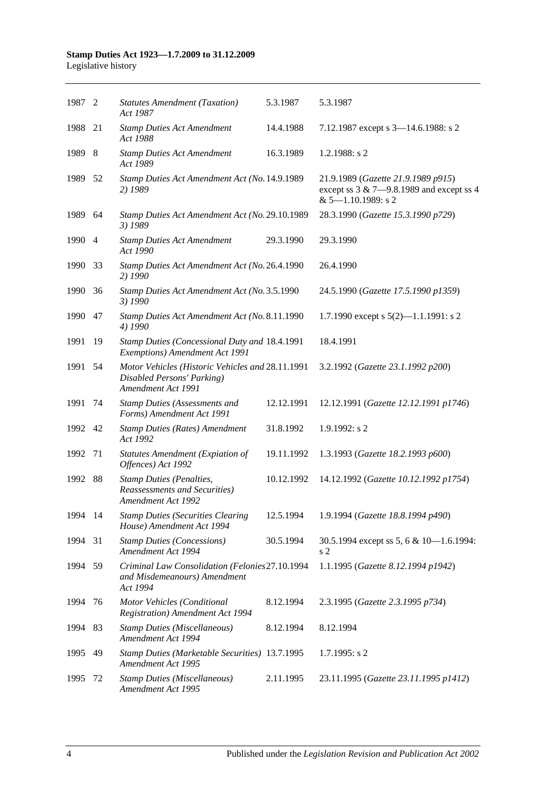| 1987 2  |     | <b>Statutes Amendment (Taxation)</b><br>Act 1987                                                     | 5.3.1987   | 5.3.1987                                                                                                      |
|---------|-----|------------------------------------------------------------------------------------------------------|------------|---------------------------------------------------------------------------------------------------------------|
| 1988    | 21  | <b>Stamp Duties Act Amendment</b><br>Act 1988                                                        | 14.4.1988  | 7.12.1987 except s 3-14.6.1988: s 2                                                                           |
| 1989 8  |     | <b>Stamp Duties Act Amendment</b><br>Act 1989                                                        | 16.3.1989  | $1.2.1988$ : s 2                                                                                              |
| 1989    | 52  | Stamp Duties Act Amendment Act (No. 14.9.1989<br>2) 1989                                             |            | 21.9.1989 (Gazette 21.9.1989 p915)<br>except ss $3 & 7 - 9.8.1989$ and except ss 4<br>$& 5 - 1.10.1989$ : s 2 |
| 1989    | -64 | Stamp Duties Act Amendment Act (No. 29.10.1989<br>3) 1989                                            |            | 28.3.1990 (Gazette 15.3.1990 p729)                                                                            |
| 1990 4  |     | <b>Stamp Duties Act Amendment</b><br>Act 1990                                                        | 29.3.1990  | 29.3.1990                                                                                                     |
| 1990    | 33  | Stamp Duties Act Amendment Act (No. 26.4.1990<br>2) 1990                                             |            | 26.4.1990                                                                                                     |
| 1990    | -36 | Stamp Duties Act Amendment Act (No. 3.5.1990<br>3) 1990                                              |            | 24.5.1990 (Gazette 17.5.1990 p1359)                                                                           |
| 1990    | 47  | Stamp Duties Act Amendment Act (No. 8.11.1990<br>4) 1990                                             |            | 1.7.1990 except s $5(2)$ —1.1.1991: s 2                                                                       |
| 1991    | 19  | Stamp Duties (Concessional Duty and 18.4.1991<br>Exemptions) Amendment Act 1991                      |            | 18.4.1991                                                                                                     |
| 1991    | 54  | Motor Vehicles (Historic Vehicles and 28.11.1991<br>Disabled Persons' Parking)<br>Amendment Act 1991 |            | 3.2.1992 (Gazette 23.1.1992 p200)                                                                             |
| 1991    | 74  | Stamp Duties (Assessments and<br>Forms) Amendment Act 1991                                           | 12.12.1991 | 12.12.1991 (Gazette 12.12.1991 p1746)                                                                         |
| 1992 42 |     | <b>Stamp Duties (Rates) Amendment</b><br>Act 1992                                                    | 31.8.1992  | $1.9.1992$ : s 2                                                                                              |
| 1992    | 71  | <b>Statutes Amendment (Expiation of</b><br>Offences) Act 1992                                        | 19.11.1992 | 1.3.1993 (Gazette 18.2.1993 p600)                                                                             |
| 1992 88 |     | <b>Stamp Duties (Penalties,</b><br><b>Reassessments and Securities</b> )<br>Amendment Act 1992       | 10.12.1992 | 14.12.1992 (Gazette 10.12.1992 p1754)                                                                         |
| 1994 14 |     | Stamp Duties (Securities Clearing 12.5.1994<br>House) Amendment Act 1994                             |            | 1.9.1994 (Gazette 18.8.1994 p490)                                                                             |
| 1994    | 31  | <b>Stamp Duties (Concessions)</b><br>Amendment Act 1994                                              | 30.5.1994  | 30.5.1994 except ss 5, 6 & 10-1.6.1994:<br>s <sub>2</sub>                                                     |
| 1994    | 59  | Criminal Law Consolidation (Felonies27.10.1994<br>and Misdemeanours) Amendment<br>Act 1994           |            | 1.1.1995 (Gazette 8.12.1994 p1942)                                                                            |
| 1994    | 76  | Motor Vehicles (Conditional<br><b>Registration</b> ) Amendment Act 1994                              | 8.12.1994  | 2.3.1995 (Gazette 2.3.1995 p734)                                                                              |
| 1994    | 83  | <b>Stamp Duties (Miscellaneous)</b><br>Amendment Act 1994                                            | 8.12.1994  | 8.12.1994                                                                                                     |
| 1995    | 49  | Stamp Duties (Marketable Securities) 13.7.1995<br>Amendment Act 1995                                 |            | 1.7.1995: s 2                                                                                                 |
| 1995    | 72  | <b>Stamp Duties (Miscellaneous)</b><br>Amendment Act 1995                                            | 2.11.1995  | 23.11.1995 (Gazette 23.11.1995 p1412)                                                                         |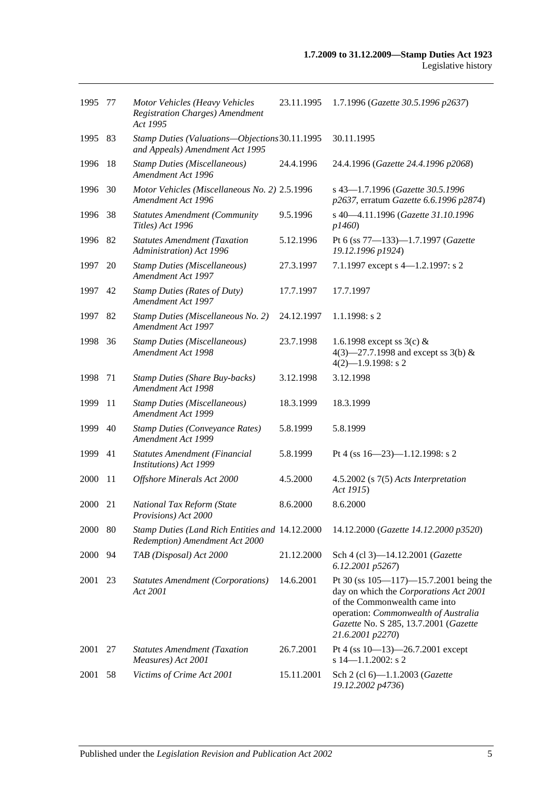| 1995        | -77 | Motor Vehicles (Heavy Vehicles<br><b>Registration Charges)</b> Amendment<br>Act 1995 | 23.11.1995 | 1.7.1996 (Gazette 30.5.1996 p2637)                                                                                                                                                                                           |
|-------------|-----|--------------------------------------------------------------------------------------|------------|------------------------------------------------------------------------------------------------------------------------------------------------------------------------------------------------------------------------------|
| 1995        | 83  | Stamp Duties (Valuations-Objections 30.11.1995<br>and Appeals) Amendment Act 1995    |            | 30.11.1995                                                                                                                                                                                                                   |
| 1996        | 18  | <b>Stamp Duties (Miscellaneous)</b><br>Amendment Act 1996                            | 24.4.1996  | 24.4.1996 (Gazette 24.4.1996 p2068)                                                                                                                                                                                          |
| 1996        | 30  | Motor Vehicles (Miscellaneous No. 2) 2.5.1996<br>Amendment Act 1996                  |            | s 43-1.7.1996 (Gazette 30.5.1996<br>p2637, erratum Gazette 6.6.1996 p2874)                                                                                                                                                   |
| 1996        | -38 | <b>Statutes Amendment (Community</b><br>Titles) Act 1996                             | 9.5.1996   | s 40-4.11.1996 (Gazette 31.10.1996<br>p1460                                                                                                                                                                                  |
| 1996        | 82  | <b>Statutes Amendment (Taxation</b><br>Administration) Act 1996                      | 5.12.1996  | Pt 6 (ss 77-133)-1.7.1997 (Gazette<br>19.12.1996 p1924)                                                                                                                                                                      |
| 1997        | 20  | <b>Stamp Duties (Miscellaneous)</b><br>Amendment Act 1997                            | 27.3.1997  | 7.1.1997 except s 4-1.2.1997: s 2                                                                                                                                                                                            |
| 1997        | 42  | <b>Stamp Duties (Rates of Duty)</b><br>Amendment Act 1997                            | 17.7.1997  | 17.7.1997                                                                                                                                                                                                                    |
| 1997        | 82  | Stamp Duties (Miscellaneous No. 2)<br>Amendment Act 1997                             | 24.12.1997 | $1.1.1998$ : s 2                                                                                                                                                                                                             |
| 1998        | 36  | <b>Stamp Duties (Miscellaneous)</b><br>Amendment Act 1998                            | 23.7.1998  | 1.6.1998 except ss $3(c)$ &<br>4(3)–27.7.1998 and except ss 3(b) &<br>$4(2)$ -1.9.1998: s 2                                                                                                                                  |
| 1998        | 71  | <b>Stamp Duties (Share Buy-backs)</b><br>Amendment Act 1998                          | 3.12.1998  | 3.12.1998                                                                                                                                                                                                                    |
| 1999        | 11  | <b>Stamp Duties (Miscellaneous)</b><br>Amendment Act 1999                            | 18.3.1999  | 18.3.1999                                                                                                                                                                                                                    |
| 1999        | 40  | <b>Stamp Duties (Conveyance Rates)</b><br>Amendment Act 1999                         | 5.8.1999   | 5.8.1999                                                                                                                                                                                                                     |
| 1999        | 41  | Statutes Amendment (Financial<br>Institutions) Act 1999                              | 5.8.1999   | Pt 4 (ss $16 - 23$ )-1.12.1998: s 2                                                                                                                                                                                          |
| 2000        | 11  | Offshore Minerals Act 2000                                                           | 4.5.2000   | 4.5.2002 (s 7(5) Acts Interpretation<br>Act 1915)                                                                                                                                                                            |
| 2000        | 21  | National Tax Reform (State<br>Provisions) Act 2000                                   | 8.6.2000   | 8.6.2000                                                                                                                                                                                                                     |
| 2000        | 80  | Stamp Duties (Land Rich Entities and 14.12.2000)<br>Redemption) Amendment Act 2000   |            | 14.12.2000 (Gazette 14.12.2000 p3520)                                                                                                                                                                                        |
| <b>2000</b> | 94  | TAB (Disposal) Act 2000                                                              | 21.12.2000 | Sch 4 (cl 3)-14.12.2001 (Gazette<br>6.12.2001 p5267)                                                                                                                                                                         |
| 2001        | 23  | <b>Statutes Amendment (Corporations)</b><br>Act 2001                                 | 14.6.2001  | Pt 30 (ss $105 - 117$ ) -15.7.2001 being the<br>day on which the Corporations Act 2001<br>of the Commonwealth came into<br>operation: Commonwealth of Australia<br>Gazette No. S 285, 13.7.2001 (Gazette<br>21.6.2001 p2270) |
| 2001        | 27  | <b>Statutes Amendment (Taxation</b><br>Measures) Act 2001                            | 26.7.2001  | Pt 4 (ss $10-13$ )-26.7.2001 except<br>s $14 - 1.1.2002$ : s 2                                                                                                                                                               |
| 2001        | 58  | Victims of Crime Act 2001                                                            | 15.11.2001 | Sch 2 (cl 6)-1.1.2003 (Gazette<br>19.12.2002 p4736)                                                                                                                                                                          |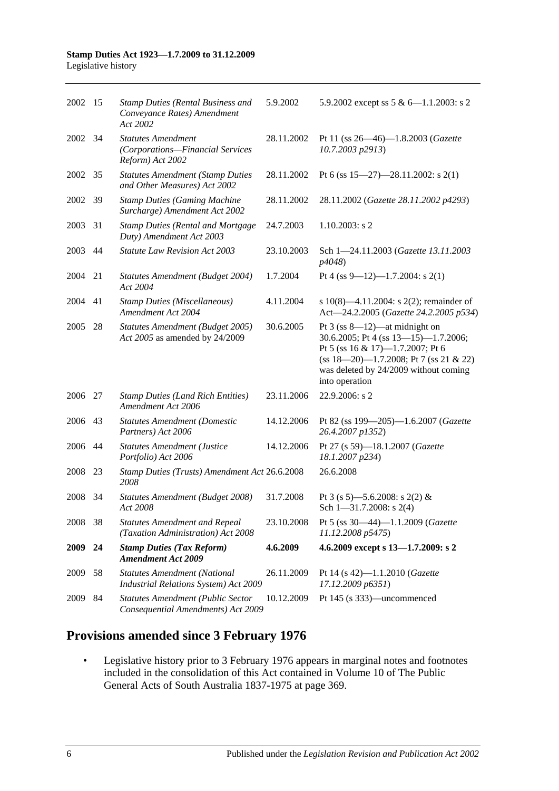| 2002        | 15  | <b>Stamp Duties (Rental Business and</b><br>Conveyance Rates) Amendment<br>Act 2002 | 5.9.2002   | 5.9.2002 except ss $5 & 6 - 1.1.2003$ : s 2                                                                                                                                                                         |
|-------------|-----|-------------------------------------------------------------------------------------|------------|---------------------------------------------------------------------------------------------------------------------------------------------------------------------------------------------------------------------|
| 2002        | 34  | <b>Statutes Amendment</b><br>(Corporations-Financial Services<br>Reform) Act 2002   | 28.11.2002 | Pt 11 (ss 26—46)—1.8.2003 (Gazette<br>10.7.2003 p2913)                                                                                                                                                              |
| 2002 35     |     | <b>Statutes Amendment (Stamp Duties</b><br>and Other Measures) Act 2002             | 28.11.2002 | Pt 6 (ss $15-27$ )-28.11.2002: s 2(1)                                                                                                                                                                               |
| 2002        | -39 | <b>Stamp Duties (Gaming Machine</b><br>Surcharge) Amendment Act 2002                | 28.11.2002 | 28.11.2002 (Gazette 28.11.2002 p4293)                                                                                                                                                                               |
| 2003        | 31  | <b>Stamp Duties (Rental and Mortgage</b><br>Duty) Amendment Act 2003                | 24.7.2003  | $1.10.2003$ : s 2                                                                                                                                                                                                   |
| 2003        | 44  | <b>Statute Law Revision Act 2003</b>                                                | 23.10.2003 | Sch 1-24.11.2003 (Gazette 13.11.2003<br>p4048)                                                                                                                                                                      |
| 2004        | 21  | Statutes Amendment (Budget 2004)<br>Act 2004                                        | 1.7.2004   | Pt 4 (ss 9-12)-1.7.2004: s 2(1)                                                                                                                                                                                     |
| 2004        | 41  | <b>Stamp Duties (Miscellaneous)</b><br>Amendment Act 2004                           | 4.11.2004  | s $10(8)$ —4.11.2004: s $2(2)$ ; remainder of<br>Act-24.2.2005 (Gazette 24.2.2005 p534)                                                                                                                             |
| 2005        | 28  | Statutes Amendment (Budget 2005)<br>Act 2005 as amended by 24/2009                  | 30.6.2005  | Pt $3$ (ss 8—12)—at midnight on<br>30.6.2005; Pt 4 (ss 13-15)-1.7.2006;<br>Pt 5 (ss 16 & 17)-1.7.2007; Pt 6<br>$(ss 18-20)$ -1.7.2008; Pt 7 (ss 21 & 22)<br>was deleted by 24/2009 without coming<br>into operation |
| 2006        | 27  | <b>Stamp Duties (Land Rich Entities)</b><br>Amendment Act 2006                      | 23.11.2006 | 22.9.2006: s 2                                                                                                                                                                                                      |
| 2006        | 43  | <b>Statutes Amendment (Domestic</b><br>Partners) Act 2006                           | 14.12.2006 | Pt 82 (ss 199-205)-1.6.2007 (Gazette<br>26.4.2007 p1352)                                                                                                                                                            |
| 2006 44     |     | <b>Statutes Amendment (Justice</b><br>Portfolio) Act 2006                           | 14.12.2006 | Pt 27 (s 59)-18.1.2007 (Gazette<br>18.1.2007 p234)                                                                                                                                                                  |
| 2008        | 23  | Stamp Duties (Trusts) Amendment Act 26.6.2008<br>2008                               |            | 26.6.2008                                                                                                                                                                                                           |
| 2008        | 34  | Statutes Amendment (Budget 2008)<br>Act 2008                                        | 31.7.2008  | Pt 3 (s 5)—5.6.2008: s 2(2) &<br>Sch $1 - 31.7.2008$ : s 2(4)                                                                                                                                                       |
| 2008        | 38  | <b>Statutes Amendment and Repeal</b><br>(Taxation Administration) Act 2008          | 23.10.2008 | Pt 5 (ss 30-44)-1.1.2009 (Gazette<br>11.12.2008 p5475)                                                                                                                                                              |
| <b>2009</b> | 24  | <b>Stamp Duties (Tax Reform)</b><br><b>Amendment Act 2009</b>                       | 4.6.2009   | 4.6.2009 except s 13-1.7.2009: s 2                                                                                                                                                                                  |
| 2009        | 58  | <b>Statutes Amendment (National</b><br>Industrial Relations System) Act 2009        | 26.11.2009 | Pt 14 (s 42)-1.1.2010 (Gazette<br>17.12.2009 p6351)                                                                                                                                                                 |
| 2009        | 84  | Statutes Amendment (Public Sector<br>Consequential Amendments) Act 2009             | 10.12.2009 | Pt 145 (s 333)—uncommenced                                                                                                                                                                                          |

# **Provisions amended since 3 February 1976**

• Legislative history prior to 3 February 1976 appears in marginal notes and footnotes included in the consolidation of this Act contained in Volume 10 of The Public General Acts of South Australia 1837-1975 at page 369.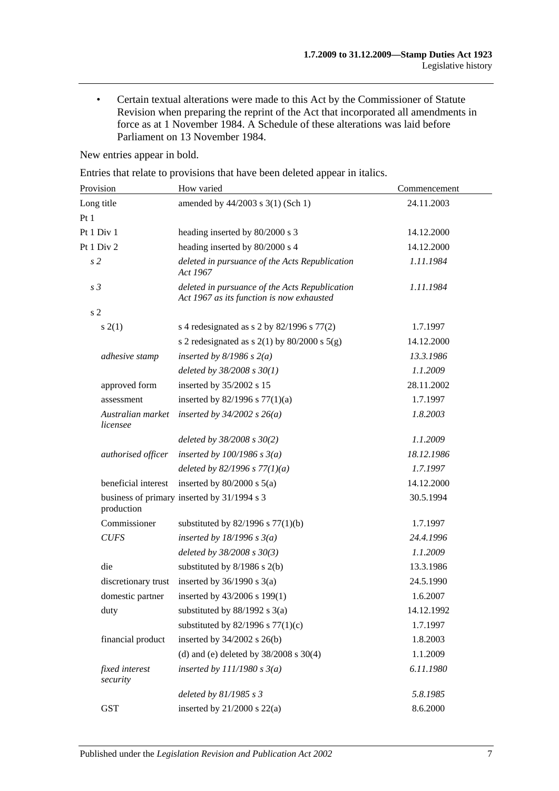• Certain textual alterations were made to this Act by the Commissioner of Statute Revision when preparing the reprint of the Act that incorporated all amendments in force as at 1 November 1984. A Schedule of these alterations was laid before Parliament on 13 November 1984.

New entries appear in bold.

Entries that relate to provisions that have been deleted appear in italics.

| Provision                     | How varied                                                                                  | Commencement |
|-------------------------------|---------------------------------------------------------------------------------------------|--------------|
| Long title                    | amended by 44/2003 s 3(1) (Sch 1)                                                           | 24.11.2003   |
| Pt 1                          |                                                                                             |              |
| Pt 1 Div 1                    | heading inserted by 80/2000 s 3                                                             | 14.12.2000   |
| Pt 1 Div 2                    | heading inserted by 80/2000 s 4                                                             | 14.12.2000   |
| s <sub>2</sub>                | deleted in pursuance of the Acts Republication<br>Act 1967                                  | 1.11.1984    |
| s <sub>3</sub>                | deleted in pursuance of the Acts Republication<br>Act 1967 as its function is now exhausted | 1.11.1984    |
| s <sub>2</sub>                |                                                                                             |              |
| s(2(1))                       | s 4 redesignated as s 2 by $82/1996$ s $77(2)$                                              | 1.7.1997     |
|                               | s 2 redesignated as s $2(1)$ by $80/2000$ s $5(g)$                                          | 14.12.2000   |
| adhesive stamp                | inserted by $8/1986$ s $2(a)$                                                               | 13.3.1986    |
|                               | deleted by $38/2008 s 30(1)$                                                                | 1.1.2009     |
| approved form                 | inserted by 35/2002 s 15                                                                    | 28.11.2002   |
| assessment                    | inserted by $82/1996$ s $77(1)(a)$                                                          | 1.7.1997     |
| Australian market<br>licensee | inserted by $34/2002$ s $26(a)$                                                             | 1.8.2003     |
|                               | deleted by $38/2008$ s $30(2)$                                                              | 1.1.2009     |
| authorised officer            | inserted by $100/1986$ s $3(a)$                                                             | 18.12.1986   |
|                               | deleted by $82/1996 s 77(1)(a)$                                                             | 1.7.1997     |
| beneficial interest           | inserted by $80/2000$ s $5(a)$                                                              | 14.12.2000   |
| production                    | business of primary inserted by 31/1994 s 3                                                 | 30.5.1994    |
| Commissioner                  | substituted by $82/1996$ s $77(1)(b)$                                                       | 1.7.1997     |
| <b>CUFS</b>                   | inserted by $18/1996 s 3(a)$                                                                | 24.4.1996    |
|                               | deleted by 38/2008 s 30(3)                                                                  | 1.1.2009     |
| die                           | substituted by $8/1986$ s $2(b)$                                                            | 13.3.1986    |
| discretionary trust           | inserted by $36/1990$ s $3(a)$                                                              | 24.5.1990    |
| domestic partner              | inserted by 43/2006 s 199(1)                                                                | 1.6.2007     |
| duty                          | substituted by $88/1992$ s $3(a)$                                                           | 14.12.1992   |
|                               | substituted by $82/1996$ s $77(1)(c)$                                                       | 1.7.1997     |
| financial product             | inserted by $34/2002$ s $26(b)$                                                             | 1.8.2003     |
|                               | (d) and (e) deleted by $38/2008$ s $30(4)$                                                  | 1.1.2009     |
| fixed interest<br>security    | inserted by $111/1980 s 3(a)$                                                               | 6.11.1980    |
|                               | deleted by $81/1985 s 3$                                                                    | 5.8.1985     |
| <b>GST</b>                    | inserted by $21/2000$ s $22(a)$                                                             | 8.6.2000     |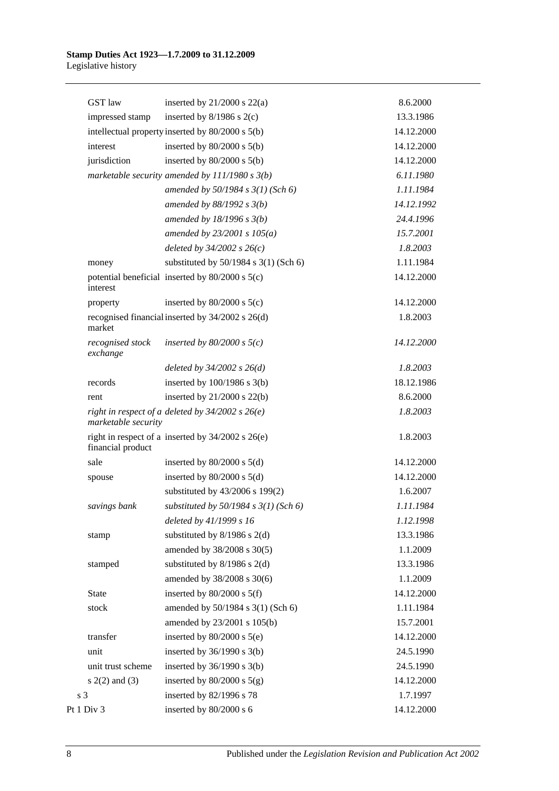| <b>GST</b> law               | inserted by $21/2000$ s $22(a)$                       | 8.6.2000   |
|------------------------------|-------------------------------------------------------|------------|
| impressed stamp              | inserted by $8/1986$ s $2(c)$                         | 13.3.1986  |
|                              | intellectual property inserted by 80/2000 s 5(b)      | 14.12.2000 |
| interest                     | inserted by $80/2000$ s $5(b)$                        | 14.12.2000 |
| jurisdiction                 | inserted by $80/2000$ s $5(b)$                        | 14.12.2000 |
|                              | marketable security amended by $111/1980 s 3(b)$      | 6.11.1980  |
|                              | amended by 50/1984 s 3(1) (Sch 6)                     | 1.11.1984  |
|                              | amended by $88/1992 s 3(b)$                           | 14.12.1992 |
|                              | amended by $18/1996 s 3(b)$                           | 24.4.1996  |
|                              | amended by $23/2001 s 105(a)$                         | 15.7.2001  |
|                              | deleted by $34/2002$ s $26(c)$                        | 1.8.2003   |
| money                        | substituted by $50/1984$ s $3(1)$ (Sch 6)             | 1.11.1984  |
| interest                     | potential beneficial inserted by $80/2000$ s $5(c)$   | 14.12.2000 |
| property                     | inserted by $80/2000$ s $5(c)$                        | 14.12.2000 |
| market                       | recognised financial inserted by 34/2002 s 26(d)      | 1.8.2003   |
| recognised stock<br>exchange | inserted by $80/2000$ s $5(c)$                        | 14.12.2000 |
|                              | deleted by $34/2002$ s $26(d)$                        | 1.8.2003   |
| records                      | inserted by $100/1986$ s $3(b)$                       | 18.12.1986 |
| rent                         | inserted by 21/2000 s 22(b)                           | 8.6.2000   |
| marketable security          | right in respect of a deleted by $34/2002$ s $26(e)$  | 1.8.2003   |
| financial product            | right in respect of a inserted by $34/2002$ s $26(e)$ | 1.8.2003   |
| sale                         | inserted by $80/2000$ s $5(d)$                        | 14.12.2000 |
| spouse                       | inserted by $80/2000$ s $5(d)$                        | 14.12.2000 |
|                              | substituted by 43/2006 s 199(2)                       | 1.6.2007   |
| savings bank                 | substituted by $50/1984$ s $3(1)$ (Sch 6)             | 1.11.1984  |
|                              | deleted by 41/1999 s 16                               | 1.12.1998  |
| stamp                        | substituted by $8/1986$ s $2(d)$                      | 13.3.1986  |
|                              | amended by 38/2008 s 30(5)                            | 1.1.2009   |
| stamped                      | substituted by $8/1986$ s $2(d)$                      | 13.3.1986  |
|                              | amended by 38/2008 s 30(6)                            | 1.1.2009   |
| State                        | inserted by $80/2000$ s $5(f)$                        | 14.12.2000 |
| stock                        | amended by 50/1984 s 3(1) (Sch 6)                     | 1.11.1984  |
|                              | amended by 23/2001 s 105(b)                           | 15.7.2001  |
| transfer                     | inserted by $80/2000$ s $5(e)$                        | 14.12.2000 |
| unit                         | inserted by $36/1990$ s $3(b)$                        | 24.5.1990  |
| unit trust scheme            | inserted by $36/1990$ s $3(b)$                        | 24.5.1990  |
| $s(2(2)$ and $(3)$           | inserted by $80/2000$ s $5(g)$                        | 14.12.2000 |
| s <sub>3</sub>               | inserted by 82/1996 s 78                              | 1.7.1997   |
| Pt 1 Div 3                   | inserted by 80/2000 s 6                               | 14.12.2000 |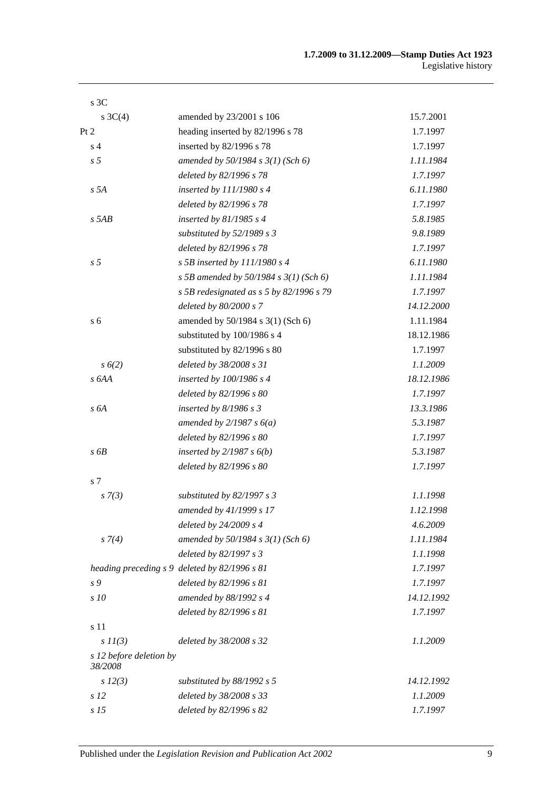| 15.7.2001  |
|------------|
| 1.7.1997   |
| 1.7.1997   |
| 1.11.1984  |
| 1.7.1997   |
| 6.11.1980  |
| 1.7.1997   |
| 5.8.1985   |
| 9.8.1989   |
| 1.7.1997   |
| 6.11.1980  |
| 1.11.1984  |
| 1.7.1997   |
| 14.12.2000 |
| 1.11.1984  |
| 18.12.1986 |
| 1.7.1997   |
| 1.1.2009   |
| 18.12.1986 |
| 1.7.1997   |
| 13.3.1986  |
| 5.3.1987   |
| 1.7.1997   |
| 5.3.1987   |
| 1.7.1997   |
|            |
| 1.1.1998   |
| 1.12.1998  |
| 4.6.2009   |
| 1.11.1984  |
| 1.1.1998   |
| 1.7.1997   |
| 1.7.1997   |
| 14.12.1992 |
| 1.7.1997   |
|            |
| 1.1.2009   |
|            |
| 14.12.1992 |
| 1.1.2009   |
| 1.7.1997   |
|            |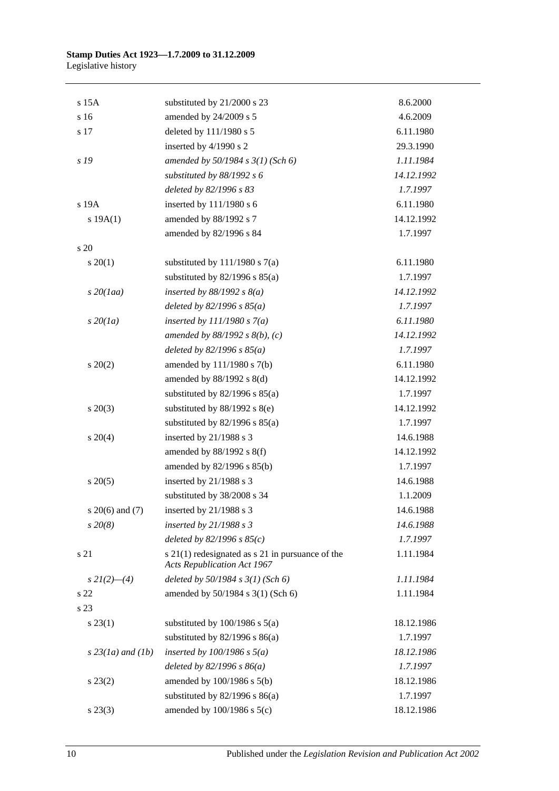| $s$ 15 $A$          | substituted by 21/2000 s 23                                                                | 8.6.2000   |
|---------------------|--------------------------------------------------------------------------------------------|------------|
| s 16                | amended by 24/2009 s 5                                                                     | 4.6.2009   |
| s 17                | deleted by 111/1980 s 5                                                                    | 6.11.1980  |
|                     | inserted by 4/1990 s 2                                                                     | 29.3.1990  |
| s 19                | amended by $50/1984$ s $3(1)$ (Sch 6)                                                      | 1.11.1984  |
|                     | substituted by 88/1992 s 6                                                                 | 14.12.1992 |
|                     | deleted by 82/1996 s 83                                                                    | 1.7.1997   |
| s 19A               | inserted by 111/1980 s 6                                                                   | 6.11.1980  |
| s 19A(1)            | amended by 88/1992 s 7                                                                     | 14.12.1992 |
|                     | amended by 82/1996 s 84                                                                    | 1.7.1997   |
| s 20                |                                                                                            |            |
| $s \ 20(1)$         | substituted by $111/1980$ s $7(a)$                                                         | 6.11.1980  |
|                     | substituted by $82/1996$ s $85(a)$                                                         | 1.7.1997   |
| $s$ 20(1aa)         | inserted by $88/1992$ s $8(a)$                                                             | 14.12.1992 |
|                     | deleted by $82/1996 s 85(a)$                                                               | 1.7.1997   |
| $s\,20(1a)$         | inserted by $111/1980 s 7(a)$                                                              | 6.11.1980  |
|                     | amended by $88/1992$ s $8(b)$ , (c)                                                        | 14.12.1992 |
|                     | deleted by $82/1996 s 85(a)$                                                               | 1.7.1997   |
| $s \ 20(2)$         | amended by 111/1980 s 7(b)                                                                 | 6.11.1980  |
|                     | amended by 88/1992 s 8(d)                                                                  | 14.12.1992 |
|                     | substituted by $82/1996$ s $85(a)$                                                         | 1.7.1997   |
| $s\ 20(3)$          | substituted by $88/1992$ s $8(e)$                                                          | 14.12.1992 |
|                     | substituted by $82/1996$ s $85(a)$                                                         | 1.7.1997   |
| $s \ 20(4)$         | inserted by 21/1988 s 3                                                                    | 14.6.1988  |
|                     | amended by $88/1992$ s $8(f)$                                                              | 14.12.1992 |
|                     | amended by 82/1996 s 85(b)                                                                 | 1.7.1997   |
| $s\,20(5)$          | inserted by 21/1988 s 3                                                                    | 14.6.1988  |
|                     | substituted by 38/2008 s 34                                                                | 1.1.2009   |
| s $20(6)$ and $(7)$ | inserted by $21/1988$ s 3                                                                  | 14.6.1988  |
| $s\,20(8)$          | inserted by $21/1988 s 3$                                                                  | 14.6.1988  |
|                     | deleted by $82/1996 s 85(c)$                                                               | 1.7.1997   |
| s 21                | $s$ 21(1) redesignated as $s$ 21 in pursuance of the<br><b>Acts Republication Act 1967</b> | 1.11.1984  |
| $s\,2I(2)$ —(4)     | deleted by $50/1984$ s $3(1)$ (Sch 6)                                                      | 1.11.1984  |
| s 22                | amended by 50/1984 s 3(1) (Sch 6)                                                          | 1.11.1984  |
| s 23                |                                                                                            |            |
| $s\,23(1)$          | substituted by $100/1986$ s $5(a)$                                                         | 18.12.1986 |
|                     | substituted by $82/1996$ s $86(a)$                                                         | 1.7.1997   |
| $s$ 23(1a) and (1b) | inserted by $100/1986$ s $5(a)$                                                            | 18.12.1986 |
|                     | deleted by $82/1996 s 86(a)$                                                               | 1.7.1997   |
| $s\,23(2)$          | amended by $100/1986$ s $5(b)$                                                             | 18.12.1986 |
|                     | substituted by $82/1996$ s $86(a)$                                                         | 1.7.1997   |
| $s\,23(3)$          | amended by 100/1986 s 5(c)                                                                 | 18.12.1986 |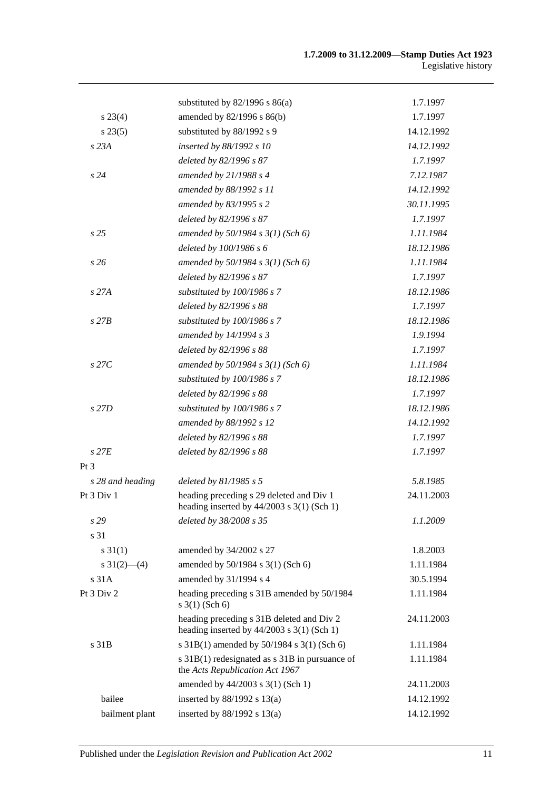|                           | substituted by $82/1996$ s $86(a)$                                                        | 1.7.1997   |
|---------------------------|-------------------------------------------------------------------------------------------|------------|
| $s\,23(4)$                | amended by 82/1996 s 86(b)                                                                | 1.7.1997   |
| $s\,23(5)$                | substituted by 88/1992 s 9                                                                | 14.12.1992 |
| s23A                      | inserted by 88/1992 s 10                                                                  | 14.12.1992 |
|                           | deleted by 82/1996 s 87                                                                   | 1.7.1997   |
| s24                       | amended by $21/1988 s 4$                                                                  | 7.12.1987  |
|                           | amended by 88/1992 s 11                                                                   | 14.12.1992 |
|                           | amended by 83/1995 s 2                                                                    | 30.11.1995 |
|                           | deleted by 82/1996 s 87                                                                   | 1.7.1997   |
| s <sub>25</sub>           | amended by $50/1984$ s $3(1)$ (Sch 6)                                                     | 1.11.1984  |
|                           | deleted by 100/1986 s 6                                                                   | 18.12.1986 |
| s26                       | amended by $50/1984$ s $3(1)$ (Sch 6)                                                     | 1.11.1984  |
|                           | deleted by 82/1996 s 87                                                                   | 1.7.1997   |
| s27A                      | substituted by 100/1986 s 7                                                               | 18.12.1986 |
|                           | deleted by 82/1996 s 88                                                                   | 1.7.1997   |
| $s$ 27 $B$                | substituted by 100/1986 s 7                                                               | 18.12.1986 |
|                           | amended by 14/1994 s 3                                                                    | 1.9.1994   |
|                           | deleted by 82/1996 s 88                                                                   | 1.7.1997   |
| $s$ 27 $C$                | amended by $50/1984$ s $3(1)$ (Sch 6)                                                     | 1.11.1984  |
|                           | substituted by 100/1986 s 7                                                               | 18.12.1986 |
|                           | deleted by 82/1996 s 88                                                                   | 1.7.1997   |
| $s$ 27D                   | substituted by 100/1986 s 7                                                               | 18.12.1986 |
|                           | amended by 88/1992 s 12                                                                   | 14.12.1992 |
|                           | deleted by 82/1996 s 88                                                                   | 1.7.1997   |
| $s$ 27 $E$                | deleted by 82/1996 s 88                                                                   | 1.7.1997   |
| Pt 3                      |                                                                                           |            |
| s 28 and heading          | deleted by $81/1985 s 5$                                                                  | 5.8.1985   |
| Pt 3 Div 1                | heading preceding s 29 deleted and Div 1<br>heading inserted by $44/2003$ s 3(1) (Sch 1)  | 24.11.2003 |
| s 29                      | deleted by 38/2008 s 35                                                                   | 1.1.2009   |
| s 31                      |                                                                                           |            |
| $s \, 31(1)$              | amended by 34/2002 s 27                                                                   | 1.8.2003   |
| $s \frac{31(2) - (4)}{2}$ | amended by 50/1984 s 3(1) (Sch 6)                                                         | 1.11.1984  |
| s 31A                     | amended by 31/1994 s 4                                                                    | 30.5.1994  |
| Pt 3 Div 2                | heading preceding s 31B amended by 50/1984<br>$s \ 3(1)$ (Sch 6)                          | 1.11.1984  |
|                           | heading preceding s 31B deleted and Div 2<br>heading inserted by $44/2003$ s 3(1) (Sch 1) | 24.11.2003 |
| s 31B                     | s 31B(1) amended by 50/1984 s 3(1) (Sch 6)                                                | 1.11.1984  |
|                           | s 31B(1) redesignated as s 31B in pursuance of<br>the Acts Republication Act 1967         | 1.11.1984  |
|                           | amended by 44/2003 s 3(1) (Sch 1)                                                         | 24.11.2003 |
| bailee                    | inserted by $88/1992$ s $13(a)$                                                           | 14.12.1992 |
| bailment plant            | inserted by $88/1992$ s $13(a)$                                                           | 14.12.1992 |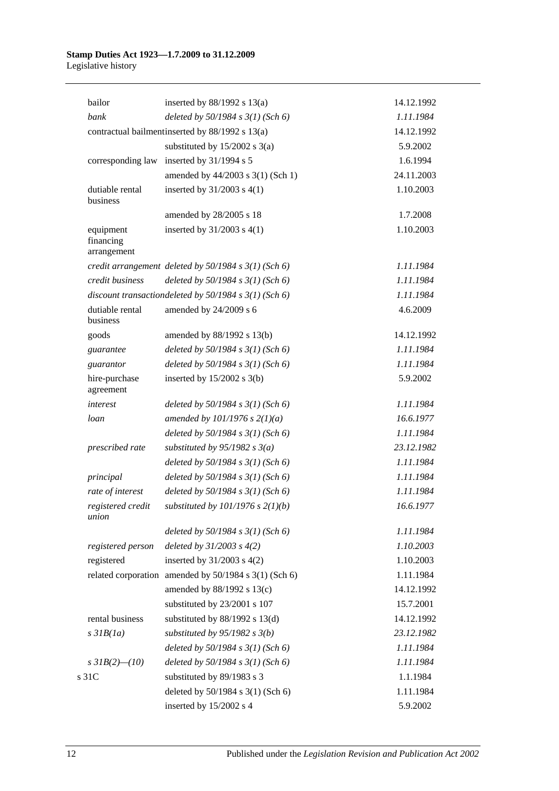| bailor                                | inserted by $88/1992$ s $13(a)$                           | 14.12.1992 |
|---------------------------------------|-----------------------------------------------------------|------------|
| bank                                  | deleted by $50/1984$ s $3(1)$ (Sch 6)                     | 1.11.1984  |
|                                       | contractual bailment inserted by 88/1992 s 13(a)          | 14.12.1992 |
|                                       | substituted by $15/2002$ s $3(a)$                         | 5.9.2002   |
| corresponding law                     | inserted by 31/1994 s 5                                   | 1.6.1994   |
|                                       | amended by 44/2003 s 3(1) (Sch 1)                         | 24.11.2003 |
| dutiable rental<br>business           | inserted by $31/2003$ s $4(1)$                            | 1.10.2003  |
|                                       | amended by 28/2005 s 18                                   | 1.7.2008   |
| equipment<br>financing<br>arrangement | inserted by $31/2003$ s $4(1)$                            | 1.10.2003  |
|                                       | credit arrangement deleted by $50/1984$ s $3(1)$ (Sch 6)  | 1.11.1984  |
| credit business                       | deleted by $50/1984 s 3(1)$ (Sch 6)                       | 1.11.1984  |
|                                       | discount transactiondeleted by $50/1984$ s $3(1)$ (Sch 6) | 1.11.1984  |
| dutiable rental<br>business           | amended by 24/2009 s 6                                    | 4.6.2009   |
| goods                                 | amended by 88/1992 s 13(b)                                | 14.12.1992 |
| guarantee                             | deleted by $50/1984$ s $3(1)$ (Sch 6)                     | 1.11.1984  |
| guarantor                             | deleted by $50/1984 s 3(1)$ (Sch 6)                       | 1.11.1984  |
| hire-purchase<br>agreement            | inserted by $15/2002$ s 3(b)                              | 5.9.2002   |
| interest                              | deleted by $50/1984$ s $3(1)$ (Sch 6)                     | 1.11.1984  |
| loan                                  | amended by $101/1976$ s $2(1)(a)$                         | 16.6.1977  |
|                                       | deleted by $50/1984$ s $3(1)$ (Sch 6)                     | 1.11.1984  |
| prescribed rate                       | substituted by $95/1982$ s $3(a)$                         | 23.12.1982 |
|                                       | deleted by $50/1984$ s $3(1)$ (Sch 6)                     | 1.11.1984  |
| principal                             | deleted by $50/1984 s 3(1)$ (Sch 6)                       | 1.11.1984  |
| rate of interest                      | deleted by $50/1984$ s $3(1)$ (Sch 6)                     | 1.11.1984  |
| registered credit<br>union            | substituted by $101/1976$ s $2(1)(b)$                     | 16.6.1977  |
|                                       | deleted by $50/1984$ s $3(1)$ (Sch 6)                     | 1.11.1984  |
| registered person                     | deleted by $31/2003$ s $4(2)$                             | 1.10.2003  |
| registered                            | inserted by $31/2003$ s $4(2)$                            | 1.10.2003  |
|                                       | related corporation amended by 50/1984 s 3(1) (Sch 6)     | 1.11.1984  |
|                                       | amended by 88/1992 s 13(c)                                | 14.12.1992 |
|                                       | substituted by 23/2001 s 107                              | 15.7.2001  |
| rental business                       | substituted by $88/1992$ s $13(d)$                        | 14.12.1992 |
| $s$ 31 $B(1a)$                        | substituted by $95/1982$ s $3(b)$                         | 23.12.1982 |
|                                       | deleted by $50/1984$ s $3(1)$ (Sch 6)                     | 1.11.1984  |
| s $3IB(2)$ - (10)                     | deleted by $50/1984$ s $3(1)$ (Sch 6)                     | 1.11.1984  |
| s 31C                                 | substituted by 89/1983 s 3                                | 1.1.1984   |
|                                       | deleted by 50/1984 s 3(1) (Sch 6)                         | 1.11.1984  |
|                                       | inserted by 15/2002 s 4                                   | 5.9.2002   |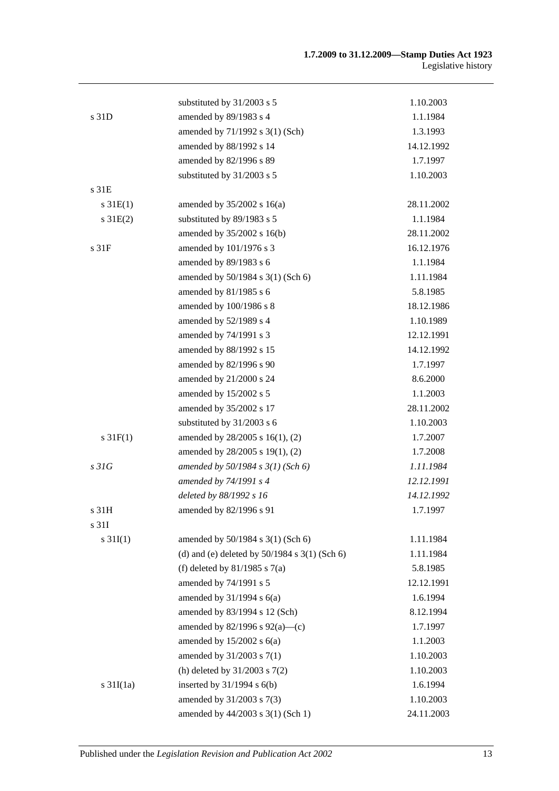|                       | substituted by 31/2003 s 5                        | 1.10.2003  |
|-----------------------|---------------------------------------------------|------------|
| s <sub>31D</sub>      | amended by 89/1983 s 4                            | 1.1.1984   |
|                       | amended by 71/1992 s 3(1) (Sch)                   | 1.3.1993   |
|                       | amended by 88/1992 s 14                           | 14.12.1992 |
|                       | amended by 82/1996 s 89                           | 1.7.1997   |
|                       | substituted by 31/2003 s 5                        | 1.10.2003  |
| s <sub>31E</sub>      |                                                   |            |
| $s \, 31E(1)$         | amended by $35/2002$ s $16(a)$                    | 28.11.2002 |
| $s \, 31E(2)$         | substituted by 89/1983 s 5                        | 1.1.1984   |
|                       | amended by 35/2002 s 16(b)                        | 28.11.2002 |
| s 31F                 | amended by 101/1976 s 3                           | 16.12.1976 |
|                       | amended by 89/1983 s 6                            | 1.1.1984   |
|                       | amended by 50/1984 s 3(1) (Sch 6)                 | 1.11.1984  |
|                       | amended by 81/1985 s 6                            | 5.8.1985   |
|                       | amended by 100/1986 s 8                           | 18.12.1986 |
|                       | amended by 52/1989 s 4                            | 1.10.1989  |
|                       | amended by 74/1991 s 3                            | 12.12.1991 |
|                       | amended by 88/1992 s 15                           | 14.12.1992 |
|                       | amended by 82/1996 s 90                           | 1.7.1997   |
|                       | amended by 21/2000 s 24                           | 8.6.2000   |
|                       | amended by 15/2002 s 5                            | 1.1.2003   |
|                       | amended by 35/2002 s 17                           | 28.11.2002 |
|                       | substituted by 31/2003 s 6                        | 1.10.2003  |
| $s \, 31F(1)$         | amended by 28/2005 s 16(1), (2)                   | 1.7.2007   |
|                       | amended by 28/2005 s 19(1), (2)                   | 1.7.2008   |
| s31G                  | amended by $50/1984$ s $3(1)$ (Sch 6)             | 1.11.1984  |
|                       | amended by 74/1991 s 4                            | 12.12.1991 |
|                       | deleted by 88/1992 s 16                           | 14.12.1992 |
| s 31H                 | amended by 82/1996 s 91                           | 1.7.1997   |
| s 31I                 |                                                   |            |
| $s \, 31I(1)$         | amended by 50/1984 s 3(1) (Sch 6)                 | 1.11.1984  |
|                       | (d) and (e) deleted by $50/1984$ s $3(1)$ (Sch 6) | 1.11.1984  |
|                       | (f) deleted by $81/1985$ s $7(a)$                 | 5.8.1985   |
|                       | amended by 74/1991 s 5                            | 12.12.1991 |
|                       | amended by $31/1994$ s $6(a)$                     | 1.6.1994   |
|                       | amended by 83/1994 s 12 (Sch)                     | 8.12.1994  |
|                       | amended by $82/1996$ s $92(a)$ —(c)               | 1.7.1997   |
|                       | amended by $15/2002$ s $6(a)$                     | 1.1.2003   |
|                       | amended by 31/2003 s 7(1)                         | 1.10.2003  |
|                       | (h) deleted by $31/2003$ s $7(2)$                 | 1.10.2003  |
| $s \frac{31I(1a)}{2}$ | inserted by $31/1994$ s $6(b)$                    | 1.6.1994   |
|                       | amended by 31/2003 s 7(3)                         | 1.10.2003  |
|                       | amended by 44/2003 s 3(1) (Sch 1)                 | 24.11.2003 |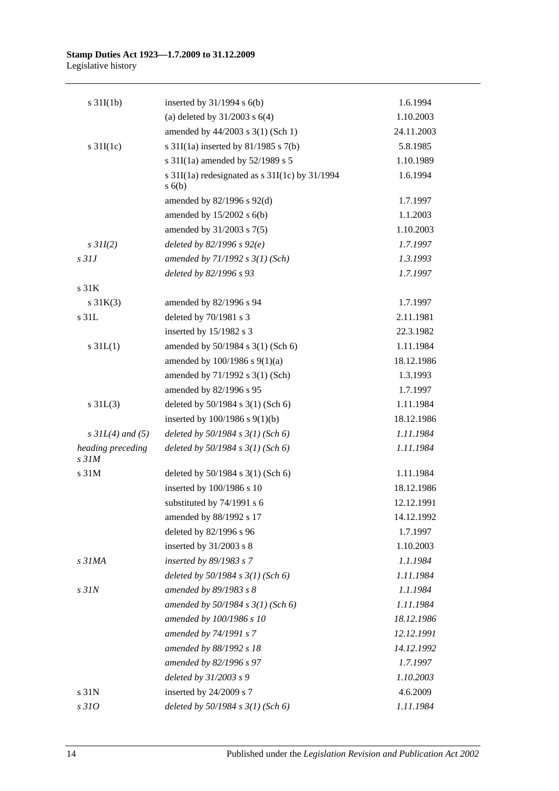| $s \frac{31I(1b)}{2}$           | inserted by $31/1994$ s $6(b)$                         | 1.6.1994   |
|---------------------------------|--------------------------------------------------------|------------|
|                                 | (a) deleted by $31/2003$ s $6(4)$                      | 1.10.2003  |
|                                 | amended by 44/2003 s 3(1) (Sch 1)                      | 24.11.2003 |
| $s \frac{31I(1c)}{2}$           | s $31I(1a)$ inserted by $81/1985$ s $7(b)$             | 5.8.1985   |
|                                 | s $31I(1a)$ amended by $52/1989$ s 5                   | 1.10.1989  |
|                                 | s 31I(1a) redesignated as s 31I(1c) by 31/1994<br>s(6) | 1.6.1994   |
|                                 | amended by 82/1996 s 92(d)                             | 1.7.1997   |
|                                 | amended by $15/2002$ s $6(b)$                          | 1.1.2003   |
|                                 | amended by 31/2003 s 7(5)                              | 1.10.2003  |
| $s$ 31I(2)                      | deleted by $82/1996 s 92(e)$                           | 1.7.1997   |
| $s$ 31J                         | amended by $71/1992 s 3(1)$ (Sch)                      | 1.3.1993   |
|                                 | deleted by 82/1996 s 93                                | 1.7.1997   |
| s <sub>31K</sub>                |                                                        |            |
| $s \, 31K(3)$                   | amended by 82/1996 s 94                                | 1.7.1997   |
| s 31L                           | deleted by 70/1981 s 3                                 | 2.11.1981  |
|                                 | inserted by 15/1982 s 3                                | 22.3.1982  |
| $s \, 31L(1)$                   | amended by 50/1984 s 3(1) (Sch 6)                      | 1.11.1984  |
|                                 | amended by $100/1986$ s $9(1)(a)$                      | 18.12.1986 |
|                                 | amended by 71/1992 s 3(1) (Sch)                        | 1.3.1993   |
|                                 | amended by 82/1996 s 95                                | 1.7.1997   |
| $s \, 31L(3)$                   | deleted by 50/1984 s 3(1) (Sch 6)                      | 1.11.1984  |
|                                 | inserted by $100/1986$ s $9(1)(b)$                     | 18.12.1986 |
| $s \, 3IL(4)$ and (5)           | deleted by $50/1984$ s $3(1)$ (Sch 6)                  | 1.11.1984  |
| heading preceding<br>$s$ 31 $M$ | deleted by $50/1984$ s $3(1)$ (Sch 6)                  | 1.11.1984  |
| s 31M                           | deleted by 50/1984 s 3(1) (Sch 6)                      | 1.11.1984  |
|                                 | inserted by 100/1986 s 10                              | 18.12.1986 |
|                                 | substituted by 74/1991 s 6                             | 12.12.1991 |
|                                 | amended by 88/1992 s 17                                | 14.12.1992 |
|                                 | deleted by 82/1996 s 96                                | 1.7.1997   |
|                                 | inserted by $31/2003$ s 8                              | 1.10.2003  |
| s 31MA                          | inserted by $89/1983$ s 7                              | 1.1.1984   |
|                                 | deleted by $50/1984$ s $3(1)$ (Sch 6)                  | 1.11.1984  |
| $s$ $31N$                       | amended by 89/1983 s 8                                 | 1.1.1984   |
|                                 | amended by 50/1984 s 3(1) (Sch 6)                      | 1.11.1984  |
|                                 | amended by 100/1986 s 10                               | 18.12.1986 |
|                                 | amended by 74/1991 s 7                                 | 12.12.1991 |
|                                 | amended by 88/1992 s 18                                | 14.12.1992 |
|                                 | amended by 82/1996 s 97                                | 1.7.1997   |
|                                 | deleted by 31/2003 s 9                                 | 1.10.2003  |
| s 31N                           | inserted by 24/2009 s 7                                | 4.6.2009   |
| s 310                           | deleted by $50/1984$ s $3(1)$ (Sch 6)                  | 1.11.1984  |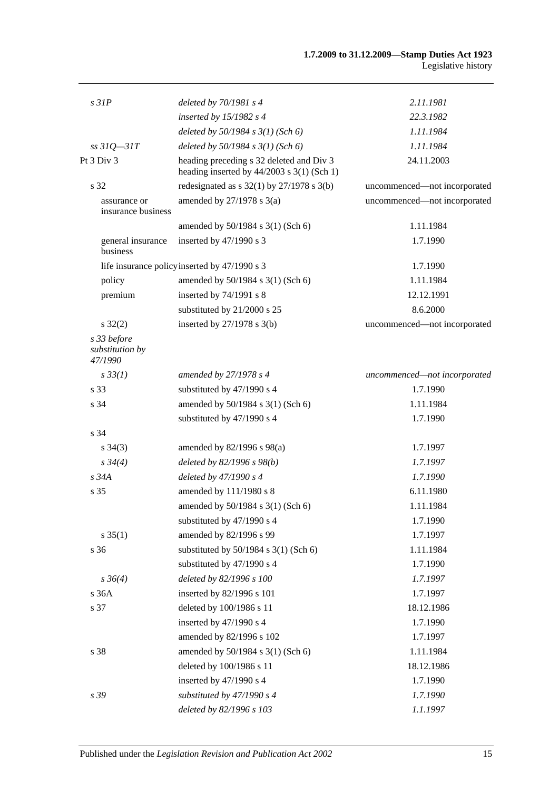| s3IP                                      | deleted by $70/1981 s4$                                                                  | 2.11.1981                    |
|-------------------------------------------|------------------------------------------------------------------------------------------|------------------------------|
|                                           | inserted by $15/1982$ s 4                                                                | 22.3.1982                    |
|                                           | deleted by $50/1984$ s $3(1)$ (Sch 6)                                                    | 1.11.1984                    |
| $ss31Q - 31T$                             | deleted by $50/1984$ s $3(1)$ (Sch 6)                                                    | 1.11.1984                    |
| Pt 3 Div 3                                | heading preceding s 32 deleted and Div 3<br>heading inserted by $44/2003$ s 3(1) (Sch 1) | 24.11.2003                   |
| s 32                                      | redesignated as $s$ 32(1) by 27/1978 $s$ 3(b)                                            | uncommenced—not incorporated |
| assurance or<br>insurance business        | amended by $27/1978$ s 3(a)                                                              | uncommenced-not incorporated |
|                                           | amended by 50/1984 s 3(1) (Sch 6)                                                        | 1.11.1984                    |
| general insurance<br>business             | inserted by 47/1990 s 3                                                                  | 1.7.1990                     |
|                                           | life insurance policy inserted by 47/1990 s 3                                            | 1.7.1990                     |
| policy                                    | amended by 50/1984 s 3(1) (Sch 6)                                                        | 1.11.1984                    |
| premium                                   | inserted by 74/1991 s 8                                                                  | 12.12.1991                   |
|                                           | substituted by 21/2000 s 25                                                              | 8.6.2000                     |
| $s \, 32(2)$                              | inserted by $27/1978$ s 3(b)                                                             | uncommenced-not incorporated |
| s 33 before<br>substitution by<br>47/1990 |                                                                                          |                              |
| $s \, 33(1)$                              | amended by 27/1978 s 4                                                                   | uncommenced-not incorporated |
| s 33                                      | substituted by 47/1990 s 4                                                               | 1.7.1990                     |
| s 34                                      | amended by 50/1984 s 3(1) (Sch 6)                                                        | 1.11.1984                    |
|                                           | substituted by 47/1990 s 4                                                               | 1.7.1990                     |
| s 34                                      |                                                                                          |                              |
| $s \; 34(3)$                              | amended by $82/1996$ s $98(a)$                                                           | 1.7.1997                     |
| $s \frac{34}{4}$                          | deleted by 82/1996 s 98(b)                                                               | 1.7.1997                     |
| $s\,34A$                                  | deleted by 47/1990 s 4                                                                   | 1.7.1990                     |
| s 35                                      | amended by 111/1980 s 8                                                                  | 6.11.1980                    |
|                                           | amended by 50/1984 s 3(1) (Sch 6)                                                        | 1.11.1984                    |
|                                           | substituted by 47/1990 s 4                                                               | 1.7.1990                     |
| $s \, 35(1)$                              | amended by 82/1996 s 99                                                                  | 1.7.1997                     |
| s 36                                      | substituted by $50/1984$ s $3(1)$ (Sch 6)                                                | 1.11.1984                    |
|                                           | substituted by 47/1990 s 4                                                               | 1.7.1990                     |
| $s \, 36(4)$                              | deleted by 82/1996 s 100                                                                 | 1.7.1997                     |
| s 36A                                     | inserted by 82/1996 s 101                                                                | 1.7.1997                     |
| s 37                                      | deleted by 100/1986 s 11                                                                 | 18.12.1986                   |
|                                           | inserted by 47/1990 s 4                                                                  | 1.7.1990                     |
|                                           | amended by 82/1996 s 102                                                                 | 1.7.1997                     |
| s 38                                      | amended by 50/1984 s 3(1) (Sch 6)                                                        | 1.11.1984                    |
|                                           | deleted by 100/1986 s 11                                                                 | 18.12.1986                   |
|                                           | inserted by 47/1990 s 4                                                                  | 1.7.1990                     |
| s 39                                      | substituted by 47/1990 s 4                                                               | 1.7.1990                     |
|                                           | deleted by 82/1996 s 103                                                                 | 1.1.1997                     |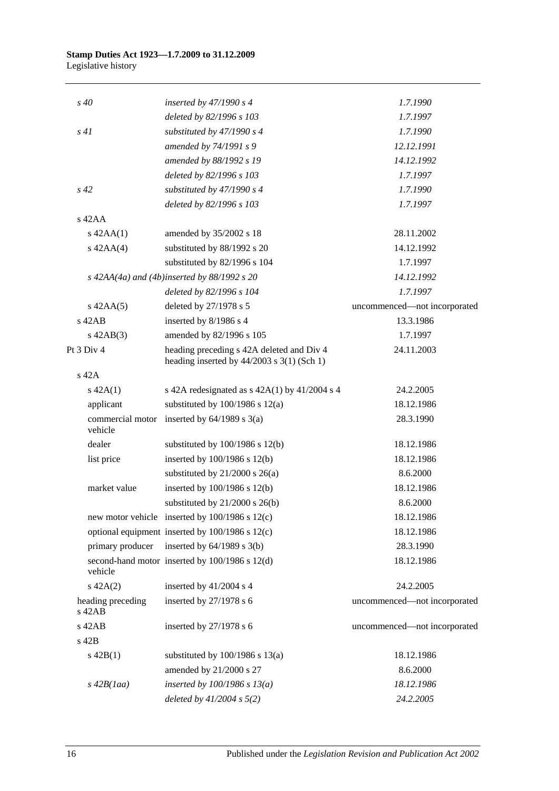| $s\,40$                     |                  | inserted by $47/1990 s 4$                                                                 | 1.7.1990                     |
|-----------------------------|------------------|-------------------------------------------------------------------------------------------|------------------------------|
|                             |                  | deleted by 82/1996 s 103                                                                  | 1.7.1997                     |
| s41                         |                  | substituted by $47/1990 s 4$                                                              | 1.7.1990                     |
|                             |                  | amended by 74/1991 s 9                                                                    | 12.12.1991                   |
|                             |                  | amended by 88/1992 s 19                                                                   | 14.12.1992                   |
|                             |                  | deleted by 82/1996 s 103                                                                  | 1.7.1997                     |
| $s\,42$                     |                  | substituted by $47/1990 s 4$                                                              | 1.7.1990                     |
|                             |                  | deleted by 82/1996 s 103                                                                  | 1.7.1997                     |
| $s$ 42AA                    |                  |                                                                                           |                              |
| $s$ 42AA $(1)$              |                  | amended by 35/2002 s 18                                                                   | 28.11.2002                   |
| $s$ 42AA(4)                 |                  | substituted by 88/1992 s 20                                                               | 14.12.1992                   |
|                             |                  | substituted by 82/1996 s 104                                                              | 1.7.1997                     |
|                             |                  | s $42AA(4a)$ and $(4b)$ inserted by 88/1992 s 20                                          | 14.12.1992                   |
|                             |                  | deleted by 82/1996 s 104                                                                  | 1.7.1997                     |
| $s$ 42AA $(5)$              |                  | deleted by 27/1978 s 5                                                                    | uncommenced-not incorporated |
| $s$ 42AB                    |                  | inserted by 8/1986 s 4                                                                    | 13.3.1986                    |
| $s$ 42AB $(3)$              |                  | amended by 82/1996 s 105                                                                  | 1.7.1997                     |
| Pt 3 Div 4                  |                  | heading preceding s 42A deleted and Div 4<br>heading inserted by $44/2003$ s 3(1) (Sch 1) | 24.11.2003                   |
| $s$ 42A                     |                  |                                                                                           |                              |
| $s\ 42A(1)$                 |                  | s 42A redesignated as $s$ 42A(1) by 41/2004 s 4                                           | 24.2.2005                    |
| applicant                   |                  | substituted by $100/1986$ s $12(a)$                                                       | 18.12.1986                   |
| vehicle                     |                  | commercial motor inserted by $64/1989$ s $3(a)$                                           | 28.3.1990                    |
| dealer                      |                  | substituted by $100/1986$ s $12(b)$                                                       | 18.12.1986                   |
| list price                  |                  | inserted by $100/1986$ s $12(b)$                                                          | 18.12.1986                   |
|                             |                  | substituted by $21/2000$ s $26(a)$                                                        | 8.6.2000                     |
| market value                |                  | inserted by 100/1986 s 12(b)                                                              | 18.12.1986                   |
|                             |                  | substituted by $21/2000$ s $26(b)$                                                        | 8.6.2000                     |
|                             |                  | new motor vehicle inserted by 100/1986 s 12(c)                                            | 18.12.1986                   |
|                             |                  | optional equipment inserted by 100/1986 s 12(c)                                           | 18.12.1986                   |
|                             | primary producer | inserted by $64/1989$ s $3(b)$                                                            | 28.3.1990                    |
| vehicle                     |                  | second-hand motor inserted by 100/1986 s 12(d)                                            | 18.12.1986                   |
| $s\ 42A(2)$                 |                  | inserted by 41/2004 s 4                                                                   | 24.2.2005                    |
| heading preceding<br>s 42AB |                  | inserted by $27/1978$ s 6                                                                 | uncommenced-not incorporated |
| s 42AB                      |                  | inserted by 27/1978 s 6                                                                   | uncommenced-not incorporated |
| s 42B                       |                  |                                                                                           |                              |
| $s\ 42B(1)$                 |                  | substituted by $100/1986$ s $13(a)$                                                       | 18.12.1986                   |
|                             |                  | amended by 21/2000 s 27                                                                   | 8.6.2000                     |
| $s\,42B(1aa)$               |                  | inserted by $100/1986$ s $13(a)$                                                          | 18.12.1986                   |
|                             |                  | deleted by $41/2004 s 5(2)$                                                               | 24.2.2005                    |
|                             |                  |                                                                                           |                              |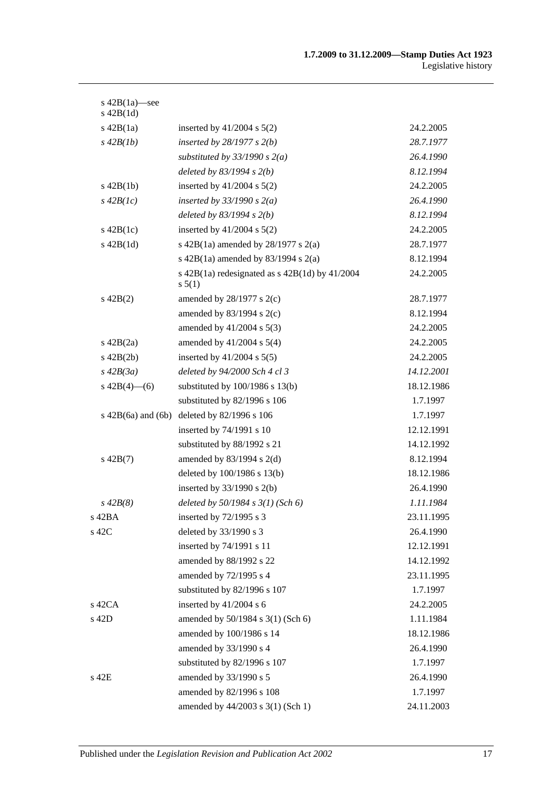| s $42B(1a)$ —see<br>$s$ 42B $(1d)$ |                                                                |            |
|------------------------------------|----------------------------------------------------------------|------------|
| $s\ 42B(1a)$                       | inserted by $41/2004$ s $5(2)$                                 | 24.2.2005  |
| $s\,42B(1b)$                       | inserted by $28/1977 s 2(b)$                                   | 28.7.1977  |
|                                    | substituted by $33/1990 s 2(a)$                                | 26.4.1990  |
|                                    | deleted by $83/1994 s 2(b)$                                    | 8.12.1994  |
| $s$ 42B(1b)                        | inserted by $41/2004$ s $5(2)$                                 | 24.2.2005  |
| $s\,42B(1c)$                       | inserted by $33/1990 s 2(a)$                                   | 26.4.1990  |
|                                    | deleted by $83/1994 s 2(b)$                                    | 8.12.1994  |
| $s\ 42B(1c)$                       | inserted by $41/2004$ s $5(2)$                                 | 24.2.2005  |
| $s$ 42B $(1d)$                     | s 42B(1a) amended by $28/1977$ s $2(a)$                        | 28.7.1977  |
|                                    | s $42B(1a)$ amended by $83/1994$ s $2(a)$                      | 8.12.1994  |
|                                    | s $42B(1a)$ redesignated as s $42B(1d)$ by $41/2004$<br>s 5(1) | 24.2.2005  |
| $s\ 42B(2)$                        | amended by $28/1977$ s $2(c)$                                  | 28.7.1977  |
|                                    | amended by $83/1994$ s 2(c)                                    | 8.12.1994  |
|                                    | amended by $41/2004$ s $5(3)$                                  | 24.2.2005  |
| $s\ 42B(2a)$                       | amended by $41/2004$ s $5(4)$                                  | 24.2.2005  |
| $s\ 42B(2b)$                       | inserted by $41/2004$ s $5(5)$                                 | 24.2.2005  |
| $s\,42B(3a)$                       | deleted by 94/2000 Sch 4 cl 3                                  | 14.12.2001 |
| s $42B(4)$ - (6)                   | substituted by $100/1986$ s $13(b)$                            | 18.12.1986 |
|                                    | substituted by 82/1996 s 106                                   | 1.7.1997   |
| $s\ 42B(6a)$ and $(6b)$            | deleted by 82/1996 s 106                                       | 1.7.1997   |
|                                    | inserted by 74/1991 s 10                                       | 12.12.1991 |
|                                    | substituted by 88/1992 s 21                                    | 14.12.1992 |
| $s\ 42B(7)$                        | amended by $83/1994$ s 2(d)                                    | 8.12.1994  |
|                                    | deleted by 100/1986 s 13(b)                                    | 18.12.1986 |
|                                    | inserted by $33/1990$ s 2(b)                                   | 26.4.1990  |
| $s\,42B(8)$                        | deleted by $50/1984$ s $3(1)$ (Sch 6)                          | 1.11.1984  |
| s 42BA                             | inserted by $72/1995$ s 3                                      | 23.11.1995 |
| s 42C                              | deleted by 33/1990 s 3                                         | 26.4.1990  |
|                                    | inserted by 74/1991 s 11                                       | 12.12.1991 |
|                                    | amended by 88/1992 s 22                                        | 14.12.1992 |
|                                    | amended by 72/1995 s 4                                         | 23.11.1995 |
|                                    | substituted by 82/1996 s 107                                   | 1.7.1997   |
| s 42CA                             | inserted by 41/2004 s 6                                        | 24.2.2005  |
| s 42D                              | amended by 50/1984 s 3(1) (Sch 6)                              | 1.11.1984  |
|                                    | amended by 100/1986 s 14                                       | 18.12.1986 |
|                                    | amended by 33/1990 s 4                                         | 26.4.1990  |
|                                    | substituted by 82/1996 s 107                                   | 1.7.1997   |
| s 42E                              | amended by 33/1990 s 5                                         | 26.4.1990  |
|                                    | amended by 82/1996 s 108                                       | 1.7.1997   |
|                                    | amended by 44/2003 s 3(1) (Sch 1)                              | 24.11.2003 |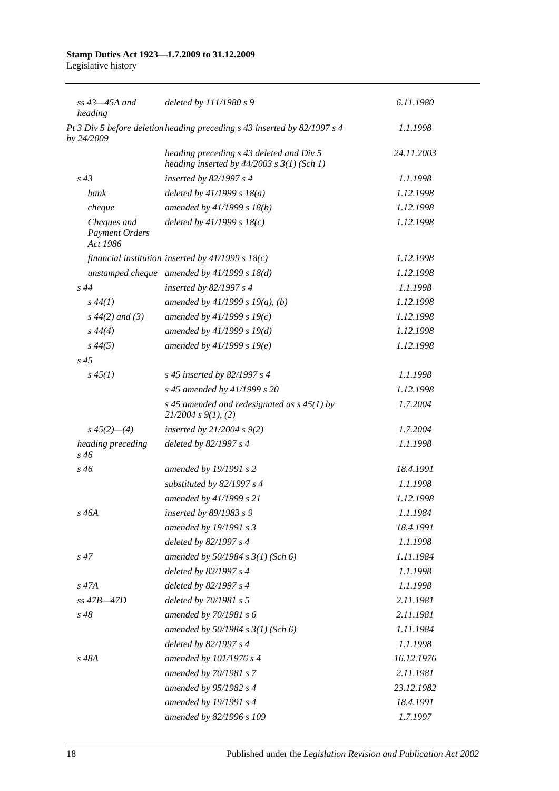| $ss$ 43 $-45A$ and<br>heading                    | deleted by $111/1980 s$ 9                                                                  | 6.11.1980  |
|--------------------------------------------------|--------------------------------------------------------------------------------------------|------------|
| by 24/2009                                       | Pt 3 Div 5 before deletion heading preceding s 43 inserted by 82/1997 s 4                  | 1.1.1998   |
|                                                  | heading preceding s 43 deleted and Div 5<br>heading inserted by $44/2003$ s $3(1)$ (Sch 1) | 24.11.2003 |
| $s\,43$                                          | inserted by $82/1997 s 4$                                                                  | 1.1.1998   |
| bank                                             | deleted by $41/1999 s 18(a)$                                                               | 1.12.1998  |
| cheque                                           | amended by 41/1999 s 18(b)                                                                 | 1.12.1998  |
| Cheques and<br><b>Payment Orders</b><br>Act 1986 | deleted by $41/1999 s 18(c)$                                                               | 1.12.1998  |
|                                                  | financial institution inserted by $41/1999 s 18(c)$                                        | 1.12.1998  |
|                                                  | unstamped cheque amended by $41/1999 s 18(d)$                                              | 1.12.1998  |
| $s\,44$                                          | inserted by $82/1997 s 4$                                                                  | 1.1.1998   |
| $s\,44(1)$                                       | amended by $41/1999 s 19(a)$ , (b)                                                         | 1.12.1998  |
| $s\,44(2)$ and (3)                               | amended by $41/1999 s 19(c)$                                                               | 1.12.1998  |
| $s\,44(4)$                                       | amended by $41/1999 s 19(d)$                                                               | 1.12.1998  |
| $s\,44(5)$                                       | amended by $41/1999 s 19(e)$                                                               | 1.12.1998  |
| $s\,45$                                          |                                                                                            |            |
| $s\,45(1)$                                       | s 45 inserted by 82/1997 s 4                                                               | 1.1.1998   |
|                                                  | s 45 amended by 41/1999 s 20                                                               | 1.12.1998  |
|                                                  | s 45 amended and redesignated as $s$ 45(1) by<br>21/2004 s 9(1), (2)                       | 1.7.2004   |
| $s\,45(2)$ —(4)                                  | inserted by $21/2004 s 9(2)$                                                               | 1.7.2004   |
| heading preceding<br>s 46                        | deleted by 82/1997 s 4                                                                     | 1.1.1998   |
| $s\,46$                                          | amended by 19/1991 s 2                                                                     | 18.4.1991  |
|                                                  | substituted by 82/1997 s 4                                                                 | 1.1.1998   |
|                                                  | amended by 41/1999 s 21                                                                    | 1.12.1998  |
| s 46A                                            | inserted by 89/1983 s 9                                                                    | 1.1.1984   |
|                                                  | amended by 19/1991 s 3                                                                     | 18.4.1991  |
|                                                  | deleted by 82/1997 s 4                                                                     | 1.1.1998   |
| $s\,47$                                          | amended by $50/1984 s 3(1)$ (Sch 6)                                                        | 1.11.1984  |
|                                                  | deleted by 82/1997 s 4                                                                     | 1.1.1998   |
| s 47A                                            | deleted by 82/1997 s 4                                                                     | 1.1.1998   |
| $ss$ 47B $-47D$                                  | deleted by 70/1981 s 5                                                                     | 2.11.1981  |
| $s\,48$                                          | amended by 70/1981 s 6                                                                     | 2.11.1981  |
|                                                  | amended by $50/1984 s 3(1)$ (Sch 6)                                                        | 1.11.1984  |
|                                                  | deleted by 82/1997 s 4                                                                     | 1.1.1998   |
| s 48A                                            | amended by 101/1976 s 4                                                                    | 16.12.1976 |
|                                                  | amended by 70/1981 s 7                                                                     | 2.11.1981  |
|                                                  | amended by 95/1982 s 4                                                                     | 23.12.1982 |
|                                                  | amended by 19/1991 s 4                                                                     | 18.4.1991  |
|                                                  | amended by 82/1996 s 109                                                                   | 1.7.1997   |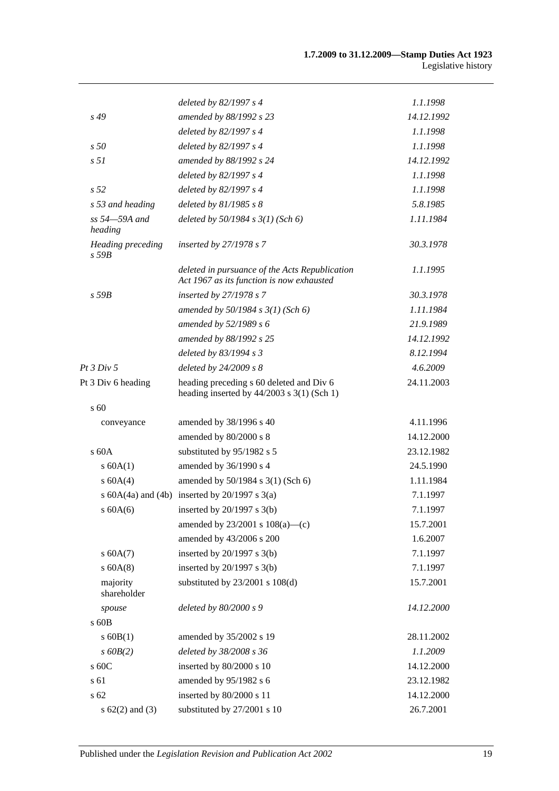|                                 | deleted by 82/1997 s 4                                                                      | 1.1.1998   |
|---------------------------------|---------------------------------------------------------------------------------------------|------------|
| $s\,49$                         | amended by 88/1992 s 23                                                                     | 14.12.1992 |
|                                 | deleted by 82/1997 s 4                                                                      | 1.1.1998   |
| s50                             | deleted by 82/1997 s 4                                                                      | 1.1.1998   |
| s <sub>51</sub>                 | amended by 88/1992 s 24                                                                     | 14.12.1992 |
|                                 | deleted by 82/1997 s 4                                                                      | 1.1.1998   |
| s <sub>52</sub>                 | deleted by 82/1997 s 4                                                                      | 1.1.1998   |
| s 53 and heading                | deleted by $81/1985 s 8$                                                                    | 5.8.1985   |
| ss 54-59A and<br>heading        | deleted by $50/1984$ s $3(1)$ (Sch 6)                                                       | 1.11.1984  |
| Heading preceding<br>$s$ 59 $B$ | inserted by $27/1978 s 7$                                                                   | 30.3.1978  |
|                                 | deleted in pursuance of the Acts Republication<br>Act 1967 as its function is now exhausted | 1.1.1995   |
| $s$ 59 $B$                      | inserted by 27/1978 s 7                                                                     | 30.3.1978  |
|                                 | amended by $50/1984$ s $3(1)$ (Sch 6)                                                       | 1.11.1984  |
|                                 | amended by 52/1989 s 6                                                                      | 21.9.1989  |
|                                 | amended by 88/1992 s 25                                                                     | 14.12.1992 |
|                                 | deleted by 83/1994 s 3                                                                      | 8.12.1994  |
| <i>Pt 3 Div 5</i>               | deleted by $24/2009 s 8$                                                                    | 4.6.2009   |
| Pt 3 Div 6 heading              | heading preceding s 60 deleted and Div 6<br>heading inserted by $44/2003$ s 3(1) (Sch 1)    | 24.11.2003 |
| $\mathrm{s}$ 60                 |                                                                                             |            |
| conveyance                      | amended by 38/1996 s 40                                                                     | 4.11.1996  |
|                                 | amended by 80/2000 s 8                                                                      | 14.12.2000 |
| $\rm s$ 60A                     | substituted by 95/1982 s 5                                                                  | 23.12.1982 |
| s 60A(1)                        | amended by 36/1990 s 4                                                                      | 24.5.1990  |
| s 60A(4)                        | amended by 50/1984 s 3(1) (Sch 6)                                                           | 1.11.1984  |
|                                 | s $60A(4a)$ and $(4b)$ inserted by $20/1997$ s $3(a)$                                       | 7.1.1997   |
| s 60A(6)                        | inserted by $20/1997$ s $3(b)$                                                              | 7.1.1997   |
|                                 | amended by $23/2001$ s $108(a)$ —(c)                                                        | 15.7.2001  |
|                                 | amended by 43/2006 s 200                                                                    | 1.6.2007   |
| s 60A(7)                        | inserted by $20/1997$ s $3(b)$                                                              | 7.1.1997   |
| $s$ 60A(8)                      | inserted by $20/1997$ s $3(b)$                                                              | 7.1.1997   |
| majority<br>shareholder         | substituted by $23/2001$ s $108(d)$                                                         | 15.7.2001  |
| spouse                          | deleted by 80/2000 s 9                                                                      | 14.12.2000 |
| s 60B                           |                                                                                             |            |
| $s$ 60B(1)                      | amended by 35/2002 s 19                                                                     | 28.11.2002 |
| $s$ 60 $B(2)$                   | deleted by 38/2008 s 36                                                                     | 1.1.2009   |
| s 60C                           | inserted by 80/2000 s 10                                                                    | 14.12.2000 |
| s 61                            | amended by 95/1982 s 6                                                                      | 23.12.1982 |
| s 62                            | inserted by 80/2000 s 11                                                                    | 14.12.2000 |
| s $62(2)$ and $(3)$             | substituted by 27/2001 s 10                                                                 | 26.7.2001  |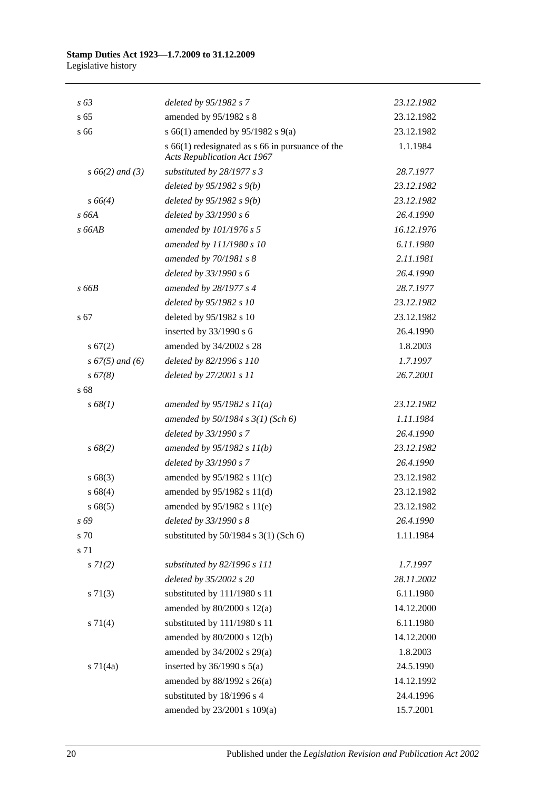| $s\,63$            | deleted by 95/1982 s 7                                                                     | 23.12.1982 |
|--------------------|--------------------------------------------------------------------------------------------|------------|
| s <sub>65</sub>    | amended by 95/1982 s 8                                                                     | 23.12.1982 |
| s 66               | s 66(1) amended by 95/1982 s 9(a)                                                          | 23.12.1982 |
|                    | $s$ 66(1) redesignated as $s$ 66 in pursuance of the<br><b>Acts Republication Act 1967</b> | 1.1.1984   |
| $s\,66(2)$ and (3) | substituted by 28/1977 s 3                                                                 | 28.7.1977  |
|                    | deleted by $95/1982 s(9)$                                                                  | 23.12.1982 |
| $s\,66(4)$         | deleted by $95/1982 s 9(b)$                                                                | 23.12.1982 |
| s 66A              | deleted by 33/1990 s 6                                                                     | 26.4.1990  |
| s66AB              | amended by 101/1976 s 5                                                                    | 16.12.1976 |
|                    | amended by 111/1980 s 10                                                                   | 6.11.1980  |
|                    | amended by 70/1981 s 8                                                                     | 2.11.1981  |
|                    | deleted by 33/1990 s 6                                                                     | 26.4.1990  |
| s66B               | amended by 28/1977 s 4                                                                     | 28.7.1977  |
|                    | deleted by 95/1982 s 10                                                                    | 23.12.1982 |
| s 67               | deleted by 95/1982 s 10                                                                    | 23.12.1982 |
|                    | inserted by 33/1990 s 6                                                                    | 26.4.1990  |
| s 67(2)            | amended by 34/2002 s 28                                                                    | 1.8.2003   |
| $s\,67(5)$ and (6) | deleted by 82/1996 s 110                                                                   | 1.7.1997   |
| $s\,67(8)$         | deleted by 27/2001 s 11                                                                    | 26.7.2001  |
| s 68               |                                                                                            |            |
| s 68(1)            | amended by $95/1982 s 11(a)$                                                               | 23.12.1982 |
|                    | amended by $50/1984$ s $3(1)$ (Sch 6)                                                      | 1.11.1984  |
|                    | deleted by 33/1990 s 7                                                                     | 26.4.1990  |
| $s\,68(2)$         | amended by $95/1982 s 11(b)$                                                               | 23.12.1982 |
|                    | deleted by 33/1990 s 7                                                                     | 26.4.1990  |
| s68(3)             | amended by $95/1982$ s $11(c)$                                                             | 23.12.1982 |
| s 68(4)            | amended by 95/1982 s 11(d)                                                                 | 23.12.1982 |
| s 68(5)            | amended by 95/1982 s 11(e)                                                                 | 23.12.1982 |
| s 69               | deleted by 33/1990 s 8                                                                     | 26.4.1990  |
| s 70               | substituted by $50/1984$ s $3(1)$ (Sch 6)                                                  | 1.11.1984  |
| s 71               |                                                                                            |            |
| $s \, 7l(2)$       | substituted by 82/1996 s 111                                                               | 1.7.1997   |
|                    | deleted by 35/2002 s 20                                                                    | 28.11.2002 |
| $s \ 71(3)$        | substituted by 111/1980 s 11                                                               | 6.11.1980  |
|                    | amended by $80/2000$ s $12(a)$                                                             | 14.12.2000 |
| $s \, 71(4)$       | substituted by 111/1980 s 11                                                               | 6.11.1980  |
|                    | amended by 80/2000 s 12(b)                                                                 | 14.12.2000 |
|                    | amended by 34/2002 s 29(a)                                                                 | 1.8.2003   |
| $s \, 71(4a)$      | inserted by $36/1990$ s $5(a)$                                                             | 24.5.1990  |
|                    | amended by 88/1992 s 26(a)                                                                 | 14.12.1992 |
|                    | substituted by 18/1996 s 4                                                                 | 24.4.1996  |
|                    | amended by 23/2001 s 109(a)                                                                | 15.7.2001  |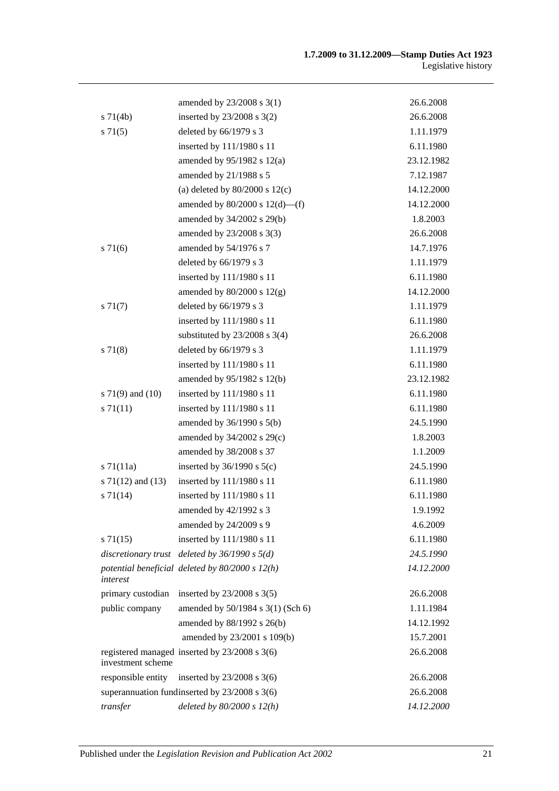|                       | amended by 23/2008 s 3(1)                         | 26.6.2008  |
|-----------------------|---------------------------------------------------|------------|
| $s \, 71(4b)$         | inserted by 23/2008 s 3(2)                        | 26.6.2008  |
| $s \, 71(5)$          | deleted by 66/1979 s 3                            | 1.11.1979  |
|                       | inserted by 111/1980 s 11                         | 6.11.1980  |
|                       | amended by $95/1982$ s $12(a)$                    | 23.12.1982 |
|                       | amended by 21/1988 s 5                            | 7.12.1987  |
|                       | (a) deleted by $80/2000$ s $12(c)$                | 14.12.2000 |
|                       | amended by $80/2000$ s $12(d)$ —(f)               | 14.12.2000 |
|                       | amended by 34/2002 s 29(b)                        | 1.8.2003   |
|                       | amended by 23/2008 s 3(3)                         | 26.6.2008  |
| s 71(6)               | amended by 54/1976 s 7                            | 14.7.1976  |
|                       | deleted by 66/1979 s 3                            | 1.11.1979  |
|                       | inserted by 111/1980 s 11                         | 6.11.1980  |
|                       | amended by $80/2000$ s $12(g)$                    | 14.12.2000 |
| $s \, 71(7)$          | deleted by 66/1979 s 3                            | 1.11.1979  |
|                       | inserted by 111/1980 s 11                         | 6.11.1980  |
|                       | substituted by $23/2008$ s 3(4)                   | 26.6.2008  |
| s 71(8)               | deleted by 66/1979 s 3                            | 1.11.1979  |
|                       | inserted by 111/1980 s 11                         | 6.11.1980  |
|                       | amended by 95/1982 s 12(b)                        | 23.12.1982 |
| s $71(9)$ and $(10)$  | inserted by 111/1980 s 11                         | 6.11.1980  |
| $s \, 71(11)$         | inserted by 111/1980 s 11                         | 6.11.1980  |
|                       | amended by $36/1990$ s $5(b)$                     | 24.5.1990  |
|                       | amended by 34/2002 s 29(c)                        | 1.8.2003   |
|                       | amended by 38/2008 s 37                           | 1.1.2009   |
| $s \, 71(11a)$        | inserted by $36/1990$ s $5(c)$                    | 24.5.1990  |
| s $71(12)$ and $(13)$ | inserted by 111/1980 s 11                         | 6.11.1980  |
| s 71(14)              | inserted by 111/1980 s 11                         | 6.11.1980  |
|                       | amended by 42/1992 s 3                            | 1.9.1992   |
|                       | amended by 24/2009 s 9                            | 4.6.2009   |
| $s \, 71(15)$         | inserted by 111/1980 s 11                         | 6.11.1980  |
|                       | discretionary trust deleted by $36/1990$ s $5(d)$ | 24.5.1990  |
| interest              | potential beneficial deleted by $80/2000 s 12(h)$ | 14.12.2000 |
| primary custodian     | inserted by $23/2008$ s $3(5)$                    | 26.6.2008  |
| public company        | amended by 50/1984 s 3(1) (Sch 6)                 | 1.11.1984  |
|                       | amended by 88/1992 s 26(b)                        | 14.12.1992 |
|                       | amended by 23/2001 s 109(b)                       | 15.7.2001  |
| investment scheme     | registered managed inserted by 23/2008 s 3(6)     | 26.6.2008  |
| responsible entity    | inserted by $23/2008$ s 3(6)                      | 26.6.2008  |
|                       | superannuation fundinserted by 23/2008 s 3(6)     | 26.6.2008  |
| transfer              | deleted by $80/2000 s 12(h)$                      | 14.12.2000 |
|                       |                                                   |            |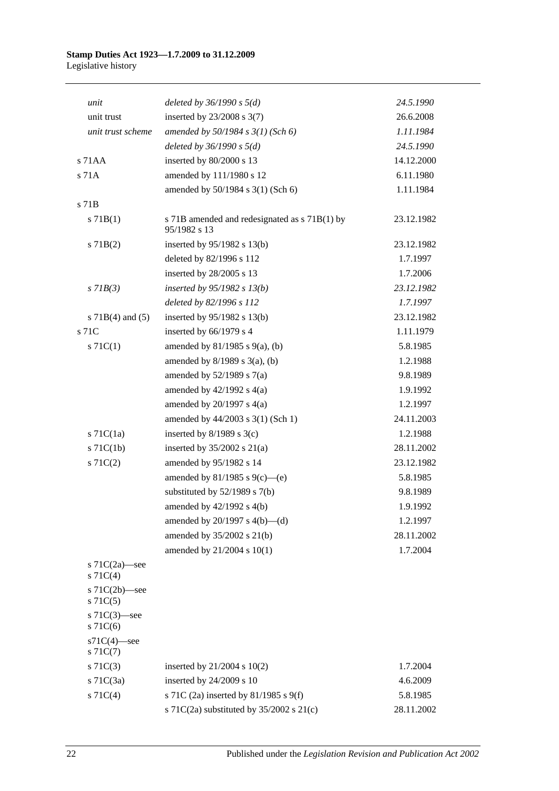| unit                              | deleted by $36/1990 s 5(d)$                                   | 24.5.1990  |
|-----------------------------------|---------------------------------------------------------------|------------|
| unit trust                        | inserted by $23/2008$ s $3(7)$                                | 26.6.2008  |
| unit trust scheme                 | amended by $50/1984 s 3(1)$ (Sch 6)                           | 1.11.1984  |
|                                   | deleted by $36/1990 s 5(d)$                                   | 24.5.1990  |
| s 71AA                            | inserted by 80/2000 s 13                                      | 14.12.2000 |
| s 71A                             | amended by 111/1980 s 12                                      | 6.11.1980  |
|                                   | amended by 50/1984 s 3(1) (Sch 6)                             | 1.11.1984  |
| s 71B                             |                                                               |            |
| s 71B(1)                          | s 71B amended and redesignated as s 71B(1) by<br>95/1982 s 13 | 23.12.1982 |
| $s$ 71B(2)                        | inserted by $95/1982$ s 13(b)                                 | 23.12.1982 |
|                                   | deleted by 82/1996 s 112                                      | 1.7.1997   |
|                                   | inserted by 28/2005 s 13                                      | 1.7.2006   |
| $s$ 71 $B(3)$                     | inserted by $95/1982$ s $13(b)$                               | 23.12.1982 |
|                                   | deleted by 82/1996 s 112                                      | 1.7.1997   |
| s $71B(4)$ and $(5)$              | inserted by 95/1982 s 13(b)                                   | 23.12.1982 |
| s 71C                             | inserted by 66/1979 s 4                                       | 1.11.1979  |
| $s \, 71C(1)$                     | amended by $81/1985$ s $9(a)$ , (b)                           | 5.8.1985   |
|                                   | amended by $8/1989$ s $3(a)$ , (b)                            | 1.2.1988   |
|                                   | amended by $52/1989$ s $7(a)$                                 | 9.8.1989   |
|                                   | amended by $42/1992$ s $4(a)$                                 | 1.9.1992   |
|                                   | amended by $20/1997$ s $4(a)$                                 | 1.2.1997   |
|                                   | amended by 44/2003 s 3(1) (Sch 1)                             | 24.11.2003 |
| $s$ 71C(1a)                       | inserted by $8/1989$ s $3(c)$                                 | 1.2.1988   |
| $s$ 71 $C(1b)$                    | inserted by 35/2002 s 21(a)                                   | 28.11.2002 |
| $s \, 71C(2)$                     | amended by 95/1982 s 14                                       | 23.12.1982 |
|                                   | amended by 81/1985 s 9(c)—(e)                                 | 5.8.1985   |
|                                   | substituted by $52/1989$ s $7(b)$                             | 9.8.1989   |
|                                   | amended by 42/1992 s 4(b)                                     | 1.9.1992   |
|                                   | amended by $20/1997$ s $4(b)$ —(d)                            | 1.2.1997   |
|                                   | amended by 35/2002 s 21(b)                                    | 28.11.2002 |
|                                   | amended by 21/2004 s 10(1)                                    | 1.7.2004   |
| s $71C(2a)$ —see<br>$s \, 71C(4)$ |                                                               |            |
| s $71C(2b)$ -see<br>$s \, 71C(5)$ |                                                               |            |
| s 71C(3)-see<br>$s$ 71 $C(6)$     |                                                               |            |
| $s71C(4)$ -see<br>$s \, 71C(7)$   |                                                               |            |
| $s \, 71C(3)$                     | inserted by $21/2004$ s $10(2)$                               | 1.7.2004   |
| $s$ 71 $C(3a)$                    | inserted by 24/2009 s 10                                      | 4.6.2009   |
| $s \, 71C(4)$                     | s 71C (2a) inserted by 81/1985 s 9(f)                         | 5.8.1985   |
|                                   | s 71C(2a) substituted by $35/2002$ s 21(c)                    | 28.11.2002 |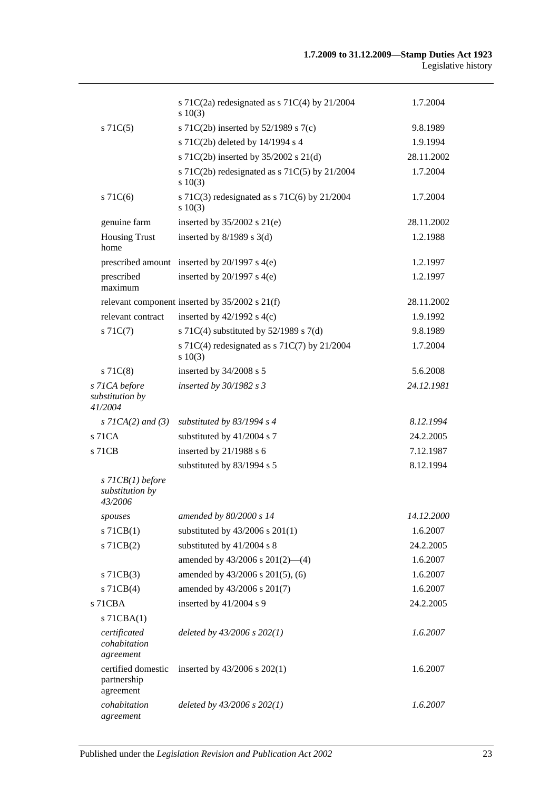|                                                  | s 71C(2a) redesignated as s 71C(4) by $21/2004$<br>$s\ 10(3)$ | 1.7.2004   |
|--------------------------------------------------|---------------------------------------------------------------|------------|
| $s \, 71C(5)$                                    | s 71C(2b) inserted by $52/1989$ s 7(c)                        | 9.8.1989   |
|                                                  | s 71C(2b) deleted by 14/1994 s 4                              | 1.9.1994   |
|                                                  | s 71C(2b) inserted by 35/2002 s 21(d)                         | 28.11.2002 |
|                                                  | s 71C(2b) redesignated as s 71C(5) by 21/2004<br>$s\ 10(3)$   | 1.7.2004   |
| $s$ 71 $C(6)$                                    | s 71C(3) redesignated as s 71C(6) by $21/2004$<br>$s\ 10(3)$  | 1.7.2004   |
| genuine farm                                     | inserted by $35/2002$ s $21(e)$                               | 28.11.2002 |
| <b>Housing Trust</b><br>home                     | inserted by $8/1989$ s 3(d)                                   | 1.2.1988   |
|                                                  | prescribed amount inserted by 20/1997 s 4(e)                  | 1.2.1997   |
| prescribed<br>maximum                            | inserted by $20/1997$ s $4(e)$                                | 1.2.1997   |
|                                                  | relevant component inserted by $35/2002$ s $21(f)$            | 28.11.2002 |
| relevant contract                                | inserted by $42/1992$ s $4(c)$                                | 1.9.1992   |
| $s \, 71C(7)$                                    | s 71C(4) substituted by $52/1989$ s 7(d)                      | 9.8.1989   |
|                                                  | s 71C(4) redesignated as s 71C(7) by $21/2004$<br>$s\ 10(3)$  | 1.7.2004   |
| $s$ 71 $C(8)$                                    | inserted by 34/2008 s 5                                       | 5.6.2008   |
| s 71CA before<br>substitution by<br>41/2004      | inserted by 30/1982 s 3                                       | 24.12.1981 |
| $s$ 71CA(2) and (3)                              | substituted by $83/1994$ s 4                                  | 8.12.1994  |
| $s$ 71 $CA$                                      | substituted by 41/2004 s 7                                    | 24.2.2005  |
| s 71CB                                           | inserted by 21/1988 s 6                                       | 7.12.1987  |
|                                                  | substituted by 83/1994 s 5                                    | 8.12.1994  |
| $s$ 71CB(1) before<br>substitution by<br>43/2006 |                                                               |            |
| spouses                                          | amended by 80/2000 s 14                                       | 14.12.2000 |
| $s$ 71CB $(1)$                                   | substituted by $43/2006$ s $201(1)$                           | 1.6.2007   |
| $s$ 71 $CB(2)$                                   | substituted by 41/2004 s 8                                    | 24.2.2005  |
|                                                  | amended by $43/2006$ s $201(2)$ —(4)                          | 1.6.2007   |
| $s$ 71CB $(3)$                                   | amended by 43/2006 s 201(5), (6)                              | 1.6.2007   |
| $s$ 71CB(4)                                      | amended by 43/2006 s 201(7)                                   | 1.6.2007   |
| $s$ 71 $CBA$                                     | inserted by 41/2004 s 9                                       | 24.2.2005  |
| s 71CBA(1)                                       |                                                               |            |
| certificated<br>cohabitation<br>agreement        | deleted by $43/2006$ s $202(1)$                               | 1.6.2007   |
| certified domestic<br>partnership<br>agreement   | inserted by $43/2006$ s $202(1)$                              | 1.6.2007   |
| cohabitation<br>agreement                        | deleted by $43/2006$ s $202(1)$                               | 1.6.2007   |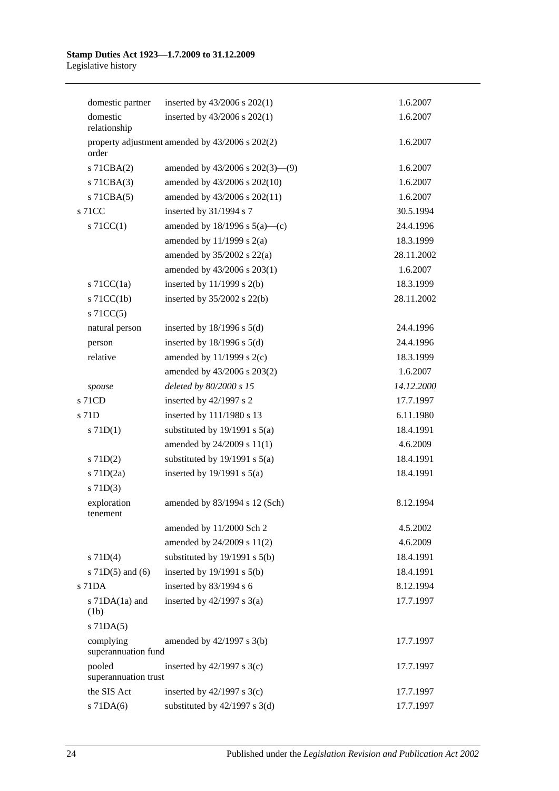| domestic partner                 | inserted by $43/2006$ s $202(1)$                | 1.6.2007   |
|----------------------------------|-------------------------------------------------|------------|
| domestic<br>relationship         | inserted by 43/2006 s 202(1)                    | 1.6.2007   |
| order                            | property adjustment amended by 43/2006 s 202(2) | 1.6.2007   |
| $s$ 71CBA $(2)$                  | amended by $43/2006$ s $202(3)$ — $(9)$         | 1.6.2007   |
| s 71CBA(3)                       | amended by 43/2006 s 202(10)                    | 1.6.2007   |
| $s$ 71CBA $(5)$                  | amended by 43/2006 s 202(11)                    | 1.6.2007   |
| s 71CC                           | inserted by 31/1994 s 7                         | 30.5.1994  |
| $\vert$ s 71CC(1)                | amended by $18/1996$ s $5(a)$ —(c)              | 24.4.1996  |
|                                  | amended by $11/1999$ s $2(a)$                   | 18.3.1999  |
|                                  | amended by $35/2002$ s $22(a)$                  | 28.11.2002 |
|                                  | amended by 43/2006 s 203(1)                     | 1.6.2007   |
| s $71CC(1a)$                     | inserted by $11/1999$ s $2(b)$                  | 18.3.1999  |
| $s$ 71CC(1b)                     | inserted by 35/2002 s 22(b)                     | 28.11.2002 |
| $s$ 71CC(5)                      |                                                 |            |
| natural person                   | inserted by $18/1996$ s $5(d)$                  | 24.4.1996  |
| person                           | inserted by $18/1996$ s $5(d)$                  | 24.4.1996  |
| relative                         | amended by $11/1999$ s $2(c)$                   | 18.3.1999  |
|                                  | amended by 43/2006 s 203(2)                     | 1.6.2007   |
| spouse                           | deleted by 80/2000 s 15                         | 14.12.2000 |
| $s$ 71CD                         | inserted by 42/1997 s 2                         | 17.7.1997  |
| s 71D                            | inserted by 111/1980 s 13                       | 6.11.1980  |
| $s$ 71D(1)                       | substituted by $19/1991$ s $5(a)$               | 18.4.1991  |
|                                  | amended by 24/2009 s 11(1)                      | 4.6.2009   |
| $s$ 71D(2)                       | substituted by $19/1991$ s $5(a)$               | 18.4.1991  |
| $s$ 71D $(2a)$                   | inserted by $19/1991$ s $5(a)$                  | 18.4.1991  |
| $s$ 71D(3)                       |                                                 |            |
| exploration<br>tenement          | amended by 83/1994 s 12 (Sch)                   | 8.12.1994  |
|                                  | amended by 11/2000 Sch 2                        | 4.5.2002   |
|                                  | amended by 24/2009 s 11(2)                      | 4.6.2009   |
| $s$ 71D(4)                       | substituted by $19/1991$ s $5(b)$               | 18.4.1991  |
| s $71D(5)$ and $(6)$             | inserted by $19/1991$ s $5(b)$                  | 18.4.1991  |
| $s$ 71DA                         | inserted by 83/1994 s 6                         | 8.12.1994  |
| s $71DA(1a)$ and<br>(1b)         | inserted by $42/1997$ s $3(a)$                  | 17.7.1997  |
| $s$ 71DA $(5)$                   |                                                 |            |
| complying<br>superannuation fund | amended by $42/1997$ s $3(b)$                   | 17.7.1997  |
| pooled<br>superannuation trust   | inserted by $42/1997$ s 3(c)                    | 17.7.1997  |
| the SIS Act                      | inserted by $42/1997$ s 3(c)                    | 17.7.1997  |
| $s$ 71DA $(6)$                   | substituted by $42/1997$ s 3(d)                 | 17.7.1997  |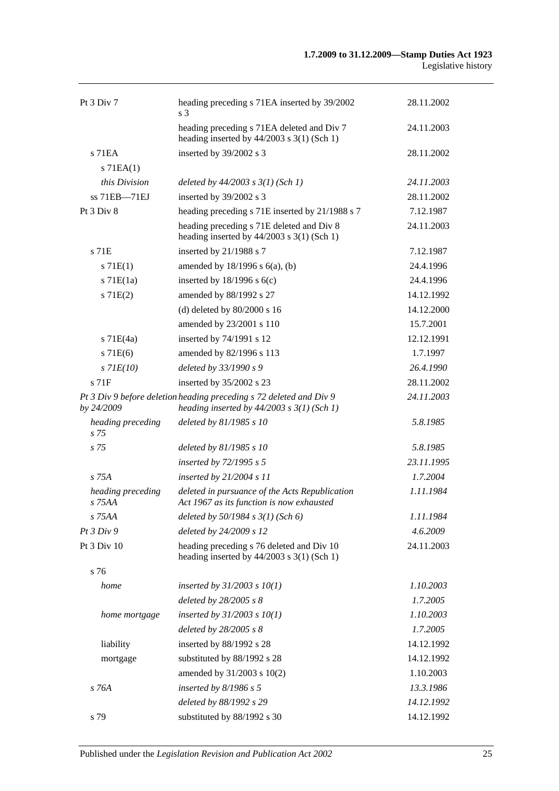| Pt $3$ Div $7$              | heading preceding s 71EA inserted by 39/2002<br>s 3                                                                   | 28.11.2002 |
|-----------------------------|-----------------------------------------------------------------------------------------------------------------------|------------|
|                             | heading preceding s 71EA deleted and Div 7<br>heading inserted by $44/2003$ s 3(1) (Sch 1)                            | 24.11.2003 |
| $s$ 71EA<br>$s$ 71EA $(1)$  | inserted by 39/2002 s 3                                                                                               | 28.11.2002 |
| this Division               | deleted by $44/2003$ s $3(1)$ (Sch 1)                                                                                 | 24.11.2003 |
| ss 71EB-71EJ                | inserted by 39/2002 s 3                                                                                               | 28.11.2002 |
| Pt $3$ Div $8$              | heading preceding s 71E inserted by 21/1988 s 7                                                                       | 7.12.1987  |
|                             | heading preceding s 71E deleted and Div 8<br>heading inserted by $44/2003$ s 3(1) (Sch 1)                             | 24.11.2003 |
| s 71E                       | inserted by 21/1988 s 7                                                                                               | 7.12.1987  |
| s 71E(1)                    | amended by $18/1996$ s $6(a)$ , (b)                                                                                   | 24.4.1996  |
| $s$ 71 $E(1a)$              | inserted by $18/1996$ s $6(c)$                                                                                        | 24.4.1996  |
| s 71E(2)                    | amended by 88/1992 s 27                                                                                               | 14.12.1992 |
|                             | (d) deleted by $80/2000$ s 16                                                                                         | 14.12.2000 |
|                             | amended by 23/2001 s 110                                                                                              | 15.7.2001  |
| $s$ 71E(4a)                 | inserted by 74/1991 s 12                                                                                              | 12.12.1991 |
| s 71E(6)                    | amended by 82/1996 s 113                                                                                              | 1.7.1997   |
| $s$ 71 $E(10)$              | deleted by 33/1990 s 9                                                                                                | 26.4.1990  |
| $s$ 71 $F$                  | inserted by 35/2002 s 23                                                                                              | 28.11.2002 |
| by 24/2009                  | Pt 3 Div 9 before deletion heading preceding s 72 deleted and Div 9<br>heading inserted by $44/2003$ s $3(1)$ (Sch 1) | 24.11.2003 |
| heading preceding<br>s 75   | deleted by 81/1985 s 10                                                                                               | 5.8.1985   |
| s <sub>75</sub>             | deleted by 81/1985 s 10                                                                                               | 5.8.1985   |
|                             | inserted by 72/1995 s 5                                                                                               | 23.11.1995 |
| s 75A                       | inserted by 21/2004 s 11                                                                                              | 1.7.2004   |
| heading preceding<br>s 75AA | deleted in pursuance of the Acts Republication<br>Act 1967 as its function is now exhausted                           | 1.11.1984  |
| s 75AA                      | deleted by $50/1984$ s $3(1)$ (Sch 6)                                                                                 | 1.11.1984  |
| Pt3 Div9                    | deleted by 24/2009 s 12                                                                                               | 4.6.2009   |
| Pt 3 Div 10                 | heading preceding s 76 deleted and Div 10<br>heading inserted by 44/2003 s 3(1) (Sch 1)                               | 24.11.2003 |
| s 76                        |                                                                                                                       |            |
| home                        | inserted by $31/2003$ s $10(1)$                                                                                       | 1.10.2003  |
|                             | deleted by 28/2005 s 8                                                                                                | 1.7.2005   |
| home mortgage               | inserted by $31/2003$ s $10(1)$                                                                                       | 1.10.2003  |
|                             | deleted by 28/2005 s 8                                                                                                | 1.7.2005   |
| liability                   | inserted by 88/1992 s 28                                                                                              | 14.12.1992 |
| mortgage                    | substituted by 88/1992 s 28                                                                                           | 14.12.1992 |
|                             | amended by 31/2003 s 10(2)                                                                                            | 1.10.2003  |
| s 76A                       | inserted by $8/1986 s 5$                                                                                              | 13.3.1986  |
|                             | deleted by 88/1992 s 29                                                                                               | 14.12.1992 |
| s 79                        | substituted by 88/1992 s 30                                                                                           | 14.12.1992 |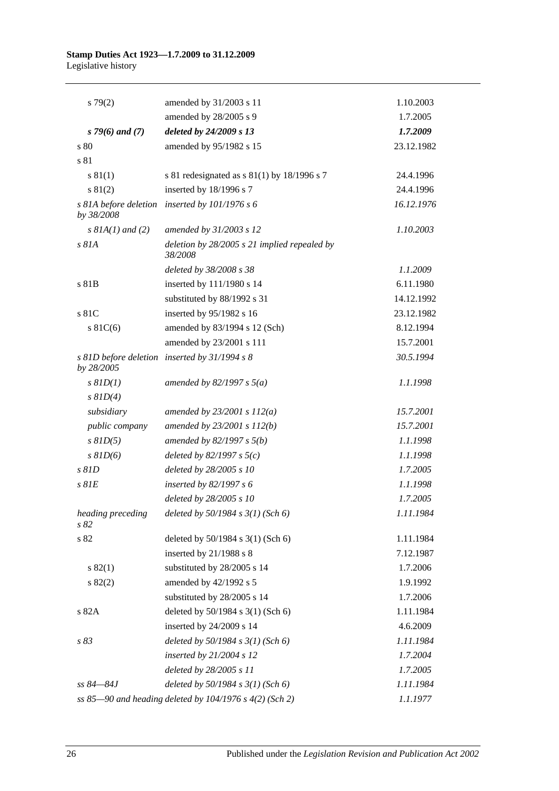| $s\,79(2)$                | amended by 31/2003 s 11                                   | 1.10.2003  |
|---------------------------|-----------------------------------------------------------|------------|
|                           | amended by 28/2005 s 9                                    | 1.7.2005   |
| $s$ 79(6) and (7)         | deleted by 24/2009 s 13                                   | 1.7.2009   |
| s 80                      | amended by 95/1982 s 15                                   | 23.12.1982 |
| s 81                      |                                                           |            |
| s 81(1)                   | s 81 redesignated as $s$ 81(1) by 18/1996 s 7             | 24.4.1996  |
| s 81(2)                   | inserted by 18/1996 s 7                                   | 24.4.1996  |
| by 38/2008                | s 81A before deletion inserted by 101/1976 s 6            | 16.12.1976 |
| $s$ $8IA(1)$ and $(2)$    | amended by 31/2003 s 12                                   | 1.10.2003  |
| s 81A                     | deletion by $28/2005$ s 21 implied repealed by<br>38/2008 |            |
|                           | deleted by 38/2008 s 38                                   | 1.1.2009   |
| s 81B                     | inserted by 111/1980 s 14                                 | 6.11.1980  |
|                           | substituted by 88/1992 s 31                               | 14.12.1992 |
| s 81C                     | inserted by 95/1982 s 16                                  | 23.12.1982 |
| $s \, 81C(6)$             | amended by 83/1994 s 12 (Sch)                             | 8.12.1994  |
|                           | amended by 23/2001 s 111                                  | 15.7.2001  |
| by 28/2005                | s 81D before deletion inserted by 31/1994 s 8             | 30.5.1994  |
| $s$ $81D(1)$              | amended by 82/1997 s $5(a)$                               | 1.1.1998   |
| $s$ $81D(4)$              |                                                           |            |
| subsidiary                | amended by $23/2001 s 112(a)$                             | 15.7.2001  |
| public company            | amended by $23/2001 s 112(b)$                             | 15.7.2001  |
| $s$ $81D(5)$              | amended by $82/1997 s 5(b)$                               | 1.1.1998   |
| $s$ $81D(6)$              | deleted by $82/1997 s 5(c)$                               | 1.1.1998   |
| s 81D                     | deleted by 28/2005 s 10                                   | 1.7.2005   |
| $s$ $81E$                 | inserted by $82/1997 s 6$                                 | 1.1.1998   |
|                           | deleted by 28/2005 s 10                                   | 1.7.2005   |
| heading preceding<br>s 82 | deleted by 50/1984 s 3(1) (Sch 6)                         | 1.11.1984  |
| s 82                      | deleted by $50/1984$ s $3(1)$ (Sch 6)                     | 1.11.1984  |
|                           | inserted by 21/1988 s 8                                   | 7.12.1987  |
| s 82(1)                   | substituted by 28/2005 s 14                               | 1.7.2006   |
| s 82(2)                   | amended by 42/1992 s 5                                    | 1.9.1992   |
|                           | substituted by 28/2005 s 14                               | 1.7.2006   |
| s 82A                     | deleted by 50/1984 s 3(1) (Sch 6)                         | 1.11.1984  |
|                           | inserted by 24/2009 s 14                                  | 4.6.2009   |
| s 83                      | deleted by $50/1984$ s $3(1)$ (Sch 6)                     | 1.11.1984  |
|                           | inserted by $21/2004$ s 12                                | 1.7.2004   |
|                           | deleted by 28/2005 s 11                                   | 1.7.2005   |
| ss 84–84J                 | deleted by $50/1984$ s $3(1)$ (Sch 6)                     | 1.11.1984  |
|                           | ss 85-90 and heading deleted by 104/1976 s $4(2)$ (Sch 2) | 1.1.1977   |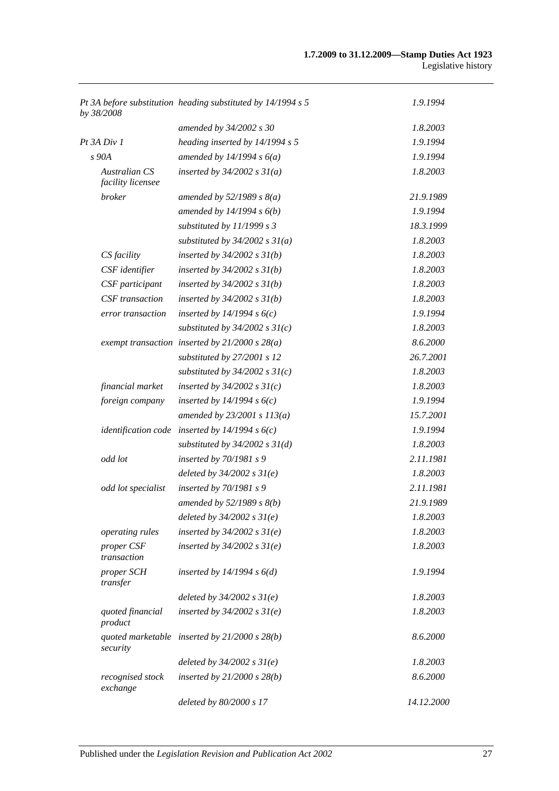| by 38/2008                         | Pt 3A before substitution heading substituted by 14/1994 s 5 | 1.9.1994   |
|------------------------------------|--------------------------------------------------------------|------------|
|                                    | amended by 34/2002 s 30                                      | 1.8.2003   |
| $Pt$ 3A $Div I$                    | heading inserted by 14/1994 s 5                              | 1.9.1994   |
| s 90A                              | amended by $14/1994 s 6(a)$                                  | 1.9.1994   |
| Australian CS<br>facility licensee | inserted by $34/2002$ s $31(a)$                              | 1.8.2003   |
| <i>broker</i>                      | amended by $52/1989$ s $8(a)$                                | 21.9.1989  |
|                                    | amended by $14/1994 s 6(b)$                                  | 1.9.1994   |
|                                    | substituted by $11/1999 s 3$                                 | 18.3.1999  |
|                                    | substituted by $34/2002$ s $31(a)$                           | 1.8.2003   |
| CS facility                        | inserted by $34/2002$ s $31(b)$                              | 1.8.2003   |
| CSF identifier                     | inserted by $34/2002$ s $31(b)$                              | 1.8.2003   |
| CSF participant                    | inserted by $34/2002$ s $31(b)$                              | 1.8.2003   |
| CSF transaction                    | inserted by $34/2002$ s $31(b)$                              | 1.8.2003   |
| error transaction                  | inserted by $14/1994 s 6(c)$                                 | 1.9.1994   |
|                                    | substituted by $34/2002$ s $31(c)$                           | 1.8.2003   |
|                                    | exempt transaction inserted by $21/2000 s 28(a)$             | 8.6.2000   |
|                                    | substituted by 27/2001 s 12                                  | 26.7.2001  |
|                                    | substituted by $34/2002$ s $31(c)$                           | 1.8.2003   |
| financial market                   | inserted by $34/2002$ s $31(c)$                              | 1.8.2003   |
| foreign company                    | inserted by $14/1994 s 6(c)$                                 | 1.9.1994   |
|                                    | amended by $23/2001 s 113(a)$                                | 15.7.2001  |
|                                    | identification code inserted by $14/1994 s 6(c)$             | 1.9.1994   |
|                                    | substituted by $34/2002$ s $31(d)$                           | 1.8.2003   |
| odd lot                            | inserted by 70/1981 s 9                                      | 2.11.1981  |
|                                    | deleted by $34/2002$ s $31(e)$                               | 1.8.2003   |
| odd lot specialist                 | inserted by $70/1981 s$ 9                                    | 2.11.1981  |
|                                    | amended by $52/1989$ s $8(b)$                                | 21.9.1989  |
|                                    | deleted by $34/2002 s 31(e)$                                 | 1.8.2003   |
| operating rules                    | inserted by $34/2002$ s $31(e)$                              | 1.8.2003   |
| proper CSF<br>transaction          | inserted by $34/2002$ s $31(e)$                              | 1.8.2003   |
| proper SCH<br>transfer             | inserted by $14/1994 s 6(d)$                                 | 1.9.1994   |
|                                    | deleted by $34/2002 s 31(e)$                                 | 1.8.2003   |
| quoted financial<br>product        | inserted by $34/2002$ s $31(e)$                              | 1.8.2003   |
| security                           | quoted marketable inserted by $21/2000 s 28(b)$              | 8.6.2000   |
|                                    | deleted by $34/2002$ s $31(e)$                               | 1.8.2003   |
| recognised stock<br>exchange       | inserted by $21/2000$ s $28(b)$                              | 8.6.2000   |
|                                    | deleted by 80/2000 s 17                                      | 14.12.2000 |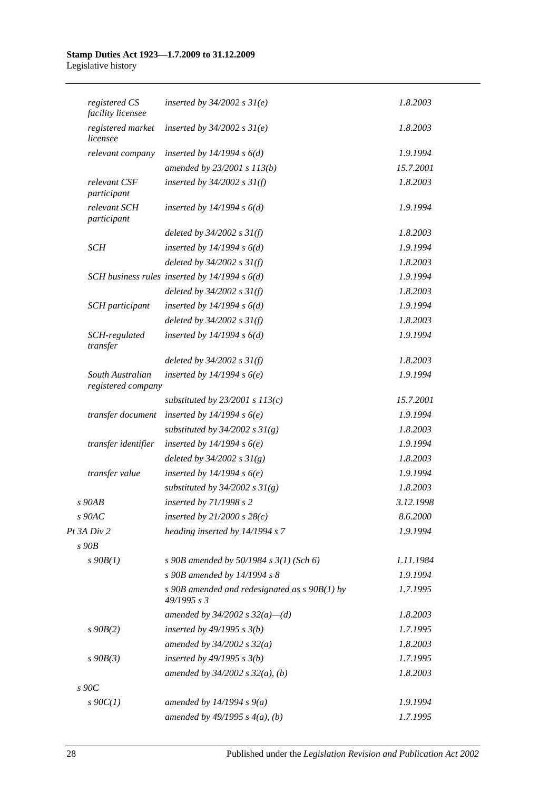| registered CS<br>facility licensee     | inserted by $34/2002$ s $31(e)$                                | 1.8.2003  |  |
|----------------------------------------|----------------------------------------------------------------|-----------|--|
| registered market<br>licensee          | inserted by $34/2002$ s $31(e)$                                | 1.8.2003  |  |
| relevant company                       | inserted by $14/1994 s 6(d)$                                   | 1.9.1994  |  |
|                                        | amended by 23/2001 s 113(b)                                    | 15.7.2001 |  |
| relevant CSF<br>participant            | inserted by $34/2002$ s $31(f)$                                | 1.8.2003  |  |
| relevant SCH<br>participant            | inserted by $14/1994 s 6(d)$                                   | 1.9.1994  |  |
|                                        | deleted by $34/2002$ s $31(f)$                                 | 1.8.2003  |  |
| SCH                                    | inserted by $14/1994 s 6(d)$                                   | 1.9.1994  |  |
|                                        | deleted by $34/2002$ s $31(f)$                                 | 1.8.2003  |  |
|                                        | SCH business rules inserted by $14/1994 s 6(d)$                | 1.9.1994  |  |
|                                        | deleted by $34/2002$ s $31(f)$                                 | 1.8.2003  |  |
| <b>SCH</b> participant                 | inserted by $14/1994 s 6(d)$                                   | 1.9.1994  |  |
|                                        | deleted by $34/2002$ s $31(f)$                                 | 1.8.2003  |  |
| SCH-regulated<br>transfer              | inserted by $14/1994 s 6(d)$                                   | 1.9.1994  |  |
|                                        | deleted by $34/2002$ s $31(f)$                                 | 1.8.2003  |  |
| South Australian<br>registered company | inserted by $14/1994 s6(e)$                                    | 1.9.1994  |  |
|                                        | substituted by $23/2001$ s $113(c)$                            | 15.7.2001 |  |
| transfer document                      | inserted by $14/1994 s6(e)$                                    | 1.9.1994  |  |
|                                        | substituted by $34/2002$ s $31(g)$                             | 1.8.2003  |  |
| transfer identifier                    | inserted by $14/1994 s6(e)$                                    | 1.9.1994  |  |
|                                        | deleted by $34/2002 s 31(g)$                                   | 1.8.2003  |  |
| transfer value                         | inserted by $14/1994 s6(e)$                                    | 1.9.1994  |  |
|                                        | substituted by $34/2002$ s $31(g)$                             | 1.8.2003  |  |
| $s$ 90 $AB$                            | inserted by 71/1998 s 2                                        | 3.12.1998 |  |
| $s$ 90AC                               | inserted by $21/2000 s 28(c)$                                  | 8.6.2000  |  |
| Pt 3A Div 2                            | heading inserted by 14/1994 s 7                                | 1.9.1994  |  |
| $s$ 90 $B$                             |                                                                |           |  |
| $s\ 90B(1)$                            | s 90B amended by 50/1984 s $3(1)$ (Sch 6)                      | 1.11.1984 |  |
|                                        | s 90B amended by 14/1994 s 8                                   | 1.9.1994  |  |
|                                        | s 90B amended and redesignated as $s$ 90B(1) by<br>49/1995 s 3 | 1.7.1995  |  |
|                                        | amended by $34/2002$ s $32(a)$ —(d)                            | 1.8.2003  |  |
| $s\,90B(2)$                            | inserted by $49/1995 s 3(b)$                                   | 1.7.1995  |  |
|                                        | amended by $34/2002 s 32(a)$                                   | 1.8.2003  |  |
| $s\,90B(3)$                            | inserted by $49/1995 s 3(b)$                                   | 1.7.1995  |  |
|                                        | amended by $34/2002$ s $32(a)$ , (b)                           | 1.8.2003  |  |
| $s\,90C$                               |                                                                |           |  |
| $s\ 90C(1)$                            | amended by $14/1994 s 9(a)$                                    | 1.9.1994  |  |
|                                        | amended by $49/1995 s 4(a)$ , (b)                              | 1.7.1995  |  |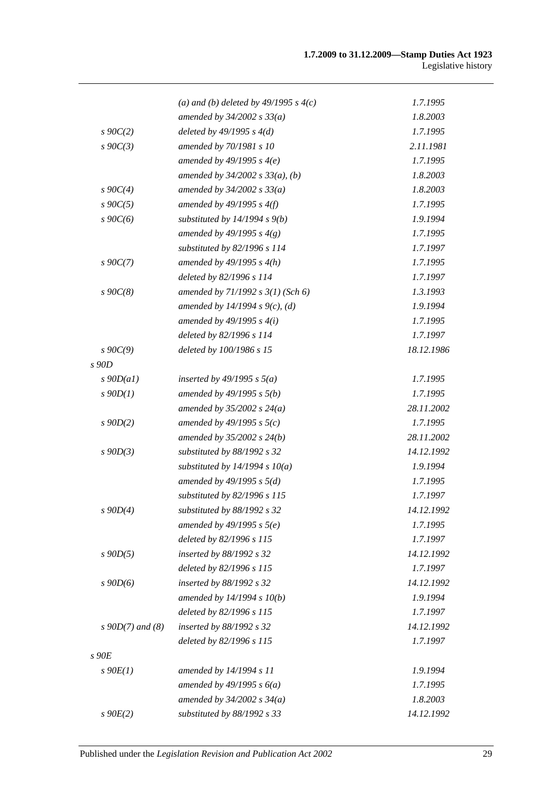|                    | (a) and (b) deleted by $49/1995 s 4(c)$ | 1.7.1995   |
|--------------------|-----------------------------------------|------------|
|                    | amended by $34/2002 s 33(a)$            | 1.8.2003   |
| $s \, 90C(2)$      | deleted by $49/1995 s 4(d)$             | 1.7.1995   |
| $s\ 90C(3)$        | amended by 70/1981 s 10                 | 2.11.1981  |
|                    | amended by $49/1995 s 4(e)$             | 1.7.1995   |
|                    | amended by $34/2002$ s $33(a)$ , (b)    | 1.8.2003   |
| $s \, 90C(4)$      | amended by $34/2002 s 33(a)$            | 1.8.2003   |
| $s \, 90C(5)$      | amended by $49/1995 s 4(f)$             | 1.7.1995   |
| $s\,90C(6)$        | substituted by $14/1994 s 9(b)$         | 1.9.1994   |
|                    | amended by 49/1995 s $4(g)$             | 1.7.1995   |
|                    | substituted by 82/1996 s 114            | 1.7.1997   |
| $s \, 90C(7)$      | amended by $49/1995 s 4(h)$             | 1.7.1995   |
|                    | deleted by 82/1996 s 114                | 1.7.1997   |
| $s\,90C(8)$        | amended by $71/1992$ s $3(1)$ (Sch 6)   | 1.3.1993   |
|                    | amended by 14/1994 s $9(c)$ , (d)       | 1.9.1994   |
|                    | amended by $49/1995 s 4(i)$             | 1.7.1995   |
|                    | deleted by 82/1996 s 114                | 1.7.1997   |
| $s \, 90C(9)$      | deleted by 100/1986 s 15                | 18.12.1986 |
| $s$ 90D            |                                         |            |
| $s$ 90D(a1)        | inserted by 49/1995 s $5(a)$            | 1.7.1995   |
| $s$ 90 $D(1)$      | amended by $49/1995 s 5(b)$             | 1.7.1995   |
|                    | amended by $35/2002 s 24(a)$            | 28.11.2002 |
| $s$ 90D(2)         | amended by 49/1995 s $5(c)$             | 1.7.1995   |
|                    | amended by $35/2002$ s $24(b)$          | 28.11.2002 |
| $s$ 90D(3)         | substituted by 88/1992 s 32             | 14.12.1992 |
|                    | substituted by $14/1994 s 10(a)$        | 1.9.1994   |
|                    | amended by $49/1995 s 5(d)$             | 1.7.1995   |
|                    | substituted by $82/1996 s 115$          | 1.7.1997   |
| $s$ 90 $D(4)$      | substituted by $88/1992$ s 32           | 14.12.1992 |
|                    | amended by $49/1995$ s $5(e)$           | 1.7.1995   |
|                    | deleted by 82/1996 s 115                | 1.7.1997   |
| $s$ 90D(5)         | inserted by 88/1992 s 32                | 14.12.1992 |
|                    | deleted by 82/1996 s 115                | 1.7.1997   |
| $s$ 90D(6)         | inserted by 88/1992 s 32                | 14.12.1992 |
|                    | amended by $14/1994 s 10(b)$            | 1.9.1994   |
|                    | deleted by 82/1996 s 115                | 1.7.1997   |
| $s$ 90D(7) and (8) | inserted by 88/1992 s 32                | 14.12.1992 |
|                    | deleted by 82/1996 s 115                | 1.7.1997   |
| $s$ 90 $E$         |                                         |            |
| $s\ 90E(1)$        | amended by 14/1994 s 11                 | 1.9.1994   |
|                    | amended by $49/1995 s 6(a)$             | 1.7.1995   |
|                    | amended by $34/2002$ s $34(a)$          | 1.8.2003   |
| $s$ 90 $E(2)$      | substituted by 88/1992 s 33             | 14.12.1992 |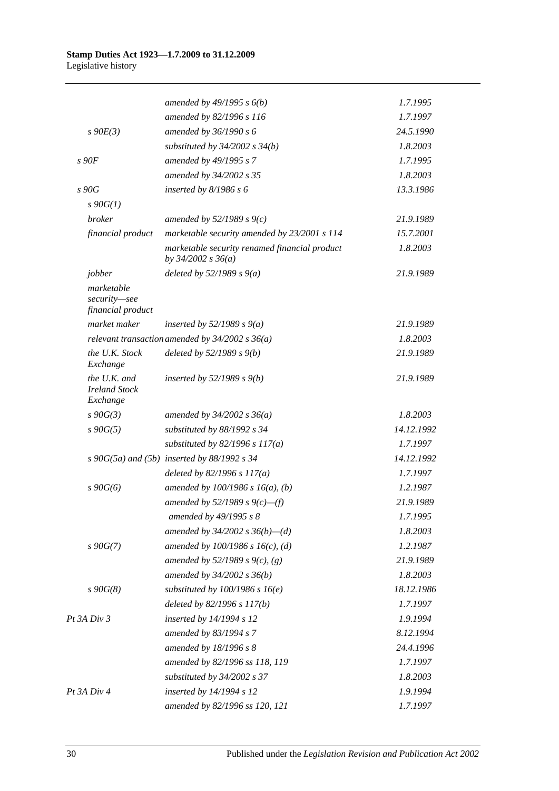|                                                  | amended by $49/1995 s 6(b)$                                             | 1.7.1995   |
|--------------------------------------------------|-------------------------------------------------------------------------|------------|
|                                                  | amended by 82/1996 s 116                                                | 1.7.1997   |
| $s\ 90E(3)$                                      | amended by 36/1990 s 6                                                  | 24.5.1990  |
|                                                  | substituted by $34/2002$ s $34(b)$                                      | 1.8.2003   |
| s90F                                             | amended by 49/1995 s 7                                                  | 1.7.1995   |
|                                                  | amended by 34/2002 s 35                                                 | 1.8.2003   |
| s90G                                             | inserted by $8/1986 s 6$                                                | 13.3.1986  |
| $s \, 90G(1)$                                    |                                                                         |            |
| broker                                           | amended by $52/1989 s 9(c)$                                             | 21.9.1989  |
| financial product                                | marketable security amended by 23/2001 s 114                            | 15.7.2001  |
|                                                  | marketable security renamed financial product<br>by $34/2002$ s $36(a)$ | 1.8.2003   |
| jobber                                           | deleted by $52/1989 s 9(a)$                                             | 21.9.1989  |
| marketable<br>security-see<br>financial product  |                                                                         |            |
| market maker                                     | inserted by $52/1989 s 9(a)$                                            | 21.9.1989  |
|                                                  | relevant transaction amended by $34/2002$ s $36(a)$                     | 1.8.2003   |
| the U.K. Stock<br>Exchange                       | deleted by $52/1989 s 9(b)$                                             | 21.9.1989  |
| the U.K. and<br><b>Ireland Stock</b><br>Exchange | inserted by $52/1989 s 9(b)$                                            | 21.9.1989  |
| $s\,90G(3)$                                      | amended by $34/2002 s 36(a)$                                            | 1.8.2003   |
| $s\,90G(5)$                                      | substituted by 88/1992 s 34                                             | 14.12.1992 |
|                                                  | substituted by $82/1996$ s $117(a)$                                     | 1.7.1997   |
|                                                  | s 90G(5a) and (5b) inserted by 88/1992 s 34                             | 14.12.1992 |
|                                                  | deleted by $82/1996 s 117(a)$                                           | 1.7.1997   |
| $s\,90G(6)$                                      | amended by $100/1986$ s $16(a)$ , (b)                                   | 1.2.1987   |
|                                                  | amended by 52/1989 s $9(c)$ —(f)                                        | 21.9.1989  |
|                                                  | amended by 49/1995 s 8                                                  | 1.7.1995   |
|                                                  | amended by $34/2002$ s $36(b)$ —(d)                                     | 1.8.2003   |
| $s\,90G(7)$                                      | amended by $100/1986$ s $16(c)$ , (d)                                   | 1.2.1987   |
|                                                  | amended by 52/1989 s 9(c), (g)                                          | 21.9.1989  |
|                                                  | amended by $34/2002 s 36(b)$                                            | 1.8.2003   |
| $s\,90G(8)$                                      | substituted by $100/1986$ s $16(e)$                                     | 18.12.1986 |
|                                                  | deleted by 82/1996 s 117(b)                                             | 1.7.1997   |
| Pt 3A Div 3                                      | inserted by 14/1994 s 12                                                | 1.9.1994   |
|                                                  | amended by 83/1994 s 7                                                  | 8.12.1994  |
|                                                  | amended by 18/1996 s 8                                                  | 24.4.1996  |
|                                                  | amended by 82/1996 ss 118, 119                                          | 1.7.1997   |
|                                                  | substituted by $34/2002$ s 37                                           | 1.8.2003   |
| Pt 3A Div 4                                      | inserted by 14/1994 s 12                                                | 1.9.1994   |
|                                                  | amended by 82/1996 ss 120, 121                                          | 1.7.1997   |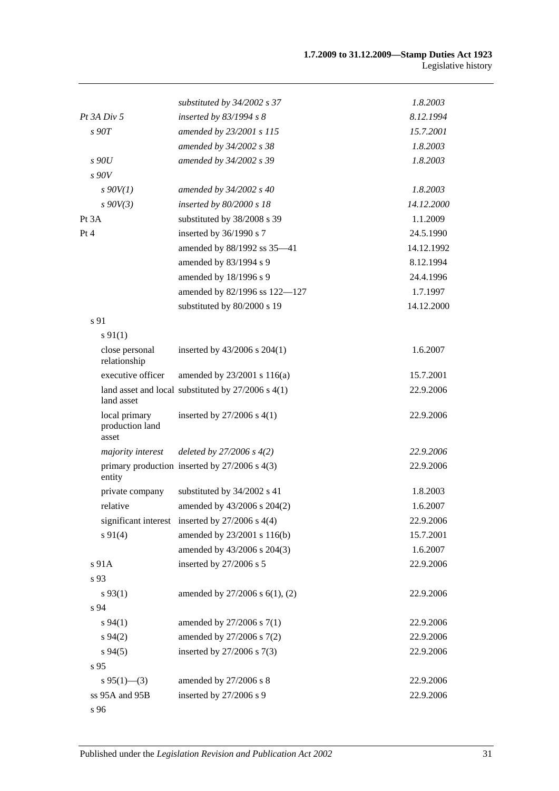|                                           | substituted by 34/2002 s 37                            | 1.8.2003   |
|-------------------------------------------|--------------------------------------------------------|------------|
| Pt 3A Div 5                               | inserted by $83/1994 s 8$                              | 8.12.1994  |
| s90T                                      | amended by 23/2001 s 115                               | 15.7.2001  |
|                                           | amended by 34/2002 s 38                                | 1.8.2003   |
| s90U                                      | amended by 34/2002 s 39                                | 1.8.2003   |
| s90V                                      |                                                        |            |
| $s$ 90V(1)                                | amended by 34/2002 s 40                                | 1.8.2003   |
| $s$ 90V(3)                                | inserted by $80/2000 s$ 18                             | 14.12.2000 |
| Pt 3A                                     | substituted by 38/2008 s 39                            | 1.1.2009   |
| Pt 4                                      | inserted by 36/1990 s 7                                | 24.5.1990  |
|                                           | amended by 88/1992 ss 35-41                            | 14.12.1992 |
|                                           | amended by 83/1994 s 9                                 | 8.12.1994  |
|                                           | amended by 18/1996 s 9                                 | 24.4.1996  |
|                                           | amended by 82/1996 ss 122-127                          | 1.7.1997   |
|                                           | substituted by 80/2000 s 19                            | 14.12.2000 |
| s 91                                      |                                                        |            |
| $s\,91(1)$                                |                                                        |            |
| close personal<br>relationship            | inserted by $43/2006$ s $204(1)$                       | 1.6.2007   |
| executive officer                         | amended by 23/2001 s 116(a)                            | 15.7.2001  |
| land asset                                | land asset and local substituted by $27/2006$ s $4(1)$ | 22.9.2006  |
| local primary<br>production land<br>asset | inserted by $27/2006$ s $4(1)$                         | 22.9.2006  |
| majority interest                         | deleted by $27/2006 s 4(2)$                            | 22.9.2006  |
| entity                                    | primary production inserted by $27/2006$ s $4(3)$      | 22.9.2006  |
| private company                           | substituted by 34/2002 s 41                            | 1.8.2003   |
| relative                                  | amended by 43/2006 s 204(2)                            | 1.6.2007   |
|                                           | significant interest inserted by $27/2006$ s $4(4)$    | 22.9.2006  |
| $s\ 91(4)$                                | amended by 23/2001 s 116(b)                            | 15.7.2001  |
|                                           | amended by 43/2006 s 204(3)                            | 1.6.2007   |
| s 91A                                     | inserted by 27/2006 s 5                                | 22.9.2006  |
| s 93                                      |                                                        |            |
| $s\,93(1)$                                | amended by 27/2006 s 6(1), (2)                         | 22.9.2006  |
| s 94                                      |                                                        |            |
| $s\,94(1)$                                | amended by 27/2006 s 7(1)                              | 22.9.2006  |
| $s\,94(2)$                                | amended by 27/2006 s 7(2)                              | 22.9.2006  |
| $s\,94(5)$                                | inserted by 27/2006 s 7(3)                             | 22.9.2006  |
| s 95                                      |                                                        |            |
| $s\,95(1)$ —(3)                           | amended by 27/2006 s 8                                 | 22.9.2006  |
| ss 95A and 95B                            | inserted by 27/2006 s 9                                | 22.9.2006  |
| s 96                                      |                                                        |            |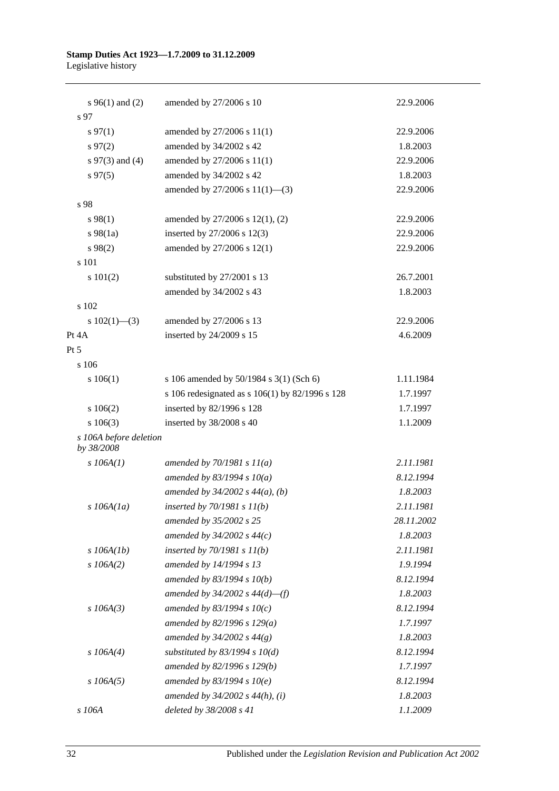| s $96(1)$ and (2)                    | amended by 27/2006 s 10                         | 22.9.2006  |
|--------------------------------------|-------------------------------------------------|------------|
| s 97                                 |                                                 |            |
| $s\,97(1)$                           | amended by 27/2006 s 11(1)                      | 22.9.2006  |
| $s\,97(2)$                           | amended by 34/2002 s 42                         | 1.8.2003   |
| $s \, 97(3)$ and (4)                 | amended by 27/2006 s 11(1)                      | 22.9.2006  |
| $s\,97(5)$                           | amended by 34/2002 s 42                         | 1.8.2003   |
|                                      | amended by $27/2006$ s $11(1)$ —(3)             | 22.9.2006  |
| s 98                                 |                                                 |            |
| $s\,98(1)$                           | amended by 27/2006 s 12(1), (2)                 | 22.9.2006  |
| $s\,98(1a)$                          | inserted by 27/2006 s 12(3)                     | 22.9.2006  |
| $s\,98(2)$                           | amended by 27/2006 s 12(1)                      | 22.9.2006  |
| s 101                                |                                                 |            |
| s 101(2)                             | substituted by 27/2001 s 13                     | 26.7.2001  |
|                                      | amended by 34/2002 s 43                         | 1.8.2003   |
| s 102                                |                                                 |            |
| s $102(1)$ —(3)                      | amended by 27/2006 s 13                         | 22.9.2006  |
| Pt 4A                                | inserted by 24/2009 s 15                        | 4.6.2009   |
| Pt 5                                 |                                                 |            |
| s 106                                |                                                 |            |
| 106(1)                               | s 106 amended by 50/1984 s 3(1) (Sch 6)         | 1.11.1984  |
|                                      | s 106 redesignated as s 106(1) by 82/1996 s 128 | 1.7.1997   |
| 106(2)                               | inserted by 82/1996 s 128                       | 1.7.1997   |
| $s\ 106(3)$                          | inserted by 38/2008 s 40                        | 1.1.2009   |
| s 106A before deletion<br>by 38/2008 |                                                 |            |
| $s$ 106A(1)                          | amended by $70/1981 s 11(a)$                    | 2.11.1981  |
|                                      | amended by 83/1994 s $10(a)$                    | 8.12.1994  |
|                                      | amended by $34/2002$ s $44(a)$ , (b)            | 1.8.2003   |
| $s$ 106A(1a)                         | inserted by $70/1981 s 11(b)$                   | 2.11.1981  |
|                                      | amended by 35/2002 s 25                         | 28.11.2002 |
|                                      | amended by $34/2002$ s $44(c)$                  | 1.8.2003   |
| $s$ 106A(1b)                         | inserted by $70/1981 s 11(b)$                   | 2.11.1981  |
| $s$ 106A(2)                          | amended by 14/1994 s 13                         | 1.9.1994   |
|                                      | amended by $83/1994 s 10(b)$                    | 8.12.1994  |
|                                      | amended by $34/2002$ s $44(d)$ —(f)             | 1.8.2003   |
| $s$ 106A(3)                          | amended by 83/1994 s $10(c)$                    | 8.12.1994  |
|                                      | amended by 82/1996 s 129(a)                     | 1.7.1997   |
|                                      | amended by $34/2002 s 44(g)$                    | 1.8.2003   |
| $s$ 106A(4)                          | substituted by $83/1994$ s $10(d)$              | 8.12.1994  |
|                                      | amended by 82/1996 s 129(b)                     | 1.7.1997   |
| $s$ 106A(5)                          | amended by $83/1994 s 10(e)$                    | 8.12.1994  |
|                                      | amended by $34/2002$ s $44(h)$ , (i)            | 1.8.2003   |
| s 106A                               | deleted by 38/2008 s 41                         | 1.1.2009   |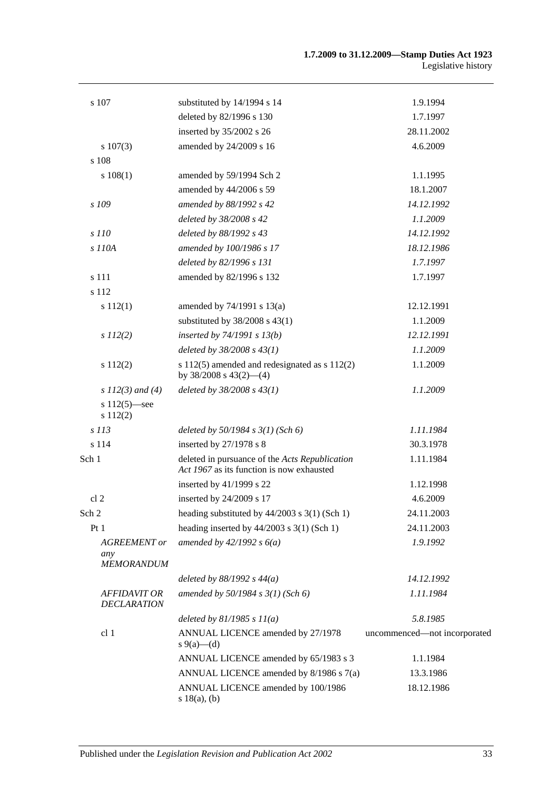| s 107                                     | substituted by 14/1994 s 14                                                                 | 1.9.1994                     |
|-------------------------------------------|---------------------------------------------------------------------------------------------|------------------------------|
|                                           | deleted by 82/1996 s 130                                                                    | 1.7.1997                     |
|                                           | inserted by 35/2002 s 26                                                                    | 28.11.2002                   |
| $s\ 107(3)$                               | amended by 24/2009 s 16                                                                     | 4.6.2009                     |
| s 108                                     |                                                                                             |                              |
| s 108(1)                                  | amended by 59/1994 Sch 2                                                                    | 1.1.1995                     |
|                                           | amended by 44/2006 s 59                                                                     | 18.1.2007                    |
| $s$ 109                                   | amended by 88/1992 s 42                                                                     | 14.12.1992                   |
|                                           | deleted by 38/2008 s 42                                                                     | 1.1.2009                     |
| s 110                                     | deleted by 88/1992 s 43                                                                     | 14.12.1992                   |
| s 110A                                    | amended by 100/1986 s 17                                                                    | 18.12.1986                   |
|                                           | deleted by 82/1996 s 131                                                                    | 1.7.1997                     |
| s 111                                     | amended by 82/1996 s 132                                                                    | 1.7.1997                     |
| s 112                                     |                                                                                             |                              |
| s 112(1)                                  | amended by 74/1991 s 13(a)                                                                  | 12.12.1991                   |
|                                           | substituted by $38/2008$ s $43(1)$                                                          | 1.1.2009                     |
| $s$ 112(2)                                | inserted by $74/1991 s 13(b)$                                                               | 12.12.1991                   |
|                                           | deleted by 38/2008 s 43(1)                                                                  | 1.1.2009                     |
| s112(2)                                   | s $112(5)$ amended and redesignated as s $112(2)$<br>by $38/2008$ s $43(2)$ - (4)           | 1.1.2009                     |
| s $112(3)$ and (4)                        | deleted by 38/2008 s 43(1)                                                                  | 1.1.2009                     |
| s $112(5)$ —see<br>s 112(2)               |                                                                                             |                              |
| s 113                                     | deleted by $50/1984$ s $3(1)$ (Sch 6)                                                       | 1.11.1984                    |
| s 114                                     | inserted by 27/1978 s 8                                                                     | 30.3.1978                    |
| Sch 1                                     | deleted in pursuance of the Acts Republication<br>Act 1967 as its function is now exhausted | 1.11.1984                    |
|                                           | inserted by 41/1999 s 22                                                                    | 1.12.1998                    |
| cl <sub>2</sub>                           | inserted by 24/2009 s 17                                                                    | 4.6.2009                     |
| Sch 2                                     | heading substituted by 44/2003 s 3(1) (Sch 1)                                               | 24.11.2003                   |
| Pt <sub>1</sub>                           | heading inserted by $44/2003$ s 3(1) (Sch 1)                                                | 24.11.2003                   |
| <b>AGREEMENT</b> or<br>any                | amended by $42/1992 s 6(a)$                                                                 | 1.9.1992                     |
| <b>MEMORANDUM</b>                         |                                                                                             |                              |
|                                           | deleted by $88/1992 s 44(a)$                                                                | 14.12.1992                   |
| <b>AFFIDAVIT OR</b><br><b>DECLARATION</b> | amended by 50/1984 s 3(1) (Sch 6)                                                           | 1.11.1984                    |
|                                           | deleted by $81/1985 s 11(a)$                                                                | 5.8.1985                     |
| cl <sub>1</sub>                           | ANNUAL LICENCE amended by 27/1978<br>s 9(a)—(d)                                             | uncommenced-not incorporated |
|                                           | ANNUAL LICENCE amended by 65/1983 s 3                                                       | 1.1.1984                     |
|                                           | ANNUAL LICENCE amended by 8/1986 s 7(a)                                                     | 13.3.1986                    |
|                                           | ANNUAL LICENCE amended by 100/1986<br>s 18(a), (b)                                          | 18.12.1986                   |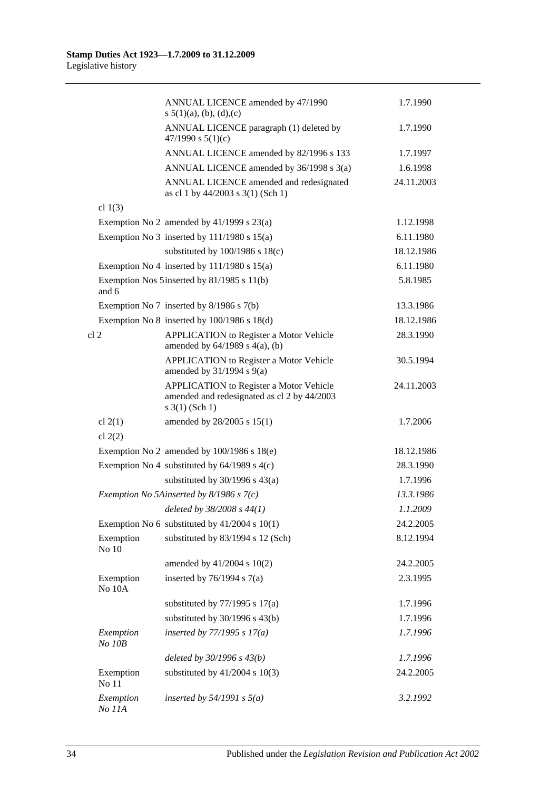|                        | ANNUAL LICENCE amended by 47/1990<br>s $5(1)(a)$ , (b), (d), (c)                                              | 1.7.1990   |
|------------------------|---------------------------------------------------------------------------------------------------------------|------------|
|                        | ANNUAL LICENCE paragraph (1) deleted by<br>47/1990 s $5(1)(c)$                                                | 1.7.1990   |
|                        | ANNUAL LICENCE amended by 82/1996 s 133                                                                       | 1.7.1997   |
|                        | ANNUAL LICENCE amended by 36/1998 s 3(a)                                                                      | 1.6.1998   |
|                        | ANNUAL LICENCE amended and redesignated<br>as cl 1 by 44/2003 s 3(1) (Sch 1)                                  | 24.11.2003 |
| cl $1(3)$              |                                                                                                               |            |
|                        | Exemption No 2 amended by $41/1999$ s $23(a)$                                                                 | 1.12.1998  |
|                        | Exemption No 3 inserted by $111/1980$ s $15(a)$                                                               | 6.11.1980  |
|                        | substituted by $100/1986$ s $18(c)$                                                                           | 18.12.1986 |
|                        | Exemption No 4 inserted by $111/1980$ s $15(a)$                                                               | 6.11.1980  |
| and 6                  | Exemption Nos 5 inserted by 81/1985 s 11(b)                                                                   | 5.8.1985   |
|                        | Exemption No 7 inserted by 8/1986 s 7(b)                                                                      | 13.3.1986  |
|                        | Exemption No $8$ inserted by 100/1986 s 18(d)                                                                 | 18.12.1986 |
| cl <sub>2</sub>        | <b>APPLICATION</b> to Register a Motor Vehicle<br>amended by $64/1989$ s $4(a)$ , (b)                         | 28.3.1990  |
|                        | APPLICATION to Register a Motor Vehicle<br>amended by $31/1994$ s $9(a)$                                      | 30.5.1994  |
|                        | APPLICATION to Register a Motor Vehicle<br>amended and redesignated as cl 2 by 44/2003<br>$s \; 3(1)$ (Sch 1) | 24.11.2003 |
| cl $2(1)$<br>cl $2(2)$ | amended by 28/2005 s 15(1)                                                                                    | 1.7.2006   |
|                        | Exemption No 2 amended by $100/1986$ s $18(e)$                                                                | 18.12.1986 |
|                        | Exemption No 4 substituted by $64/1989$ s $4(c)$                                                              | 28.3.1990  |
|                        | substituted by $30/1996$ s $43(a)$                                                                            | 1.7.1996   |
|                        | Exemption No 5Ainserted by $8/1986$ s $7(c)$                                                                  | 13.3.1986  |
|                        | deleted by 38/2008 s 44(1)                                                                                    | 1.1.2009   |
|                        | Exemption No 6 substituted by $41/2004$ s 10(1)                                                               | 24.2.2005  |
| Exemption<br>No 10     | substituted by 83/1994 s 12 (Sch)                                                                             | 8.12.1994  |
|                        | amended by 41/2004 s 10(2)                                                                                    | 24.2.2005  |
| Exemption<br>No 10A    | inserted by $76/1994$ s $7(a)$                                                                                | 2.3.1995   |
|                        | substituted by $77/1995$ s $17(a)$                                                                            | 1.7.1996   |
|                        | substituted by $30/1996$ s $43(b)$                                                                            | 1.7.1996   |
| Exemption<br>No 10B    | inserted by $77/1995 s 17(a)$                                                                                 | 1.7.1996   |
|                        | deleted by $30/1996 s 43(b)$                                                                                  | 1.7.1996   |
| Exemption<br>No 11     | substituted by $41/2004$ s $10(3)$                                                                            | 24.2.2005  |
| Exemption<br>No 11A    | inserted by $54/1991$ s $5(a)$                                                                                | 3.2.1992   |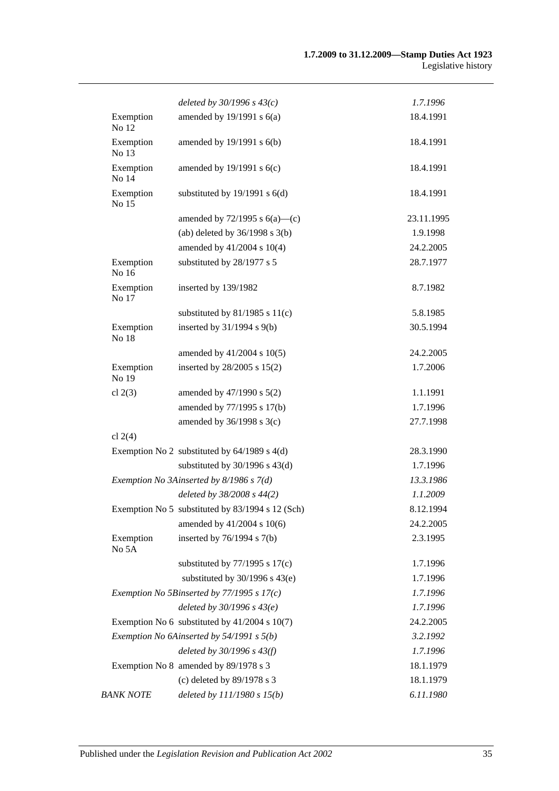|                      | deleted by $30/1996 s 43(c)$                     | 1.7.1996   |
|----------------------|--------------------------------------------------|------------|
| Exemption<br>No 12   | amended by $19/1991$ s $6(a)$                    | 18.4.1991  |
| Exemption<br>No 13   | amended by $19/1991$ s $6(b)$                    | 18.4.1991  |
| Exemption<br>No 14   | amended by $19/1991$ s $6(c)$                    | 18.4.1991  |
| Exemption<br>No 15   | substituted by $19/1991$ s $6(d)$                | 18.4.1991  |
|                      | amended by $72/1995$ s $6(a)$ —(c)               | 23.11.1995 |
|                      | (ab) deleted by $36/1998$ s $3(b)$               | 1.9.1998   |
|                      | amended by 41/2004 s 10(4)                       | 24.2.2005  |
| Exemption<br>No 16   | substituted by 28/1977 s 5                       | 28.7.1977  |
| Exemption<br>No 17   | inserted by 139/1982                             | 8.7.1982   |
|                      | substituted by $81/1985$ s $11(c)$               | 5.8.1985   |
| Exemption<br>No $18$ | inserted by $31/1994$ s $9(b)$                   | 30.5.1994  |
|                      | amended by 41/2004 s 10(5)                       | 24.2.2005  |
| Exemption<br>No 19   | inserted by 28/2005 s 15(2)                      | 1.7.2006   |
| cl $2(3)$            | amended by $47/1990$ s $5(2)$                    | 1.1.1991   |
|                      | amended by 77/1995 s 17(b)                       | 1.7.1996   |
|                      | amended by 36/1998 s 3(c)                        | 27.7.1998  |
| cl $2(4)$            |                                                  |            |
|                      | Exemption No 2 substituted by $64/1989$ s $4(d)$ | 28.3.1990  |
|                      | substituted by $30/1996$ s $43(d)$               | 1.7.1996   |
|                      | Exemption No 3Ainserted by 8/1986 s 7(d)         | 13.3.1986  |
|                      | deleted by 38/2008 s 44(2)                       | 1.1.2009   |
|                      | Exemption No 5 substituted by 83/1994 s 12 (Sch) | 8.12.1994  |
|                      | amended by 41/2004 s 10(6)                       | 24.2.2005  |
| Exemption<br>No 5A   | inserted by $76/1994$ s $7(b)$                   | 2.3.1995   |
|                      | substituted by $77/1995$ s $17(c)$               | 1.7.1996   |
|                      | substituted by $30/1996$ s $43(e)$               | 1.7.1996   |
|                      | Exemption No 5Binserted by $77/1995 s 17(c)$     | 1.7.1996   |
|                      | deleted by $30/1996 s 43(e)$                     | 1.7.1996   |
|                      | Exemption No 6 substituted by $41/2004$ s 10(7)  | 24.2.2005  |
|                      | Exemption No 6Ainserted by 54/1991 s 5(b)        | 3.2.1992   |
|                      | deleted by $30/1996 s 43(f)$                     | 1.7.1996   |
|                      | Exemption No 8 amended by 89/1978 s 3            | 18.1.1979  |
|                      | (c) deleted by 89/1978 s 3                       | 18.1.1979  |
| <b>BANK NOTE</b>     | deleted by $111/1980 s 15(b)$                    | 6.11.1980  |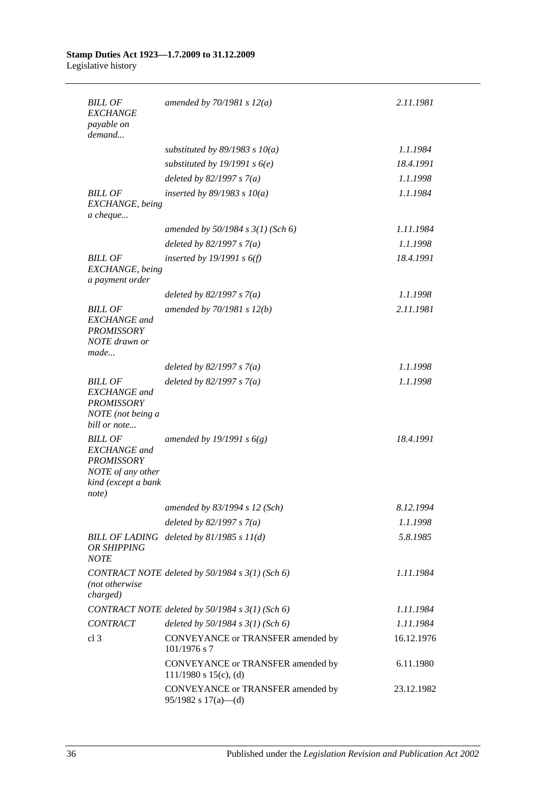#### **Stamp Duties Act 1923—1.7.2009 to 31.12.2009** Legislative history

| <b>BILL OF</b><br><b>EXCHANGE</b><br>payable on                                                                 | amended by $70/1981 s 12(a)$                                    | 2.11.1981  |
|-----------------------------------------------------------------------------------------------------------------|-----------------------------------------------------------------|------------|
| demand                                                                                                          |                                                                 |            |
|                                                                                                                 | substituted by $89/1983$ s $10(a)$                              | 1.1.1984   |
|                                                                                                                 | substituted by 19/1991 s $6(e)$                                 | 18.4.1991  |
|                                                                                                                 | deleted by $82/1997 s 7(a)$                                     | 1.1.1998   |
| <b>BILL OF</b><br>EXCHANGE, being<br>a cheque                                                                   | inserted by $89/1983$ s $10(a)$                                 | 1.1.1984   |
|                                                                                                                 | amended by $50/1984$ s $3(1)$ (Sch 6)                           | 1.11.1984  |
|                                                                                                                 | deleted by $82/1997 s 7(a)$                                     | 1.1.1998   |
| <b>BILL OF</b><br>EXCHANGE, being<br>a payment order                                                            | inserted by $19/1991 s 6(f)$                                    | 18.4.1991  |
|                                                                                                                 | deleted by $82/1997 s 7(a)$                                     | 1.1.1998   |
| <b>BILL OF</b><br><b>EXCHANGE</b> and<br><b>PROMISSORY</b><br>NOTE drawn or<br>made                             | amended by 70/1981 s 12(b)                                      | 2.11.1981  |
|                                                                                                                 | deleted by $82/1997 s 7(a)$                                     | 1.1.1998   |
| <b>BILL OF</b><br><b>EXCHANGE</b> and<br><b>PROMISSORY</b><br>NOTE (not being a<br>bill or note                 | deleted by $82/1997 s 7(a)$                                     | 1.1.1998   |
| <b>BILL OF</b><br><b>EXCHANGE</b> and<br><b>PROMISSORY</b><br>NOTE of any other<br>kind (except a bank<br>note) | amended by 19/1991 s $6(g)$                                     | 18.4.1991  |
|                                                                                                                 | amended by 83/1994 s 12 (Sch)                                   | 8.12.1994  |
|                                                                                                                 | deleted by $82/1997 s 7(a)$                                     | 1.1.1998   |
| <b>OR SHIPPING</b><br><b>NOTE</b>                                                                               | BILL OF LADING deleted by 81/1985 s 11(d)                       | 5.8.1985   |
| (not otherwise<br>charged)                                                                                      | CONTRACT NOTE deleted by 50/1984 s 3(1) (Sch 6)                 | 1.11.1984  |
|                                                                                                                 | CONTRACT NOTE deleted by 50/1984 s 3(1) (Sch 6)                 | 1.11.1984  |
| <b>CONTRACT</b>                                                                                                 | deleted by $50/1984$ s $3(1)$ (Sch 6)                           | 1.11.1984  |
| cl <sub>3</sub>                                                                                                 | CONVEYANCE or TRANSFER amended by<br>$101/1976$ s 7             | 16.12.1976 |
|                                                                                                                 | CONVEYANCE or TRANSFER amended by<br>$111/1980$ s $15(c)$ , (d) | 6.11.1980  |
|                                                                                                                 | CONVEYANCE or TRANSFER amended by<br>$95/1982$ s $17(a)$ —(d)   | 23.12.1982 |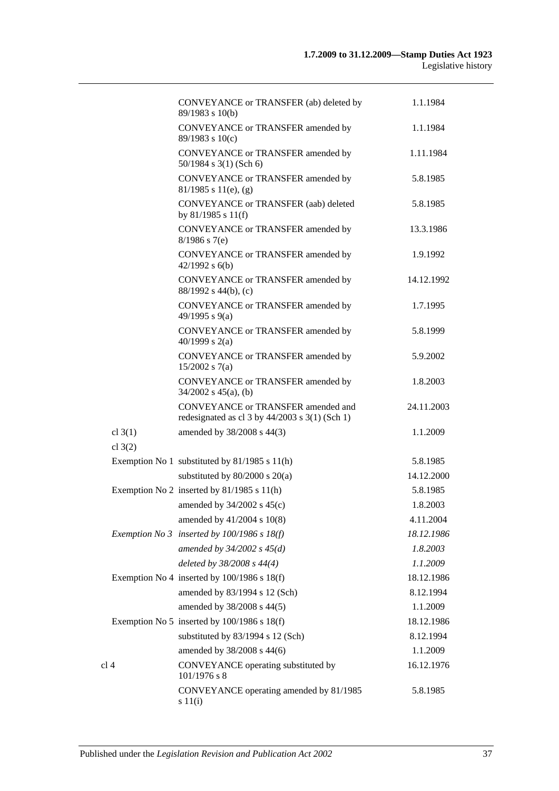|                        | CONVEYANCE or TRANSFER (ab) deleted by                                                     | 1.1.1984               |
|------------------------|--------------------------------------------------------------------------------------------|------------------------|
|                        | 89/1983 s 10(b)                                                                            |                        |
|                        | CONVEYANCE or TRANSFER amended by<br>89/1983 s 10(c)                                       | 1.1.1984               |
|                        | CONVEYANCE or TRANSFER amended by<br>50/1984 s 3(1) (Sch 6)                                | 1.11.1984              |
|                        | CONVEYANCE or TRANSFER amended by<br>$81/1985$ s $11(e)$ , (g)                             | 5.8.1985               |
|                        | CONVEYANCE or TRANSFER (aab) deleted<br>by $81/1985$ s $11(f)$                             | 5.8.1985               |
|                        | CONVEYANCE or TRANSFER amended by<br>$8/1986$ s 7(e)                                       | 13.3.1986              |
|                        | CONVEYANCE or TRANSFER amended by<br>$42/1992$ s $6(b)$                                    | 1.9.1992               |
|                        | CONVEYANCE or TRANSFER amended by<br>88/1992 s 44(b), (c)                                  | 14.12.1992             |
|                        | CONVEYANCE or TRANSFER amended by<br>49/1995 s 9(a)                                        | 1.7.1995               |
|                        | CONVEYANCE or TRANSFER amended by<br>40/1999 s $2(a)$                                      | 5.8.1999               |
|                        | CONVEYANCE or TRANSFER amended by<br>$15/2002$ s 7(a)                                      | 5.9.2002               |
|                        | CONVEYANCE or TRANSFER amended by<br>$34/2002$ s $45(a)$ , (b)                             | 1.8.2003               |
|                        | CONVEYANCE or TRANSFER amended and<br>redesignated as cl $3$ by $44/2003$ s $3(1)$ (Sch 1) | 24.11.2003             |
| cl $3(1)$<br>cl $3(2)$ | amended by 38/2008 s 44(3)                                                                 | 1.1.2009               |
|                        |                                                                                            |                        |
|                        | Exemption No 1 substituted by 81/1985 s 11(h)<br>substituted by $80/2000$ s $20(a)$        | 5.8.1985<br>14.12.2000 |
|                        |                                                                                            |                        |
|                        | Exemption No 2 inserted by $81/1985$ s $11(h)$<br>amended by 34/2002 s 45(c)               | 5.8.1985<br>1.8.2003   |
|                        | amended by 41/2004 s 10(8)                                                                 | 4.11.2004              |
|                        |                                                                                            |                        |
|                        | Exemption No 3 inserted by $100/1986$ s $18(f)$                                            | 18.12.1986             |
|                        | amended by $34/2002$ s $45(d)$                                                             | 1.8.2003               |
|                        | deleted by 38/2008 s 44(4)                                                                 | 1.1.2009               |
|                        | Exemption No 4 inserted by $100/1986$ s $18(f)$                                            | 18.12.1986             |
|                        | amended by 83/1994 s 12 (Sch)                                                              | 8.12.1994              |
|                        | amended by 38/2008 s 44(5)                                                                 | 1.1.2009               |
|                        | Exemption No 5 inserted by $100/1986$ s $18(f)$                                            | 18.12.1986             |
|                        | substituted by 83/1994 s 12 (Sch)                                                          | 8.12.1994              |
|                        | amended by 38/2008 s 44(6)                                                                 | 1.1.2009               |
| cl <sub>4</sub>        | CONVEYANCE operating substituted by<br>101/1976 s 8                                        | 16.12.1976             |
|                        | CONVEYANCE operating amended by 81/1985<br>$s\ 11(i)$                                      | 5.8.1985               |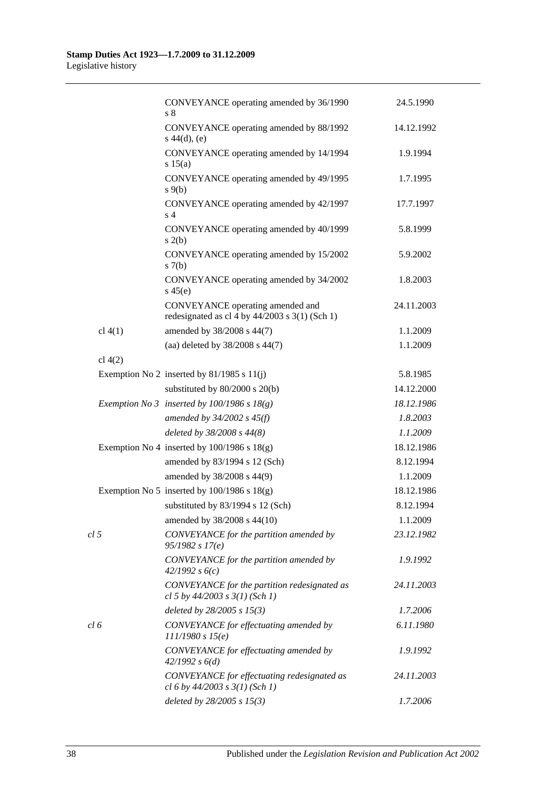|                 | CONVEYANCE operating amended by 36/1990<br>s <sub>8</sub>                            | 24.5.1990  |
|-----------------|--------------------------------------------------------------------------------------|------------|
|                 | CONVEYANCE operating amended by 88/1992<br>$s\ 44(d), (e)$                           | 14.12.1992 |
|                 | CONVEYANCE operating amended by 14/1994<br>s 15(a)                                   | 1.9.1994   |
|                 | CONVEYANCE operating amended by 49/1995<br>$s \theta(b)$                             | 1.7.1995   |
|                 | CONVEYANCE operating amended by 42/1997<br>s <sub>4</sub>                            | 17.7.1997  |
|                 | CONVEYANCE operating amended by 40/1999<br>s(2(b))                                   | 5.8.1999   |
|                 | CONVEYANCE operating amended by 15/2002<br>s(7(b)                                    | 5.9.2002   |
|                 | CONVEYANCE operating amended by 34/2002<br>$s\,45(e)$                                | 1.8.2003   |
|                 | CONVEYANCE operating amended and<br>redesignated as cl 4 by $44/2003$ s 3(1) (Sch 1) | 24.11.2003 |
| $cl$ 4(1)       | amended by 38/2008 s 44(7)                                                           | 1.1.2009   |
|                 | (aa) deleted by 38/2008 s 44(7)                                                      | 1.1.2009   |
| cl $4(2)$       |                                                                                      |            |
|                 | Exemption No 2 inserted by $81/1985$ s $11(j)$                                       | 5.8.1985   |
|                 | substituted by $80/2000$ s $20(b)$                                                   | 14.12.2000 |
|                 | Exemption No 3 inserted by $100/1986$ s $18(g)$                                      | 18.12.1986 |
|                 | amended by 34/2002 s 45(f)                                                           | 1.8.2003   |
|                 | deleted by 38/2008 s 44(8)                                                           | 1.1.2009   |
|                 | Exemption No 4 inserted by $100/1986$ s $18(g)$                                      | 18.12.1986 |
|                 | amended by 83/1994 s 12 (Sch)                                                        | 8.12.1994  |
|                 | amended by 38/2008 s 44(9)                                                           | 1.1.2009   |
|                 | Exemption No 5 inserted by $100/1986$ s $18(g)$                                      | 18.12.1986 |
|                 | substituted by 83/1994 s 12 (Sch)                                                    | 8.12.1994  |
|                 | amended by 38/2008 s 44(10)                                                          | 1.1.2009   |
| cl <sub>5</sub> | CONVEYANCE for the partition amended by<br>95/1982 s 17(e)                           | 23.12.1982 |
|                 | CONVEYANCE for the partition amended by<br>42/1992 s6(c)                             | 1.9.1992   |
|                 | CONVEYANCE for the partition redesignated as<br>cl 5 by $44/2003$ s $3(1)$ (Sch 1)   | 24.11.2003 |
|                 | deleted by 28/2005 s 15(3)                                                           | 1.7.2006   |
| cl 6            | CONVEYANCE for effectuating amended by<br>111/1980 s 15(e)                           | 6.11.1980  |
|                 | CONVEYANCE for effectuating amended by<br>42/1992 s 6(d)                             | 1.9.1992   |
|                 | CONVEYANCE for effectuating redesignated as<br>cl 6 by $44/2003$ s $3(1)$ (Sch 1)    | 24.11.2003 |
|                 | deleted by 28/2005 s 15(3)                                                           | 1.7.2006   |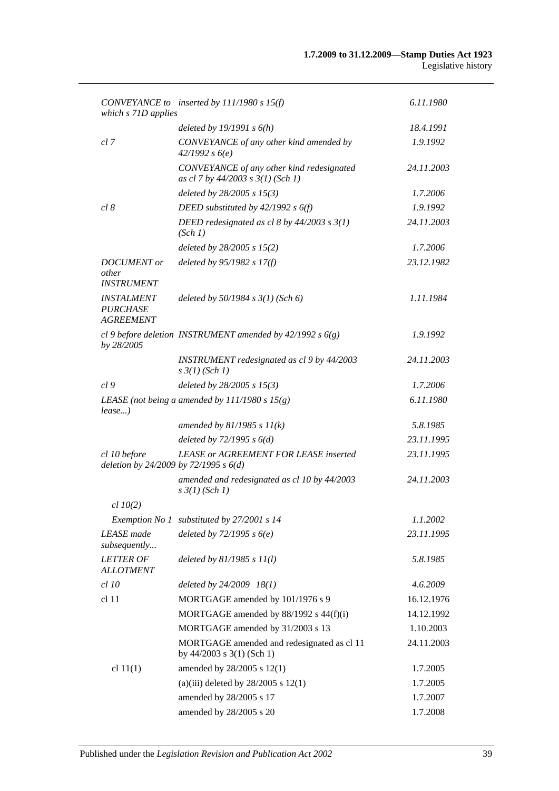| which s 71D applies                                      | CONVEYANCE to inserted by $111/1980 s 15(f)$                                   | 6.11.1980  |
|----------------------------------------------------------|--------------------------------------------------------------------------------|------------|
|                                                          | deleted by $19/1991 s 6(h)$                                                    | 18.4.1991  |
| cl 7                                                     | CONVEYANCE of any other kind amended by<br>42/1992 s6(e)                       | 1.9.1992   |
|                                                          | CONVEYANCE of any other kind redesignated<br>as cl 7 by 44/2003 s 3(1) (Sch 1) | 24.11.2003 |
|                                                          | deleted by 28/2005 s 15(3)                                                     | 1.7.2006   |
| cl 8                                                     | DEED substituted by $42/1992$ s $6(f)$                                         | 1.9.1992   |
|                                                          | DEED redesignated as cl 8 by $44/2003$ s $3(1)$<br>(Sch 1)                     | 24.11.2003 |
|                                                          | deleted by $28/2005$ s $15(2)$                                                 | 1.7.2006   |
| <b>DOCUMENT</b> or                                       | deleted by 95/1982 s 17(f)                                                     | 23.12.1982 |
| other<br><b>INSTRUMENT</b>                               |                                                                                |            |
| <b>INSTALMENT</b><br><b>PURCHASE</b><br><b>AGREEMENT</b> | deleted by $50/1984$ s $3(1)$ (Sch 6)                                          | 1.11.1984  |
| by 28/2005                                               | cl 9 before deletion INSTRUMENT amended by $42/1992 s 6(g)$                    | 1.9.1992   |
|                                                          | INSTRUMENT redesignated as cl 9 by 44/2003<br>$s \frac{3}{1} (Sch 1)$          | 24.11.2003 |
| cl <sub>9</sub>                                          | deleted by $28/2005$ s $15(3)$                                                 | 1.7.2006   |
| $lease$ )                                                | LEASE (not being a amended by $111/1980 s 15(g)$ )                             | 6.11.1980  |
|                                                          | amended by $81/1985 s 11(k)$                                                   | 5.8.1985   |
|                                                          | deleted by $72/1995 s 6(d)$                                                    | 23.11.1995 |
| cl 10 before<br>deletion by 24/2009 by 72/1995 s $6(d)$  | <b>LEASE or AGREEMENT FOR LEASE inserted</b>                                   | 23.11.1995 |
|                                                          | amended and redesignated as cl 10 by 44/2003<br>$s \frac{3}{1} (Sch 1)$        | 24.11.2003 |
| $cl$ 10(2)                                               |                                                                                |            |
|                                                          | Exemption No 1 substituted by 27/2001 s 14                                     | 1.1.2002   |
| <b>LEASE</b> made<br>subsequently                        | deleted by $72/1995 s6(e)$                                                     | 23.11.1995 |
| <b>LETTER OF</b><br><b>ALLOTMENT</b>                     | deleted by $81/1985 s 11(l)$                                                   | 5.8.1985   |
| $cl$ 10                                                  | deleted by 24/2009 18(1)                                                       | 4.6.2009   |
| cl <sub>11</sub>                                         | MORTGAGE amended by 101/1976 s 9                                               | 16.12.1976 |
|                                                          | MORTGAGE amended by 88/1992 s 44(f)(i)                                         | 14.12.1992 |
|                                                          | MORTGAGE amended by 31/2003 s 13                                               | 1.10.2003  |
|                                                          | MORTGAGE amended and redesignated as cl 11<br>by $44/2003$ s $3(1)$ (Sch 1)    | 24.11.2003 |
| cl $11(1)$                                               | amended by 28/2005 s 12(1)                                                     | 1.7.2005   |
|                                                          | (a)(iii) deleted by $28/2005$ s 12(1)                                          | 1.7.2005   |
|                                                          | amended by 28/2005 s 17                                                        | 1.7.2007   |
|                                                          | amended by 28/2005 s 20                                                        | 1.7.2008   |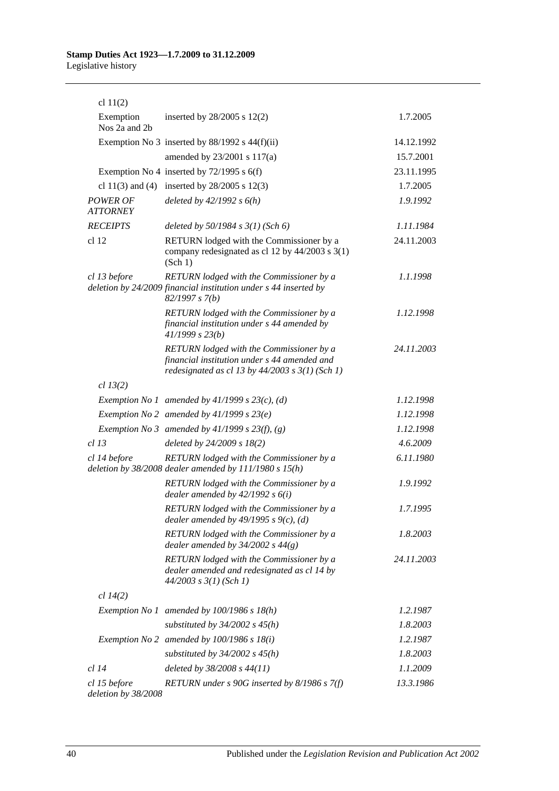| cl $11(2)$                          |                                                                                                                                                 |            |
|-------------------------------------|-------------------------------------------------------------------------------------------------------------------------------------------------|------------|
| Exemption<br>Nos 2a and 2b          | inserted by $28/2005$ s $12(2)$                                                                                                                 | 1.7.2005   |
|                                     | Exemption No 3 inserted by $88/1992$ s $44(f)(ii)$                                                                                              | 14.12.1992 |
|                                     | amended by 23/2001 s 117(a)                                                                                                                     | 15.7.2001  |
|                                     | Exemption No 4 inserted by $72/1995$ s 6(f)                                                                                                     | 23.11.1995 |
|                                     | cl 11(3) and (4) inserted by $28/2005$ s 12(3)                                                                                                  | 1.7.2005   |
| <b>POWER OF</b><br><b>ATTORNEY</b>  | deleted by $42/1992 s 6(h)$                                                                                                                     | 1.9.1992   |
| <b>RECEIPTS</b>                     | deleted by $50/1984$ s $3(1)$ (Sch 6)                                                                                                           | 1.11.1984  |
| cl 12                               | RETURN lodged with the Commissioner by a<br>company redesignated as cl 12 by 44/2003 s 3(1)<br>(Sch 1)                                          | 24.11.2003 |
| cl 13 before                        | RETURN lodged with the Commissioner by a<br>deletion by 24/2009 financial institution under s 44 inserted by<br>82/1997 s 7(b)                  | 1.1.1998   |
|                                     | RETURN lodged with the Commissioner by a<br>financial institution under s 44 amended by<br>41/1999 s 23(b)                                      | 1.12.1998  |
|                                     | RETURN lodged with the Commissioner by a<br>financial institution under s 44 amended and<br>redesignated as cl 13 by $44/2003$ s $3(1)$ (Sch 1) | 24.11.2003 |
| cl 13(2)                            |                                                                                                                                                 |            |
|                                     | Exemption No 1 amended by $41/1999$ s $23(c)$ , (d)                                                                                             | 1.12.1998  |
|                                     | Exemption No 2 amended by $41/1999 s 23(e)$                                                                                                     | 1.12.1998  |
|                                     | Exemption No 3 amended by $41/1999$ s $23(f)$ , (g)                                                                                             | 1.12.1998  |
| cl 13                               | deleted by 24/2009 s 18(2)                                                                                                                      | 4.6.2009   |
| cl 14 before                        | RETURN lodged with the Commissioner by a<br>deletion by $38/2008$ dealer amended by $111/1980$ s $15(h)$                                        | 6.11.1980  |
|                                     | RETURN lodged with the Commissioner by a<br>dealer amended by $42/1992 s 6(i)$                                                                  | 1.9.1992   |
|                                     | RETURN lodged with the Commissioner by a<br>dealer amended by $49/1995 s 9(c)$ , (d)                                                            | 1.7.1995   |
|                                     | RETURN lodged with the Commissioner by a<br>dealer amended by $34/2002$ s $44(g)$                                                               | 1.8.2003   |
|                                     | RETURN lodged with the Commissioner by a<br>dealer amended and redesignated as cl 14 by<br>$44/2003$ s $3(1)$ (Sch 1)                           | 24.11.2003 |
| cl 14(2)                            |                                                                                                                                                 |            |
|                                     | Exemption No 1 amended by $100/1986$ s $18(h)$                                                                                                  | 1.2.1987   |
|                                     | substituted by $34/2002$ s $45(h)$                                                                                                              | 1.8.2003   |
|                                     | Exemption No 2 amended by $100/1986$ s $18(i)$                                                                                                  | 1.2.1987   |
|                                     | substituted by $34/2002$ s $45(h)$                                                                                                              | 1.8.2003   |
| <i>cl</i> 14                        | deleted by 38/2008 s 44(11)                                                                                                                     | 1.1.2009   |
| cl 15 before<br>deletion by 38/2008 | RETURN under $s$ 90G inserted by 8/1986 $s$ 7(f)                                                                                                | 13.3.1986  |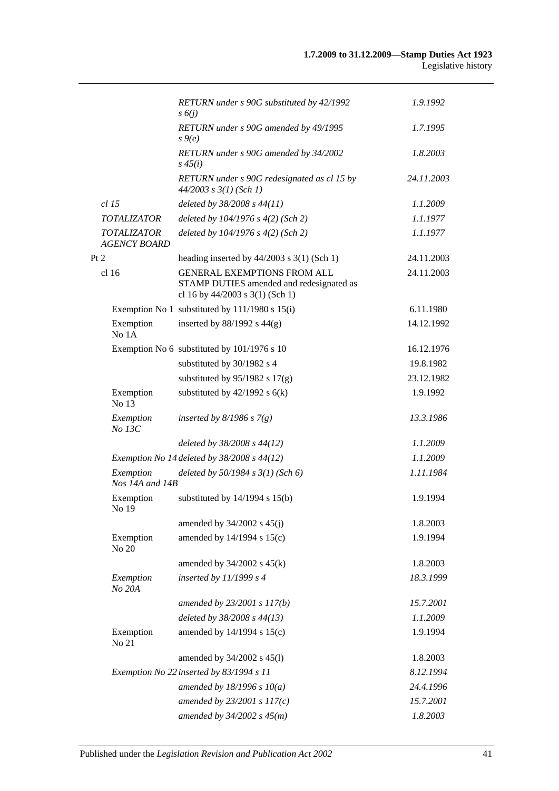|                                           | RETURN under s 90G substituted by 42/1992<br>$s\delta(i)$                                                         | 1.9.1992   |
|-------------------------------------------|-------------------------------------------------------------------------------------------------------------------|------------|
|                                           | RETURN under s 90G amended by 49/1995<br>$s \theta(e)$                                                            | 1.7.1995   |
|                                           | RETURN under s 90G amended by 34/2002<br>$s\,45(i)$                                                               | 1.8.2003   |
|                                           | RETURN under s 90G redesignated as cl 15 by<br>$44/2003$ s $3(1)$ (Sch 1)                                         | 24.11.2003 |
| $cl$ 15                                   | deleted by 38/2008 s 44(11)                                                                                       | 1.1.2009   |
| <b>TOTALIZATOR</b>                        | deleted by $104/1976$ s $4(2)$ (Sch 2)                                                                            | 1.1.1977   |
| <b>TOTALIZATOR</b><br><b>AGENCY BOARD</b> | deleted by 104/1976 s 4(2) (Sch 2)                                                                                | 1.1.1977   |
| Pt 2                                      | heading inserted by $44/2003$ s 3(1) (Sch 1)                                                                      | 24.11.2003 |
| cl <sub>16</sub>                          | <b>GENERAL EXEMPTIONS FROM ALL</b><br>STAMP DUTIES amended and redesignated as<br>cl 16 by 44/2003 s 3(1) (Sch 1) | 24.11.2003 |
|                                           | Exemption No 1 substituted by 111/1980 s 15(i)                                                                    | 6.11.1980  |
| Exemption<br>No 1A                        | inserted by $88/1992$ s $44(g)$                                                                                   | 14.12.1992 |
|                                           | Exemption No 6 substituted by 101/1976 s 10                                                                       | 16.12.1976 |
|                                           | substituted by 30/1982 s 4                                                                                        | 19.8.1982  |
|                                           | substituted by $95/1982$ s $17(g)$                                                                                | 23.12.1982 |
| Exemption<br>No 13                        | substituted by $42/1992$ s $6(k)$                                                                                 | 1.9.1992   |
| Exemption<br>No 13C                       | inserted by $8/1986$ s $7(g)$                                                                                     | 13.3.1986  |
|                                           | deleted by $38/2008$ s $44(12)$                                                                                   | 1.1.2009   |
|                                           | Exemption No 14 deleted by $38/2008$ s $44(12)$                                                                   | 1.1.2009   |
| Exemption<br>Nos 14A and 14B              | deleted by $50/1984$ s $3(1)$ (Sch 6)                                                                             | 1.11.1984  |
| Exemption<br>No 19                        | substituted by $14/1994$ s $15(b)$                                                                                | 1.9.1994   |
|                                           | amended by $34/2002$ s $45(j)$                                                                                    | 1.8.2003   |
| Exemption<br>No 20                        | amended by 14/1994 s 15(c)                                                                                        | 1.9.1994   |
|                                           | amended by $34/2002$ s $45(k)$                                                                                    | 1.8.2003   |
| Exemption<br>No 20A                       | inserted by $11/1999 s 4$                                                                                         | 18.3.1999  |
|                                           | amended by 23/2001 s 117(b)                                                                                       | 15.7.2001  |
|                                           | deleted by 38/2008 s 44(13)                                                                                       | 1.1.2009   |
| Exemption<br>No 21                        | amended by 14/1994 s 15(c)                                                                                        | 1.9.1994   |
|                                           | amended by 34/2002 s 45(l)                                                                                        | 1.8.2003   |
|                                           | Exemption No 22 inserted by 83/1994 s 11                                                                          | 8.12.1994  |
|                                           | amended by $18/1996 s 10(a)$                                                                                      | 24.4.1996  |
|                                           | amended by $23/2001 s 117(c)$                                                                                     | 15.7.2001  |
|                                           | amended by $34/2002 s 45(m)$                                                                                      | 1.8.2003   |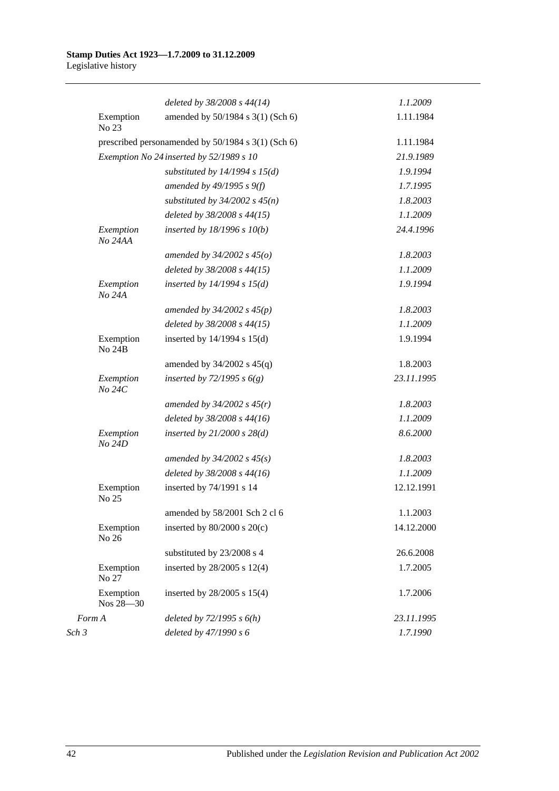|                            | deleted by 38/2008 s 44(14)                        | 1.1.2009   |
|----------------------------|----------------------------------------------------|------------|
| Exemption<br>No 23         | amended by 50/1984 s 3(1) (Sch 6)                  | 1.11.1984  |
|                            | prescribed personamended by 50/1984 s 3(1) (Sch 6) | 1.11.1984  |
|                            | Exemption No 24 inserted by 52/1989 s 10           | 21.9.1989  |
|                            | substituted by $14/1994 s 15(d)$                   | 1.9.1994   |
|                            | amended by $49/1995 s 9(f)$                        | 1.7.1995   |
|                            | substituted by $34/2002$ s $45(n)$                 | 1.8.2003   |
|                            | deleted by 38/2008 s 44(15)                        | 1.1.2009   |
| Exemption<br>No 24AA       | inserted by $18/1996 s 10(b)$                      | 24.4.1996  |
|                            | amended by $34/2002$ s $45(o)$                     | 1.8.2003   |
|                            | deleted by 38/2008 s 44(15)                        | 1.1.2009   |
| Exemption<br>No 24A        | inserted by $14/1994$ s $15(d)$                    | 1.9.1994   |
|                            | amended by $34/2002$ s $45(p)$                     | 1.8.2003   |
|                            | deleted by 38/2008 s 44(15)                        | 1.1.2009   |
| Exemption<br><b>No 24B</b> | inserted by $14/1994$ s $15(d)$                    | 1.9.1994   |
|                            | amended by $34/2002$ s $45(q)$                     | 1.8.2003   |
| Exemption<br>No 24C        | inserted by $72/1995 s 6(g)$                       | 23.11.1995 |
|                            | amended by $34/2002 s 45(r)$                       | 1.8.2003   |
|                            | deleted by 38/2008 s 44(16)                        | 1.1.2009   |
| Exemption<br>No 24D        | inserted by $21/2000$ s $28(d)$                    | 8.6.2000   |
|                            | amended by $34/2002 s 45(s)$                       | 1.8.2003   |
|                            | deleted by 38/2008 s 44(16)                        | 1.1.2009   |
| Exemption<br>No 25         | inserted by 74/1991 s 14                           | 12.12.1991 |
|                            | amended by 58/2001 Sch 2 cl 6                      | 1.1.2003   |
| Exemption<br>No 26         | inserted by $80/2000$ s $20(c)$                    | 14.12.2000 |
|                            | substituted by 23/2008 s 4                         | 26.6.2008  |
| Exemption<br>No 27         | inserted by 28/2005 s 12(4)                        | 1.7.2005   |
| Exemption<br>Nos 28-30     | inserted by 28/2005 s 15(4)                        | 1.7.2006   |
| Form A                     | deleted by $72/1995 s 6(h)$                        | 23.11.1995 |
| Sch 3                      | deleted by 47/1990 s 6                             | 1.7.1990   |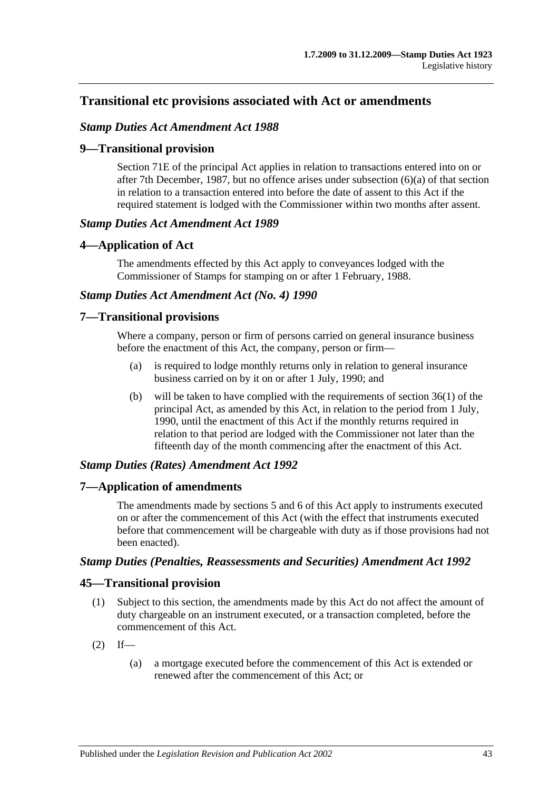# **Transitional etc provisions associated with Act or amendments**

### *Stamp Duties Act Amendment Act 1988*

### **9—Transitional provision**

Section 71E of the principal Act applies in relation to transactions entered into on or after 7th December, 1987, but no offence arises under subsection (6)(a) of that section in relation to a transaction entered into before the date of assent to this Act if the required statement is lodged with the Commissioner within two months after assent.

#### *Stamp Duties Act Amendment Act 1989*

### **4—Application of Act**

The amendments effected by this Act apply to conveyances lodged with the Commissioner of Stamps for stamping on or after 1 February, 1988.

## *Stamp Duties Act Amendment Act (No. 4) 1990*

### **7—Transitional provisions**

Where a company, person or firm of persons carried on general insurance business before the enactment of this Act, the company, person or firm—

- (a) is required to lodge monthly returns only in relation to general insurance business carried on by it on or after 1 July, 1990; and
- (b) will be taken to have complied with the requirements of section 36(1) of the principal Act, as amended by this Act, in relation to the period from 1 July, 1990, until the enactment of this Act if the monthly returns required in relation to that period are lodged with the Commissioner not later than the fifteenth day of the month commencing after the enactment of this Act.

#### *Stamp Duties (Rates) Amendment Act 1992*

#### **7—Application of amendments**

The amendments made by sections 5 and 6 of this Act apply to instruments executed on or after the commencement of this Act (with the effect that instruments executed before that commencement will be chargeable with duty as if those provisions had not been enacted).

#### *Stamp Duties (Penalties, Reassessments and Securities) Amendment Act 1992*

# **45—Transitional provision**

- (1) Subject to this section, the amendments made by this Act do not affect the amount of duty chargeable on an instrument executed, or a transaction completed, before the commencement of this Act.
- $(2)$  If—
	- (a) a mortgage executed before the commencement of this Act is extended or renewed after the commencement of this Act; or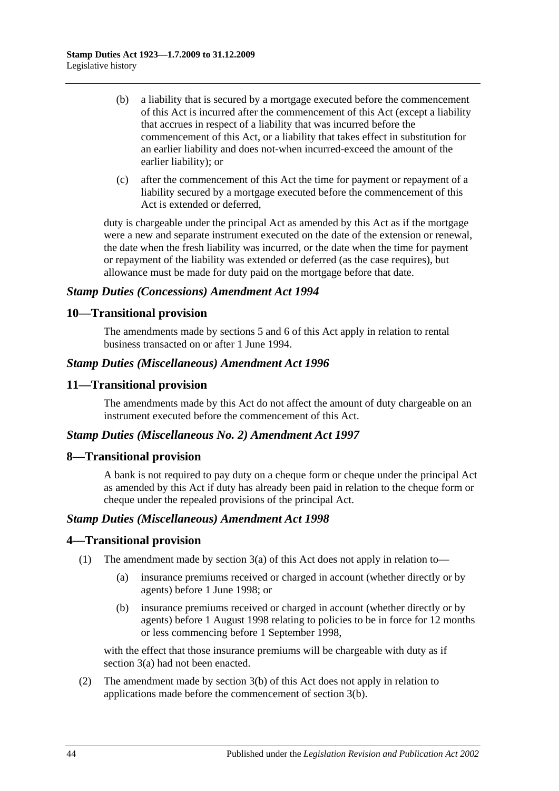- (b) a liability that is secured by a mortgage executed before the commencement of this Act is incurred after the commencement of this Act (except a liability that accrues in respect of a liability that was incurred before the commencement of this Act, or a liability that takes effect in substitution for an earlier liability and does not-when incurred-exceed the amount of the earlier liability); or
- (c) after the commencement of this Act the time for payment or repayment of a liability secured by a mortgage executed before the commencement of this Act is extended or deferred,

duty is chargeable under the principal Act as amended by this Act as if the mortgage were a new and separate instrument executed on the date of the extension or renewal, the date when the fresh liability was incurred, or the date when the time for payment or repayment of the liability was extended or deferred (as the case requires), but allowance must be made for duty paid on the mortgage before that date.

# *Stamp Duties (Concessions) Amendment Act 1994*

# **10—Transitional provision**

The amendments made by sections 5 and 6 of this Act apply in relation to rental business transacted on or after 1 June 1994.

# *Stamp Duties (Miscellaneous) Amendment Act 1996*

# **11—Transitional provision**

The amendments made by this Act do not affect the amount of duty chargeable on an instrument executed before the commencement of this Act.

#### *Stamp Duties (Miscellaneous No. 2) Amendment Act 1997*

#### **8—Transitional provision**

A bank is not required to pay duty on a cheque form or cheque under the principal Act as amended by this Act if duty has already been paid in relation to the cheque form or cheque under the repealed provisions of the principal Act.

#### *Stamp Duties (Miscellaneous) Amendment Act 1998*

# **4—Transitional provision**

- (1) The amendment made by section 3(a) of this Act does not apply in relation to—
	- (a) insurance premiums received or charged in account (whether directly or by agents) before 1 June 1998; or
	- (b) insurance premiums received or charged in account (whether directly or by agents) before 1 August 1998 relating to policies to be in force for 12 months or less commencing before 1 September 1998,

with the effect that those insurance premiums will be chargeable with duty as if section 3(a) had not been enacted.

(2) The amendment made by section 3(b) of this Act does not apply in relation to applications made before the commencement of section 3(b).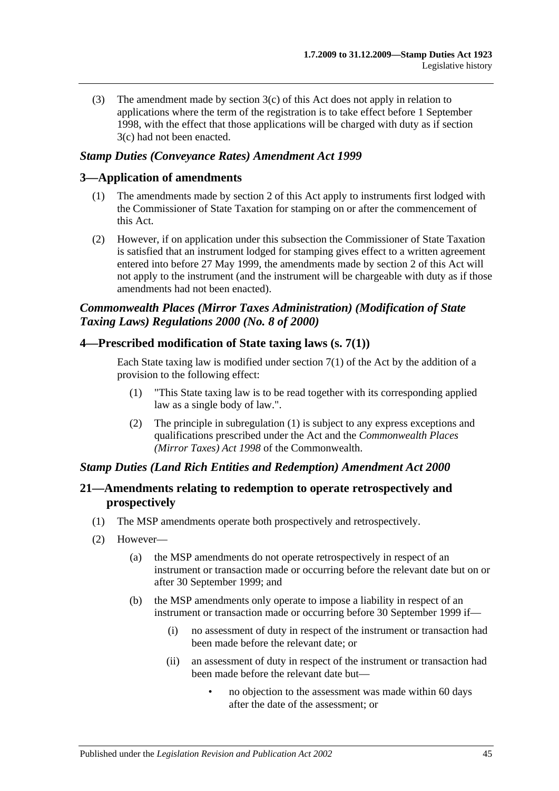(3) The amendment made by section 3(c) of this Act does not apply in relation to applications where the term of the registration is to take effect before 1 September 1998, with the effect that those applications will be charged with duty as if section 3(c) had not been enacted.

### *Stamp Duties (Conveyance Rates) Amendment Act 1999*

### **3—Application of amendments**

- (1) The amendments made by section 2 of this Act apply to instruments first lodged with the Commissioner of State Taxation for stamping on or after the commencement of this Act.
- (2) However, if on application under this subsection the Commissioner of State Taxation is satisfied that an instrument lodged for stamping gives effect to a written agreement entered into before 27 May 1999, the amendments made by section 2 of this Act will not apply to the instrument (and the instrument will be chargeable with duty as if those amendments had not been enacted).

# *Commonwealth Places (Mirror Taxes Administration) (Modification of State Taxing Laws) Regulations 2000 (No. 8 of 2000)*

### **4—Prescribed modification of State taxing laws (s. 7(1))**

Each State taxing law is modified under section  $7(1)$  of the Act by the addition of a provision to the following effect:

- (1) "This State taxing law is to be read together with its corresponding applied law as a single body of law.".
- (2) The principle in subregulation (1) is subject to any express exceptions and qualifications prescribed under the Act and the *Commonwealth Places (Mirror Taxes) Act 1998* of the Commonwealth.

#### *Stamp Duties (Land Rich Entities and Redemption) Amendment Act 2000*

# **21—Amendments relating to redemption to operate retrospectively and prospectively**

- (1) The MSP amendments operate both prospectively and retrospectively.
- (2) However—
	- (a) the MSP amendments do not operate retrospectively in respect of an instrument or transaction made or occurring before the relevant date but on or after 30 September 1999; and
	- (b) the MSP amendments only operate to impose a liability in respect of an instrument or transaction made or occurring before 30 September 1999 if—
		- (i) no assessment of duty in respect of the instrument or transaction had been made before the relevant date; or
		- (ii) an assessment of duty in respect of the instrument or transaction had been made before the relevant date but—
			- no objection to the assessment was made within 60 days after the date of the assessment; or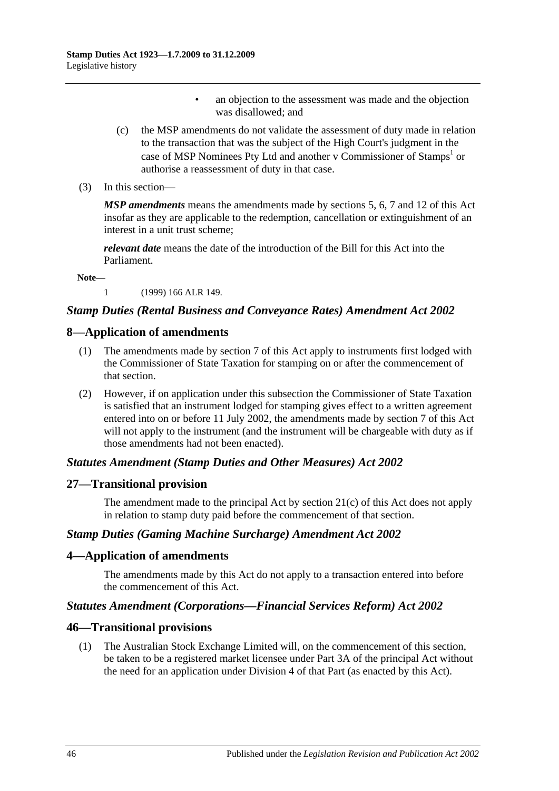- an objection to the assessment was made and the objection was disallowed; and
- (c) the MSP amendments do not validate the assessment of duty made in relation to the transaction that was the subject of the High Court's judgment in the case of MSP Nominees Pty Ltd and another v Commissioner of Stamps<sup>1</sup> or authorise a reassessment of duty in that case.
- (3) In this section—

*MSP amendments* means the amendments made by sections 5, 6, 7 and 12 of this Act insofar as they are applicable to the redemption, cancellation or extinguishment of an interest in a unit trust scheme;

*relevant date* means the date of the introduction of the Bill for this Act into the Parliament.

**Note—**

1 (1999) 166 ALR 149.

### *Stamp Duties (Rental Business and Conveyance Rates) Amendment Act 2002*

#### **8—Application of amendments**

- (1) The amendments made by section 7 of this Act apply to instruments first lodged with the Commissioner of State Taxation for stamping on or after the commencement of that section.
- (2) However, if on application under this subsection the Commissioner of State Taxation is satisfied that an instrument lodged for stamping gives effect to a written agreement entered into on or before 11 July 2002, the amendments made by section 7 of this Act will not apply to the instrument (and the instrument will be chargeable with duty as if those amendments had not been enacted).

#### *Statutes Amendment (Stamp Duties and Other Measures) Act 2002*

#### **27—Transitional provision**

The amendment made to the principal Act by section 21(c) of this Act does not apply in relation to stamp duty paid before the commencement of that section.

#### *Stamp Duties (Gaming Machine Surcharge) Amendment Act 2002*

#### **4—Application of amendments**

The amendments made by this Act do not apply to a transaction entered into before the commencement of this Act.

#### *Statutes Amendment (Corporations—Financial Services Reform) Act 2002*

#### **46—Transitional provisions**

(1) The Australian Stock Exchange Limited will, on the commencement of this section, be taken to be a registered market licensee under Part 3A of the principal Act without the need for an application under Division 4 of that Part (as enacted by this Act).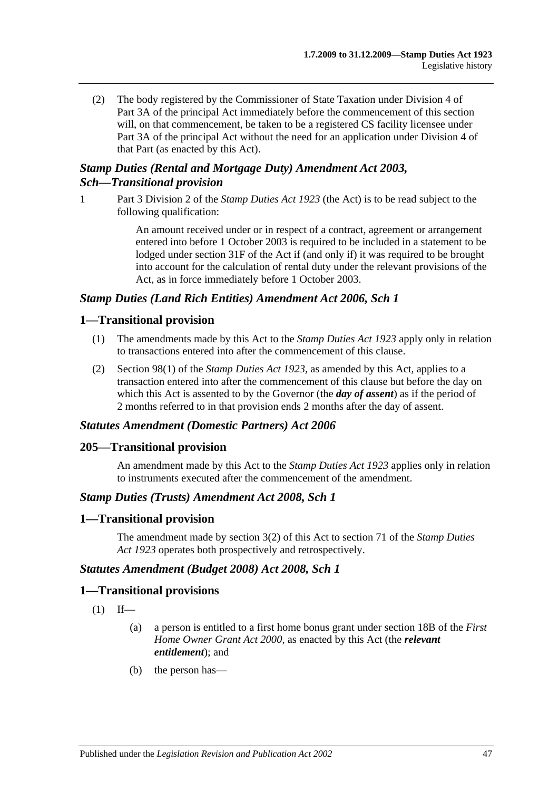(2) The body registered by the Commissioner of State Taxation under Division 4 of Part 3A of the principal Act immediately before the commencement of this section will, on that commencement, be taken to be a registered CS facility licensee under Part 3A of the principal Act without the need for an application under Division 4 of that Part (as enacted by this Act).

# *Stamp Duties (Rental and Mortgage Duty) Amendment Act 2003, Sch—Transitional provision*

1 Part 3 Division 2 of the *[Stamp Duties Act](http://www.legislation.sa.gov.au/index.aspx?action=legref&type=act&legtitle=Stamp%20Duties%20Act%201923) 1923* (the Act) is to be read subject to the following qualification:

> An amount received under or in respect of a contract, agreement or arrangement entered into before 1 October 2003 is required to be included in a statement to be lodged under section 31F of the Act if (and only if) it was required to be brought into account for the calculation of rental duty under the relevant provisions of the Act, as in force immediately before 1 October 2003.

# *Stamp Duties (Land Rich Entities) Amendment Act 2006, Sch 1*

### **1—Transitional provision**

- (1) The amendments made by this Act to the *[Stamp Duties Act](http://www.legislation.sa.gov.au/index.aspx?action=legref&type=act&legtitle=Stamp%20Duties%20Act%201923) 1923* apply only in relation to transactions entered into after the commencement of this clause.
- (2) Section 98(1) of the *[Stamp Duties Act](http://www.legislation.sa.gov.au/index.aspx?action=legref&type=act&legtitle=Stamp%20Duties%20Act%201923) 1923*, as amended by this Act, applies to a transaction entered into after the commencement of this clause but before the day on which this Act is assented to by the Governor (the *day of assent*) as if the period of 2 months referred to in that provision ends 2 months after the day of assent.

#### *Statutes Amendment (Domestic Partners) Act 2006*

#### **205—Transitional provision**

An amendment made by this Act to the *[Stamp Duties Act](http://www.legislation.sa.gov.au/index.aspx?action=legref&type=act&legtitle=Stamp%20Duties%20Act%201923) 1923* applies only in relation to instruments executed after the commencement of the amendment.

#### *Stamp Duties (Trusts) Amendment Act 2008, Sch 1*

#### **1—Transitional provision**

The amendment made by section 3(2) of this Act to section 71 of the *[Stamp Duties](http://www.legislation.sa.gov.au/index.aspx?action=legref&type=act&legtitle=Stamp%20Duties%20Act%201923)  Act [1923](http://www.legislation.sa.gov.au/index.aspx?action=legref&type=act&legtitle=Stamp%20Duties%20Act%201923)* operates both prospectively and retrospectively.

#### *Statutes Amendment (Budget 2008) Act 2008, Sch 1*

#### **1—Transitional provisions**

- $(1)$  If—
	- (a) a person is entitled to a first home bonus grant under section 18B of the *[First](http://www.legislation.sa.gov.au/index.aspx?action=legref&type=act&legtitle=First%20Home%20Owner%20Grant%20Act%202000)  [Home Owner Grant Act](http://www.legislation.sa.gov.au/index.aspx?action=legref&type=act&legtitle=First%20Home%20Owner%20Grant%20Act%202000) 2000*, as enacted by this Act (the *relevant entitlement*); and
	- (b) the person has—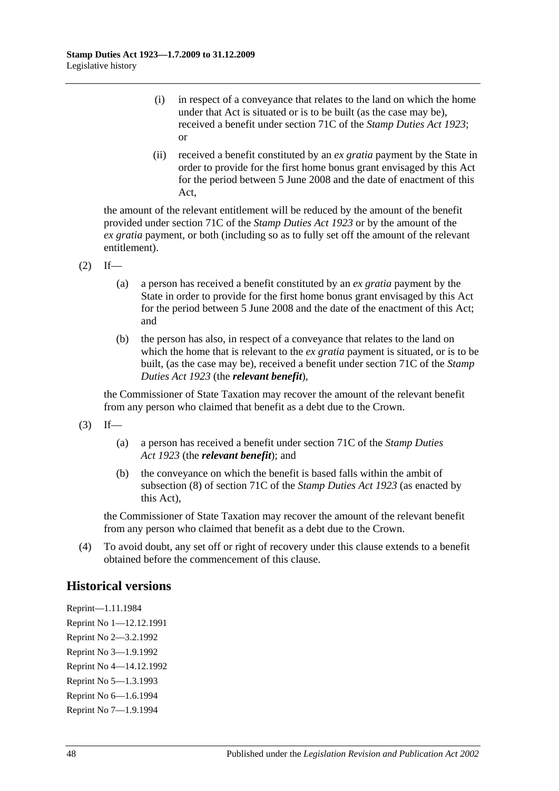- (i) in respect of a conveyance that relates to the land on which the home under that Act is situated or is to be built (as the case may be), received a benefit under section 71C of the *[Stamp Duties Act](http://www.legislation.sa.gov.au/index.aspx?action=legref&type=act&legtitle=Stamp%20Duties%20Act%201923) 1923*; or
- (ii) received a benefit constituted by an *ex gratia* payment by the State in order to provide for the first home bonus grant envisaged by this Act for the period between 5 June 2008 and the date of enactment of this Act,

the amount of the relevant entitlement will be reduced by the amount of the benefit provided under section 71C of the *[Stamp Duties Act](http://www.legislation.sa.gov.au/index.aspx?action=legref&type=act&legtitle=Stamp%20Duties%20Act%201923) 1923* or by the amount of the *ex gratia* payment, or both (including so as to fully set off the amount of the relevant entitlement).

- $(2)$  If—
	- (a) a person has received a benefit constituted by an *ex gratia* payment by the State in order to provide for the first home bonus grant envisaged by this Act for the period between 5 June 2008 and the date of the enactment of this Act; and
	- (b) the person has also, in respect of a conveyance that relates to the land on which the home that is relevant to the *ex gratia* payment is situated, or is to be built, (as the case may be), received a benefit under section 71C of the *[Stamp](http://www.legislation.sa.gov.au/index.aspx?action=legref&type=act&legtitle=Stamp%20Duties%20Act%201923)  [Duties Act](http://www.legislation.sa.gov.au/index.aspx?action=legref&type=act&legtitle=Stamp%20Duties%20Act%201923) 1923* (the *relevant benefit*),

the Commissioner of State Taxation may recover the amount of the relevant benefit from any person who claimed that benefit as a debt due to the Crown.

- $(3)$  If—
	- (a) a person has received a benefit under section 71C of the *[Stamp Duties](http://www.legislation.sa.gov.au/index.aspx?action=legref&type=act&legtitle=Stamp%20Duties%20Act%201923)  Act [1923](http://www.legislation.sa.gov.au/index.aspx?action=legref&type=act&legtitle=Stamp%20Duties%20Act%201923)* (the *relevant benefit*); and
	- (b) the conveyance on which the benefit is based falls within the ambit of subsection (8) of section 71C of the *[Stamp Duties Act](http://www.legislation.sa.gov.au/index.aspx?action=legref&type=act&legtitle=Stamp%20Duties%20Act%201923) 1923* (as enacted by this Act),

the Commissioner of State Taxation may recover the amount of the relevant benefit from any person who claimed that benefit as a debt due to the Crown.

(4) To avoid doubt, any set off or right of recovery under this clause extends to a benefit obtained before the commencement of this clause.

# **Historical versions**

Reprint—1.11.1984 Reprint No 1—12.12.1991 Reprint No 2—3.2.1992 Reprint No 3—1.9.1992 Reprint No 4—14.12.1992 Reprint No 5—1.3.1993 Reprint No 6—1.6.1994 Reprint No 7—1.9.1994